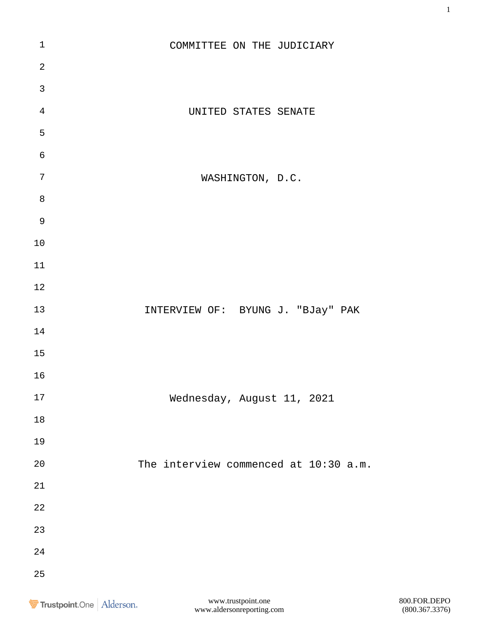| $1\,$          | COMMITTEE ON THE JUDICIARY            |
|----------------|---------------------------------------|
| $\sqrt{2}$     |                                       |
| $\mathbf{3}$   |                                       |
| $\overline{4}$ | UNITED STATES SENATE                  |
| 5              |                                       |
| $\epsilon$     |                                       |
| $\sqrt{ }$     | WASHINGTON, D.C.                      |
| $\,8\,$        |                                       |
| $\mathsf 9$    |                                       |
| $10$           |                                       |
| $11\,$         |                                       |
| 12             |                                       |
| 13             | INTERVIEW OF: BYUNG J. "BJay" PAK     |
| 14             |                                       |
| 15             |                                       |
| 16             |                                       |
| $17$           | Wednesday, August 11, 2021            |
| $18$           |                                       |
| 19             |                                       |
| $2\,0$         | The interview commenced at 10:30 a.m. |
| $21\,$         |                                       |
| 22             |                                       |
| 23             |                                       |
| 24             |                                       |
| 25             |                                       |
|                |                                       |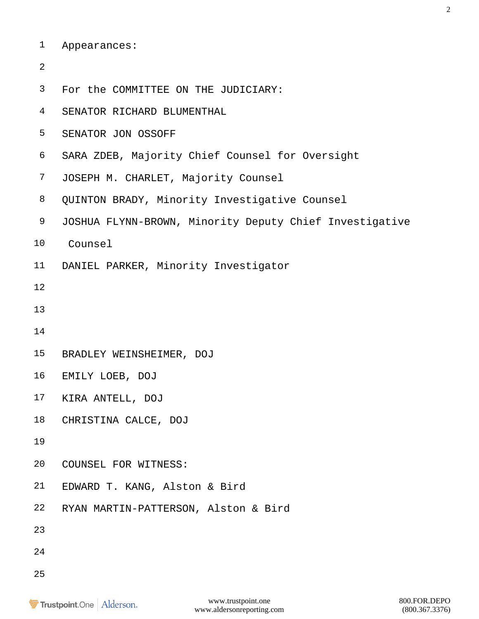```
 1 Appearances:
```

```
 2
  3 For the COMMITTEE ON THE JUDICIARY:
  4 SENATOR RICHARD BLUMENTHAL
  5 SENATOR JON OSSOFF
 6 SARA ZDEB, Majority Chief Counsel for Oversight
 7 JOSEPH M. CHARLET, Majority Counsel
 8 QUINTON BRADY, Minority Investigative Counsel
 9 JOSHUA FLYNN-BROWN, Minority Deputy Chief Investigative
10 Counsel
11 DANIEL PARKER, Minority Investigator
12
13
14
15 BRADLEY WEINSHEIMER, DOJ
16 EMILY LOEB, DOJ
17 KIRA ANTELL, DOJ
18 CHRISTINA CALCE, DOJ
19
20 COUNSEL FOR WITNESS:
21 EDWARD T. KANG, Alston & Bird
22 RYAN MARTIN-PATTERSON, Alston & Bird
23
24
```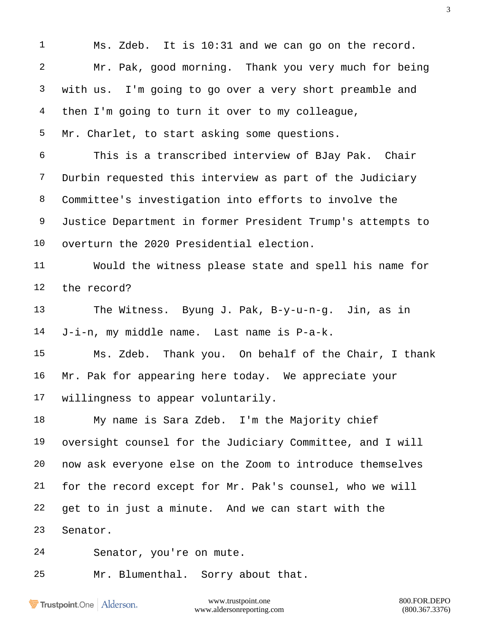Ms. Zdeb. It is 10:31 and we can go on the record. Mr. Pak, good morning. Thank you very much for being with us. I'm going to go over a very short preamble and then I'm going to turn it over to my colleague, Mr. Charlet, to start asking some questions. This is a transcribed interview of BJay Pak. Chair Durbin requested this interview as part of the Judiciary Committee's investigation into efforts to involve the Justice Department in former President Trump's attempts to overturn the 2020 Presidential election. Would the witness please state and spell his name for the record? The Witness. Byung J. Pak, B-y-u-n-g. Jin, as in J-i-n, my middle name. Last name is P-a-k. Ms. Zdeb. Thank you. On behalf of the Chair, I thank Mr. Pak for appearing here today. We appreciate your willingness to appear voluntarily. My name is Sara Zdeb. I'm the Majority chief oversight counsel for the Judiciary Committee, and I will now ask everyone else on the Zoom to introduce themselves for the record except for Mr. Pak's counsel, who we will get to in just a minute. And we can start with the Senator. Senator, you're on mute. Mr. Blumenthal. Sorry about that.

**Trustpoint**.One Alderson.

www.trustpoint.one 800.FOR.DEPO www.aldersonreporting.com (800.367.3376)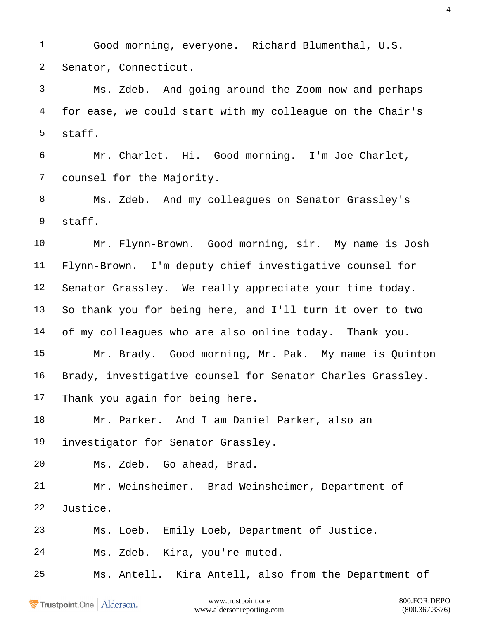Good morning, everyone. Richard Blumenthal, U.S. Senator, Connecticut.

 Ms. Zdeb. And going around the Zoom now and perhaps for ease, we could start with my colleague on the Chair's staff.

 Mr. Charlet. Hi. Good morning. I'm Joe Charlet, counsel for the Majority.

 Ms. Zdeb. And my colleagues on Senator Grassley's staff.

 Mr. Flynn-Brown. Good morning, sir. My name is Josh Flynn-Brown. I'm deputy chief investigative counsel for Senator Grassley. We really appreciate your time today. So thank you for being here, and I'll turn it over to two of my colleagues who are also online today. Thank you. Mr. Brady. Good morning, Mr. Pak. My name is Quinton

Brady, investigative counsel for Senator Charles Grassley.

Thank you again for being here.

 Mr. Parker. And I am Daniel Parker, also an investigator for Senator Grassley.

Ms. Zdeb. Go ahead, Brad.

 Mr. Weinsheimer. Brad Weinsheimer, Department of Justice.

Ms. Loeb. Emily Loeb, Department of Justice.

Ms. Zdeb. Kira, you're muted.

Ms. Antell. Kira Antell, also from the Department of

Trustpoint.One Alderson.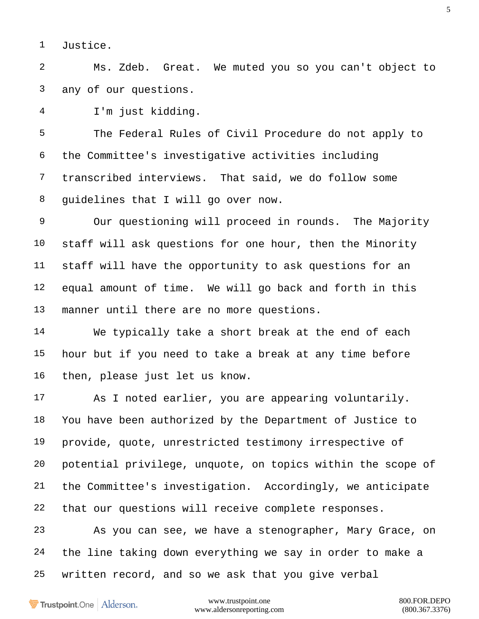Justice.

 Ms. Zdeb. Great. We muted you so you can't object to any of our questions.

I'm just kidding.

 The Federal Rules of Civil Procedure do not apply to the Committee's investigative activities including transcribed interviews. That said, we do follow some guidelines that I will go over now.

 Our questioning will proceed in rounds. The Majority staff will ask questions for one hour, then the Minority staff will have the opportunity to ask questions for an equal amount of time. We will go back and forth in this manner until there are no more questions.

 We typically take a short break at the end of each hour but if you need to take a break at any time before then, please just let us know.

 As I noted earlier, you are appearing voluntarily. You have been authorized by the Department of Justice to provide, quote, unrestricted testimony irrespective of potential privilege, unquote, on topics within the scope of the Committee's investigation. Accordingly, we anticipate that our questions will receive complete responses.

 As you can see, we have a stenographer, Mary Grace, on the line taking down everything we say in order to make a written record, and so we ask that you give verbal

Trustpoint.One Alderson.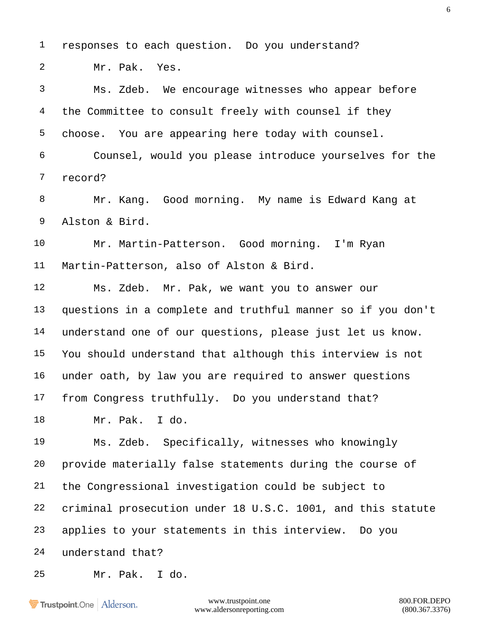responses to each question. Do you understand? Mr. Pak. Yes. Ms. Zdeb. We encourage witnesses who appear before the Committee to consult freely with counsel if they choose. You are appearing here today with counsel. Counsel, would you please introduce yourselves for the record? Mr. Kang. Good morning. My name is Edward Kang at Alston & Bird. Mr. Martin-Patterson. Good morning. I'm Ryan Martin-Patterson, also of Alston & Bird. Ms. Zdeb. Mr. Pak, we want you to answer our questions in a complete and truthful manner so if you don't understand one of our questions, please just let us know. You should understand that although this interview is not under oath, by law you are required to answer questions from Congress truthfully. Do you understand that? Mr. Pak. I do. Ms. Zdeb. Specifically, witnesses who knowingly provide materially false statements during the course of the Congressional investigation could be subject to criminal prosecution under 18 U.S.C. 1001, and this statute applies to your statements in this interview. Do you understand that? Mr. Pak. I do.

**Trustpoint**.One Alderson.

www.trustpoint.one 800.FOR.DEPO www.aldersonreporting.com (800.367.3376)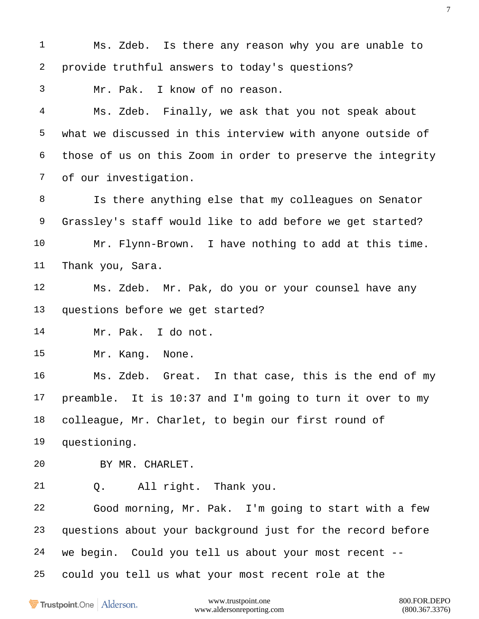Ms. Zdeb. Is there any reason why you are unable to provide truthful answers to today's questions? Mr. Pak. I know of no reason. Ms. Zdeb. Finally, we ask that you not speak about what we discussed in this interview with anyone outside of those of us on this Zoom in order to preserve the integrity of our investigation. Is there anything else that my colleagues on Senator Grassley's staff would like to add before we get started? Mr. Flynn-Brown. I have nothing to add at this time. Thank you, Sara. Ms. Zdeb. Mr. Pak, do you or your counsel have any questions before we get started? Mr. Pak. I do not. Mr. Kang. None. Ms. Zdeb. Great. In that case, this is the end of my preamble. It is 10:37 and I'm going to turn it over to my colleague, Mr. Charlet, to begin our first round of questioning. BY MR. CHARLET. Q. All right. Thank you. Good morning, Mr. Pak. I'm going to start with a few questions about your background just for the record before we begin. Could you tell us about your most recent -- could you tell us what your most recent role at the

**Trustpoint**.One Alderson.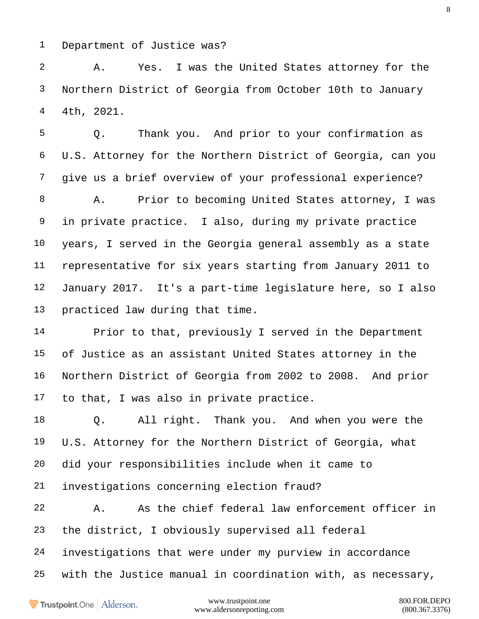Department of Justice was?

 A. Yes. I was the United States attorney for the Northern District of Georgia from October 10th to January 4th, 2021.

 Q. Thank you. And prior to your confirmation as U.S. Attorney for the Northern District of Georgia, can you give us a brief overview of your professional experience?

 A. Prior to becoming United States attorney, I was in private practice. I also, during my private practice years, I served in the Georgia general assembly as a state representative for six years starting from January 2011 to January 2017. It's a part-time legislature here, so I also practiced law during that time.

 Prior to that, previously I served in the Department of Justice as an assistant United States attorney in the Northern District of Georgia from 2002 to 2008. And prior 17 to that, I was also in private practice.

 Q. All right. Thank you. And when you were the U.S. Attorney for the Northern District of Georgia, what did your responsibilities include when it came to investigations concerning election fraud?

 A. As the chief federal law enforcement officer in the district, I obviously supervised all federal investigations that were under my purview in accordance with the Justice manual in coordination with, as necessary,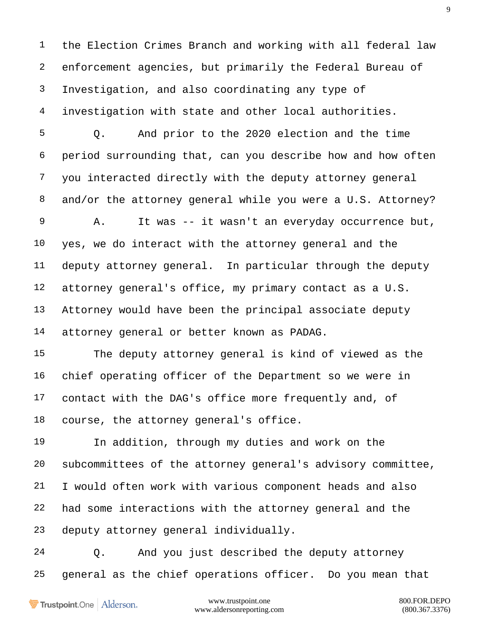the Election Crimes Branch and working with all federal law enforcement agencies, but primarily the Federal Bureau of Investigation, and also coordinating any type of investigation with state and other local authorities.

 Q. And prior to the 2020 election and the time period surrounding that, can you describe how and how often you interacted directly with the deputy attorney general and/or the attorney general while you were a U.S. Attorney? A. It was -- it wasn't an everyday occurrence but, yes, we do interact with the attorney general and the deputy attorney general. In particular through the deputy attorney general's office, my primary contact as a U.S. Attorney would have been the principal associate deputy attorney general or better known as PADAG.

 The deputy attorney general is kind of viewed as the chief operating officer of the Department so we were in contact with the DAG's office more frequently and, of course, the attorney general's office.

 In addition, through my duties and work on the subcommittees of the attorney general's advisory committee, I would often work with various component heads and also had some interactions with the attorney general and the deputy attorney general individually.

 Q. And you just described the deputy attorney general as the chief operations officer. Do you mean that

Trustpoint.One Alderson.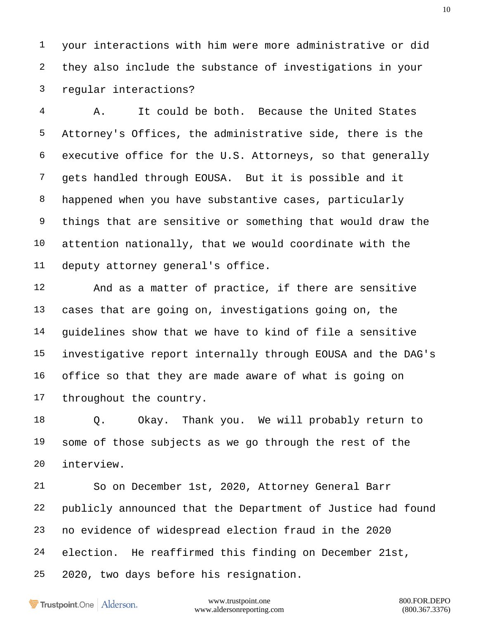your interactions with him were more administrative or did they also include the substance of investigations in your regular interactions?

 A. It could be both. Because the United States Attorney's Offices, the administrative side, there is the executive office for the U.S. Attorneys, so that generally gets handled through EOUSA. But it is possible and it happened when you have substantive cases, particularly things that are sensitive or something that would draw the attention nationally, that we would coordinate with the deputy attorney general's office.

 And as a matter of practice, if there are sensitive cases that are going on, investigations going on, the guidelines show that we have to kind of file a sensitive investigative report internally through EOUSA and the DAG's office so that they are made aware of what is going on throughout the country.

 Q. Okay. Thank you. We will probably return to some of those subjects as we go through the rest of the interview.

 So on December 1st, 2020, Attorney General Barr publicly announced that the Department of Justice had found no evidence of widespread election fraud in the 2020 election. He reaffirmed this finding on December 21st, 2020, two days before his resignation.

Trustpoint.One Alderson.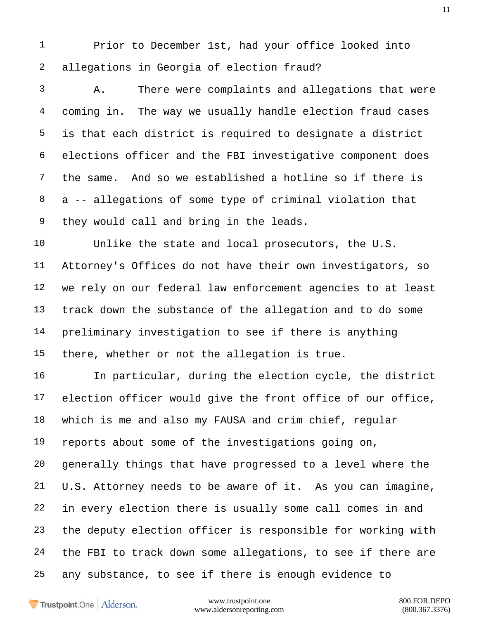Prior to December 1st, had your office looked into allegations in Georgia of election fraud?

 A. There were complaints and allegations that were coming in. The way we usually handle election fraud cases is that each district is required to designate a district elections officer and the FBI investigative component does the same. And so we established a hotline so if there is a -- allegations of some type of criminal violation that they would call and bring in the leads.

 Unlike the state and local prosecutors, the U.S. Attorney's Offices do not have their own investigators, so we rely on our federal law enforcement agencies to at least track down the substance of the allegation and to do some preliminary investigation to see if there is anything there, whether or not the allegation is true.

 In particular, during the election cycle, the district election officer would give the front office of our office, which is me and also my FAUSA and crim chief, regular reports about some of the investigations going on, generally things that have progressed to a level where the U.S. Attorney needs to be aware of it. As you can imagine, in every election there is usually some call comes in and the deputy election officer is responsible for working with the FBI to track down some allegations, to see if there are any substance, to see if there is enough evidence to

Trustpoint.One Alderson.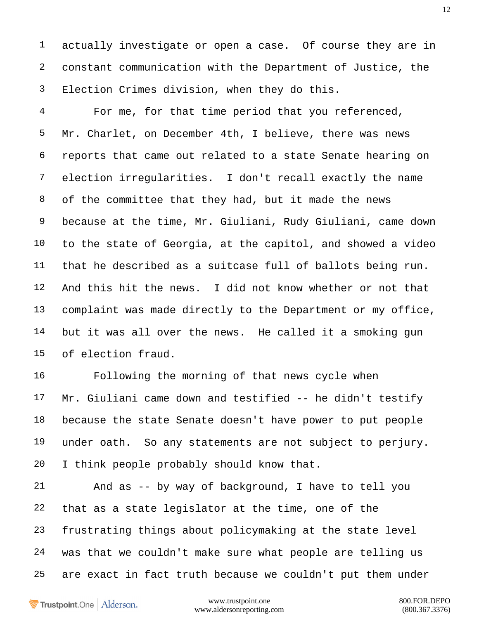actually investigate or open a case. Of course they are in constant communication with the Department of Justice, the Election Crimes division, when they do this.

 For me, for that time period that you referenced, Mr. Charlet, on December 4th, I believe, there was news reports that came out related to a state Senate hearing on election irregularities. I don't recall exactly the name of the committee that they had, but it made the news because at the time, Mr. Giuliani, Rudy Giuliani, came down to the state of Georgia, at the capitol, and showed a video that he described as a suitcase full of ballots being run. And this hit the news. I did not know whether or not that complaint was made directly to the Department or my office, but it was all over the news. He called it a smoking gun of election fraud.

 Following the morning of that news cycle when Mr. Giuliani came down and testified -- he didn't testify because the state Senate doesn't have power to put people under oath. So any statements are not subject to perjury. I think people probably should know that.

 And as -- by way of background, I have to tell you that as a state legislator at the time, one of the frustrating things about policymaking at the state level was that we couldn't make sure what people are telling us are exact in fact truth because we couldn't put them under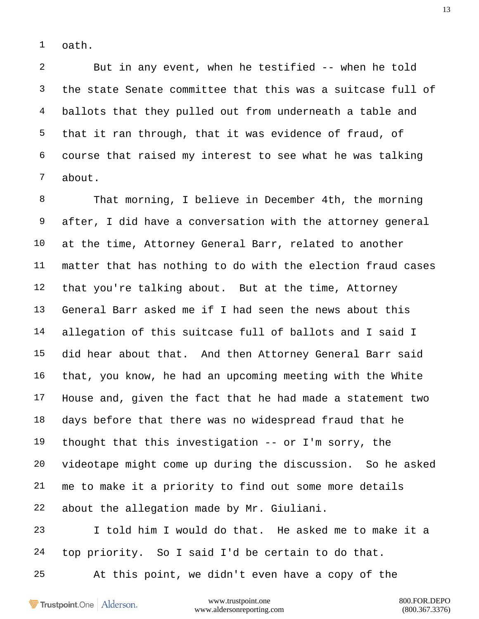oath.

 But in any event, when he testified -- when he told the state Senate committee that this was a suitcase full of ballots that they pulled out from underneath a table and that it ran through, that it was evidence of fraud, of course that raised my interest to see what he was talking about.

 That morning, I believe in December 4th, the morning after, I did have a conversation with the attorney general at the time, Attorney General Barr, related to another matter that has nothing to do with the election fraud cases that you're talking about. But at the time, Attorney General Barr asked me if I had seen the news about this allegation of this suitcase full of ballots and I said I did hear about that. And then Attorney General Barr said that, you know, he had an upcoming meeting with the White House and, given the fact that he had made a statement two days before that there was no widespread fraud that he thought that this investigation -- or I'm sorry, the videotape might come up during the discussion. So he asked me to make it a priority to find out some more details about the allegation made by Mr. Giuliani.

 I told him I would do that. He asked me to make it a top priority. So I said I'd be certain to do that.

At this point, we didn't even have a copy of the

Trustpoint.One Alderson.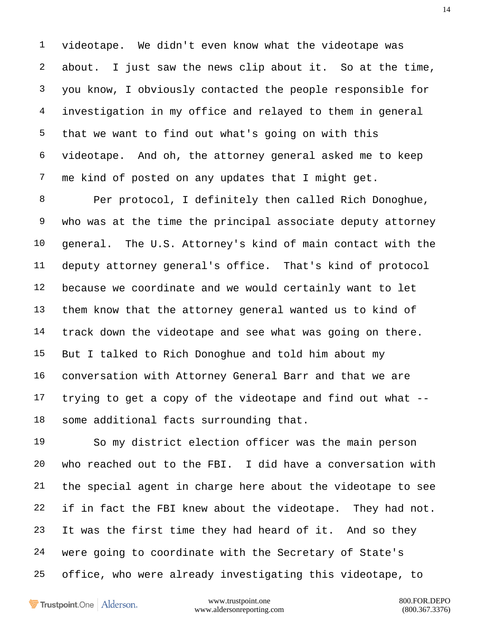videotape. We didn't even know what the videotape was about. I just saw the news clip about it. So at the time, you know, I obviously contacted the people responsible for investigation in my office and relayed to them in general that we want to find out what's going on with this videotape. And oh, the attorney general asked me to keep me kind of posted on any updates that I might get.

 Per protocol, I definitely then called Rich Donoghue, who was at the time the principal associate deputy attorney general. The U.S. Attorney's kind of main contact with the deputy attorney general's office. That's kind of protocol because we coordinate and we would certainly want to let them know that the attorney general wanted us to kind of 14 track down the videotape and see what was going on there. But I talked to Rich Donoghue and told him about my conversation with Attorney General Barr and that we are trying to get a copy of the videotape and find out what -- some additional facts surrounding that.

 So my district election officer was the main person who reached out to the FBI. I did have a conversation with the special agent in charge here about the videotape to see if in fact the FBI knew about the videotape. They had not. It was the first time they had heard of it. And so they were going to coordinate with the Secretary of State's office, who were already investigating this videotape, to

**Trustpoint**.One Alderson.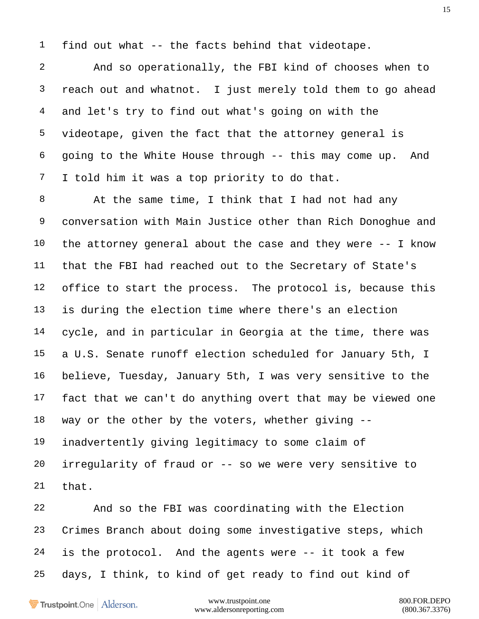find out what -- the facts behind that videotape.

 And so operationally, the FBI kind of chooses when to reach out and whatnot. I just merely told them to go ahead and let's try to find out what's going on with the videotape, given the fact that the attorney general is going to the White House through -- this may come up. And I told him it was a top priority to do that.

 At the same time, I think that I had not had any conversation with Main Justice other than Rich Donoghue and the attorney general about the case and they were -- I know that the FBI had reached out to the Secretary of State's 12 office to start the process. The protocol is, because this is during the election time where there's an election cycle, and in particular in Georgia at the time, there was a U.S. Senate runoff election scheduled for January 5th, I believe, Tuesday, January 5th, I was very sensitive to the fact that we can't do anything overt that may be viewed one way or the other by the voters, whether giving -- inadvertently giving legitimacy to some claim of irregularity of fraud or -- so we were very sensitive to that.

 And so the FBI was coordinating with the Election Crimes Branch about doing some investigative steps, which is the protocol. And the agents were -- it took a few days, I think, to kind of get ready to find out kind of

Trustpoint.One Alderson.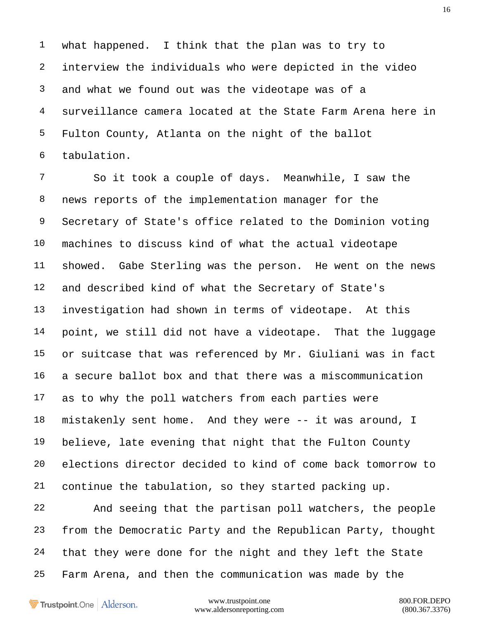what happened. I think that the plan was to try to interview the individuals who were depicted in the video and what we found out was the videotape was of a surveillance camera located at the State Farm Arena here in Fulton County, Atlanta on the night of the ballot tabulation.

 So it took a couple of days. Meanwhile, I saw the news reports of the implementation manager for the Secretary of State's office related to the Dominion voting machines to discuss kind of what the actual videotape showed. Gabe Sterling was the person. He went on the news and described kind of what the Secretary of State's investigation had shown in terms of videotape. At this point, we still did not have a videotape. That the luggage or suitcase that was referenced by Mr. Giuliani was in fact a secure ballot box and that there was a miscommunication as to why the poll watchers from each parties were mistakenly sent home. And they were -- it was around, I believe, late evening that night that the Fulton County elections director decided to kind of come back tomorrow to continue the tabulation, so they started packing up.

 And seeing that the partisan poll watchers, the people from the Democratic Party and the Republican Party, thought that they were done for the night and they left the State Farm Arena, and then the communication was made by the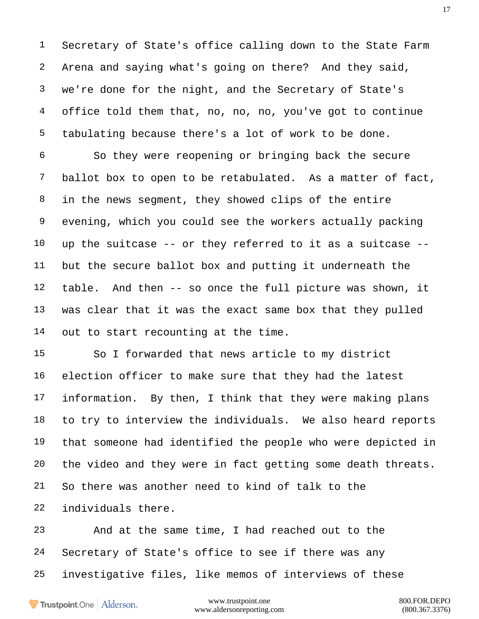Secretary of State's office calling down to the State Farm Arena and saying what's going on there? And they said, we're done for the night, and the Secretary of State's office told them that, no, no, no, you've got to continue tabulating because there's a lot of work to be done.

 So they were reopening or bringing back the secure ballot box to open to be retabulated. As a matter of fact, in the news segment, they showed clips of the entire evening, which you could see the workers actually packing up the suitcase -- or they referred to it as a suitcase -- but the secure ballot box and putting it underneath the table. And then -- so once the full picture was shown, it was clear that it was the exact same box that they pulled out to start recounting at the time.

 So I forwarded that news article to my district election officer to make sure that they had the latest information. By then, I think that they were making plans to try to interview the individuals. We also heard reports that someone had identified the people who were depicted in the video and they were in fact getting some death threats. So there was another need to kind of talk to the individuals there.

 And at the same time, I had reached out to the Secretary of State's office to see if there was any investigative files, like memos of interviews of these

Trustpoint.One Alderson.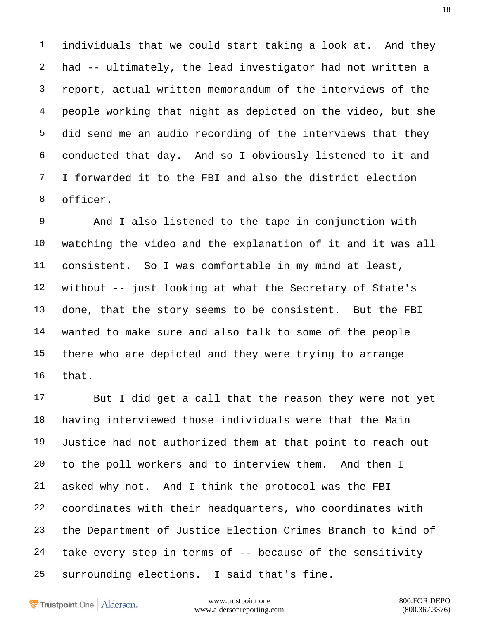individuals that we could start taking a look at. And they had -- ultimately, the lead investigator had not written a report, actual written memorandum of the interviews of the people working that night as depicted on the video, but she did send me an audio recording of the interviews that they conducted that day. And so I obviously listened to it and I forwarded it to the FBI and also the district election officer.

 And I also listened to the tape in conjunction with watching the video and the explanation of it and it was all consistent. So I was comfortable in my mind at least, without -- just looking at what the Secretary of State's done, that the story seems to be consistent. But the FBI wanted to make sure and also talk to some of the people there who are depicted and they were trying to arrange that.

 But I did get a call that the reason they were not yet having interviewed those individuals were that the Main Justice had not authorized them at that point to reach out to the poll workers and to interview them. And then I asked why not. And I think the protocol was the FBI coordinates with their headquarters, who coordinates with the Department of Justice Election Crimes Branch to kind of take every step in terms of -- because of the sensitivity surrounding elections. I said that's fine.

**Trustpoint**.One Alderson.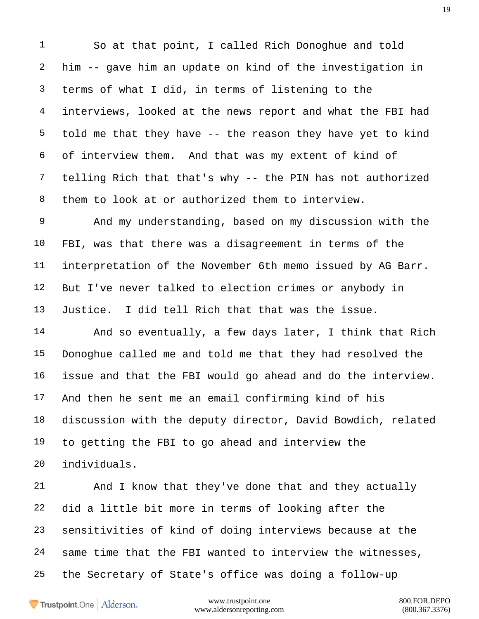So at that point, I called Rich Donoghue and told him -- gave him an update on kind of the investigation in terms of what I did, in terms of listening to the interviews, looked at the news report and what the FBI had told me that they have -- the reason they have yet to kind of interview them. And that was my extent of kind of telling Rich that that's why -- the PIN has not authorized them to look at or authorized them to interview.

 And my understanding, based on my discussion with the FBI, was that there was a disagreement in terms of the interpretation of the November 6th memo issued by AG Barr. But I've never talked to election crimes or anybody in Justice. I did tell Rich that that was the issue.

 And so eventually, a few days later, I think that Rich Donoghue called me and told me that they had resolved the issue and that the FBI would go ahead and do the interview. And then he sent me an email confirming kind of his discussion with the deputy director, David Bowdich, related to getting the FBI to go ahead and interview the individuals.

 And I know that they've done that and they actually did a little bit more in terms of looking after the sensitivities of kind of doing interviews because at the same time that the FBI wanted to interview the witnesses, the Secretary of State's office was doing a follow-up

Trustpoint.One Alderson.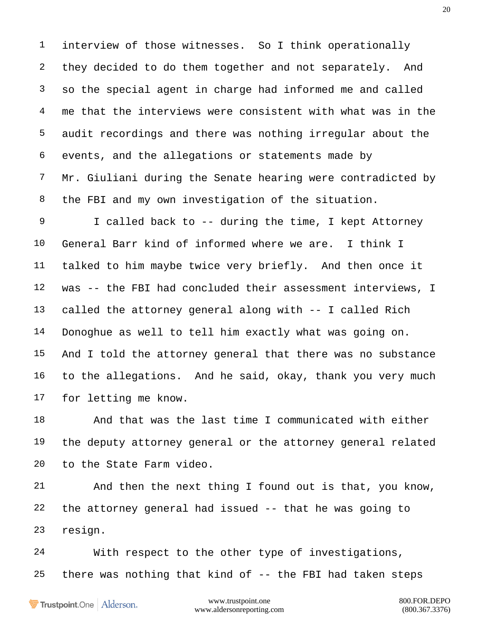interview of those witnesses. So I think operationally they decided to do them together and not separately. And so the special agent in charge had informed me and called me that the interviews were consistent with what was in the audit recordings and there was nothing irregular about the events, and the allegations or statements made by Mr. Giuliani during the Senate hearing were contradicted by the FBI and my own investigation of the situation.

9 I called back to -- during the time, I kept Attorney General Barr kind of informed where we are. I think I talked to him maybe twice very briefly. And then once it was -- the FBI had concluded their assessment interviews, I called the attorney general along with -- I called Rich Donoghue as well to tell him exactly what was going on. And I told the attorney general that there was no substance to the allegations. And he said, okay, thank you very much for letting me know.

 And that was the last time I communicated with either the deputy attorney general or the attorney general related to the State Farm video.

 And then the next thing I found out is that, you know, the attorney general had issued -- that he was going to resign.

 With respect to the other type of investigations, there was nothing that kind of -- the FBI had taken steps

Trustpoint.One Alderson.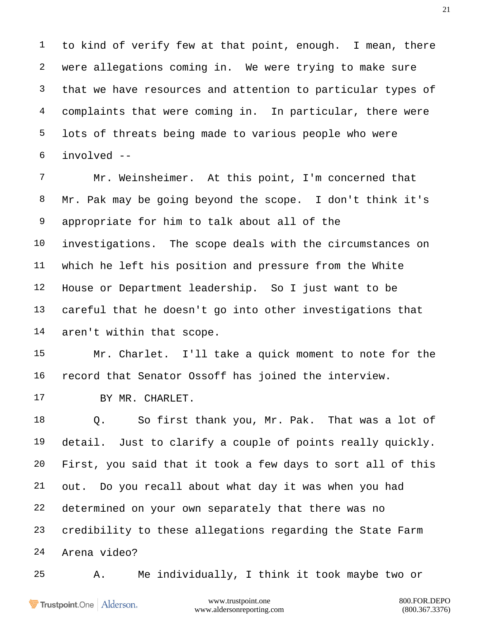to kind of verify few at that point, enough. I mean, there were allegations coming in. We were trying to make sure that we have resources and attention to particular types of complaints that were coming in. In particular, there were lots of threats being made to various people who were involved --

 Mr. Weinsheimer. At this point, I'm concerned that Mr. Pak may be going beyond the scope. I don't think it's appropriate for him to talk about all of the investigations. The scope deals with the circumstances on which he left his position and pressure from the White House or Department leadership. So I just want to be careful that he doesn't go into other investigations that aren't within that scope.

 Mr. Charlet. I'll take a quick moment to note for the record that Senator Ossoff has joined the interview.

BY MR. CHARLET.

 Q. So first thank you, Mr. Pak. That was a lot of detail. Just to clarify a couple of points really quickly. First, you said that it took a few days to sort all of this out. Do you recall about what day it was when you had determined on your own separately that there was no credibility to these allegations regarding the State Farm Arena video?

A. Me individually, I think it took maybe two or

**Trustpoint**.One Alderson.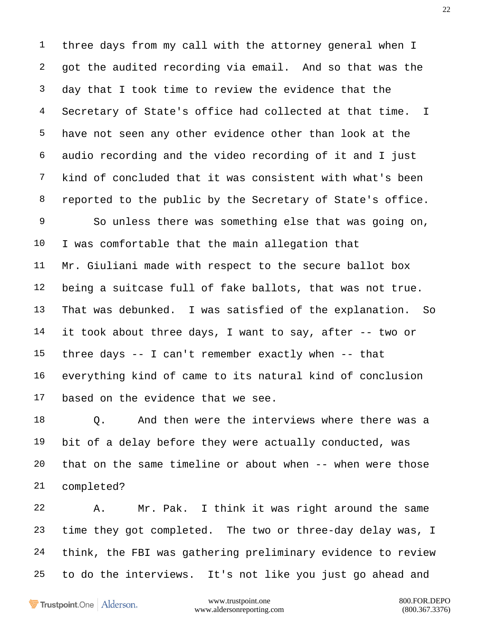three days from my call with the attorney general when I got the audited recording via email. And so that was the day that I took time to review the evidence that the Secretary of State's office had collected at that time. I have not seen any other evidence other than look at the audio recording and the video recording of it and I just kind of concluded that it was consistent with what's been reported to the public by the Secretary of State's office.

 So unless there was something else that was going on, I was comfortable that the main allegation that Mr. Giuliani made with respect to the secure ballot box being a suitcase full of fake ballots, that was not true. That was debunked. I was satisfied of the explanation. So it took about three days, I want to say, after -- two or three days -- I can't remember exactly when -- that everything kind of came to its natural kind of conclusion based on the evidence that we see.

18 0. And then were the interviews where there was a bit of a delay before they were actually conducted, was that on the same timeline or about when -- when were those completed?

 A. Mr. Pak. I think it was right around the same time they got completed. The two or three-day delay was, I think, the FBI was gathering preliminary evidence to review to do the interviews. It's not like you just go ahead and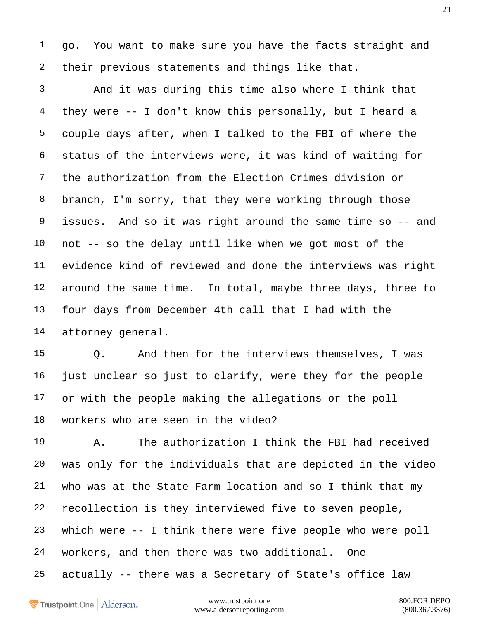go. You want to make sure you have the facts straight and their previous statements and things like that.

 And it was during this time also where I think that they were -- I don't know this personally, but I heard a couple days after, when I talked to the FBI of where the status of the interviews were, it was kind of waiting for the authorization from the Election Crimes division or branch, I'm sorry, that they were working through those issues. And so it was right around the same time so -- and not -- so the delay until like when we got most of the evidence kind of reviewed and done the interviews was right around the same time. In total, maybe three days, three to four days from December 4th call that I had with the attorney general.

 Q. And then for the interviews themselves, I was just unclear so just to clarify, were they for the people or with the people making the allegations or the poll workers who are seen in the video?

 A. The authorization I think the FBI had received was only for the individuals that are depicted in the video who was at the State Farm location and so I think that my recollection is they interviewed five to seven people, which were -- I think there were five people who were poll workers, and then there was two additional. One actually -- there was a Secretary of State's office law

**Trustpoint**.One Alderson.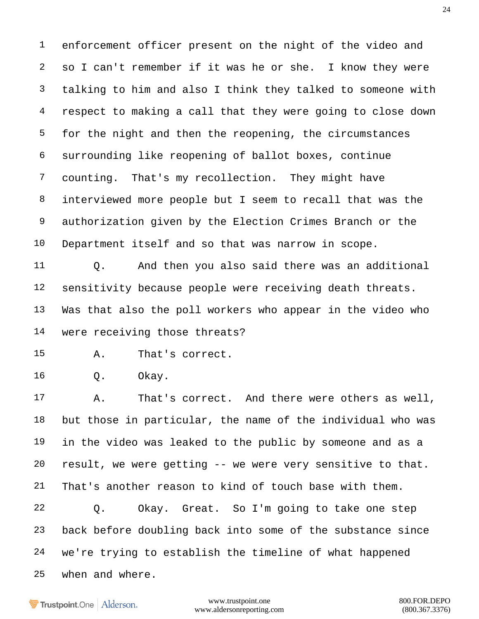enforcement officer present on the night of the video and so I can't remember if it was he or she. I know they were talking to him and also I think they talked to someone with respect to making a call that they were going to close down for the night and then the reopening, the circumstances surrounding like reopening of ballot boxes, continue counting. That's my recollection. They might have interviewed more people but I seem to recall that was the authorization given by the Election Crimes Branch or the Department itself and so that was narrow in scope.

 Q. And then you also said there was an additional sensitivity because people were receiving death threats. Was that also the poll workers who appear in the video who were receiving those threats?

A. That's correct.

Q. Okay.

 A. That's correct. And there were others as well, but those in particular, the name of the individual who was in the video was leaked to the public by someone and as a result, we were getting -- we were very sensitive to that. That's another reason to kind of touch base with them. Q. Okay. Great. So I'm going to take one step

 back before doubling back into some of the substance since we're trying to establish the timeline of what happened when and where.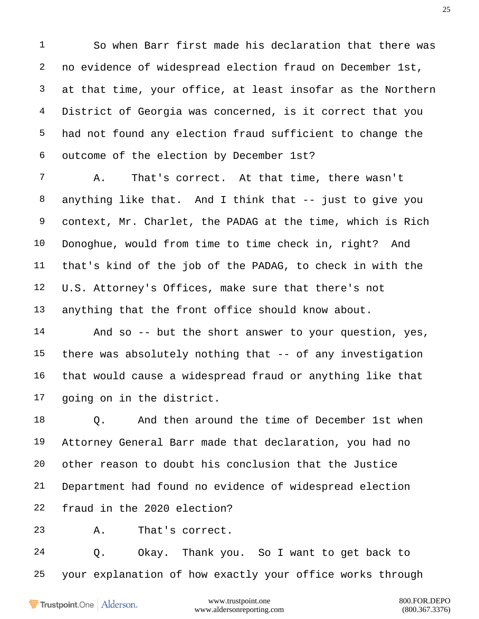So when Barr first made his declaration that there was no evidence of widespread election fraud on December 1st, at that time, your office, at least insofar as the Northern District of Georgia was concerned, is it correct that you had not found any election fraud sufficient to change the outcome of the election by December 1st?

 A. That's correct. At that time, there wasn't anything like that. And I think that -- just to give you context, Mr. Charlet, the PADAG at the time, which is Rich Donoghue, would from time to time check in, right? And that's kind of the job of the PADAG, to check in with the U.S. Attorney's Offices, make sure that there's not anything that the front office should know about.

 And so -- but the short answer to your question, yes, there was absolutely nothing that -- of any investigation that would cause a widespread fraud or anything like that going on in the district.

18 0. And then around the time of December 1st when Attorney General Barr made that declaration, you had no other reason to doubt his conclusion that the Justice Department had found no evidence of widespread election fraud in the 2020 election?

A. That's correct.

 Q. Okay. Thank you. So I want to get back to your explanation of how exactly your office works through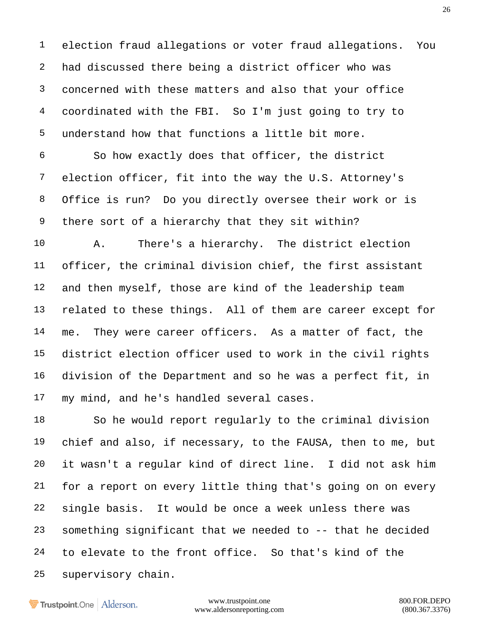election fraud allegations or voter fraud allegations. You had discussed there being a district officer who was concerned with these matters and also that your office coordinated with the FBI. So I'm just going to try to understand how that functions a little bit more.

 So how exactly does that officer, the district election officer, fit into the way the U.S. Attorney's Office is run? Do you directly oversee their work or is there sort of a hierarchy that they sit within?

 A. There's a hierarchy. The district election officer, the criminal division chief, the first assistant and then myself, those are kind of the leadership team related to these things. All of them are career except for me. They were career officers. As a matter of fact, the district election officer used to work in the civil rights division of the Department and so he was a perfect fit, in my mind, and he's handled several cases.

 So he would report regularly to the criminal division chief and also, if necessary, to the FAUSA, then to me, but it wasn't a regular kind of direct line. I did not ask him for a report on every little thing that's going on on every single basis. It would be once a week unless there was something significant that we needed to -- that he decided to elevate to the front office. So that's kind of the supervisory chain.

**Trustpoint**.One Alderson.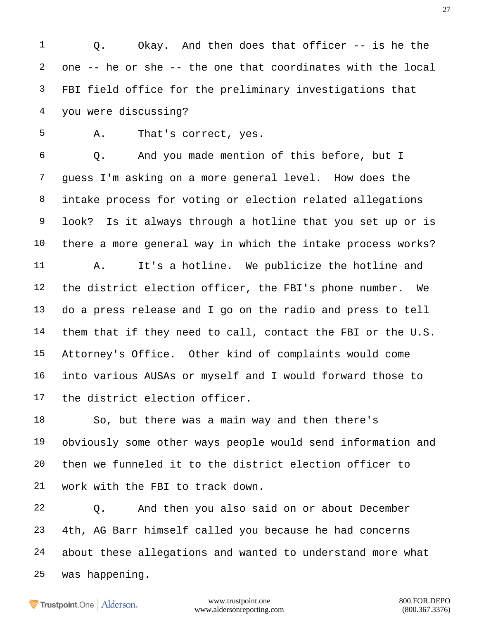1 0. Okay. And then does that officer -- is he the one -- he or she -- the one that coordinates with the local FBI field office for the preliminary investigations that you were discussing?

A. That's correct, yes.

 Q. And you made mention of this before, but I guess I'm asking on a more general level. How does the intake process for voting or election related allegations look? Is it always through a hotline that you set up or is there a more general way in which the intake process works?

 A. It's a hotline. We publicize the hotline and the district election officer, the FBI's phone number. We do a press release and I go on the radio and press to tell 14 them that if they need to call, contact the FBI or the U.S. Attorney's Office. Other kind of complaints would come into various AUSAs or myself and I would forward those to the district election officer.

 So, but there was a main way and then there's obviously some other ways people would send information and then we funneled it to the district election officer to work with the FBI to track down.

 Q. And then you also said on or about December 4th, AG Barr himself called you because he had concerns about these allegations and wanted to understand more what was happening.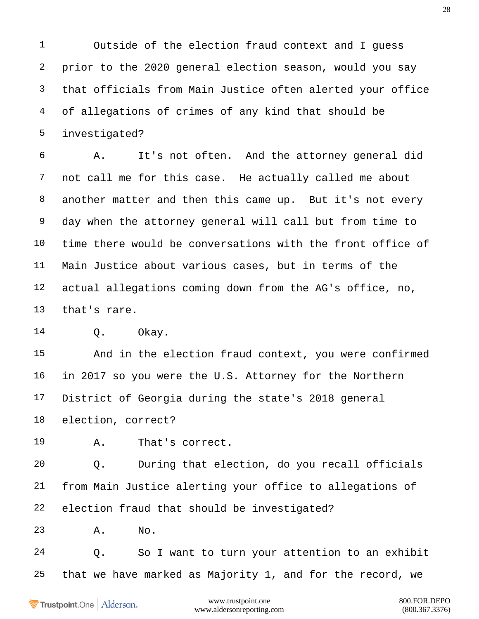Outside of the election fraud context and I guess prior to the 2020 general election season, would you say that officials from Main Justice often alerted your office of allegations of crimes of any kind that should be investigated?

 A. It's not often. And the attorney general did not call me for this case. He actually called me about another matter and then this came up. But it's not every day when the attorney general will call but from time to time there would be conversations with the front office of Main Justice about various cases, but in terms of the actual allegations coming down from the AG's office, no, that's rare.

Q. Okay.

 And in the election fraud context, you were confirmed in 2017 so you were the U.S. Attorney for the Northern District of Georgia during the state's 2018 general election, correct?

A. That's correct.

 Q. During that election, do you recall officials from Main Justice alerting your office to allegations of election fraud that should be investigated?

A. No.

 Q. So I want to turn your attention to an exhibit that we have marked as Majority 1, and for the record, we

Trustpoint.One Alderson.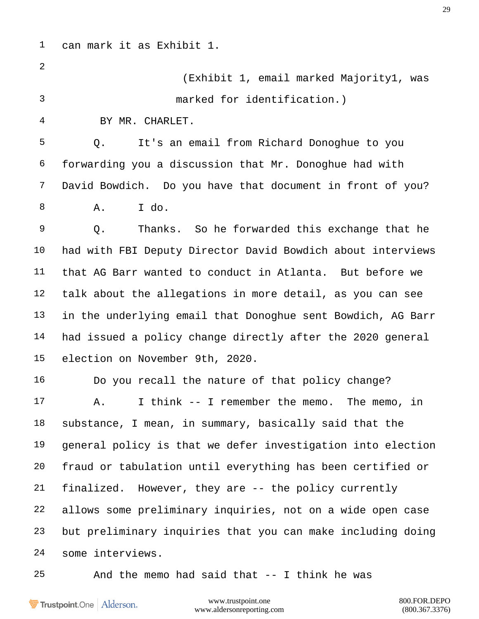can mark it as Exhibit 1. (Exhibit 1, email marked Majority1, was marked for identification.) BY MR. CHARLET. Q. It's an email from Richard Donoghue to you forwarding you a discussion that Mr. Donoghue had with David Bowdich. Do you have that document in front of you? A. I do. Q. Thanks. So he forwarded this exchange that he had with FBI Deputy Director David Bowdich about interviews that AG Barr wanted to conduct in Atlanta. But before we talk about the allegations in more detail, as you can see in the underlying email that Donoghue sent Bowdich, AG Barr had issued a policy change directly after the 2020 general election on November 9th, 2020. Do you recall the nature of that policy change? A. I think -- I remember the memo. The memo, in substance, I mean, in summary, basically said that the general policy is that we defer investigation into election fraud or tabulation until everything has been certified or finalized. However, they are -- the policy currently allows some preliminary inquiries, not on a wide open case but preliminary inquiries that you can make including doing some interviews. And the memo had said that -- I think he was

Trustpoint.One Alderson.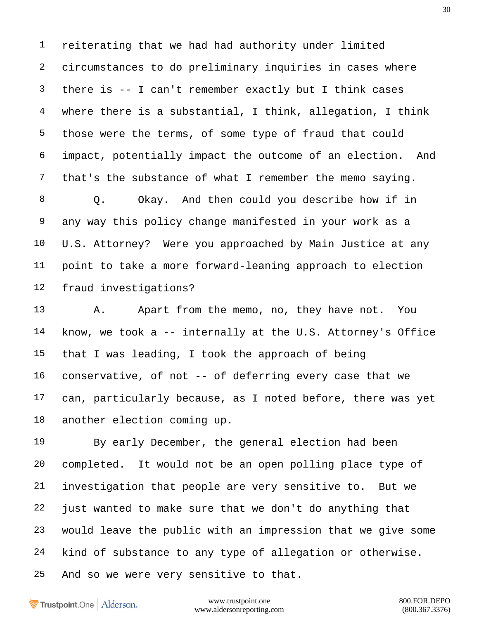reiterating that we had had authority under limited circumstances to do preliminary inquiries in cases where there is -- I can't remember exactly but I think cases where there is a substantial, I think, allegation, I think those were the terms, of some type of fraud that could impact, potentially impact the outcome of an election. And that's the substance of what I remember the memo saying. Q. Okay. And then could you describe how if in

 any way this policy change manifested in your work as a U.S. Attorney? Were you approached by Main Justice at any point to take a more forward-leaning approach to election fraud investigations?

13 A. Apart from the memo, no, they have not. You know, we took a -- internally at the U.S. Attorney's Office that I was leading, I took the approach of being conservative, of not -- of deferring every case that we can, particularly because, as I noted before, there was yet another election coming up.

 By early December, the general election had been completed. It would not be an open polling place type of investigation that people are very sensitive to. But we just wanted to make sure that we don't do anything that would leave the public with an impression that we give some kind of substance to any type of allegation or otherwise. And so we were very sensitive to that.

Trustpoint.One Alderson.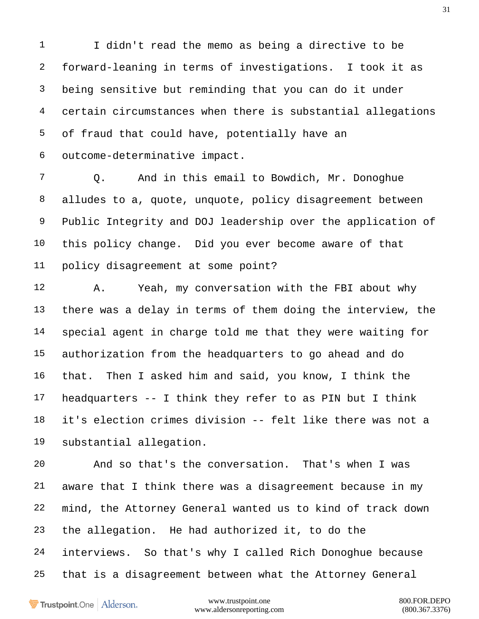I didn't read the memo as being a directive to be forward-leaning in terms of investigations. I took it as being sensitive but reminding that you can do it under certain circumstances when there is substantial allegations of fraud that could have, potentially have an outcome-determinative impact.

 Q. And in this email to Bowdich, Mr. Donoghue alludes to a, quote, unquote, policy disagreement between Public Integrity and DOJ leadership over the application of this policy change. Did you ever become aware of that policy disagreement at some point?

 A. Yeah, my conversation with the FBI about why there was a delay in terms of them doing the interview, the special agent in charge told me that they were waiting for authorization from the headquarters to go ahead and do that. Then I asked him and said, you know, I think the headquarters -- I think they refer to as PIN but I think it's election crimes division -- felt like there was not a substantial allegation.

 And so that's the conversation. That's when I was aware that I think there was a disagreement because in my mind, the Attorney General wanted us to kind of track down the allegation. He had authorized it, to do the interviews. So that's why I called Rich Donoghue because that is a disagreement between what the Attorney General

Trustpoint.One Alderson.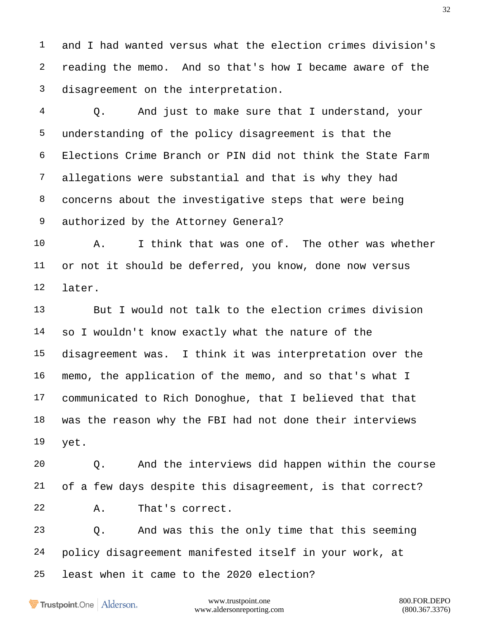and I had wanted versus what the election crimes division's reading the memo. And so that's how I became aware of the disagreement on the interpretation.

 Q. And just to make sure that I understand, your understanding of the policy disagreement is that the Elections Crime Branch or PIN did not think the State Farm allegations were substantial and that is why they had concerns about the investigative steps that were being authorized by the Attorney General?

 A. I think that was one of. The other was whether or not it should be deferred, you know, done now versus later.

 But I would not talk to the election crimes division so I wouldn't know exactly what the nature of the disagreement was. I think it was interpretation over the memo, the application of the memo, and so that's what I communicated to Rich Donoghue, that I believed that that was the reason why the FBI had not done their interviews yet.

 Q. And the interviews did happen within the course of a few days despite this disagreement, is that correct? A. That's correct.

 Q. And was this the only time that this seeming policy disagreement manifested itself in your work, at least when it came to the 2020 election?

Trustpoint.One Alderson.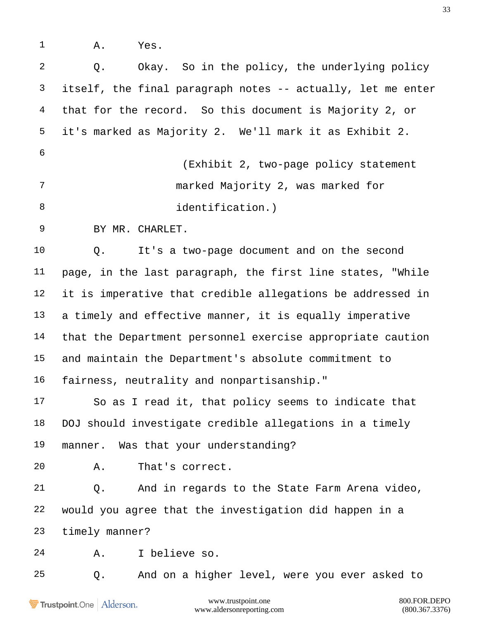A. Yes.

 Q. Okay. So in the policy, the underlying policy itself, the final paragraph notes -- actually, let me enter that for the record. So this document is Majority 2, or it's marked as Majority 2. We'll mark it as Exhibit 2. (Exhibit 2, two-page policy statement marked Majority 2, was marked for 8 identification.) BY MR. CHARLET. Q. It's a two-page document and on the second page, in the last paragraph, the first line states, "While it is imperative that credible allegations be addressed in a timely and effective manner, it is equally imperative that the Department personnel exercise appropriate caution and maintain the Department's absolute commitment to fairness, neutrality and nonpartisanship." So as I read it, that policy seems to indicate that DOJ should investigate credible allegations in a timely manner. Was that your understanding? A. That's correct. Q. And in regards to the State Farm Arena video, would you agree that the investigation did happen in a timely manner? A. I believe so. Q. And on a higher level, were you ever asked to

Trustpoint.One Alderson.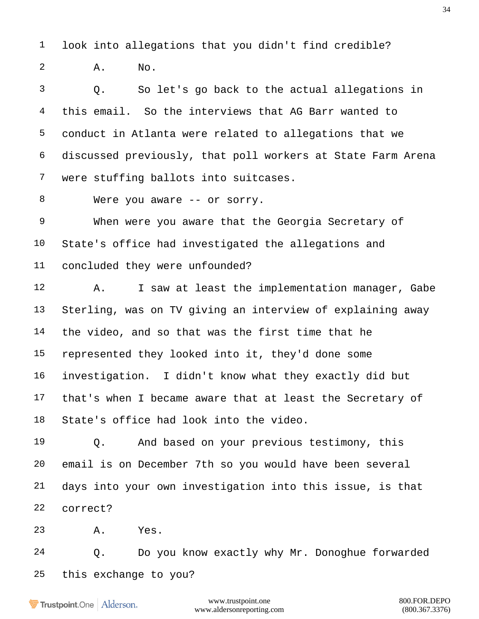look into allegations that you didn't find credible?

A. No.

 Q. So let's go back to the actual allegations in this email. So the interviews that AG Barr wanted to conduct in Atlanta were related to allegations that we discussed previously, that poll workers at State Farm Arena were stuffing ballots into suitcases.

8 Were you aware -- or sorry.

 When were you aware that the Georgia Secretary of State's office had investigated the allegations and concluded they were unfounded?

 A. I saw at least the implementation manager, Gabe Sterling, was on TV giving an interview of explaining away the video, and so that was the first time that he represented they looked into it, they'd done some investigation. I didn't know what they exactly did but that's when I became aware that at least the Secretary of State's office had look into the video.

 Q. And based on your previous testimony, this email is on December 7th so you would have been several days into your own investigation into this issue, is that correct?

A. Yes.

 Q. Do you know exactly why Mr. Donoghue forwarded this exchange to you?

Trustpoint.One Alderson.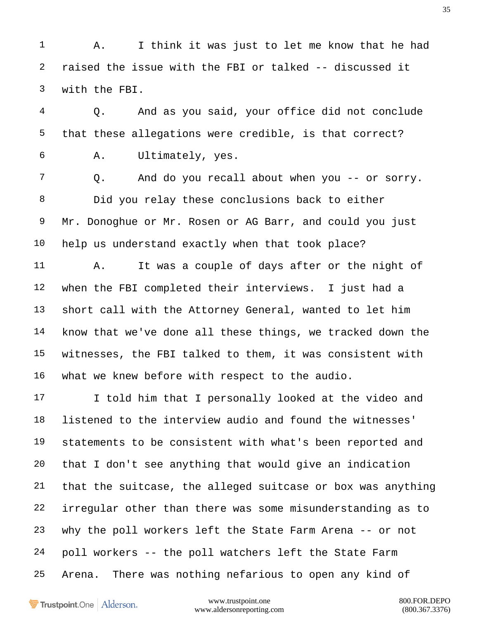A. I think it was just to let me know that he had raised the issue with the FBI or talked -- discussed it with the FBI.

 Q. And as you said, your office did not conclude that these allegations were credible, is that correct? A. Ultimately, yes.

 Q. And do you recall about when you -- or sorry. Did you relay these conclusions back to either 9 Mr. Donoghue or Mr. Rosen or AG Barr, and could you just help us understand exactly when that took place?

 A. It was a couple of days after or the night of when the FBI completed their interviews. I just had a short call with the Attorney General, wanted to let him know that we've done all these things, we tracked down the witnesses, the FBI talked to them, it was consistent with what we knew before with respect to the audio.

17 I told him that I personally looked at the video and listened to the interview audio and found the witnesses' statements to be consistent with what's been reported and that I don't see anything that would give an indication that the suitcase, the alleged suitcase or box was anything irregular other than there was some misunderstanding as to why the poll workers left the State Farm Arena -- or not poll workers -- the poll watchers left the State Farm Arena. There was nothing nefarious to open any kind of

Trustpoint.One Alderson.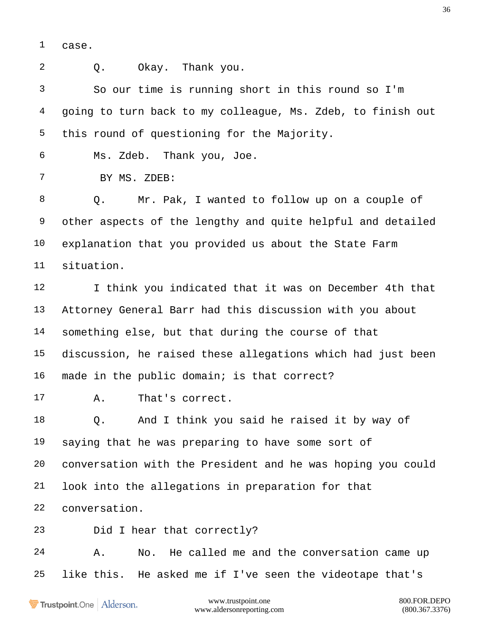case.

Q. Okay. Thank you.

 So our time is running short in this round so I'm going to turn back to my colleague, Ms. Zdeb, to finish out this round of questioning for the Majority.

Ms. Zdeb. Thank you, Joe.

BY MS. ZDEB:

 Q. Mr. Pak, I wanted to follow up on a couple of other aspects of the lengthy and quite helpful and detailed explanation that you provided us about the State Farm situation.

12 I think you indicated that it was on December 4th that Attorney General Barr had this discussion with you about something else, but that during the course of that discussion, he raised these allegations which had just been made in the public domain; is that correct?

A. That's correct.

18 0. And I think you said he raised it by way of saying that he was preparing to have some sort of conversation with the President and he was hoping you could look into the allegations in preparation for that conversation.

Did I hear that correctly?

 A. No. He called me and the conversation came up like this. He asked me if I've seen the videotape that's

Trustpoint.One Alderson.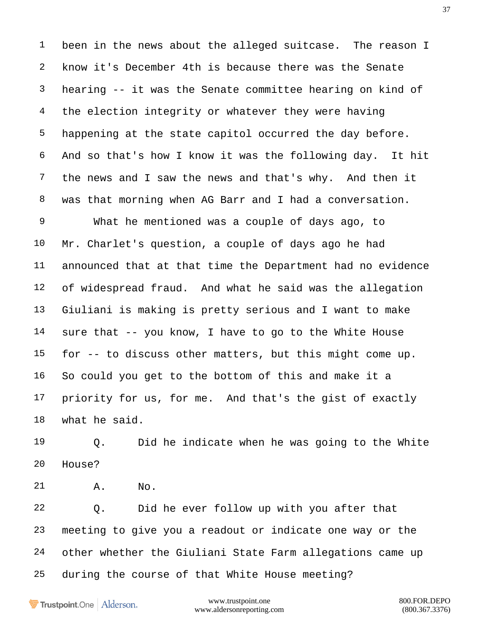been in the news about the alleged suitcase. The reason I know it's December 4th is because there was the Senate hearing -- it was the Senate committee hearing on kind of the election integrity or whatever they were having happening at the state capitol occurred the day before. And so that's how I know it was the following day. It hit the news and I saw the news and that's why. And then it was that morning when AG Barr and I had a conversation.

 What he mentioned was a couple of days ago, to Mr. Charlet's question, a couple of days ago he had announced that at that time the Department had no evidence of widespread fraud. And what he said was the allegation Giuliani is making is pretty serious and I want to make sure that -- you know, I have to go to the White House for -- to discuss other matters, but this might come up. So could you get to the bottom of this and make it a priority for us, for me. And that's the gist of exactly what he said.

 Q. Did he indicate when he was going to the White House?

A. No.

 Q. Did he ever follow up with you after that meeting to give you a readout or indicate one way or the other whether the Giuliani State Farm allegations came up during the course of that White House meeting?

**Trustpoint**.One Alderson.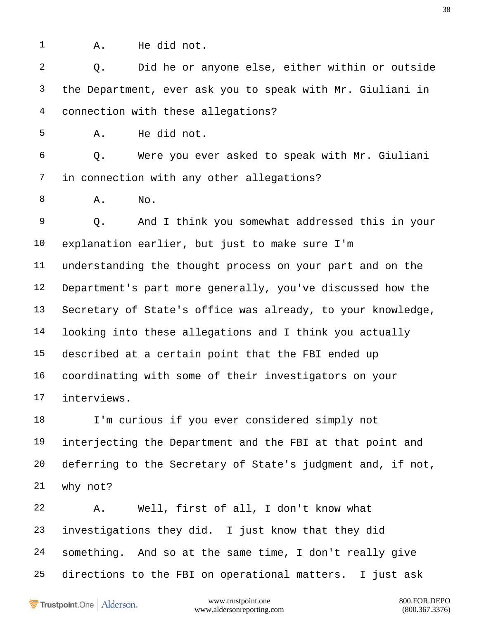- 
- A. He did not.

 Q. Did he or anyone else, either within or outside the Department, ever ask you to speak with Mr. Giuliani in connection with these allegations?

A. He did not.

 Q. Were you ever asked to speak with Mr. Giuliani in connection with any other allegations?

8 A. No.

 Q. And I think you somewhat addressed this in your explanation earlier, but just to make sure I'm understanding the thought process on your part and on the Department's part more generally, you've discussed how the Secretary of State's office was already, to your knowledge, looking into these allegations and I think you actually described at a certain point that the FBI ended up coordinating with some of their investigators on your interviews.

 I'm curious if you ever considered simply not interjecting the Department and the FBI at that point and deferring to the Secretary of State's judgment and, if not, why not?

 A. Well, first of all, I don't know what investigations they did. I just know that they did something. And so at the same time, I don't really give directions to the FBI on operational matters. I just ask

Trustpoint.One Alderson.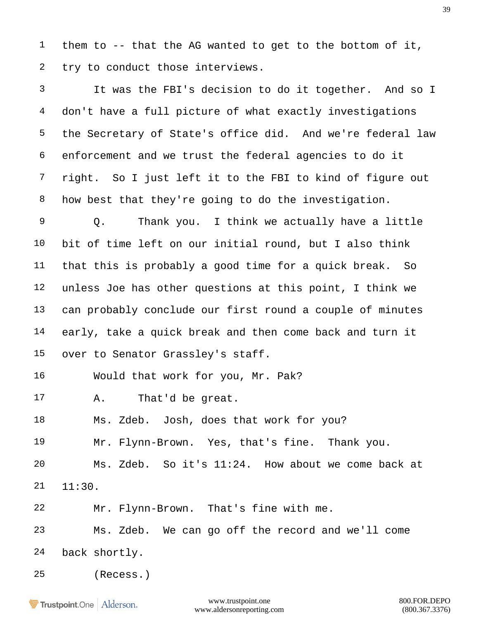them to -- that the AG wanted to get to the bottom of it, try to conduct those interviews.

 It was the FBI's decision to do it together. And so I don't have a full picture of what exactly investigations the Secretary of State's office did. And we're federal law enforcement and we trust the federal agencies to do it right. So I just left it to the FBI to kind of figure out how best that they're going to do the investigation.

 Q. Thank you. I think we actually have a little bit of time left on our initial round, but I also think that this is probably a good time for a quick break. So unless Joe has other questions at this point, I think we can probably conclude our first round a couple of minutes early, take a quick break and then come back and turn it over to Senator Grassley's staff.

Would that work for you, Mr. Pak?

A. That'd be great.

Ms. Zdeb. Josh, does that work for you?

Mr. Flynn-Brown. Yes, that's fine. Thank you.

 Ms. Zdeb. So it's 11:24. How about we come back at 11:30.

Mr. Flynn-Brown. That's fine with me.

 Ms. Zdeb. We can go off the record and we'll come back shortly.

(Recess.)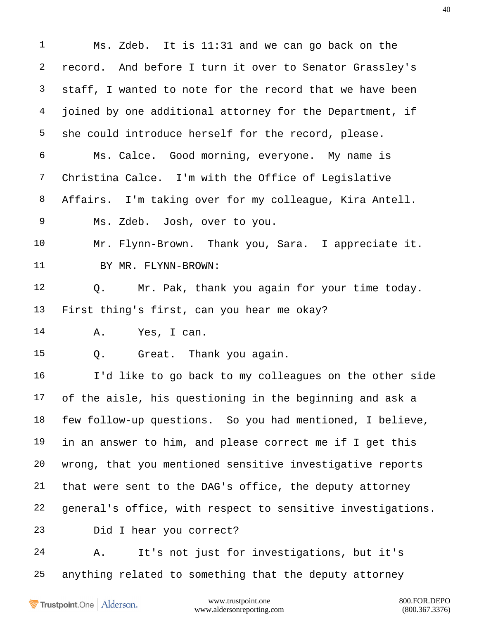Ms. Zdeb. It is 11:31 and we can go back on the record. And before I turn it over to Senator Grassley's staff, I wanted to note for the record that we have been joined by one additional attorney for the Department, if she could introduce herself for the record, please. Ms. Calce. Good morning, everyone. My name is Christina Calce. I'm with the Office of Legislative Affairs. I'm taking over for my colleague, Kira Antell. Ms. Zdeb. Josh, over to you. Mr. Flynn-Brown. Thank you, Sara. I appreciate it. 11 BY MR. FLYNN-BROWN: 12 0. Mr. Pak, thank you again for your time today. First thing's first, can you hear me okay? A. Yes, I can. Q. Great. Thank you again. I'd like to go back to my colleagues on the other side of the aisle, his questioning in the beginning and ask a few follow-up questions. So you had mentioned, I believe, in an answer to him, and please correct me if I get this wrong, that you mentioned sensitive investigative reports that were sent to the DAG's office, the deputy attorney general's office, with respect to sensitive investigations. Did I hear you correct? A. It's not just for investigations, but it's anything related to something that the deputy attorney

Trustpoint.One Alderson.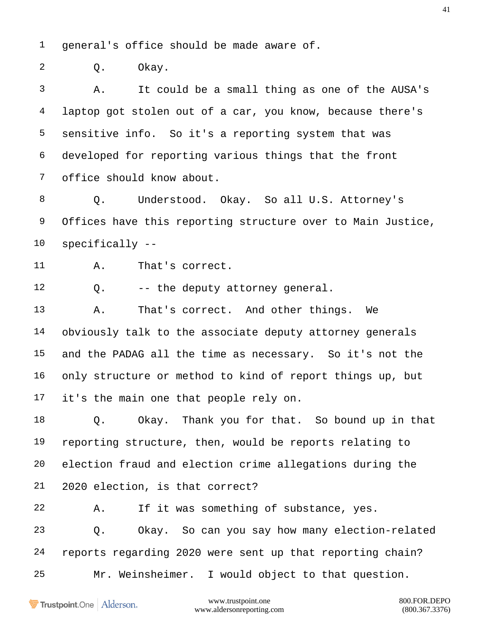general's office should be made aware of.

Q. Okay.

 A. It could be a small thing as one of the AUSA's laptop got stolen out of a car, you know, because there's sensitive info. So it's a reporting system that was developed for reporting various things that the front office should know about.

 Q. Understood. Okay. So all U.S. Attorney's 9 Offices have this reporting structure over to Main Justice, specifically --

A. That's correct.

12 0. -- the deputy attorney general.

 A. That's correct. And other things. We obviously talk to the associate deputy attorney generals and the PADAG all the time as necessary. So it's not the only structure or method to kind of report things up, but 17 it's the main one that people rely on.

 Q. Okay. Thank you for that. So bound up in that reporting structure, then, would be reports relating to election fraud and election crime allegations during the 2020 election, is that correct?

A. If it was something of substance, yes.

 Q. Okay. So can you say how many election-related reports regarding 2020 were sent up that reporting chain? Mr. Weinsheimer. I would object to that question.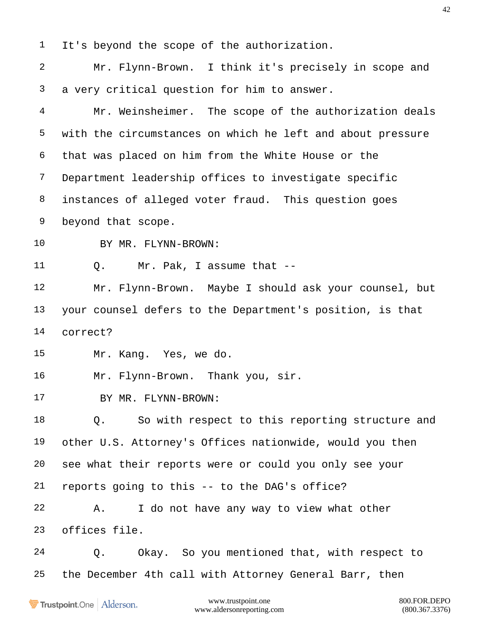It's beyond the scope of the authorization. Mr. Flynn-Brown. I think it's precisely in scope and a very critical question for him to answer. Mr. Weinsheimer. The scope of the authorization deals with the circumstances on which he left and about pressure that was placed on him from the White House or the Department leadership offices to investigate specific instances of alleged voter fraud. This question goes beyond that scope. BY MR. FLYNN-BROWN: Q. Mr. Pak, I assume that -- Mr. Flynn-Brown. Maybe I should ask your counsel, but your counsel defers to the Department's position, is that correct? Mr. Kang. Yes, we do. Mr. Flynn-Brown. Thank you, sir. BY MR. FLYNN-BROWN: 18 Q. So with respect to this reporting structure and other U.S. Attorney's Offices nationwide, would you then see what their reports were or could you only see your reports going to this -- to the DAG's office? A. I do not have any way to view what other offices file. Q. Okay. So you mentioned that, with respect to the December 4th call with Attorney General Barr, then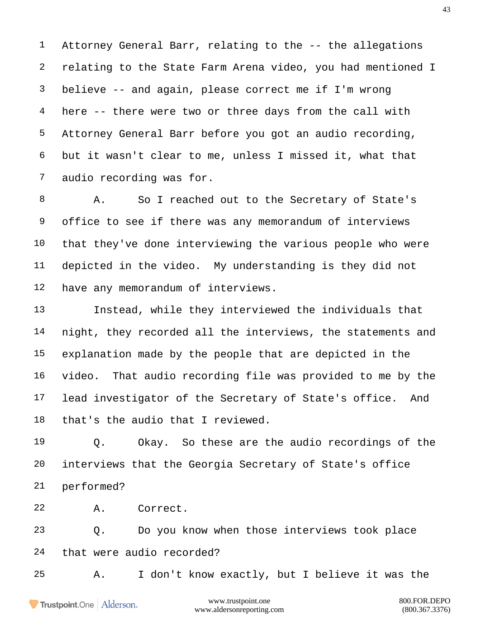Attorney General Barr, relating to the -- the allegations relating to the State Farm Arena video, you had mentioned I believe -- and again, please correct me if I'm wrong here -- there were two or three days from the call with Attorney General Barr before you got an audio recording, but it wasn't clear to me, unless I missed it, what that audio recording was for.

 A. So I reached out to the Secretary of State's office to see if there was any memorandum of interviews that they've done interviewing the various people who were depicted in the video. My understanding is they did not have any memorandum of interviews.

 Instead, while they interviewed the individuals that 14 night, they recorded all the interviews, the statements and explanation made by the people that are depicted in the video. That audio recording file was provided to me by the lead investigator of the Secretary of State's office. And that's the audio that I reviewed.

 Q. Okay. So these are the audio recordings of the interviews that the Georgia Secretary of State's office performed?

A. Correct.

 Q. Do you know when those interviews took place that were audio recorded?

A. I don't know exactly, but I believe it was the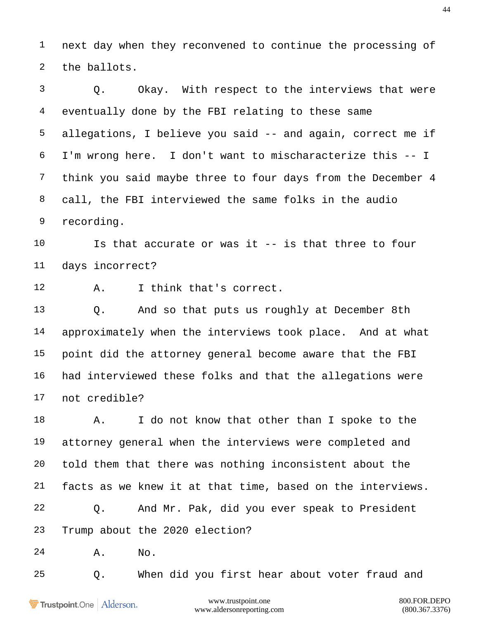next day when they reconvened to continue the processing of the ballots.

 Q. Okay. With respect to the interviews that were eventually done by the FBI relating to these same allegations, I believe you said -- and again, correct me if I'm wrong here. I don't want to mischaracterize this -- I think you said maybe three to four days from the December 4 call, the FBI interviewed the same folks in the audio recording.

 Is that accurate or was it -- is that three to four days incorrect?

A. I think that's correct.

 Q. And so that puts us roughly at December 8th approximately when the interviews took place. And at what point did the attorney general become aware that the FBI had interviewed these folks and that the allegations were not credible?

 A. I do not know that other than I spoke to the attorney general when the interviews were completed and told them that there was nothing inconsistent about the facts as we knew it at that time, based on the interviews. Q. And Mr. Pak, did you ever speak to President Trump about the 2020 election?

A. No.

Q. When did you first hear about voter fraud and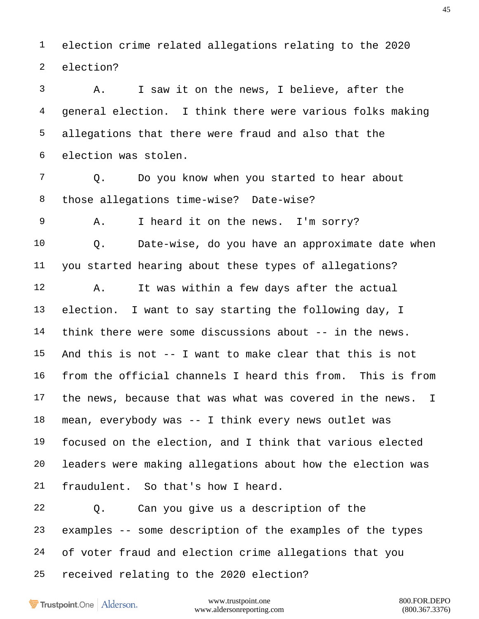election crime related allegations relating to the 2020 election?

 A. I saw it on the news, I believe, after the general election. I think there were various folks making allegations that there were fraud and also that the election was stolen. Q. Do you know when you started to hear about those allegations time-wise? Date-wise? A. I heard it on the news. I'm sorry? Q. Date-wise, do you have an approximate date when you started hearing about these types of allegations? A. It was within a few days after the actual election. I want to say starting the following day, I think there were some discussions about -- in the news. And this is not -- I want to make clear that this is not from the official channels I heard this from. This is from the news, because that was what was covered in the news. I mean, everybody was -- I think every news outlet was focused on the election, and I think that various elected leaders were making allegations about how the election was fraudulent. So that's how I heard. Q. Can you give us a description of the examples -- some description of the examples of the types

of voter fraud and election crime allegations that you

received relating to the 2020 election?

**Trustpoint**.One Alderson.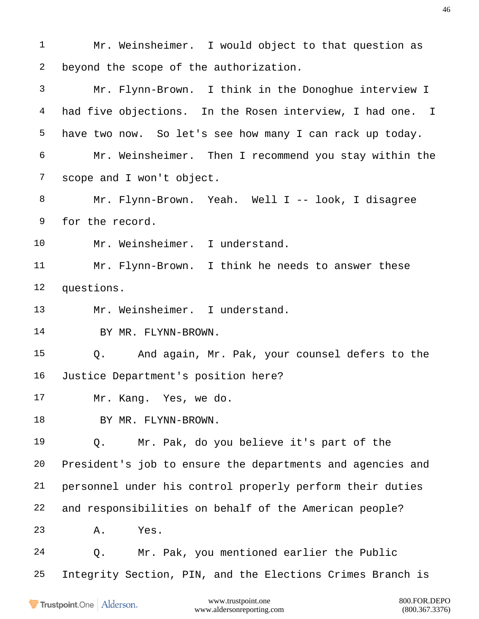Mr. Weinsheimer. I would object to that question as beyond the scope of the authorization. Mr. Flynn-Brown. I think in the Donoghue interview I had five objections. In the Rosen interview, I had one. I have two now. So let's see how many I can rack up today. Mr. Weinsheimer. Then I recommend you stay within the scope and I won't object. Mr. Flynn-Brown. Yeah. Well I -- look, I disagree for the record. Mr. Weinsheimer. I understand. Mr. Flynn-Brown. I think he needs to answer these questions. Mr. Weinsheimer. I understand. 14 BY MR. FLYNN-BROWN. Q. And again, Mr. Pak, your counsel defers to the Justice Department's position here? Mr. Kang. Yes, we do. 18 BY MR. FLYNN-BROWN. Q. Mr. Pak, do you believe it's part of the President's job to ensure the departments and agencies and personnel under his control properly perform their duties and responsibilities on behalf of the American people? A. Yes. Q. Mr. Pak, you mentioned earlier the Public Integrity Section, PIN, and the Elections Crimes Branch is

Trustpoint.One Alderson.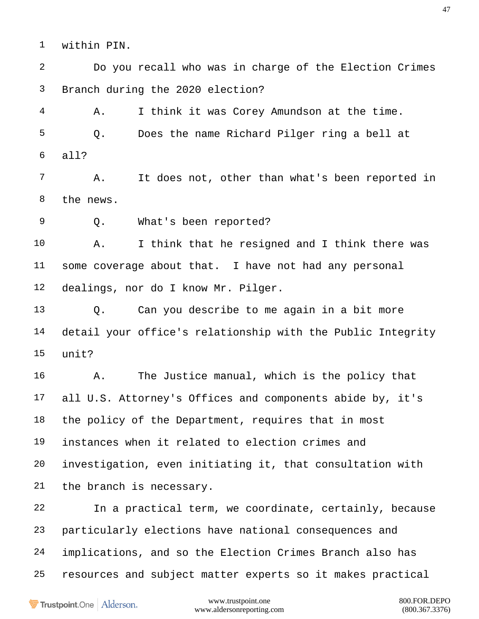within PIN.

 Do you recall who was in charge of the Election Crimes Branch during the 2020 election?

 A. I think it was Corey Amundson at the time. Q. Does the name Richard Pilger ring a bell at all?

 A. It does not, other than what's been reported in the news.

9 0. What's been reported?

 A. I think that he resigned and I think there was some coverage about that. I have not had any personal dealings, nor do I know Mr. Pilger.

13 0. Can you describe to me again in a bit more detail your office's relationship with the Public Integrity unit?

 A. The Justice manual, which is the policy that all U.S. Attorney's Offices and components abide by, it's the policy of the Department, requires that in most instances when it related to election crimes and investigation, even initiating it, that consultation with the branch is necessary.

 In a practical term, we coordinate, certainly, because particularly elections have national consequences and implications, and so the Election Crimes Branch also has resources and subject matter experts so it makes practical

Trustpoint.One Alderson.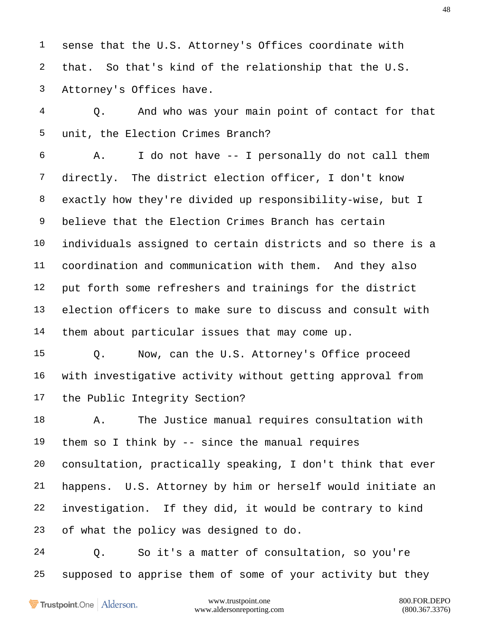sense that the U.S. Attorney's Offices coordinate with that. So that's kind of the relationship that the U.S. Attorney's Offices have.

 Q. And who was your main point of contact for that unit, the Election Crimes Branch?

 A. I do not have -- I personally do not call them directly. The district election officer, I don't know exactly how they're divided up responsibility-wise, but I believe that the Election Crimes Branch has certain individuals assigned to certain districts and so there is a coordination and communication with them. And they also put forth some refreshers and trainings for the district election officers to make sure to discuss and consult with them about particular issues that may come up.

 Q. Now, can the U.S. Attorney's Office proceed with investigative activity without getting approval from the Public Integrity Section?

 A. The Justice manual requires consultation with them so I think by -- since the manual requires consultation, practically speaking, I don't think that ever happens. U.S. Attorney by him or herself would initiate an investigation. If they did, it would be contrary to kind

of what the policy was designed to do.

 Q. So it's a matter of consultation, so you're supposed to apprise them of some of your activity but they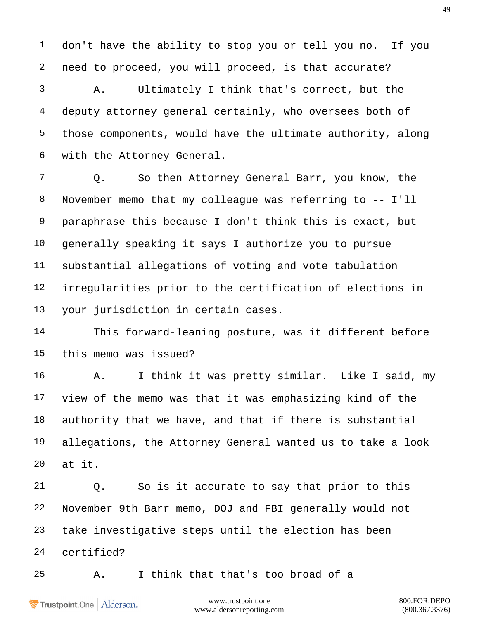don't have the ability to stop you or tell you no. If you need to proceed, you will proceed, is that accurate?

 A. Ultimately I think that's correct, but the deputy attorney general certainly, who oversees both of those components, would have the ultimate authority, along with the Attorney General.

 Q. So then Attorney General Barr, you know, the November memo that my colleague was referring to -- I'll paraphrase this because I don't think this is exact, but generally speaking it says I authorize you to pursue substantial allegations of voting and vote tabulation irregularities prior to the certification of elections in your jurisdiction in certain cases.

 This forward-leaning posture, was it different before this memo was issued?

 A. I think it was pretty similar. Like I said, my view of the memo was that it was emphasizing kind of the authority that we have, and that if there is substantial allegations, the Attorney General wanted us to take a look at it.

 Q. So is it accurate to say that prior to this November 9th Barr memo, DOJ and FBI generally would not take investigative steps until the election has been certified?

A. I think that that's too broad of a

Trustpoint.One Alderson.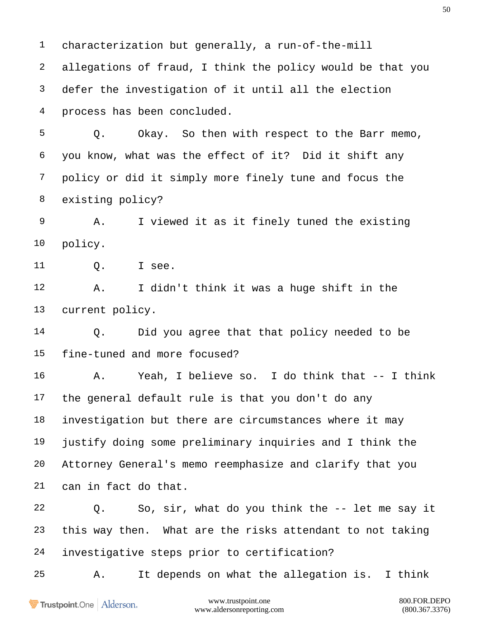characterization but generally, a run-of-the-mill allegations of fraud, I think the policy would be that you defer the investigation of it until all the election process has been concluded.

5 0. Okay. So then with respect to the Barr memo, you know, what was the effect of it? Did it shift any policy or did it simply more finely tune and focus the existing policy?

 A. I viewed it as it finely tuned the existing policy.

Q. I see.

 A. I didn't think it was a huge shift in the current policy.

 Q. Did you agree that that policy needed to be fine-tuned and more focused?

 A. Yeah, I believe so. I do think that -- I think the general default rule is that you don't do any investigation but there are circumstances where it may justify doing some preliminary inquiries and I think the Attorney General's memo reemphasize and clarify that you can in fact do that.

 Q. So, sir, what do you think the -- let me say it this way then. What are the risks attendant to not taking investigative steps prior to certification?

A. It depends on what the allegation is. I think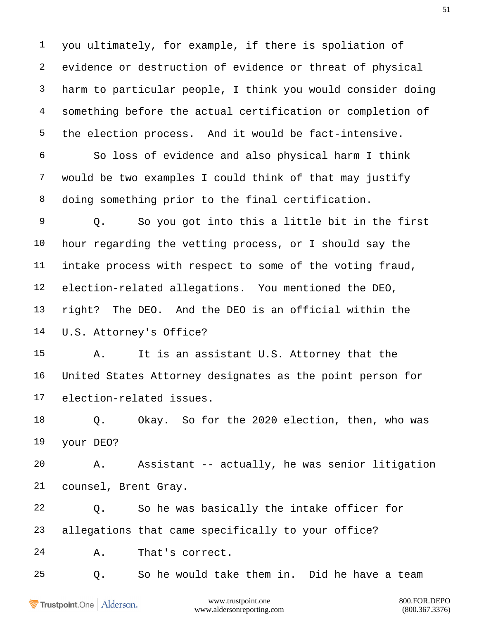you ultimately, for example, if there is spoliation of evidence or destruction of evidence or threat of physical harm to particular people, I think you would consider doing something before the actual certification or completion of the election process. And it would be fact-intensive.

 So loss of evidence and also physical harm I think would be two examples I could think of that may justify doing something prior to the final certification.

 Q. So you got into this a little bit in the first hour regarding the vetting process, or I should say the intake process with respect to some of the voting fraud, election-related allegations. You mentioned the DEO, right? The DEO. And the DEO is an official within the U.S. Attorney's Office?

 A. It is an assistant U.S. Attorney that the United States Attorney designates as the point person for election-related issues.

 Q. Okay. So for the 2020 election, then, who was your DEO?

 A. Assistant -- actually, he was senior litigation counsel, Brent Gray.

 Q. So he was basically the intake officer for allegations that came specifically to your office?

A. That's correct.

Q. So he would take them in. Did he have a team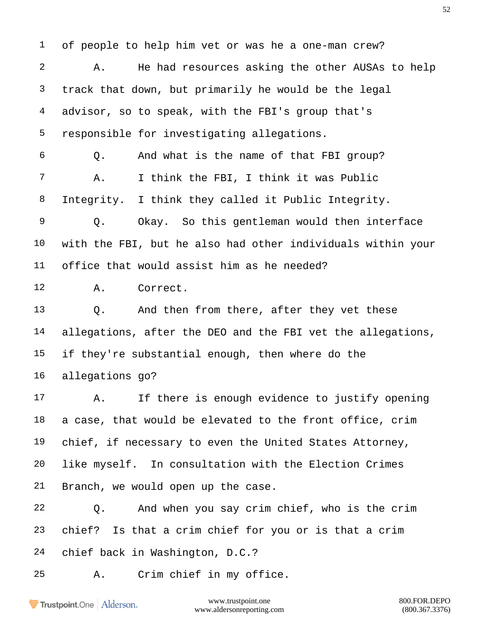of people to help him vet or was he a one-man crew? A. He had resources asking the other AUSAs to help track that down, but primarily he would be the legal advisor, so to speak, with the FBI's group that's responsible for investigating allegations. Q. And what is the name of that FBI group? A. I think the FBI, I think it was Public Integrity. I think they called it Public Integrity. Q. Okay. So this gentleman would then interface with the FBI, but he also had other individuals within your office that would assist him as he needed? A. Correct. 13 0. And then from there, after they vet these allegations, after the DEO and the FBI vet the allegations, if they're substantial enough, then where do the allegations go? A. If there is enough evidence to justify opening a case, that would be elevated to the front office, crim chief, if necessary to even the United States Attorney, like myself. In consultation with the Election Crimes Branch, we would open up the case. Q. And when you say crim chief, who is the crim chief? Is that a crim chief for you or is that a crim chief back in Washington, D.C.? A. Crim chief in my office.

Trustpoint.One Alderson.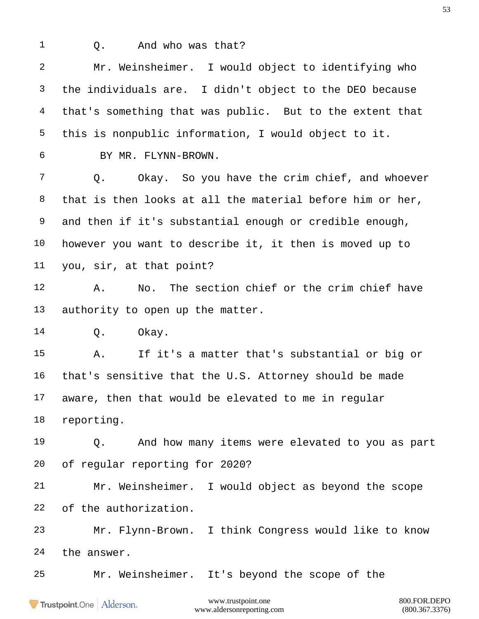1 0. And who was that?

 Mr. Weinsheimer. I would object to identifying who the individuals are. I didn't object to the DEO because that's something that was public. But to the extent that this is nonpublic information, I would object to it. BY MR. FLYNN-BROWN. 7 0. Okay. So you have the crim chief, and whoever

 that is then looks at all the material before him or her, and then if it's substantial enough or credible enough, however you want to describe it, it then is moved up to you, sir, at that point?

 A. No. The section chief or the crim chief have authority to open up the matter.

Q. Okay.

 A. If it's a matter that's substantial or big or that's sensitive that the U.S. Attorney should be made aware, then that would be elevated to me in regular reporting.

 Q. And how many items were elevated to you as part of regular reporting for 2020?

 Mr. Weinsheimer. I would object as beyond the scope of the authorization.

 Mr. Flynn-Brown. I think Congress would like to know the answer.

Mr. Weinsheimer. It's beyond the scope of the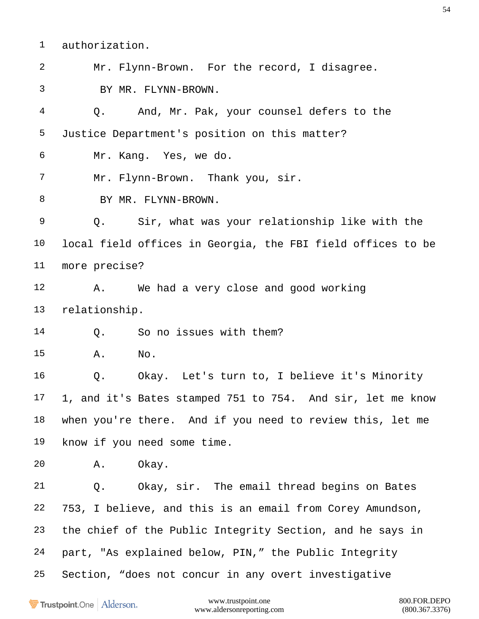authorization.

 Mr. Flynn-Brown. For the record, I disagree. BY MR. FLYNN-BROWN. Q. And, Mr. Pak, your counsel defers to the Justice Department's position on this matter? Mr. Kang. Yes, we do. Mr. Flynn-Brown. Thank you, sir. 8 BY MR. FLYNN-BROWN. Q. Sir, what was your relationship like with the local field offices in Georgia, the FBI field offices to be more precise? A. We had a very close and good working relationship. 14 0. So no issues with them? A. No. Q. Okay. Let's turn to, I believe it's Minority 1, and it's Bates stamped 751 to 754. And sir, let me know when you're there. And if you need to review this, let me know if you need some time. A. Okay. Q. Okay, sir. The email thread begins on Bates 753, I believe, and this is an email from Corey Amundson, the chief of the Public Integrity Section, and he says in part, "As explained below, PIN," the Public Integrity Section, "does not concur in any overt investigative

**Trustpoint**.One Alderson.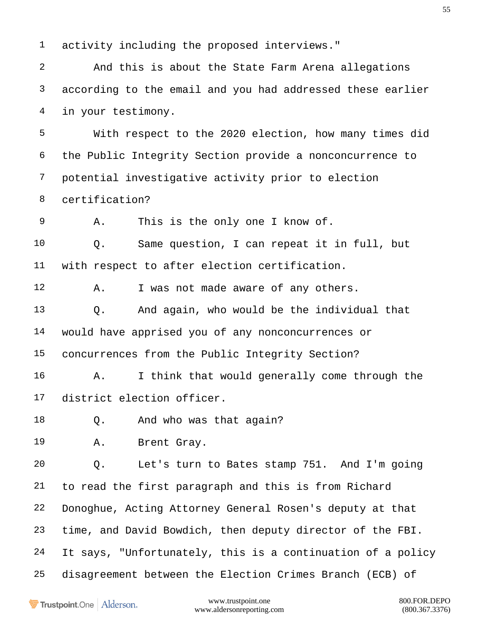activity including the proposed interviews."

 And this is about the State Farm Arena allegations according to the email and you had addressed these earlier in your testimony.

 With respect to the 2020 election, how many times did the Public Integrity Section provide a nonconcurrence to potential investigative activity prior to election certification?

A. This is the only one I know of.

 Q. Same question, I can repeat it in full, but with respect to after election certification.

12 A. I was not made aware of any others.

 Q. And again, who would be the individual that would have apprised you of any nonconcurrences or concurrences from the Public Integrity Section?

 A. I think that would generally come through the district election officer.

Q. And who was that again?

A. Brent Gray.

 Q. Let's turn to Bates stamp 751. And I'm going to read the first paragraph and this is from Richard Donoghue, Acting Attorney General Rosen's deputy at that time, and David Bowdich, then deputy director of the FBI. It says, "Unfortunately, this is a continuation of a policy disagreement between the Election Crimes Branch (ECB) of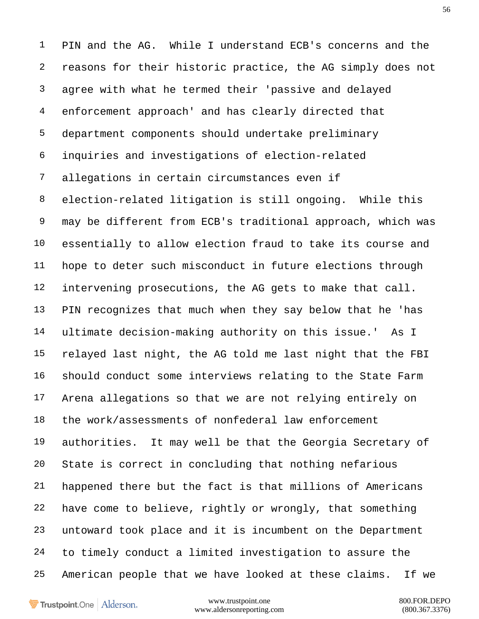PIN and the AG. While I understand ECB's concerns and the reasons for their historic practice, the AG simply does not agree with what he termed their 'passive and delayed enforcement approach' and has clearly directed that department components should undertake preliminary inquiries and investigations of election-related allegations in certain circumstances even if election-related litigation is still ongoing. While this may be different from ECB's traditional approach, which was essentially to allow election fraud to take its course and hope to deter such misconduct in future elections through intervening prosecutions, the AG gets to make that call. PIN recognizes that much when they say below that he 'has ultimate decision-making authority on this issue.' As I relayed last night, the AG told me last night that the FBI should conduct some interviews relating to the State Farm Arena allegations so that we are not relying entirely on the work/assessments of nonfederal law enforcement authorities. It may well be that the Georgia Secretary of State is correct in concluding that nothing nefarious happened there but the fact is that millions of Americans have come to believe, rightly or wrongly, that something untoward took place and it is incumbent on the Department to timely conduct a limited investigation to assure the American people that we have looked at these claims. If we

Trustpoint.One Alderson.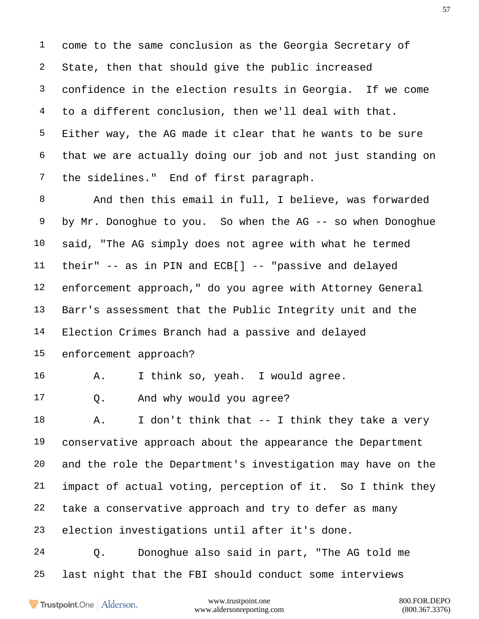come to the same conclusion as the Georgia Secretary of State, then that should give the public increased confidence in the election results in Georgia. If we come to a different conclusion, then we'll deal with that. Either way, the AG made it clear that he wants to be sure that we are actually doing our job and not just standing on the sidelines." End of first paragraph.

 And then this email in full, I believe, was forwarded by Mr. Donoghue to you. So when the AG -- so when Donoghue said, "The AG simply does not agree with what he termed their" -- as in PIN and ECB[] -- "passive and delayed enforcement approach," do you agree with Attorney General Barr's assessment that the Public Integrity unit and the Election Crimes Branch had a passive and delayed

enforcement approach?

A. I think so, yeah. I would agree.

Q. And why would you agree?

 A. I don't think that -- I think they take a very conservative approach about the appearance the Department and the role the Department's investigation may have on the impact of actual voting, perception of it. So I think they take a conservative approach and try to defer as many election investigations until after it's done.

 Q. Donoghue also said in part, "The AG told me last night that the FBI should conduct some interviews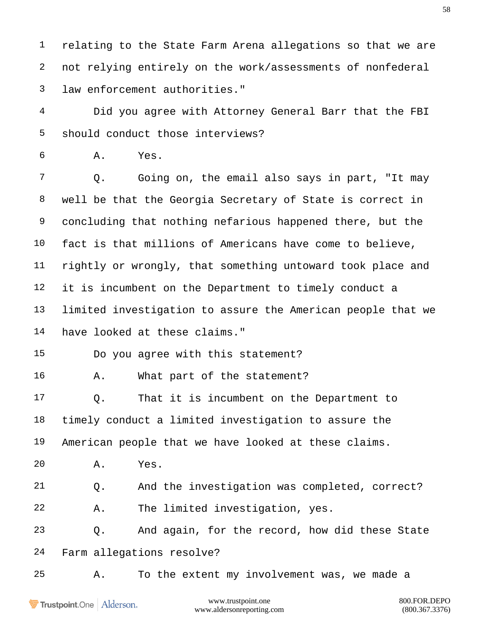relating to the State Farm Arena allegations so that we are not relying entirely on the work/assessments of nonfederal law enforcement authorities."

 Did you agree with Attorney General Barr that the FBI should conduct those interviews?

A. Yes.

 Q. Going on, the email also says in part, "It may well be that the Georgia Secretary of State is correct in concluding that nothing nefarious happened there, but the fact is that millions of Americans have come to believe, rightly or wrongly, that something untoward took place and 12 it is incumbent on the Department to timely conduct a limited investigation to assure the American people that we have looked at these claims."

Do you agree with this statement?

A. What part of the statement?

 Q. That it is incumbent on the Department to timely conduct a limited investigation to assure the American people that we have looked at these claims.

A. Yes.

Q. And the investigation was completed, correct?

A. The limited investigation, yes.

 Q. And again, for the record, how did these State Farm allegations resolve?

A. To the extent my involvement was, we made a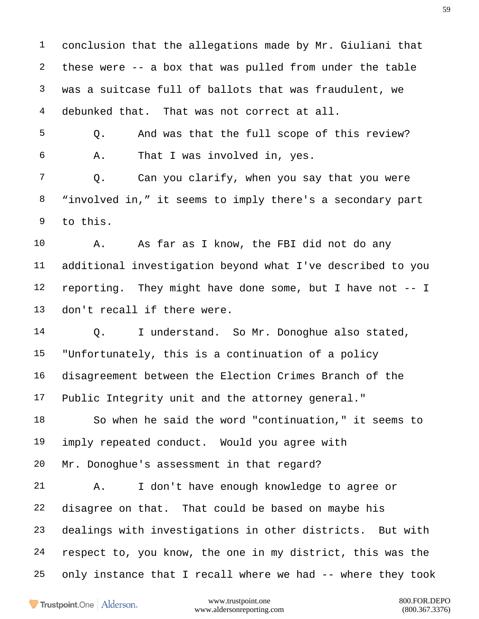conclusion that the allegations made by Mr. Giuliani that these were -- a box that was pulled from under the table was a suitcase full of ballots that was fraudulent, we debunked that. That was not correct at all.

 Q. And was that the full scope of this review? A. That I was involved in, yes.

 Q. Can you clarify, when you say that you were "involved in," it seems to imply there's a secondary part to this.

 A. As far as I know, the FBI did not do any additional investigation beyond what I've described to you reporting. They might have done some, but I have not -- I don't recall if there were.

 Q. I understand. So Mr. Donoghue also stated, "Unfortunately, this is a continuation of a policy disagreement between the Election Crimes Branch of the Public Integrity unit and the attorney general."

 So when he said the word "continuation," it seems to imply repeated conduct. Would you agree with

Mr. Donoghue's assessment in that regard?

 A. I don't have enough knowledge to agree or disagree on that. That could be based on maybe his dealings with investigations in other districts. But with respect to, you know, the one in my district, this was the only instance that I recall where we had -- where they took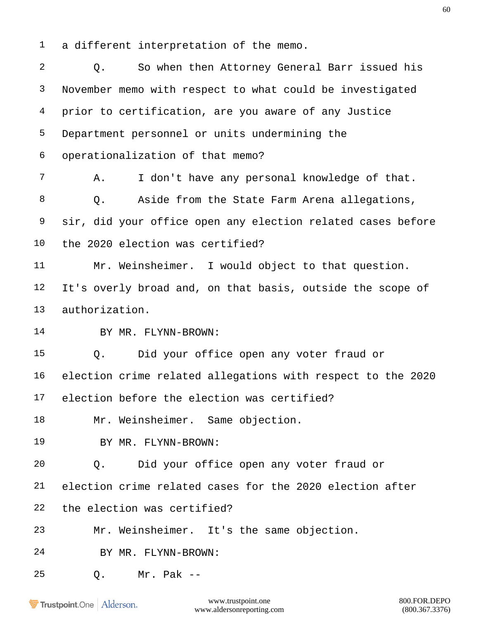a different interpretation of the memo.

| $\overline{a}$ | So when then Attorney General Barr issued his<br>Q.         |
|----------------|-------------------------------------------------------------|
| 3              | November memo with respect to what could be investigated    |
| 4              | prior to certification, are you aware of any Justice        |
| 5              | Department personnel or units undermining the               |
| 6              | operationalization of that memo?                            |
| 7              | I don't have any personal knowledge of that.<br>Α.          |
| 8              | Aside from the State Farm Arena allegations,<br>Q.          |
| 9              | sir, did your office open any election related cases before |
| $10\,$         | the 2020 election was certified?                            |
| 11             | Mr. Weinsheimer. I would object to that question.           |
| 12             | It's overly broad and, on that basis, outside the scope of  |
| 13             | authorization.                                              |
| 14             | BY MR. FLYNN-BROWN:                                         |
| 15             | Did your office open any voter fraud or<br>Q.               |
| 16             | election crime related allegations with respect to the 2020 |
| 17             | election before the election was certified?                 |
| 18             | Mr. Weinsheimer. Same objection.                            |
| 19             | BY MR. FLYNN-BROWN:                                         |
| 20             | Did your office open any voter fraud or<br>Q.               |
| 21             | election crime related cases for the 2020 election after    |
| 22             | the election was certified?                                 |
| 23             | Mr. Weinsheimer. It's the same objection.                   |
| 24             | BY MR. FLYNN-BROWN:                                         |
| 25             | Mr. Pak --<br>Q.                                            |
|                |                                                             |

Trustpoint.One | Alderson.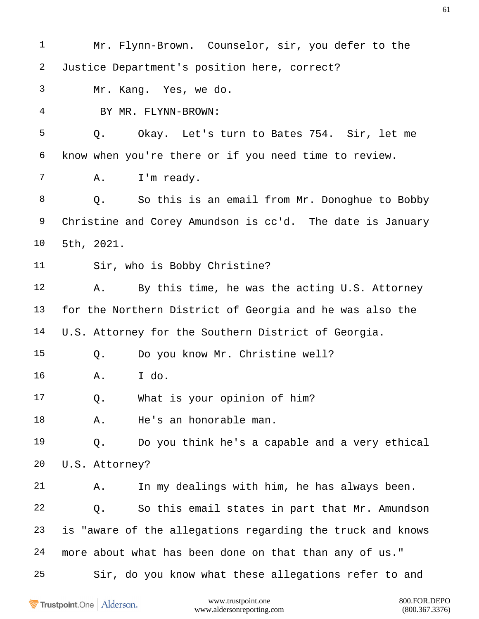Mr. Flynn-Brown. Counselor, sir, you defer to the Justice Department's position here, correct? Mr. Kang. Yes, we do. BY MR. FLYNN-BROWN: Q. Okay. Let's turn to Bates 754. Sir, let me know when you're there or if you need time to review. A. I'm ready. Q. So this is an email from Mr. Donoghue to Bobby Christine and Corey Amundson is cc'd. The date is January 5th, 2021. Sir, who is Bobby Christine? A. By this time, he was the acting U.S. Attorney for the Northern District of Georgia and he was also the U.S. Attorney for the Southern District of Georgia. Q. Do you know Mr. Christine well? A. I do. Q. What is your opinion of him? A. He's an honorable man. Q. Do you think he's a capable and a very ethical U.S. Attorney? A. In my dealings with him, he has always been. Q. So this email states in part that Mr. Amundson is "aware of the allegations regarding the truck and knows more about what has been done on that than any of us." Sir, do you know what these allegations refer to and

Trustpoint.One Alderson.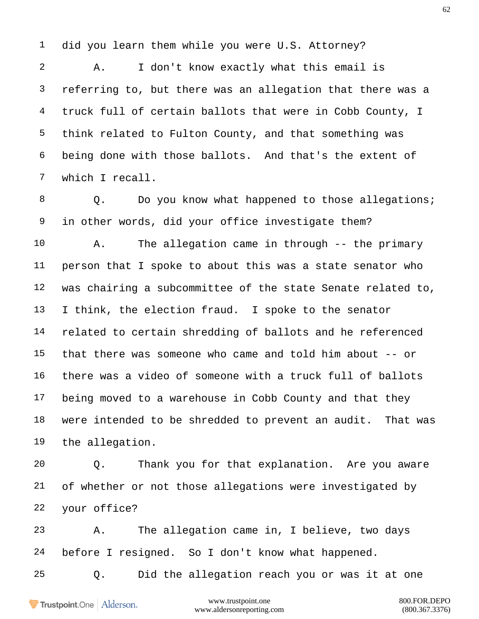did you learn them while you were U.S. Attorney?

 A. I don't know exactly what this email is referring to, but there was an allegation that there was a truck full of certain ballots that were in Cobb County, I think related to Fulton County, and that something was being done with those ballots. And that's the extent of which I recall.

 Q. Do you know what happened to those allegations; in other words, did your office investigate them? A. The allegation came in through -- the primary person that I spoke to about this was a state senator who was chairing a subcommittee of the state Senate related to, I think, the election fraud. I spoke to the senator related to certain shredding of ballots and he referenced that there was someone who came and told him about -- or there was a video of someone with a truck full of ballots being moved to a warehouse in Cobb County and that they were intended to be shredded to prevent an audit. That was the allegation.

 Q. Thank you for that explanation. Are you aware of whether or not those allegations were investigated by your office?

 A. The allegation came in, I believe, two days before I resigned. So I don't know what happened.

Q. Did the allegation reach you or was it at one

Trustpoint.One Alderson.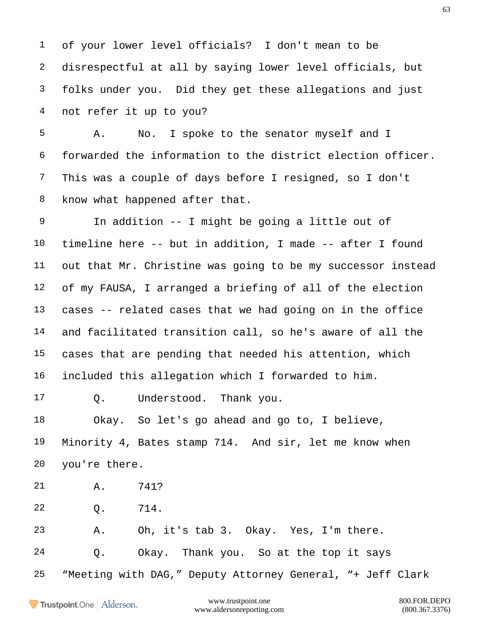of your lower level officials? I don't mean to be disrespectful at all by saying lower level officials, but folks under you. Did they get these allegations and just not refer it up to you?

 A. No. I spoke to the senator myself and I forwarded the information to the district election officer. This was a couple of days before I resigned, so I don't know what happened after that.

 In addition -- I might be going a little out of timeline here -- but in addition, I made -- after I found out that Mr. Christine was going to be my successor instead of my FAUSA, I arranged a briefing of all of the election cases -- related cases that we had going on in the office and facilitated transition call, so he's aware of all the cases that are pending that needed his attention, which included this allegation which I forwarded to him.

Q. Understood. Thank you.

 Okay. So let's go ahead and go to, I believe, Minority 4, Bates stamp 714. And sir, let me know when you're there.

A. 741?

Q. 714.

A. Oh, it's tab 3. Okay. Yes, I'm there.

Q. Okay. Thank you. So at the top it says

"Meeting with DAG," Deputy Attorney General, "+ Jeff Clark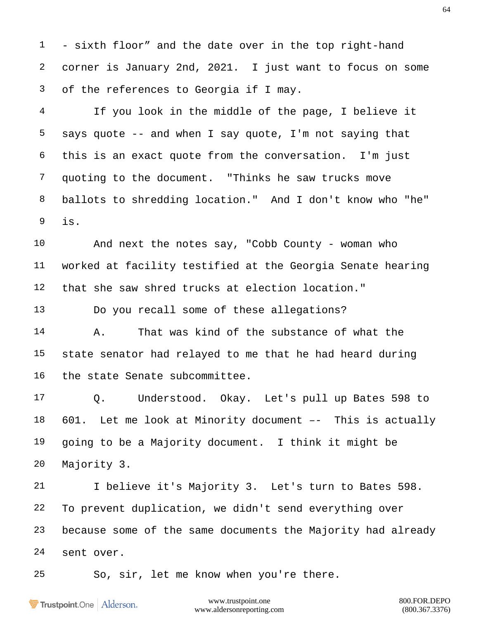- sixth floor" and the date over in the top right-hand corner is January 2nd, 2021. I just want to focus on some of the references to Georgia if I may.

 If you look in the middle of the page, I believe it says quote -- and when I say quote, I'm not saying that this is an exact quote from the conversation. I'm just quoting to the document. "Thinks he saw trucks move ballots to shredding location." And I don't know who "he" is.

 And next the notes say, "Cobb County - woman who worked at facility testified at the Georgia Senate hearing that she saw shred trucks at election location."

Do you recall some of these allegations?

 A. That was kind of the substance of what the state senator had relayed to me that he had heard during the state Senate subcommittee.

 Q. Understood. Okay. Let's pull up Bates 598 to 601. Let me look at Minority document –- This is actually going to be a Majority document. I think it might be Majority 3.

 I believe it's Majority 3. Let's turn to Bates 598. To prevent duplication, we didn't send everything over because some of the same documents the Majority had already sent over.

So, sir, let me know when you're there.

Trustpoint.One Alderson.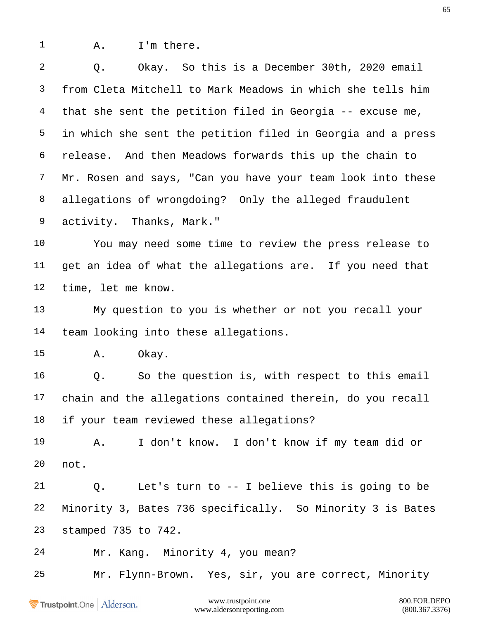1 A. I'm there.

| $\overline{2}$ | Okay. So this is a December 30th, 2020 email<br>Q.          |
|----------------|-------------------------------------------------------------|
| 3              | from Cleta Mitchell to Mark Meadows in which she tells him  |
| $\overline{4}$ | that she sent the petition filed in Georgia -- excuse me,   |
| 5              | in which she sent the petition filed in Georgia and a press |
| 6              | release. And then Meadows forwards this up the chain to     |
| 7              | Mr. Rosen and says, "Can you have your team look into these |
| 8              | allegations of wrongdoing? Only the alleged fraudulent      |
| 9              | activity. Thanks, Mark."                                    |
| $10 \,$        | You may need some time to review the press release to       |
| 11             | get an idea of what the allegations are. If you need that   |
| 12             | time, let me know.                                          |
| 13             | My question to you is whether or not you recall your        |
| 14             | team looking into these allegations.                        |
| 15             | Α.<br>Okay.                                                 |
| 16             | So the question is, with respect to this email<br>Q.        |
| 17             | chain and the allegations contained therein, do you recall  |
| 18             | if your team reviewed these allegations?                    |
| 19             | I don't know. I don't know if my team did or<br>Α.          |
| 20             | not.                                                        |
| 21             | Let's turn to -- I believe this is going to be<br>Q.        |
| 22             | Minority 3, Bates 736 specifically. So Minority 3 is Bates  |
| 23             | stamped 735 to 742.                                         |
| 24             | Mr. Kang. Minority 4, you mean?                             |
| 25             | Mr. Flynn-Brown. Yes, sir, you are correct, Minority        |
|                |                                                             |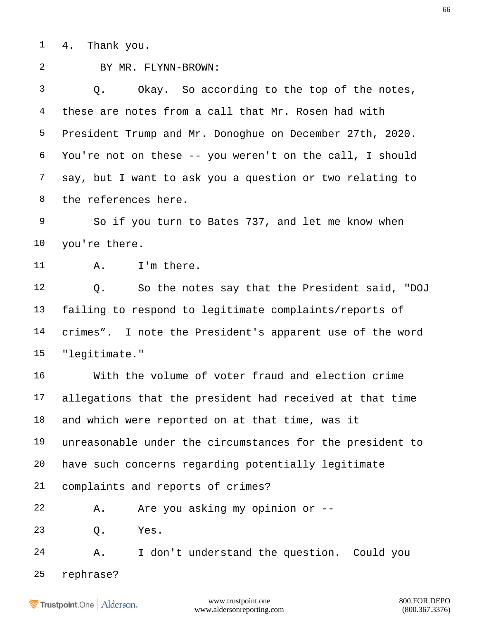4. Thank you.

BY MR. FLYNN-BROWN:

 Q. Okay. So according to the top of the notes, these are notes from a call that Mr. Rosen had with President Trump and Mr. Donoghue on December 27th, 2020. You're not on these -- you weren't on the call, I should say, but I want to ask you a question or two relating to the references here.

 So if you turn to Bates 737, and let me know when you're there.

A. I'm there.

 Q. So the notes say that the President said, "DOJ failing to respond to legitimate complaints/reports of crimes". I note the President's apparent use of the word "legitimate."

 With the volume of voter fraud and election crime allegations that the president had received at that time and which were reported on at that time, was it unreasonable under the circumstances for the president to have such concerns regarding potentially legitimate complaints and reports of crimes?

22 A. Are you asking my opinion or --

Q. Yes.

A. I don't understand the question. Could you

rephrase?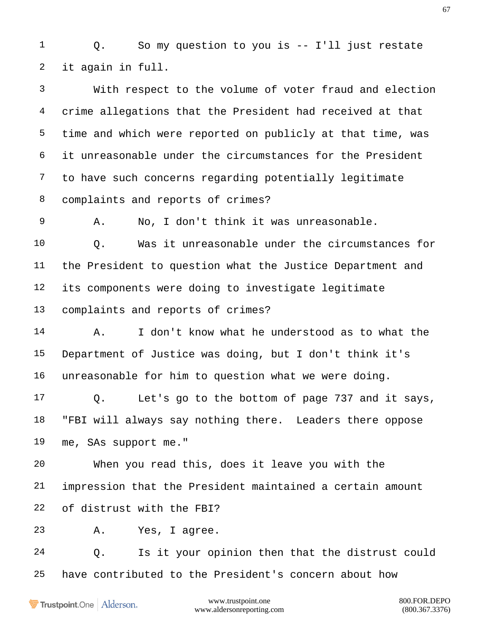Q. So my question to you is -- I'll just restate it again in full.

 With respect to the volume of voter fraud and election crime allegations that the President had received at that time and which were reported on publicly at that time, was it unreasonable under the circumstances for the President to have such concerns regarding potentially legitimate complaints and reports of crimes?

A. No, I don't think it was unreasonable.

 Q. Was it unreasonable under the circumstances for the President to question what the Justice Department and its components were doing to investigate legitimate complaints and reports of crimes?

 A. I don't know what he understood as to what the Department of Justice was doing, but I don't think it's unreasonable for him to question what we were doing.

 Q. Let's go to the bottom of page 737 and it says, "FBI will always say nothing there. Leaders there oppose me, SAs support me."

 When you read this, does it leave you with the impression that the President maintained a certain amount of distrust with the FBI?

A. Yes, I agree.

 Q. Is it your opinion then that the distrust could have contributed to the President's concern about how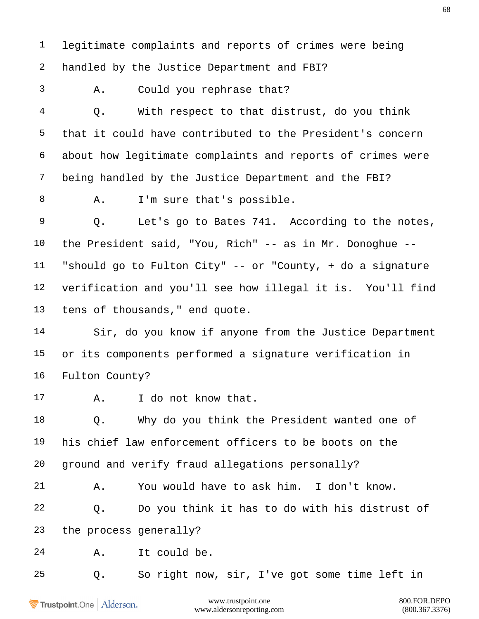legitimate complaints and reports of crimes were being handled by the Justice Department and FBI?

A. Could you rephrase that?

 Q. With respect to that distrust, do you think that it could have contributed to the President's concern about how legitimate complaints and reports of crimes were being handled by the Justice Department and the FBI?

A. I'm sure that's possible.

 Q. Let's go to Bates 741. According to the notes, the President said, "You, Rich" -- as in Mr. Donoghue -- "should go to Fulton City" -- or "County, + do a signature verification and you'll see how illegal it is. You'll find tens of thousands," end quote.

 Sir, do you know if anyone from the Justice Department or its components performed a signature verification in Fulton County?

A. I do not know that.

 Q. Why do you think the President wanted one of his chief law enforcement officers to be boots on the ground and verify fraud allegations personally?

 A. You would have to ask him. I don't know. Q. Do you think it has to do with his distrust of the process generally?

A. It could be.

Q. So right now, sir, I've got some time left in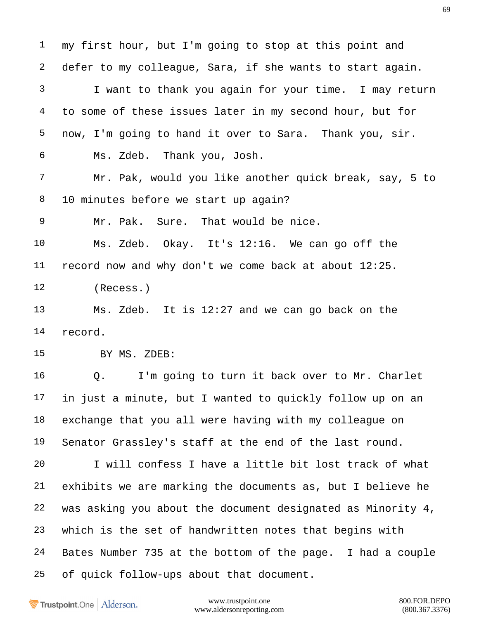my first hour, but I'm going to stop at this point and defer to my colleague, Sara, if she wants to start again. I want to thank you again for your time. I may return to some of these issues later in my second hour, but for now, I'm going to hand it over to Sara. Thank you, sir. Ms. Zdeb. Thank you, Josh. Mr. Pak, would you like another quick break, say, 5 to 10 minutes before we start up again? Mr. Pak. Sure. That would be nice. Ms. Zdeb. Okay. It's 12:16. We can go off the record now and why don't we come back at about 12:25. (Recess.) Ms. Zdeb. It is 12:27 and we can go back on the record. BY MS. ZDEB: Q. I'm going to turn it back over to Mr. Charlet in just a minute, but I wanted to quickly follow up on an exchange that you all were having with my colleague on Senator Grassley's staff at the end of the last round. I will confess I have a little bit lost track of what exhibits we are marking the documents as, but I believe he was asking you about the document designated as Minority 4, which is the set of handwritten notes that begins with Bates Number 735 at the bottom of the page. I had a couple of quick follow-ups about that document.

**Trustpoint**.One Alderson.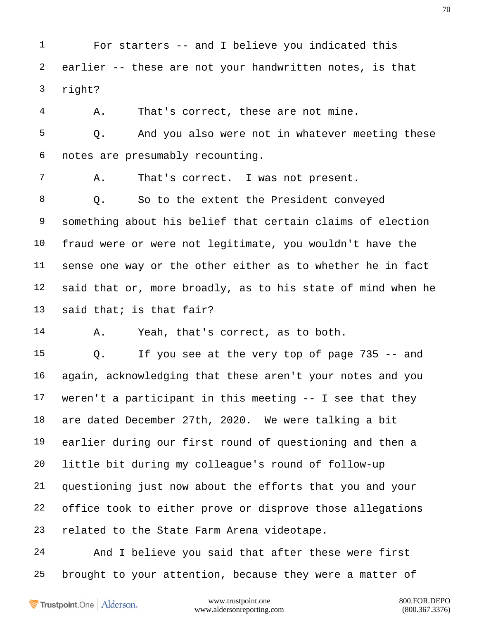For starters -- and I believe you indicated this earlier -- these are not your handwritten notes, is that right?

A. That's correct, these are not mine.

 Q. And you also were not in whatever meeting these notes are presumably recounting.

A. That's correct. I was not present.

 Q. So to the extent the President conveyed something about his belief that certain claims of election fraud were or were not legitimate, you wouldn't have the sense one way or the other either as to whether he in fact said that or, more broadly, as to his state of mind when he said that; is that fair?

A. Yeah, that's correct, as to both.

 Q. If you see at the very top of page 735 -- and again, acknowledging that these aren't your notes and you weren't a participant in this meeting -- I see that they are dated December 27th, 2020. We were talking a bit earlier during our first round of questioning and then a little bit during my colleague's round of follow-up questioning just now about the efforts that you and your office took to either prove or disprove those allegations related to the State Farm Arena videotape.

 And I believe you said that after these were first brought to your attention, because they were a matter of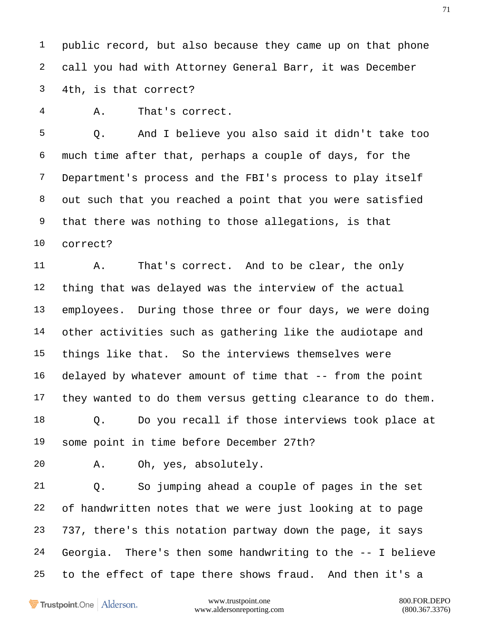public record, but also because they came up on that phone call you had with Attorney General Barr, it was December 4th, is that correct?

A. That's correct.

 Q. And I believe you also said it didn't take too much time after that, perhaps a couple of days, for the Department's process and the FBI's process to play itself out such that you reached a point that you were satisfied that there was nothing to those allegations, is that correct?

 A. That's correct. And to be clear, the only thing that was delayed was the interview of the actual employees. During those three or four days, we were doing other activities such as gathering like the audiotape and things like that. So the interviews themselves were delayed by whatever amount of time that -- from the point they wanted to do them versus getting clearance to do them. Q. Do you recall if those interviews took place at

some point in time before December 27th?

A. Oh, yes, absolutely.

 Q. So jumping ahead a couple of pages in the set of handwritten notes that we were just looking at to page 737, there's this notation partway down the page, it says Georgia. There's then some handwriting to the -- I believe to the effect of tape there shows fraud. And then it's a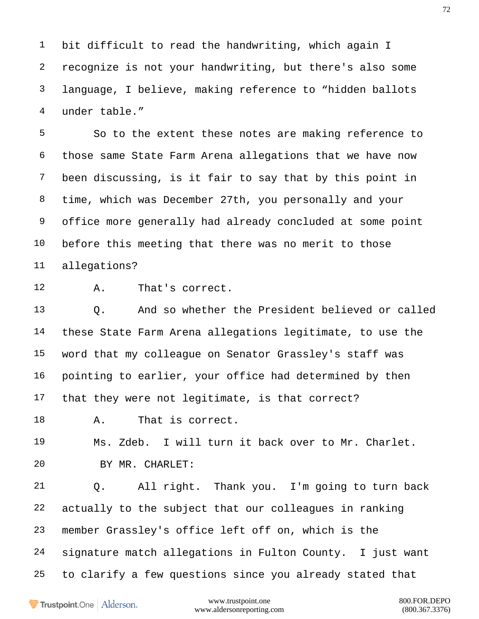bit difficult to read the handwriting, which again I recognize is not your handwriting, but there's also some language, I believe, making reference to "hidden ballots under table."

 So to the extent these notes are making reference to those same State Farm Arena allegations that we have now been discussing, is it fair to say that by this point in time, which was December 27th, you personally and your office more generally had already concluded at some point before this meeting that there was no merit to those allegations?

A. That's correct.

 Q. And so whether the President believed or called these State Farm Arena allegations legitimate, to use the word that my colleague on Senator Grassley's staff was pointing to earlier, your office had determined by then that they were not legitimate, is that correct?

A. That is correct.

Ms. Zdeb. I will turn it back over to Mr. Charlet.

BY MR. CHARLET:

 Q. All right. Thank you. I'm going to turn back actually to the subject that our colleagues in ranking member Grassley's office left off on, which is the signature match allegations in Fulton County. I just want to clarify a few questions since you already stated that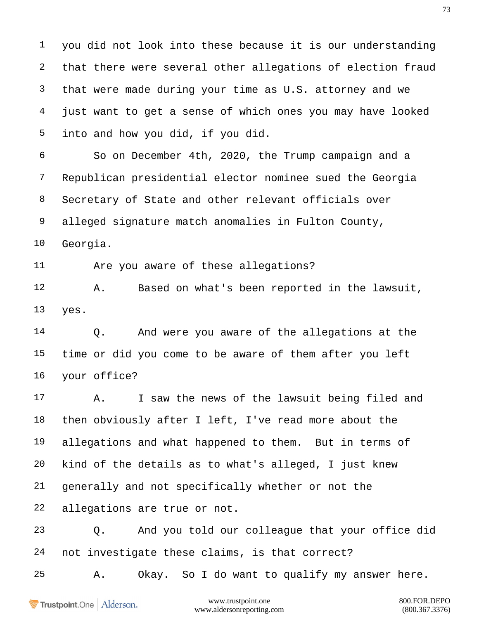you did not look into these because it is our understanding that there were several other allegations of election fraud that were made during your time as U.S. attorney and we just want to get a sense of which ones you may have looked into and how you did, if you did.

 So on December 4th, 2020, the Trump campaign and a Republican presidential elector nominee sued the Georgia Secretary of State and other relevant officials over alleged signature match anomalies in Fulton County,

Georgia.

Are you aware of these allegations?

 A. Based on what's been reported in the lawsuit, yes.

 Q. And were you aware of the allegations at the time or did you come to be aware of them after you left your office?

 A. I saw the news of the lawsuit being filed and then obviously after I left, I've read more about the allegations and what happened to them. But in terms of kind of the details as to what's alleged, I just knew generally and not specifically whether or not the allegations are true or not.

 Q. And you told our colleague that your office did not investigate these claims, is that correct?

A. Okay. So I do want to qualify my answer here.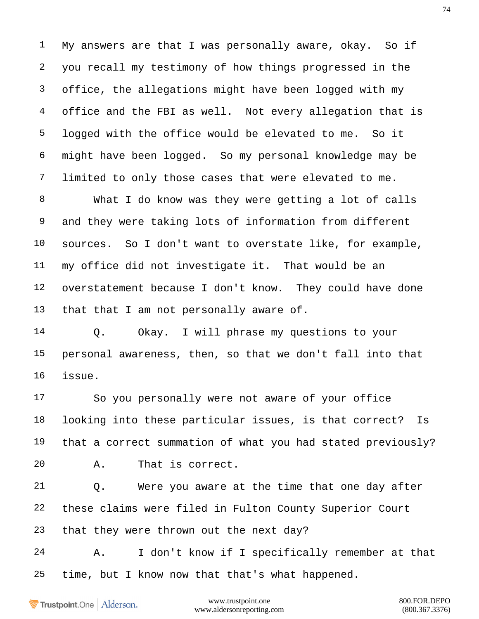My answers are that I was personally aware, okay. So if you recall my testimony of how things progressed in the office, the allegations might have been logged with my office and the FBI as well. Not every allegation that is logged with the office would be elevated to me. So it might have been logged. So my personal knowledge may be limited to only those cases that were elevated to me.

 What I do know was they were getting a lot of calls and they were taking lots of information from different sources. So I don't want to overstate like, for example, my office did not investigate it. That would be an overstatement because I don't know. They could have done 13 that that I am not personally aware of.

 Q. Okay. I will phrase my questions to your personal awareness, then, so that we don't fall into that issue.

 So you personally were not aware of your office looking into these particular issues, is that correct? Is that a correct summation of what you had stated previously? A. That is correct.

 Q. Were you aware at the time that one day after these claims were filed in Fulton County Superior Court that they were thrown out the next day?

 A. I don't know if I specifically remember at that time, but I know now that that's what happened.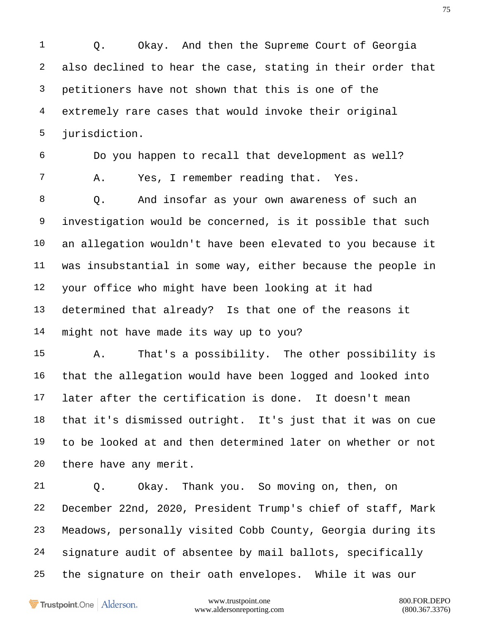Q. Okay. And then the Supreme Court of Georgia also declined to hear the case, stating in their order that petitioners have not shown that this is one of the extremely rare cases that would invoke their original jurisdiction.

Do you happen to recall that development as well?

A. Yes, I remember reading that. Yes.

 Q. And insofar as your own awareness of such an investigation would be concerned, is it possible that such an allegation wouldn't have been elevated to you because it was insubstantial in some way, either because the people in your office who might have been looking at it had determined that already? Is that one of the reasons it might not have made its way up to you?

 A. That's a possibility. The other possibility is that the allegation would have been logged and looked into later after the certification is done. It doesn't mean that it's dismissed outright. It's just that it was on cue to be looked at and then determined later on whether or not there have any merit.

 Q. Okay. Thank you. So moving on, then, on December 22nd, 2020, President Trump's chief of staff, Mark Meadows, personally visited Cobb County, Georgia during its signature audit of absentee by mail ballots, specifically the signature on their oath envelopes. While it was our

Trustpoint.One Alderson.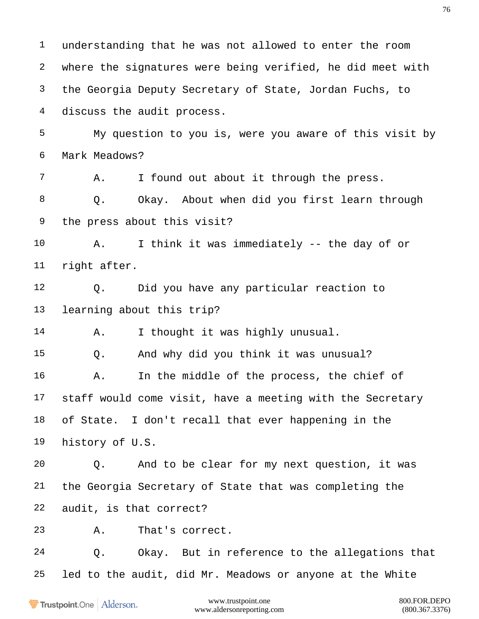understanding that he was not allowed to enter the room where the signatures were being verified, he did meet with the Georgia Deputy Secretary of State, Jordan Fuchs, to discuss the audit process. My question to you is, were you aware of this visit by Mark Meadows? A. I found out about it through the press. Q. Okay. About when did you first learn through the press about this visit? A. I think it was immediately -- the day of or right after. Q. Did you have any particular reaction to learning about this trip? A. I thought it was highly unusual. Q. And why did you think it was unusual? A. In the middle of the process, the chief of staff would come visit, have a meeting with the Secretary of State. I don't recall that ever happening in the history of U.S. Q. And to be clear for my next question, it was the Georgia Secretary of State that was completing the audit, is that correct? A. That's correct. Q. Okay. But in reference to the allegations that led to the audit, did Mr. Meadows or anyone at the White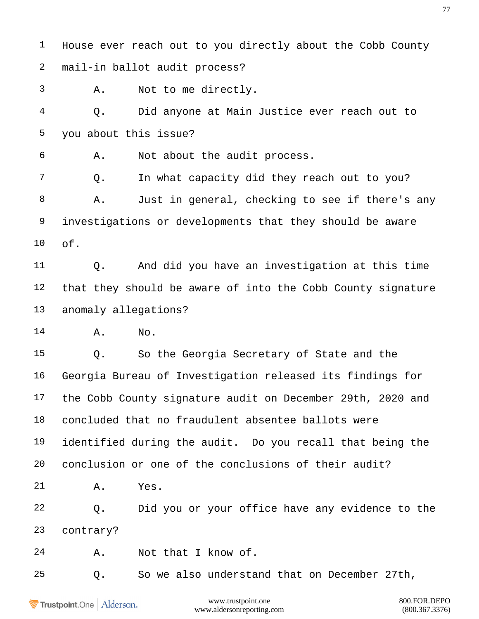House ever reach out to you directly about the Cobb County mail-in ballot audit process?

A. Not to me directly.

 Q. Did anyone at Main Justice ever reach out to you about this issue?

A. Not about the audit process.

 Q. In what capacity did they reach out to you? A. Just in general, checking to see if there's any investigations or developments that they should be aware of.

 Q. And did you have an investigation at this time that they should be aware of into the Cobb County signature anomaly allegations?

A. No.

 Q. So the Georgia Secretary of State and the Georgia Bureau of Investigation released its findings for the Cobb County signature audit on December 29th, 2020 and concluded that no fraudulent absentee ballots were identified during the audit. Do you recall that being the conclusion or one of the conclusions of their audit?

A. Yes.

 Q. Did you or your office have any evidence to the contrary?

A. Not that I know of.

Q. So we also understand that on December 27th,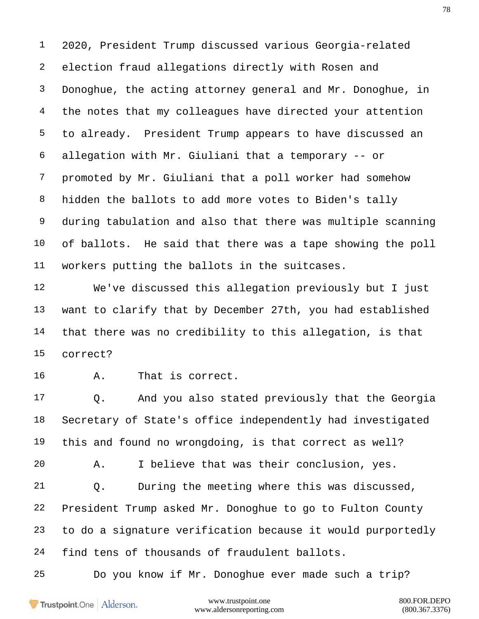2020, President Trump discussed various Georgia-related election fraud allegations directly with Rosen and Donoghue, the acting attorney general and Mr. Donoghue, in the notes that my colleagues have directed your attention to already. President Trump appears to have discussed an allegation with Mr. Giuliani that a temporary -- or promoted by Mr. Giuliani that a poll worker had somehow hidden the ballots to add more votes to Biden's tally during tabulation and also that there was multiple scanning of ballots. He said that there was a tape showing the poll workers putting the ballots in the suitcases.

 We've discussed this allegation previously but I just want to clarify that by December 27th, you had established that there was no credibility to this allegation, is that correct?

A. That is correct.

 Q. And you also stated previously that the Georgia Secretary of State's office independently had investigated this and found no wrongdoing, is that correct as well?

A. I believe that was their conclusion, yes.

 Q. During the meeting where this was discussed, President Trump asked Mr. Donoghue to go to Fulton County to do a signature verification because it would purportedly find tens of thousands of fraudulent ballots.

Do you know if Mr. Donoghue ever made such a trip?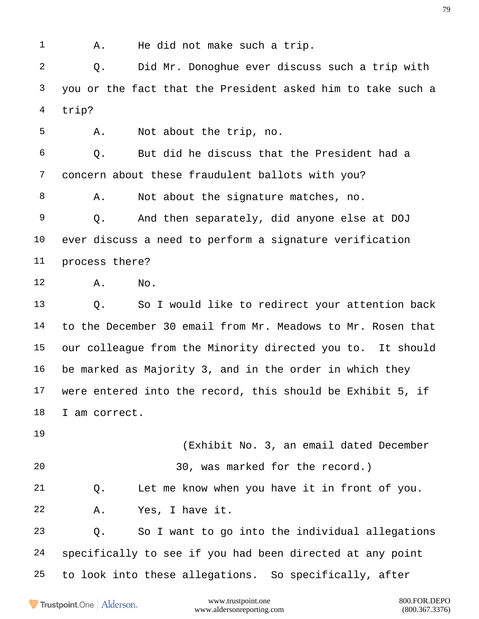A. He did not make such a trip.

 Q. Did Mr. Donoghue ever discuss such a trip with you or the fact that the President asked him to take such a trip?

A. Not about the trip, no.

 Q. But did he discuss that the President had a concern about these fraudulent ballots with you?

A. Not about the signature matches, no.

 Q. And then separately, did anyone else at DOJ ever discuss a need to perform a signature verification process there?

A. No.

 Q. So I would like to redirect your attention back to the December 30 email from Mr. Meadows to Mr. Rosen that our colleague from the Minority directed you to. It should be marked as Majority 3, and in the order in which they were entered into the record, this should be Exhibit 5, if I am correct.

 (Exhibit No. 3, an email dated December 30, was marked for the record.) Q. Let me know when you have it in front of you. A. Yes, I have it.

 Q. So I want to go into the individual allegations specifically to see if you had been directed at any point to look into these allegations. So specifically, after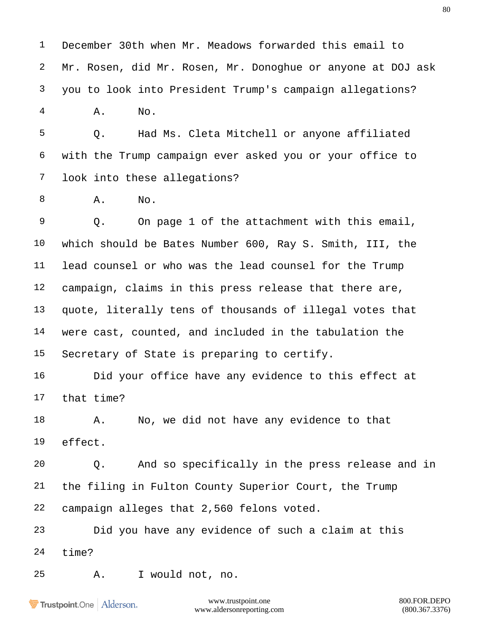December 30th when Mr. Meadows forwarded this email to Mr. Rosen, did Mr. Rosen, Mr. Donoghue or anyone at DOJ ask you to look into President Trump's campaign allegations?

A. No.

 Q. Had Ms. Cleta Mitchell or anyone affiliated with the Trump campaign ever asked you or your office to look into these allegations?

8 A. No.

 Q. On page 1 of the attachment with this email, which should be Bates Number 600, Ray S. Smith, III, the lead counsel or who was the lead counsel for the Trump campaign, claims in this press release that there are, quote, literally tens of thousands of illegal votes that were cast, counted, and included in the tabulation the Secretary of State is preparing to certify.

 Did your office have any evidence to this effect at that time?

 A. No, we did not have any evidence to that effect.

 Q. And so specifically in the press release and in the filing in Fulton County Superior Court, the Trump campaign alleges that 2,560 felons voted.

 Did you have any evidence of such a claim at this time?

A. I would not, no.

Trustpoint.One Alderson.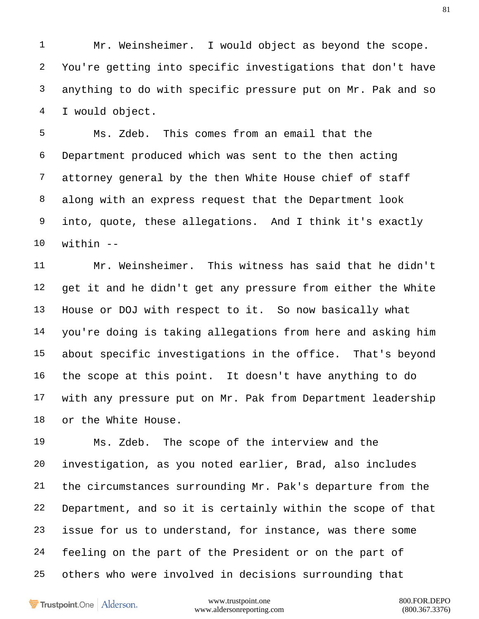Mr. Weinsheimer. I would object as beyond the scope. You're getting into specific investigations that don't have anything to do with specific pressure put on Mr. Pak and so I would object.

 Ms. Zdeb. This comes from an email that the Department produced which was sent to the then acting attorney general by the then White House chief of staff along with an express request that the Department look into, quote, these allegations. And I think it's exactly within --

 Mr. Weinsheimer. This witness has said that he didn't get it and he didn't get any pressure from either the White House or DOJ with respect to it. So now basically what you're doing is taking allegations from here and asking him about specific investigations in the office. That's beyond the scope at this point. It doesn't have anything to do with any pressure put on Mr. Pak from Department leadership or the White House.

 Ms. Zdeb. The scope of the interview and the investigation, as you noted earlier, Brad, also includes the circumstances surrounding Mr. Pak's departure from the Department, and so it is certainly within the scope of that issue for us to understand, for instance, was there some feeling on the part of the President or on the part of others who were involved in decisions surrounding that

**Trustpoint**.One Alderson.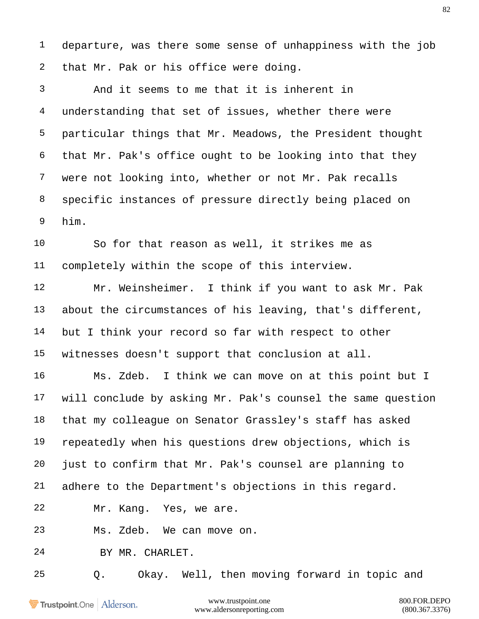departure, was there some sense of unhappiness with the job that Mr. Pak or his office were doing.

 And it seems to me that it is inherent in understanding that set of issues, whether there were particular things that Mr. Meadows, the President thought that Mr. Pak's office ought to be looking into that they were not looking into, whether or not Mr. Pak recalls specific instances of pressure directly being placed on him.

 So for that reason as well, it strikes me as completely within the scope of this interview.

 Mr. Weinsheimer. I think if you want to ask Mr. Pak about the circumstances of his leaving, that's different, but I think your record so far with respect to other witnesses doesn't support that conclusion at all.

 Ms. Zdeb. I think we can move on at this point but I will conclude by asking Mr. Pak's counsel the same question that my colleague on Senator Grassley's staff has asked repeatedly when his questions drew objections, which is just to confirm that Mr. Pak's counsel are planning to adhere to the Department's objections in this regard.

Mr. Kang. Yes, we are.

Ms. Zdeb. We can move on.

BY MR. CHARLET.

Q. Okay. Well, then moving forward in topic and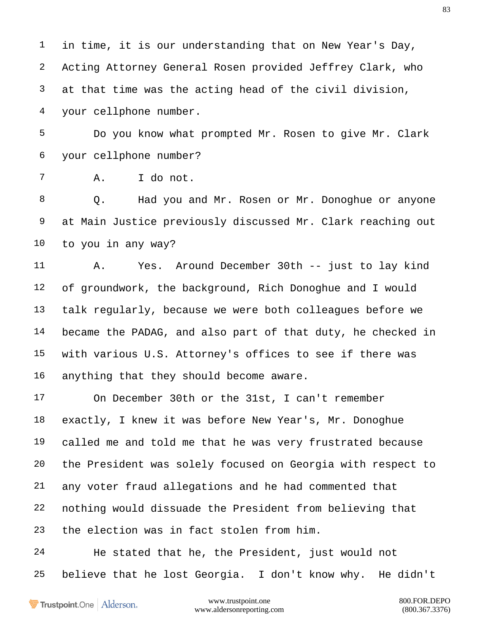in time, it is our understanding that on New Year's Day, Acting Attorney General Rosen provided Jeffrey Clark, who at that time was the acting head of the civil division, your cellphone number.

 Do you know what prompted Mr. Rosen to give Mr. Clark your cellphone number?

A. I do not.

 Q. Had you and Mr. Rosen or Mr. Donoghue or anyone at Main Justice previously discussed Mr. Clark reaching out to you in any way?

 A. Yes. Around December 30th -- just to lay kind of groundwork, the background, Rich Donoghue and I would talk regularly, because we were both colleagues before we became the PADAG, and also part of that duty, he checked in with various U.S. Attorney's offices to see if there was anything that they should become aware.

 On December 30th or the 31st, I can't remember exactly, I knew it was before New Year's, Mr. Donoghue called me and told me that he was very frustrated because the President was solely focused on Georgia with respect to any voter fraud allegations and he had commented that nothing would dissuade the President from believing that the election was in fact stolen from him.

 He stated that he, the President, just would not believe that he lost Georgia. I don't know why. He didn't

Trustpoint.One Alderson.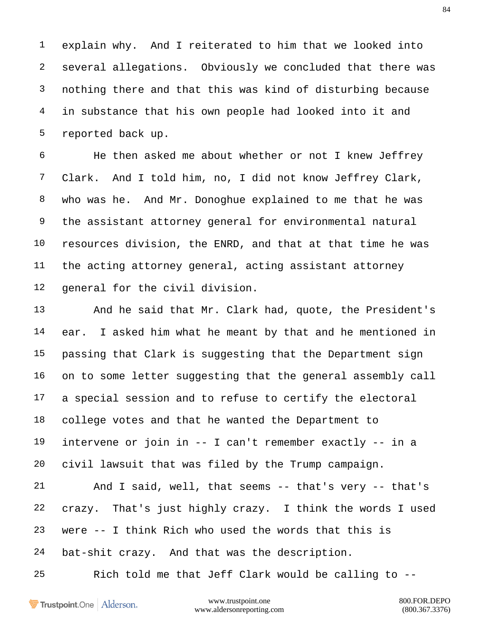explain why. And I reiterated to him that we looked into several allegations. Obviously we concluded that there was nothing there and that this was kind of disturbing because in substance that his own people had looked into it and reported back up.

 He then asked me about whether or not I knew Jeffrey Clark. And I told him, no, I did not know Jeffrey Clark, who was he. And Mr. Donoghue explained to me that he was the assistant attorney general for environmental natural resources division, the ENRD, and that at that time he was the acting attorney general, acting assistant attorney general for the civil division.

 And he said that Mr. Clark had, quote, the President's ear. I asked him what he meant by that and he mentioned in passing that Clark is suggesting that the Department sign 16 on to some letter suggesting that the general assembly call a special session and to refuse to certify the electoral college votes and that he wanted the Department to intervene or join in -- I can't remember exactly -- in a civil lawsuit that was filed by the Trump campaign.

 And I said, well, that seems -- that's very -- that's crazy. That's just highly crazy. I think the words I used were -- I think Rich who used the words that this is bat-shit crazy. And that was the description.

Rich told me that Jeff Clark would be calling to --

**Trustpoint**.One Alderson.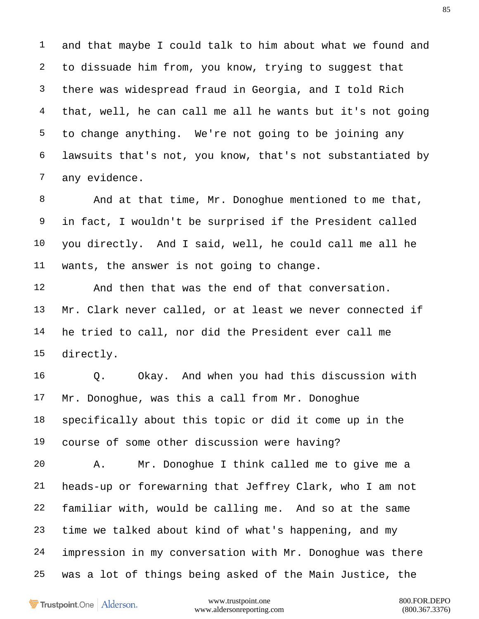and that maybe I could talk to him about what we found and to dissuade him from, you know, trying to suggest that there was widespread fraud in Georgia, and I told Rich that, well, he can call me all he wants but it's not going to change anything. We're not going to be joining any lawsuits that's not, you know, that's not substantiated by any evidence.

 And at that time, Mr. Donoghue mentioned to me that, in fact, I wouldn't be surprised if the President called you directly. And I said, well, he could call me all he wants, the answer is not going to change.

 And then that was the end of that conversation. Mr. Clark never called, or at least we never connected if he tried to call, nor did the President ever call me directly.

 Q. Okay. And when you had this discussion with Mr. Donoghue, was this a call from Mr. Donoghue specifically about this topic or did it come up in the course of some other discussion were having?

 A. Mr. Donoghue I think called me to give me a heads-up or forewarning that Jeffrey Clark, who I am not familiar with, would be calling me. And so at the same time we talked about kind of what's happening, and my impression in my conversation with Mr. Donoghue was there was a lot of things being asked of the Main Justice, the

Trustpoint.One Alderson.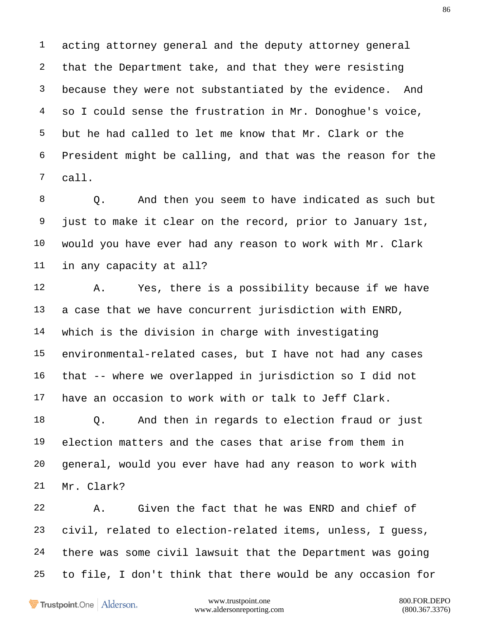acting attorney general and the deputy attorney general that the Department take, and that they were resisting because they were not substantiated by the evidence. And so I could sense the frustration in Mr. Donoghue's voice, but he had called to let me know that Mr. Clark or the President might be calling, and that was the reason for the call.

 Q. And then you seem to have indicated as such but just to make it clear on the record, prior to January 1st, would you have ever had any reason to work with Mr. Clark in any capacity at all?

 A. Yes, there is a possibility because if we have a case that we have concurrent jurisdiction with ENRD, which is the division in charge with investigating environmental-related cases, but I have not had any cases that -- where we overlapped in jurisdiction so I did not have an occasion to work with or talk to Jeff Clark.

 Q. And then in regards to election fraud or just election matters and the cases that arise from them in general, would you ever have had any reason to work with Mr. Clark?

 A. Given the fact that he was ENRD and chief of civil, related to election-related items, unless, I guess, there was some civil lawsuit that the Department was going to file, I don't think that there would be any occasion for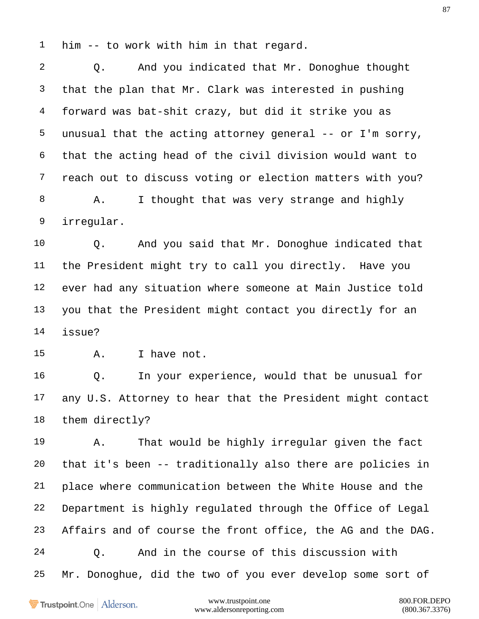him -- to work with him in that regard.

 Q. And you indicated that Mr. Donoghue thought that the plan that Mr. Clark was interested in pushing forward was bat-shit crazy, but did it strike you as unusual that the acting attorney general -- or I'm sorry, that the acting head of the civil division would want to reach out to discuss voting or election matters with you? A. I thought that was very strange and highly irregular.

 Q. And you said that Mr. Donoghue indicated that the President might try to call you directly. Have you ever had any situation where someone at Main Justice told you that the President might contact you directly for an issue?

A. I have not.

 Q. In your experience, would that be unusual for any U.S. Attorney to hear that the President might contact them directly?

 A. That would be highly irregular given the fact that it's been -- traditionally also there are policies in place where communication between the White House and the Department is highly regulated through the Office of Legal Affairs and of course the front office, the AG and the DAG. Q. And in the course of this discussion with Mr. Donoghue, did the two of you ever develop some sort of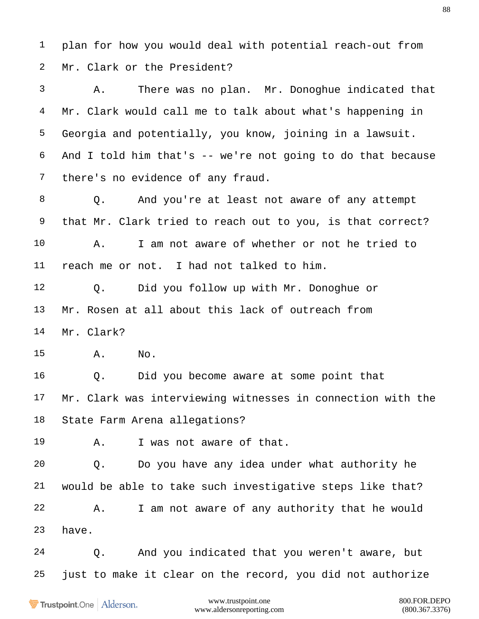plan for how you would deal with potential reach-out from Mr. Clark or the President?

 A. There was no plan. Mr. Donoghue indicated that Mr. Clark would call me to talk about what's happening in Georgia and potentially, you know, joining in a lawsuit. And I told him that's -- we're not going to do that because there's no evidence of any fraud.

 Q. And you're at least not aware of any attempt that Mr. Clark tried to reach out to you, is that correct? A. I am not aware of whether or not he tried to reach me or not. I had not talked to him.

 Q. Did you follow up with Mr. Donoghue or Mr. Rosen at all about this lack of outreach from Mr. Clark?

A. No.

 Q. Did you become aware at some point that Mr. Clark was interviewing witnesses in connection with the State Farm Arena allegations?

A. I was not aware of that.

 Q. Do you have any idea under what authority he would be able to take such investigative steps like that? A. I am not aware of any authority that he would have.

 Q. And you indicated that you weren't aware, but just to make it clear on the record, you did not authorize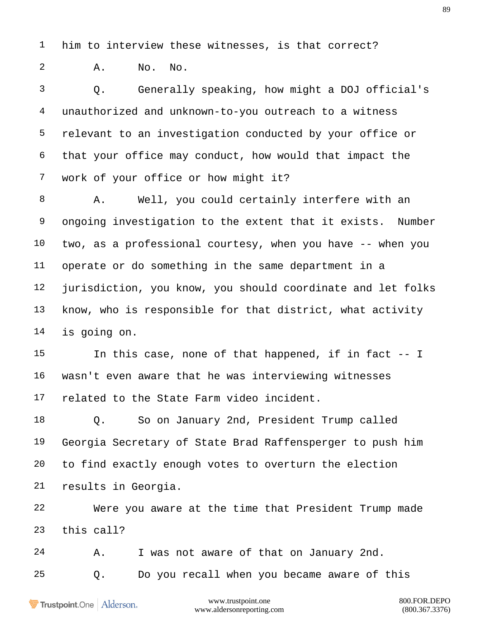him to interview these witnesses, is that correct?

A. No. No.

 Q. Generally speaking, how might a DOJ official's unauthorized and unknown-to-you outreach to a witness relevant to an investigation conducted by your office or that your office may conduct, how would that impact the work of your office or how might it?

 A. Well, you could certainly interfere with an ongoing investigation to the extent that it exists. Number two, as a professional courtesy, when you have -- when you operate or do something in the same department in a jurisdiction, you know, you should coordinate and let folks know, who is responsible for that district, what activity is going on.

 In this case, none of that happened, if in fact -- I wasn't even aware that he was interviewing witnesses related to the State Farm video incident.

 Q. So on January 2nd, President Trump called Georgia Secretary of State Brad Raffensperger to push him to find exactly enough votes to overturn the election results in Georgia.

 Were you aware at the time that President Trump made this call?

 A. I was not aware of that on January 2nd. Q. Do you recall when you became aware of this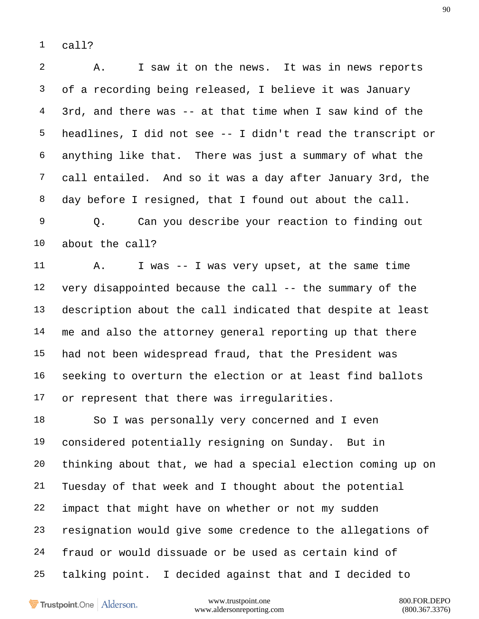call?

 A. I saw it on the news. It was in news reports of a recording being released, I believe it was January 3rd, and there was -- at that time when I saw kind of the headlines, I did not see -- I didn't read the transcript or anything like that. There was just a summary of what the call entailed. And so it was a day after January 3rd, the day before I resigned, that I found out about the call. Q. Can you describe your reaction to finding out about the call?

 A. I was -- I was very upset, at the same time very disappointed because the call -- the summary of the description about the call indicated that despite at least me and also the attorney general reporting up that there had not been widespread fraud, that the President was seeking to overturn the election or at least find ballots 17 or represent that there was irregularities.

 So I was personally very concerned and I even considered potentially resigning on Sunday. But in thinking about that, we had a special election coming up on Tuesday of that week and I thought about the potential impact that might have on whether or not my sudden resignation would give some credence to the allegations of fraud or would dissuade or be used as certain kind of talking point. I decided against that and I decided to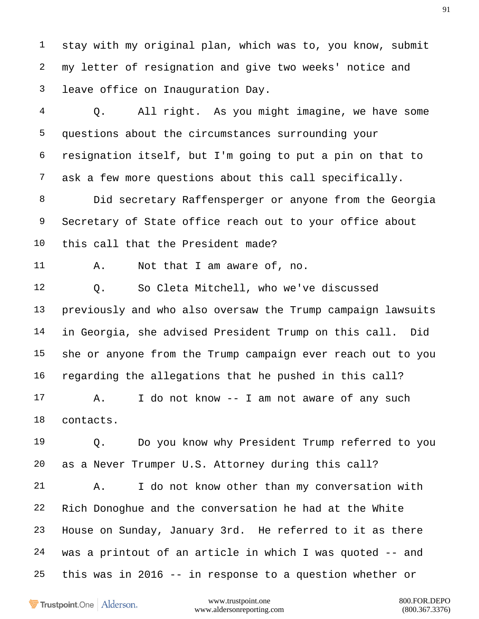stay with my original plan, which was to, you know, submit my letter of resignation and give two weeks' notice and leave office on Inauguration Day.

 Q. All right. As you might imagine, we have some questions about the circumstances surrounding your resignation itself, but I'm going to put a pin on that to ask a few more questions about this call specifically.

 Did secretary Raffensperger or anyone from the Georgia 9 Secretary of State office reach out to your office about this call that the President made?

A. Not that I am aware of, no.

 Q. So Cleta Mitchell, who we've discussed previously and who also oversaw the Trump campaign lawsuits in Georgia, she advised President Trump on this call. Did she or anyone from the Trump campaign ever reach out to you regarding the allegations that he pushed in this call? A. I do not know -- I am not aware of any such contacts.

 Q. Do you know why President Trump referred to you as a Never Trumper U.S. Attorney during this call?

 A. I do not know other than my conversation with Rich Donoghue and the conversation he had at the White House on Sunday, January 3rd. He referred to it as there was a printout of an article in which I was quoted -- and this was in 2016 -- in response to a question whether or

Trustpoint.One Alderson.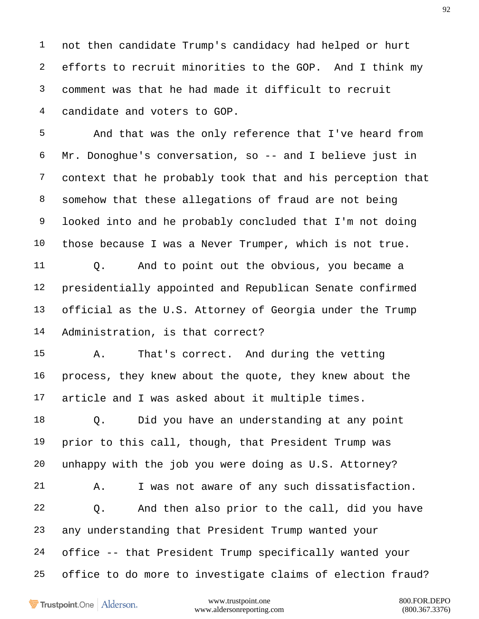not then candidate Trump's candidacy had helped or hurt efforts to recruit minorities to the GOP. And I think my comment was that he had made it difficult to recruit candidate and voters to GOP.

 And that was the only reference that I've heard from Mr. Donoghue's conversation, so -- and I believe just in context that he probably took that and his perception that somehow that these allegations of fraud are not being looked into and he probably concluded that I'm not doing those because I was a Never Trumper, which is not true.

 Q. And to point out the obvious, you became a presidentially appointed and Republican Senate confirmed official as the U.S. Attorney of Georgia under the Trump Administration, is that correct?

 A. That's correct. And during the vetting process, they knew about the quote, they knew about the article and I was asked about it multiple times.

 Q. Did you have an understanding at any point prior to this call, though, that President Trump was unhappy with the job you were doing as U.S. Attorney?

A. I was not aware of any such dissatisfaction.

 Q. And then also prior to the call, did you have any understanding that President Trump wanted your office -- that President Trump specifically wanted your office to do more to investigate claims of election fraud?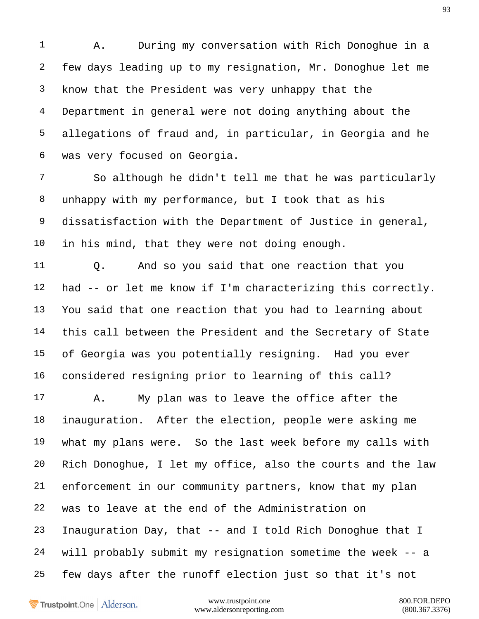A. During my conversation with Rich Donoghue in a few days leading up to my resignation, Mr. Donoghue let me know that the President was very unhappy that the Department in general were not doing anything about the allegations of fraud and, in particular, in Georgia and he was very focused on Georgia.

 So although he didn't tell me that he was particularly unhappy with my performance, but I took that as his dissatisfaction with the Department of Justice in general, in his mind, that they were not doing enough.

 Q. And so you said that one reaction that you had -- or let me know if I'm characterizing this correctly. You said that one reaction that you had to learning about this call between the President and the Secretary of State of Georgia was you potentially resigning. Had you ever considered resigning prior to learning of this call?

 A. My plan was to leave the office after the inauguration. After the election, people were asking me what my plans were. So the last week before my calls with Rich Donoghue, I let my office, also the courts and the law enforcement in our community partners, know that my plan was to leave at the end of the Administration on Inauguration Day, that -- and I told Rich Donoghue that I will probably submit my resignation sometime the week -- a few days after the runoff election just so that it's not

Trustpoint.One Alderson.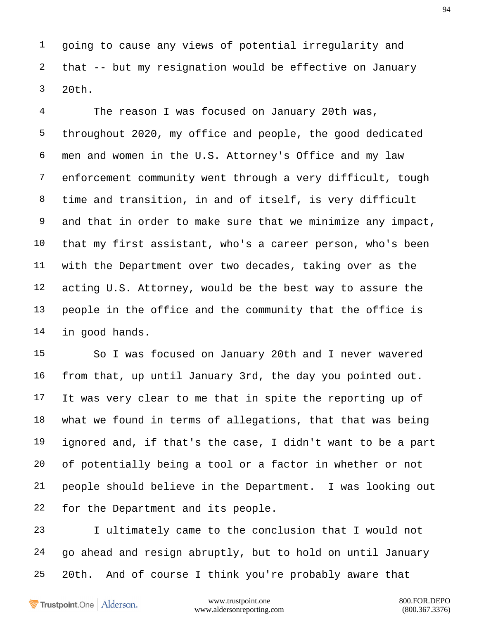going to cause any views of potential irregularity and that -- but my resignation would be effective on January 20th.

 The reason I was focused on January 20th was, throughout 2020, my office and people, the good dedicated men and women in the U.S. Attorney's Office and my law enforcement community went through a very difficult, tough time and transition, in and of itself, is very difficult and that in order to make sure that we minimize any impact, that my first assistant, who's a career person, who's been with the Department over two decades, taking over as the acting U.S. Attorney, would be the best way to assure the people in the office and the community that the office is in good hands.

 So I was focused on January 20th and I never wavered from that, up until January 3rd, the day you pointed out. 17 It was very clear to me that in spite the reporting up of what we found in terms of allegations, that that was being ignored and, if that's the case, I didn't want to be a part of potentially being a tool or a factor in whether or not people should believe in the Department. I was looking out for the Department and its people.

 I ultimately came to the conclusion that I would not go ahead and resign abruptly, but to hold on until January 20th. And of course I think you're probably aware that

Trustpoint.One Alderson.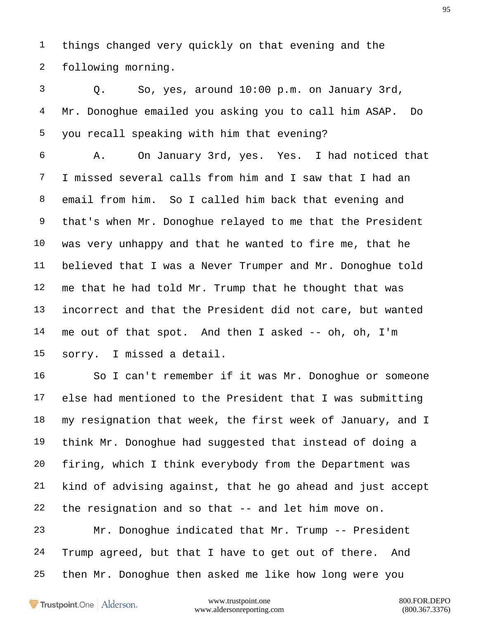things changed very quickly on that evening and the following morning.

 Q. So, yes, around 10:00 p.m. on January 3rd, Mr. Donoghue emailed you asking you to call him ASAP. Do you recall speaking with him that evening?

 A. On January 3rd, yes. Yes. I had noticed that I missed several calls from him and I saw that I had an email from him. So I called him back that evening and that's when Mr. Donoghue relayed to me that the President was very unhappy and that he wanted to fire me, that he believed that I was a Never Trumper and Mr. Donoghue told me that he had told Mr. Trump that he thought that was incorrect and that the President did not care, but wanted me out of that spot. And then I asked -- oh, oh, I'm sorry. I missed a detail.

 So I can't remember if it was Mr. Donoghue or someone else had mentioned to the President that I was submitting my resignation that week, the first week of January, and I think Mr. Donoghue had suggested that instead of doing a firing, which I think everybody from the Department was kind of advising against, that he go ahead and just accept the resignation and so that -- and let him move on.

 Mr. Donoghue indicated that Mr. Trump -- President Trump agreed, but that I have to get out of there. And then Mr. Donoghue then asked me like how long were you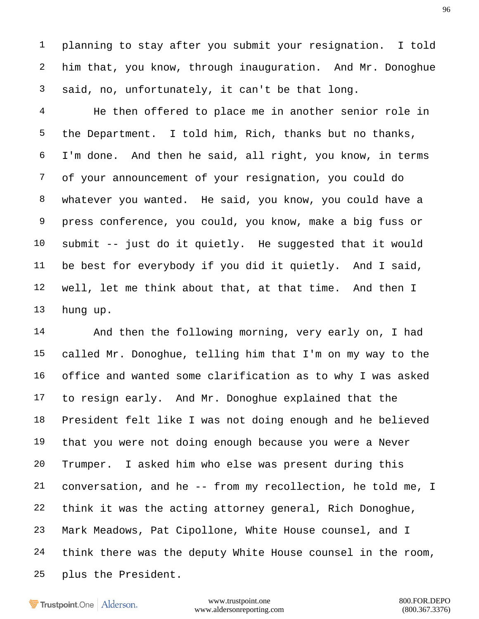planning to stay after you submit your resignation. I told him that, you know, through inauguration. And Mr. Donoghue said, no, unfortunately, it can't be that long.

 He then offered to place me in another senior role in the Department. I told him, Rich, thanks but no thanks, I'm done. And then he said, all right, you know, in terms of your announcement of your resignation, you could do whatever you wanted. He said, you know, you could have a press conference, you could, you know, make a big fuss or submit -- just do it quietly. He suggested that it would be best for everybody if you did it quietly. And I said, well, let me think about that, at that time. And then I hung up.

14 And then the following morning, very early on, I had called Mr. Donoghue, telling him that I'm on my way to the office and wanted some clarification as to why I was asked to resign early. And Mr. Donoghue explained that the President felt like I was not doing enough and he believed that you were not doing enough because you were a Never Trumper. I asked him who else was present during this conversation, and he -- from my recollection, he told me, I think it was the acting attorney general, Rich Donoghue, Mark Meadows, Pat Cipollone, White House counsel, and I think there was the deputy White House counsel in the room, plus the President.

**Trustpoint**.One Alderson.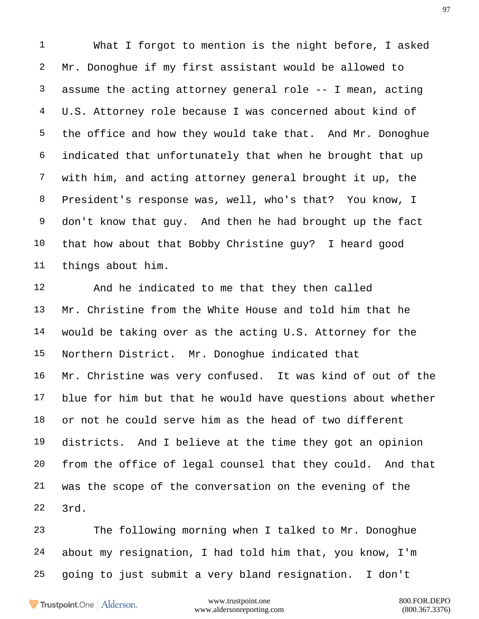What I forgot to mention is the night before, I asked Mr. Donoghue if my first assistant would be allowed to assume the acting attorney general role -- I mean, acting U.S. Attorney role because I was concerned about kind of the office and how they would take that. And Mr. Donoghue indicated that unfortunately that when he brought that up with him, and acting attorney general brought it up, the President's response was, well, who's that? You know, I don't know that guy. And then he had brought up the fact that how about that Bobby Christine guy? I heard good things about him.

 And he indicated to me that they then called Mr. Christine from the White House and told him that he would be taking over as the acting U.S. Attorney for the Northern District. Mr. Donoghue indicated that Mr. Christine was very confused. It was kind of out of the blue for him but that he would have questions about whether or not he could serve him as the head of two different districts. And I believe at the time they got an opinion from the office of legal counsel that they could. And that was the scope of the conversation on the evening of the 3rd.

 The following morning when I talked to Mr. Donoghue about my resignation, I had told him that, you know, I'm going to just submit a very bland resignation. I don't

**Trustpoint**.One Alderson.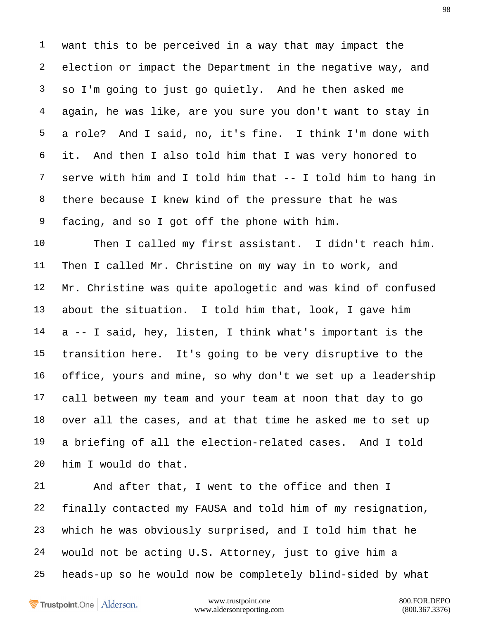want this to be perceived in a way that may impact the election or impact the Department in the negative way, and so I'm going to just go quietly. And he then asked me again, he was like, are you sure you don't want to stay in a role? And I said, no, it's fine. I think I'm done with it. And then I also told him that I was very honored to serve with him and I told him that -- I told him to hang in there because I knew kind of the pressure that he was facing, and so I got off the phone with him.

 Then I called my first assistant. I didn't reach him. Then I called Mr. Christine on my way in to work, and Mr. Christine was quite apologetic and was kind of confused about the situation. I told him that, look, I gave him a -- I said, hey, listen, I think what's important is the transition here. It's going to be very disruptive to the office, yours and mine, so why don't we set up a leadership call between my team and your team at noon that day to go over all the cases, and at that time he asked me to set up a briefing of all the election-related cases. And I told him I would do that.

 And after that, I went to the office and then I finally contacted my FAUSA and told him of my resignation, which he was obviously surprised, and I told him that he would not be acting U.S. Attorney, just to give him a heads-up so he would now be completely blind-sided by what

**Trustpoint**.One Alderson.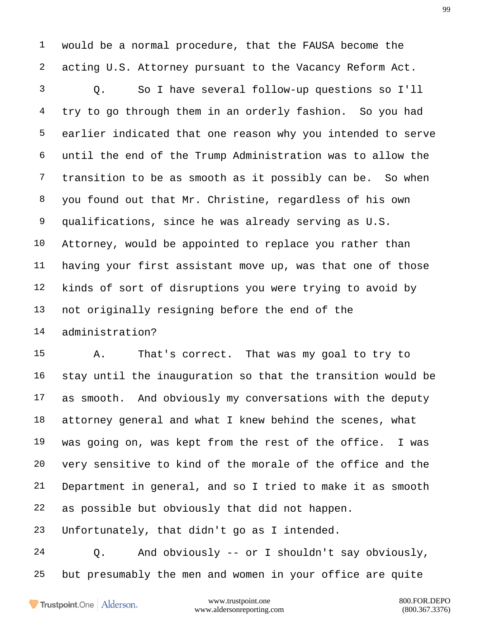would be a normal procedure, that the FAUSA become the acting U.S. Attorney pursuant to the Vacancy Reform Act.

 Q. So I have several follow-up questions so I'll try to go through them in an orderly fashion. So you had earlier indicated that one reason why you intended to serve until the end of the Trump Administration was to allow the transition to be as smooth as it possibly can be. So when you found out that Mr. Christine, regardless of his own qualifications, since he was already serving as U.S. Attorney, would be appointed to replace you rather than having your first assistant move up, was that one of those kinds of sort of disruptions you were trying to avoid by not originally resigning before the end of the administration?

 A. That's correct. That was my goal to try to stay until the inauguration so that the transition would be as smooth. And obviously my conversations with the deputy attorney general and what I knew behind the scenes, what was going on, was kept from the rest of the office. I was very sensitive to kind of the morale of the office and the Department in general, and so I tried to make it as smooth as possible but obviously that did not happen.

Unfortunately, that didn't go as I intended.

 Q. And obviously -- or I shouldn't say obviously, but presumably the men and women in your office are quite

Trustpoint.One Alderson.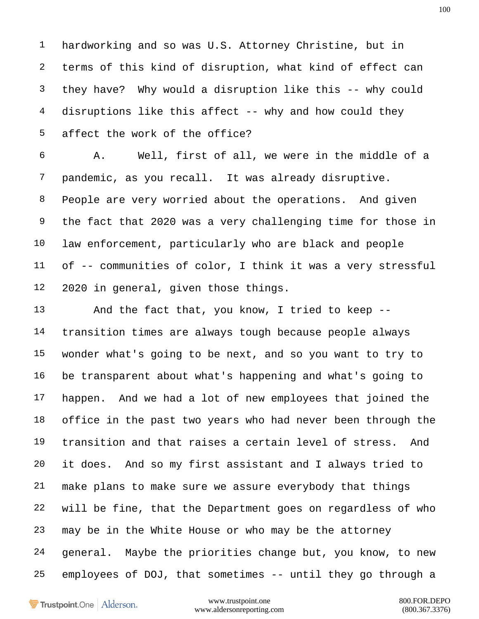hardworking and so was U.S. Attorney Christine, but in terms of this kind of disruption, what kind of effect can they have? Why would a disruption like this -- why could disruptions like this affect -- why and how could they affect the work of the office?

 A. Well, first of all, we were in the middle of a pandemic, as you recall. It was already disruptive. People are very worried about the operations. And given the fact that 2020 was a very challenging time for those in law enforcement, particularly who are black and people of -- communities of color, I think it was a very stressful 2020 in general, given those things.

13 And the fact that, you know, I tried to keep -- transition times are always tough because people always wonder what's going to be next, and so you want to try to be transparent about what's happening and what's going to happen. And we had a lot of new employees that joined the office in the past two years who had never been through the transition and that raises a certain level of stress. And it does. And so my first assistant and I always tried to make plans to make sure we assure everybody that things will be fine, that the Department goes on regardless of who may be in the White House or who may be the attorney general. Maybe the priorities change but, you know, to new employees of DOJ, that sometimes -- until they go through a

**Trustpoint**.One Alderson.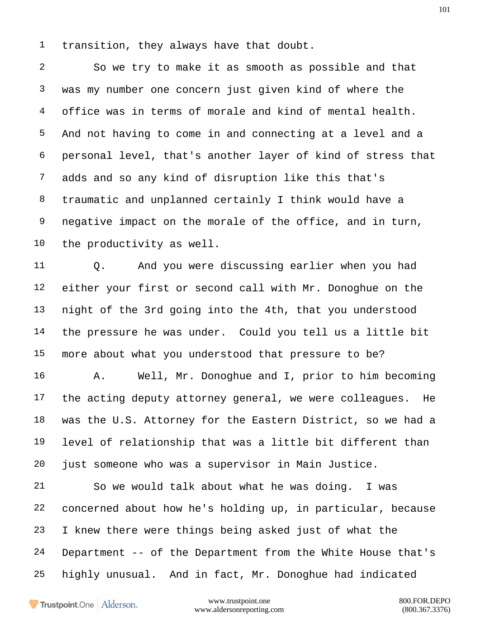transition, they always have that doubt.

 So we try to make it as smooth as possible and that was my number one concern just given kind of where the office was in terms of morale and kind of mental health. And not having to come in and connecting at a level and a personal level, that's another layer of kind of stress that adds and so any kind of disruption like this that's traumatic and unplanned certainly I think would have a negative impact on the morale of the office, and in turn, the productivity as well.

 Q. And you were discussing earlier when you had either your first or second call with Mr. Donoghue on the night of the 3rd going into the 4th, that you understood the pressure he was under. Could you tell us a little bit more about what you understood that pressure to be?

 A. Well, Mr. Donoghue and I, prior to him becoming the acting deputy attorney general, we were colleagues. He was the U.S. Attorney for the Eastern District, so we had a level of relationship that was a little bit different than just someone who was a supervisor in Main Justice.

 So we would talk about what he was doing. I was concerned about how he's holding up, in particular, because I knew there were things being asked just of what the Department -- of the Department from the White House that's highly unusual. And in fact, Mr. Donoghue had indicated

Trustpoint.One Alderson.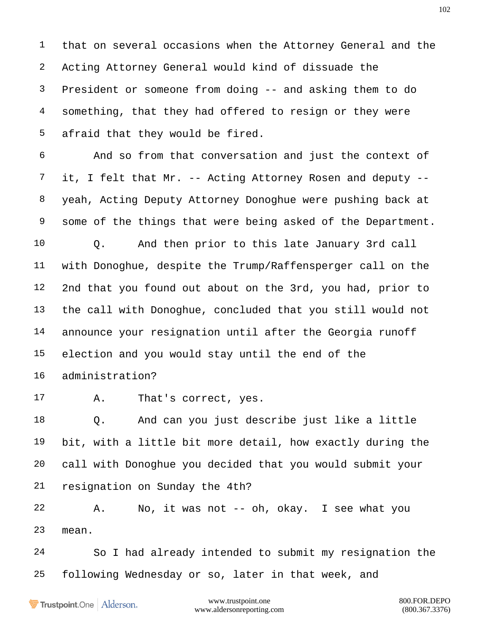that on several occasions when the Attorney General and the Acting Attorney General would kind of dissuade the President or someone from doing -- and asking them to do something, that they had offered to resign or they were afraid that they would be fired.

 And so from that conversation and just the context of it, I felt that Mr. -- Acting Attorney Rosen and deputy -- yeah, Acting Deputy Attorney Donoghue were pushing back at 9 some of the things that were being asked of the Department.

 Q. And then prior to this late January 3rd call with Donoghue, despite the Trump/Raffensperger call on the 2nd that you found out about on the 3rd, you had, prior to the call with Donoghue, concluded that you still would not announce your resignation until after the Georgia runoff election and you would stay until the end of the administration?

A. That's correct, yes.

 Q. And can you just describe just like a little bit, with a little bit more detail, how exactly during the call with Donoghue you decided that you would submit your resignation on Sunday the 4th?

 A. No, it was not -- oh, okay. I see what you mean.

 So I had already intended to submit my resignation the following Wednesday or so, later in that week, and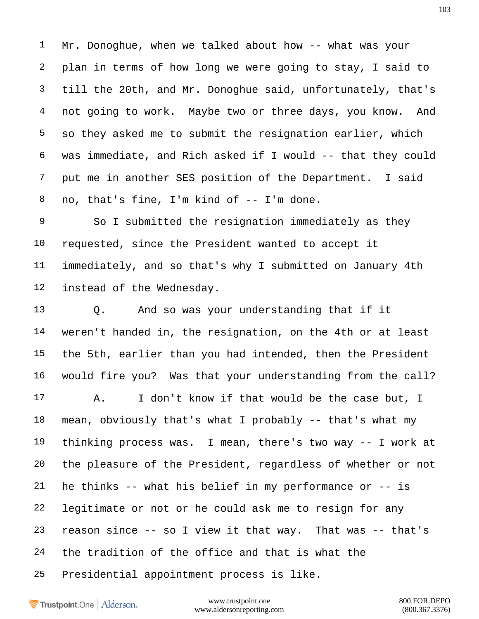Mr. Donoghue, when we talked about how -- what was your plan in terms of how long we were going to stay, I said to till the 20th, and Mr. Donoghue said, unfortunately, that's not going to work. Maybe two or three days, you know. And so they asked me to submit the resignation earlier, which was immediate, and Rich asked if I would -- that they could put me in another SES position of the Department. I said no, that's fine, I'm kind of -- I'm done.

 So I submitted the resignation immediately as they requested, since the President wanted to accept it immediately, and so that's why I submitted on January 4th instead of the Wednesday.

 Q. And so was your understanding that if it weren't handed in, the resignation, on the 4th or at least the 5th, earlier than you had intended, then the President would fire you? Was that your understanding from the call? A. I don't know if that would be the case but, I mean, obviously that's what I probably -- that's what my thinking process was. I mean, there's two way -- I work at the pleasure of the President, regardless of whether or not he thinks -- what his belief in my performance or -- is legitimate or not or he could ask me to resign for any reason since -- so I view it that way. That was -- that's the tradition of the office and that is what the Presidential appointment process is like.

**Trustpoint**.One Alderson.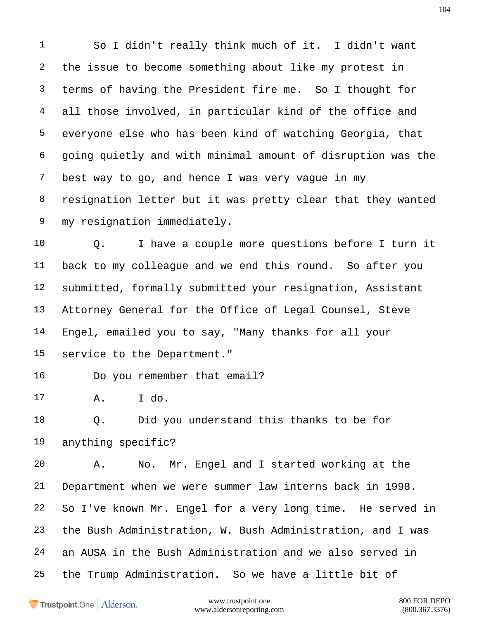So I didn't really think much of it. I didn't want the issue to become something about like my protest in terms of having the President fire me. So I thought for all those involved, in particular kind of the office and everyone else who has been kind of watching Georgia, that going quietly and with minimal amount of disruption was the best way to go, and hence I was very vague in my resignation letter but it was pretty clear that they wanted my resignation immediately.

 Q. I have a couple more questions before I turn it back to my colleague and we end this round. So after you submitted, formally submitted your resignation, Assistant Attorney General for the Office of Legal Counsel, Steve Engel, emailed you to say, "Many thanks for all your service to the Department."

Do you remember that email?

A. I do.

 Q. Did you understand this thanks to be for anything specific?

 A. No. Mr. Engel and I started working at the Department when we were summer law interns back in 1998. So I've known Mr. Engel for a very long time. He served in the Bush Administration, W. Bush Administration, and I was an AUSA in the Bush Administration and we also served in the Trump Administration. So we have a little bit of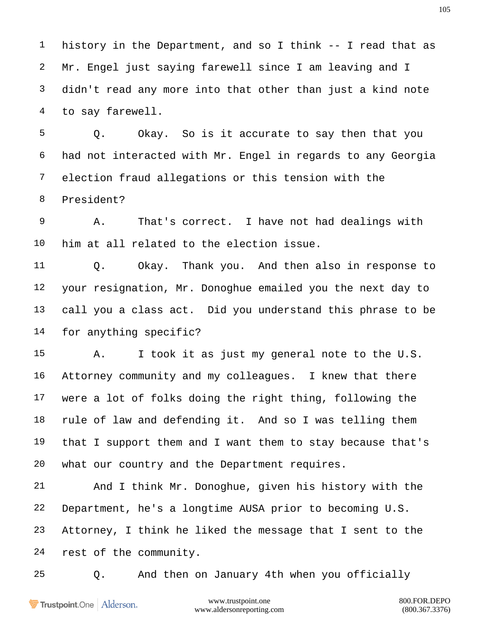history in the Department, and so I think -- I read that as Mr. Engel just saying farewell since I am leaving and I didn't read any more into that other than just a kind note to say farewell.

 Q. Okay. So is it accurate to say then that you had not interacted with Mr. Engel in regards to any Georgia election fraud allegations or this tension with the President?

 A. That's correct. I have not had dealings with him at all related to the election issue.

 Q. Okay. Thank you. And then also in response to your resignation, Mr. Donoghue emailed you the next day to call you a class act. Did you understand this phrase to be for anything specific?

 A. I took it as just my general note to the U.S. Attorney community and my colleagues. I knew that there were a lot of folks doing the right thing, following the rule of law and defending it. And so I was telling them that I support them and I want them to stay because that's what our country and the Department requires.

 And I think Mr. Donoghue, given his history with the Department, he's a longtime AUSA prior to becoming U.S. Attorney, I think he liked the message that I sent to the rest of the community.

Q. And then on January 4th when you officially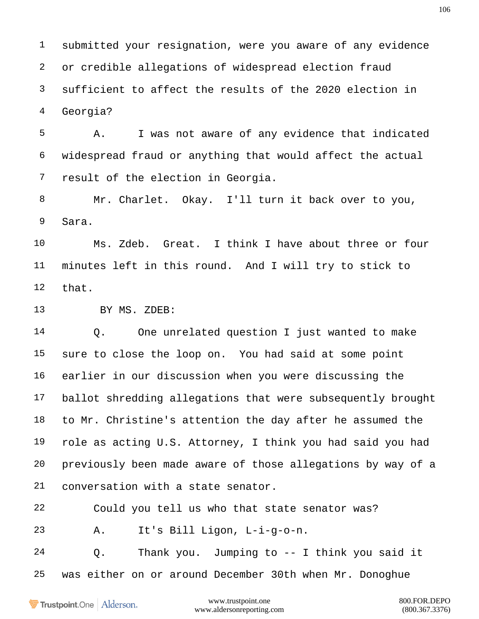submitted your resignation, were you aware of any evidence or credible allegations of widespread election fraud sufficient to affect the results of the 2020 election in Georgia?

 A. I was not aware of any evidence that indicated widespread fraud or anything that would affect the actual result of the election in Georgia.

 Mr. Charlet. Okay. I'll turn it back over to you, Sara.

 Ms. Zdeb. Great. I think I have about three or four minutes left in this round. And I will try to stick to that.

BY MS. ZDEB:

 Q. One unrelated question I just wanted to make sure to close the loop on. You had said at some point earlier in our discussion when you were discussing the ballot shredding allegations that were subsequently brought to Mr. Christine's attention the day after he assumed the role as acting U.S. Attorney, I think you had said you had previously been made aware of those allegations by way of a conversation with a state senator.

 Could you tell us who that state senator was? A. It's Bill Ligon, L-i-g-o-n.

 Q. Thank you. Jumping to -- I think you said it was either on or around December 30th when Mr. Donoghue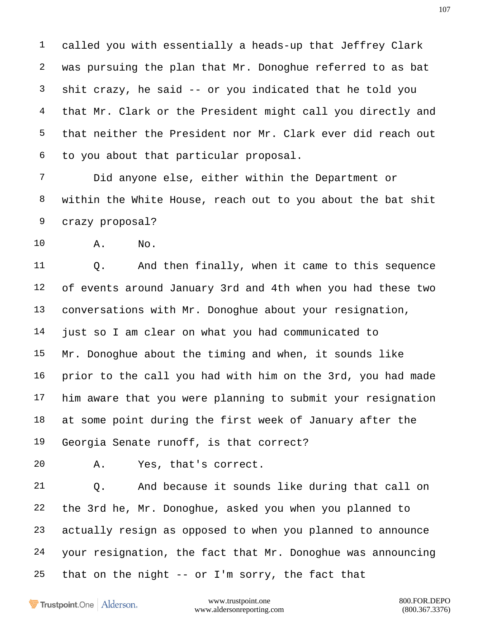called you with essentially a heads-up that Jeffrey Clark was pursuing the plan that Mr. Donoghue referred to as bat shit crazy, he said -- or you indicated that he told you that Mr. Clark or the President might call you directly and that neither the President nor Mr. Clark ever did reach out to you about that particular proposal.

 Did anyone else, either within the Department or within the White House, reach out to you about the bat shit crazy proposal?

A. No.

 Q. And then finally, when it came to this sequence of events around January 3rd and 4th when you had these two conversations with Mr. Donoghue about your resignation, just so I am clear on what you had communicated to Mr. Donoghue about the timing and when, it sounds like prior to the call you had with him on the 3rd, you had made him aware that you were planning to submit your resignation at some point during the first week of January after the Georgia Senate runoff, is that correct?

A. Yes, that's correct.

 Q. And because it sounds like during that call on the 3rd he, Mr. Donoghue, asked you when you planned to actually resign as opposed to when you planned to announce your resignation, the fact that Mr. Donoghue was announcing that on the night -- or I'm sorry, the fact that

Trustpoint.One Alderson.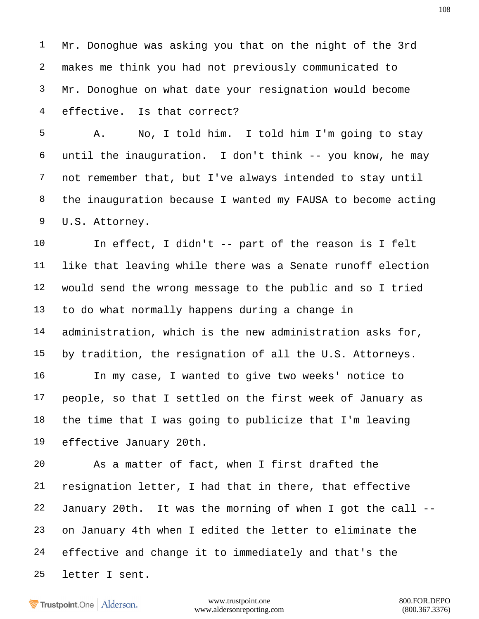Mr. Donoghue was asking you that on the night of the 3rd makes me think you had not previously communicated to Mr. Donoghue on what date your resignation would become effective. Is that correct?

 A. No, I told him. I told him I'm going to stay until the inauguration. I don't think -- you know, he may not remember that, but I've always intended to stay until the inauguration because I wanted my FAUSA to become acting U.S. Attorney.

 In effect, I didn't -- part of the reason is I felt like that leaving while there was a Senate runoff election would send the wrong message to the public and so I tried to do what normally happens during a change in administration, which is the new administration asks for, by tradition, the resignation of all the U.S. Attorneys.

 In my case, I wanted to give two weeks' notice to people, so that I settled on the first week of January as the time that I was going to publicize that I'm leaving effective January 20th.

 As a matter of fact, when I first drafted the resignation letter, I had that in there, that effective January 20th. It was the morning of when I got the call -- on January 4th when I edited the letter to eliminate the effective and change it to immediately and that's the letter I sent.

**Trustpoint**.One Alderson.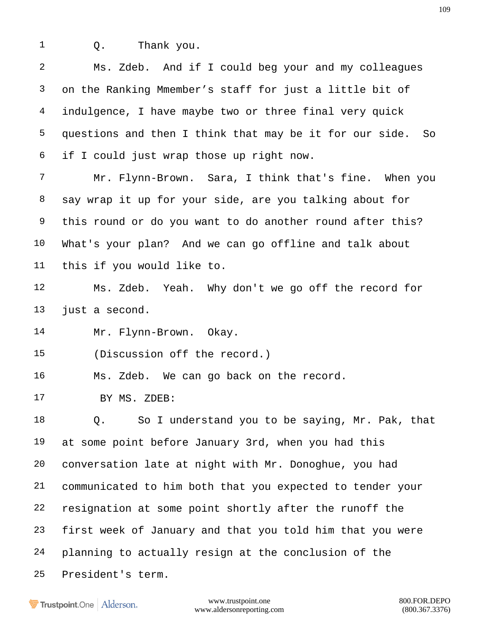1 0. Thank you. Ms. Zdeb. And if I could beg your and my colleagues on the Ranking Mmember's staff for just a little bit of 4 indulgence, I have maybe two or three final very quick questions and then I think that may be it for our side. So if I could just wrap those up right now. Mr. Flynn-Brown. Sara, I think that's fine. When you say wrap it up for your side, are you talking about for this round or do you want to do another round after this? What's your plan? And we can go offline and talk about this if you would like to. Ms. Zdeb. Yeah. Why don't we go off the record for just a second. Mr. Flynn-Brown. Okay. (Discussion off the record.) Ms. Zdeb. We can go back on the record. BY MS. ZDEB: 18 0. So I understand you to be saying, Mr. Pak, that at some point before January 3rd, when you had this conversation late at night with Mr. Donoghue, you had communicated to him both that you expected to tender your resignation at some point shortly after the runoff the first week of January and that you told him that you were planning to actually resign at the conclusion of the President's term.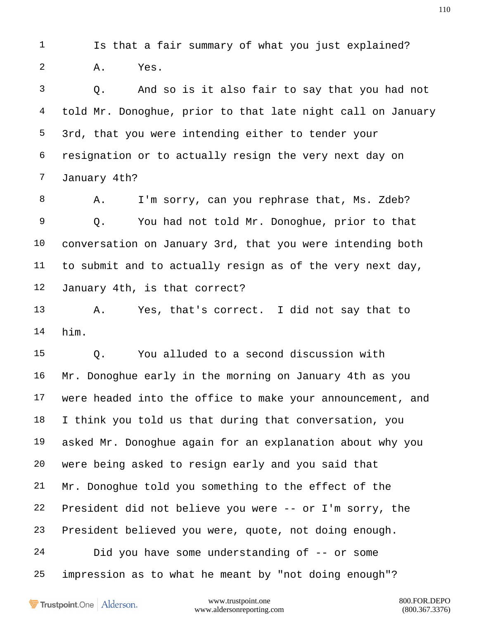Is that a fair summary of what you just explained? A. Yes.

 Q. And so is it also fair to say that you had not told Mr. Donoghue, prior to that late night call on January 3rd, that you were intending either to tender your resignation or to actually resign the very next day on January 4th?

8 A. I'm sorry, can you rephrase that, Ms. Zdeb? Q. You had not told Mr. Donoghue, prior to that conversation on January 3rd, that you were intending both to submit and to actually resign as of the very next day, January 4th, is that correct?

 A. Yes, that's correct. I did not say that to him.

 Q. You alluded to a second discussion with Mr. Donoghue early in the morning on January 4th as you were headed into the office to make your announcement, and I think you told us that during that conversation, you asked Mr. Donoghue again for an explanation about why you were being asked to resign early and you said that Mr. Donoghue told you something to the effect of the President did not believe you were -- or I'm sorry, the President believed you were, quote, not doing enough. 24 Did you have some understanding of -- or some impression as to what he meant by "not doing enough"?

Trustpoint.One Alderson.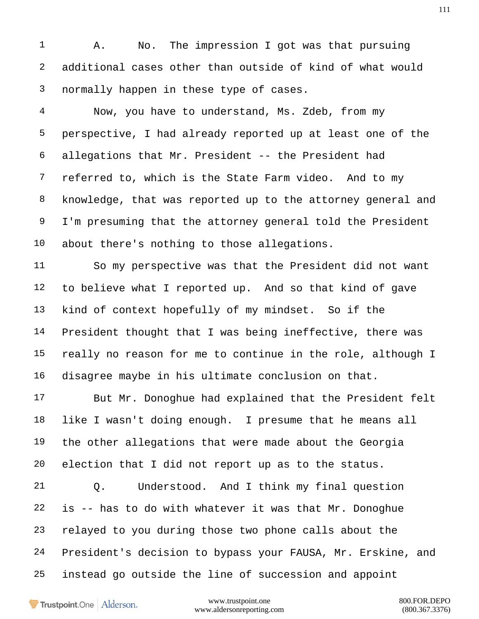A. No. The impression I got was that pursuing additional cases other than outside of kind of what would normally happen in these type of cases.

 Now, you have to understand, Ms. Zdeb, from my perspective, I had already reported up at least one of the allegations that Mr. President -- the President had referred to, which is the State Farm video. And to my knowledge, that was reported up to the attorney general and 9 I'm presuming that the attorney general told the President about there's nothing to those allegations.

 So my perspective was that the President did not want to believe what I reported up. And so that kind of gave kind of context hopefully of my mindset. So if the President thought that I was being ineffective, there was really no reason for me to continue in the role, although I disagree maybe in his ultimate conclusion on that.

 But Mr. Donoghue had explained that the President felt like I wasn't doing enough. I presume that he means all the other allegations that were made about the Georgia election that I did not report up as to the status.

 Q. Understood. And I think my final question is -- has to do with whatever it was that Mr. Donoghue relayed to you during those two phone calls about the President's decision to bypass your FAUSA, Mr. Erskine, and instead go outside the line of succession and appoint

Trustpoint.One Alderson.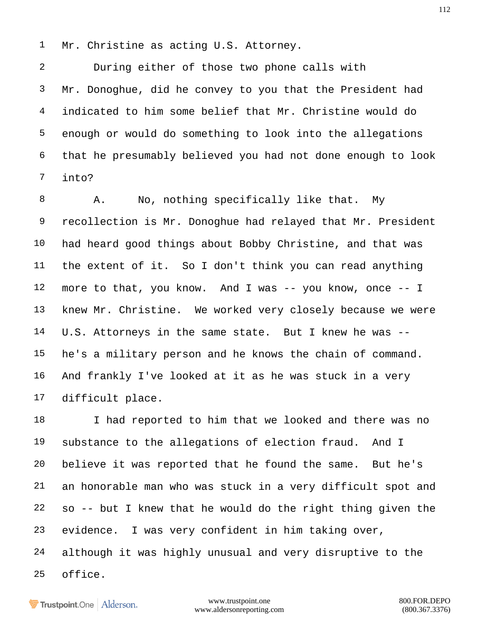Mr. Christine as acting U.S. Attorney.

 During either of those two phone calls with Mr. Donoghue, did he convey to you that the President had indicated to him some belief that Mr. Christine would do enough or would do something to look into the allegations that he presumably believed you had not done enough to look into?

 A. No, nothing specifically like that. My recollection is Mr. Donoghue had relayed that Mr. President had heard good things about Bobby Christine, and that was the extent of it. So I don't think you can read anything more to that, you know. And I was -- you know, once -- I knew Mr. Christine. We worked very closely because we were U.S. Attorneys in the same state. But I knew he was -- he's a military person and he knows the chain of command. And frankly I've looked at it as he was stuck in a very difficult place.

 I had reported to him that we looked and there was no substance to the allegations of election fraud. And I believe it was reported that he found the same. But he's an honorable man who was stuck in a very difficult spot and so -- but I knew that he would do the right thing given the evidence. I was very confident in him taking over, although it was highly unusual and very disruptive to the office.

**Trustpoint**.One Alderson.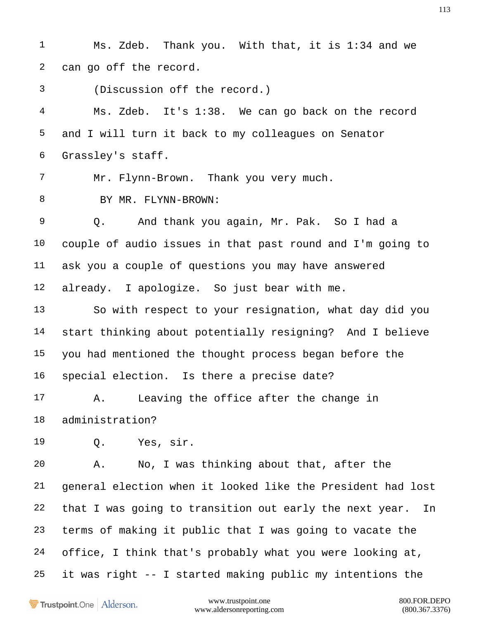Ms. Zdeb. Thank you. With that, it is 1:34 and we can go off the record.

(Discussion off the record.)

 Ms. Zdeb. It's 1:38. We can go back on the record and I will turn it back to my colleagues on Senator Grassley's staff.

Mr. Flynn-Brown. Thank you very much.

8 BY MR. FLYNN-BROWN:

 Q. And thank you again, Mr. Pak. So I had a couple of audio issues in that past round and I'm going to ask you a couple of questions you may have answered already. I apologize. So just bear with me.

 So with respect to your resignation, what day did you start thinking about potentially resigning? And I believe you had mentioned the thought process began before the special election. Is there a precise date?

 A. Leaving the office after the change in administration?

Q. Yes, sir.

 A. No, I was thinking about that, after the general election when it looked like the President had lost that I was going to transition out early the next year. In terms of making it public that I was going to vacate the office, I think that's probably what you were looking at, it was right -- I started making public my intentions the

Trustpoint.One Alderson.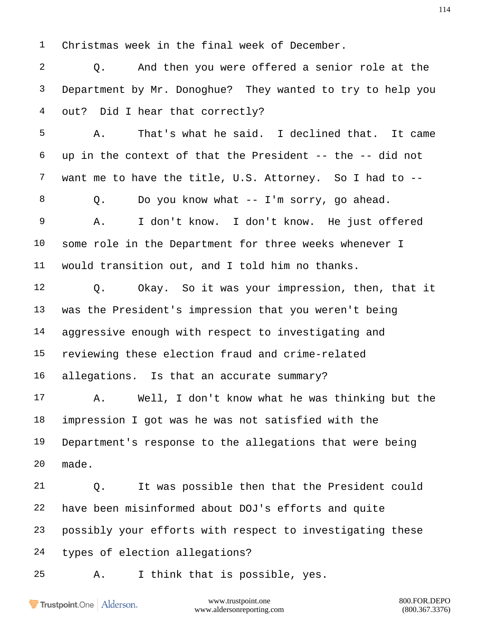Christmas week in the final week of December.

 Q. And then you were offered a senior role at the Department by Mr. Donoghue? They wanted to try to help you out? Did I hear that correctly?

 A. That's what he said. I declined that. It came up in the context of that the President -- the -- did not want me to have the title, U.S. Attorney. So I had to -- Q. Do you know what -- I'm sorry, go ahead.

 A. I don't know. I don't know. He just offered some role in the Department for three weeks whenever I would transition out, and I told him no thanks.

 Q. Okay. So it was your impression, then, that it was the President's impression that you weren't being aggressive enough with respect to investigating and reviewing these election fraud and crime-related allegations. Is that an accurate summary?

 A. Well, I don't know what he was thinking but the impression I got was he was not satisfied with the Department's response to the allegations that were being made.

 Q. It was possible then that the President could have been misinformed about DOJ's efforts and quite possibly your efforts with respect to investigating these types of election allegations?

A. I think that is possible, yes.

Trustpoint.One Alderson.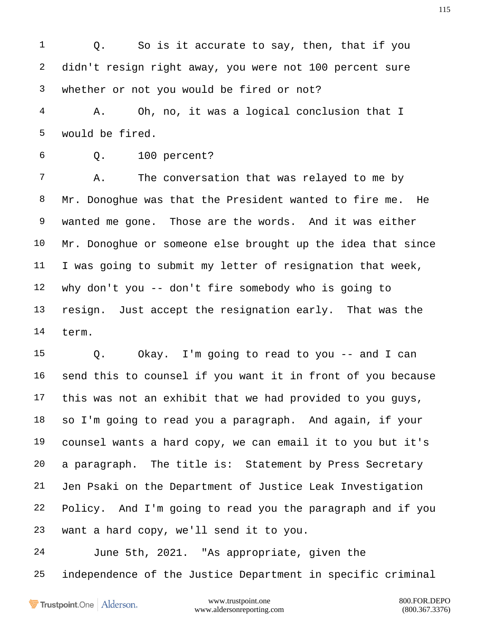1 Q. So is it accurate to say, then, that if you didn't resign right away, you were not 100 percent sure whether or not you would be fired or not?

 A. Oh, no, it was a logical conclusion that I would be fired.

Q. 100 percent?

 A. The conversation that was relayed to me by Mr. Donoghue was that the President wanted to fire me. He wanted me gone. Those are the words. And it was either Mr. Donoghue or someone else brought up the idea that since I was going to submit my letter of resignation that week, why don't you -- don't fire somebody who is going to resign. Just accept the resignation early. That was the term.

 Q. Okay. I'm going to read to you -- and I can send this to counsel if you want it in front of you because this was not an exhibit that we had provided to you guys, so I'm going to read you a paragraph. And again, if your counsel wants a hard copy, we can email it to you but it's a paragraph. The title is: Statement by Press Secretary Jen Psaki on the Department of Justice Leak Investigation Policy. And I'm going to read you the paragraph and if you want a hard copy, we'll send it to you.

 June 5th, 2021. "As appropriate, given the independence of the Justice Department in specific criminal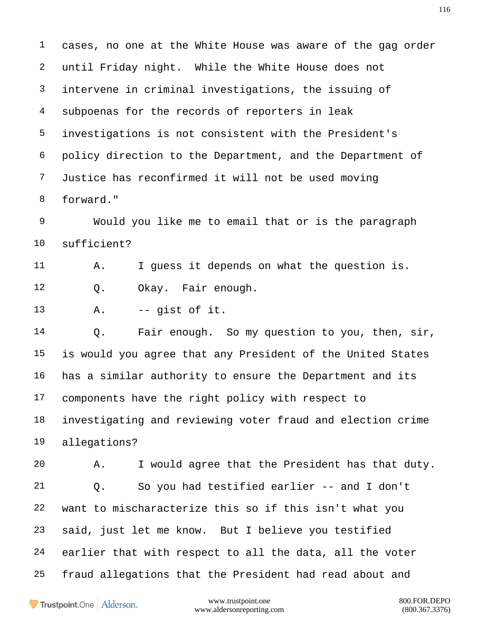cases, no one at the White House was aware of the gag order until Friday night. While the White House does not intervene in criminal investigations, the issuing of subpoenas for the records of reporters in leak investigations is not consistent with the President's policy direction to the Department, and the Department of Justice has reconfirmed it will not be used moving forward."

 Would you like me to email that or is the paragraph sufficient?

A. I guess it depends on what the question is.

12 0. Okay. Fair enough.

A. -- gist of it.

 Q. Fair enough. So my question to you, then, sir, is would you agree that any President of the United States has a similar authority to ensure the Department and its components have the right policy with respect to investigating and reviewing voter fraud and election crime allegations?

 A. I would agree that the President has that duty. Q. So you had testified earlier -- and I don't want to mischaracterize this so if this isn't what you said, just let me know. But I believe you testified earlier that with respect to all the data, all the voter fraud allegations that the President had read about and

Trustpoint.One Alderson.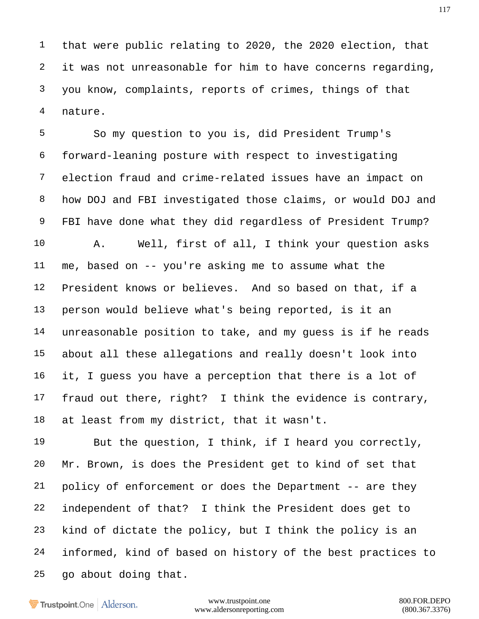that were public relating to 2020, the 2020 election, that it was not unreasonable for him to have concerns regarding, you know, complaints, reports of crimes, things of that nature.

 So my question to you is, did President Trump's forward-leaning posture with respect to investigating election fraud and crime-related issues have an impact on how DOJ and FBI investigated those claims, or would DOJ and FBI have done what they did regardless of President Trump? A. Well, first of all, I think your question asks me, based on -- you're asking me to assume what the President knows or believes. And so based on that, if a person would believe what's being reported, is it an unreasonable position to take, and my guess is if he reads about all these allegations and really doesn't look into it, I guess you have a perception that there is a lot of fraud out there, right? I think the evidence is contrary, at least from my district, that it wasn't.

 But the question, I think, if I heard you correctly, Mr. Brown, is does the President get to kind of set that policy of enforcement or does the Department -- are they independent of that? I think the President does get to kind of dictate the policy, but I think the policy is an informed, kind of based on history of the best practices to go about doing that.

Trustpoint.One Alderson.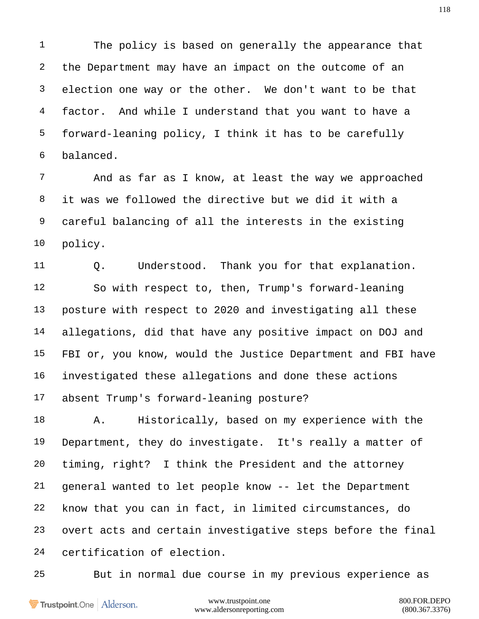The policy is based on generally the appearance that the Department may have an impact on the outcome of an election one way or the other. We don't want to be that factor. And while I understand that you want to have a forward-leaning policy, I think it has to be carefully balanced.

 And as far as I know, at least the way we approached it was we followed the directive but we did it with a careful balancing of all the interests in the existing policy.

 Q. Understood. Thank you for that explanation. So with respect to, then, Trump's forward-leaning posture with respect to 2020 and investigating all these allegations, did that have any positive impact on DOJ and FBI or, you know, would the Justice Department and FBI have investigated these allegations and done these actions absent Trump's forward-leaning posture?

 A. Historically, based on my experience with the Department, they do investigate. It's really a matter of timing, right? I think the President and the attorney general wanted to let people know -- let the Department know that you can in fact, in limited circumstances, do overt acts and certain investigative steps before the final certification of election.

But in normal due course in my previous experience as

Trustpoint.One Alderson.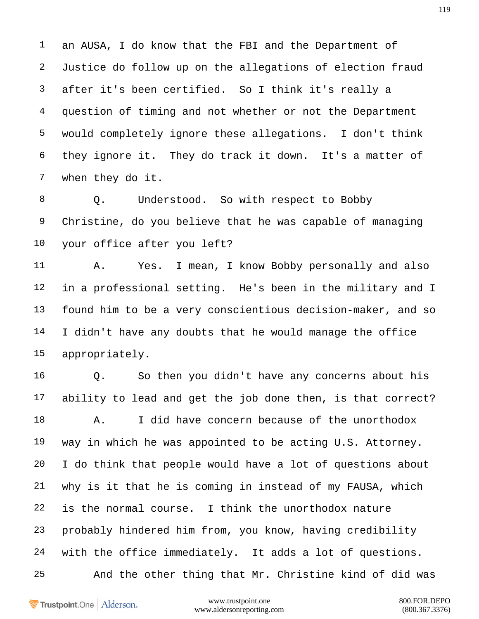an AUSA, I do know that the FBI and the Department of Justice do follow up on the allegations of election fraud after it's been certified. So I think it's really a question of timing and not whether or not the Department would completely ignore these allegations. I don't think they ignore it. They do track it down. It's a matter of when they do it.

 Q. Understood. So with respect to Bobby Christine, do you believe that he was capable of managing your office after you left?

 A. Yes. I mean, I know Bobby personally and also in a professional setting. He's been in the military and I found him to be a very conscientious decision-maker, and so I didn't have any doubts that he would manage the office appropriately.

 Q. So then you didn't have any concerns about his ability to lead and get the job done then, is that correct? 18 A. I did have concern because of the unorthodox way in which he was appointed to be acting U.S. Attorney. I do think that people would have a lot of questions about why is it that he is coming in instead of my FAUSA, which is the normal course. I think the unorthodox nature probably hindered him from, you know, having credibility with the office immediately. It adds a lot of questions. And the other thing that Mr. Christine kind of did was

Trustpoint.One Alderson.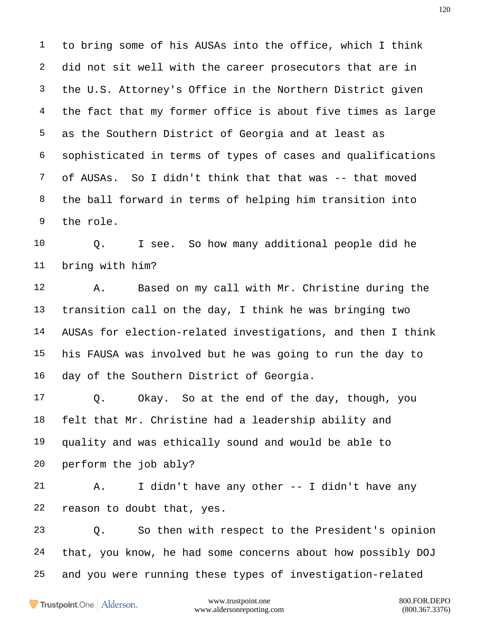to bring some of his AUSAs into the office, which I think did not sit well with the career prosecutors that are in the U.S. Attorney's Office in the Northern District given 4 the fact that my former office is about five times as large as the Southern District of Georgia and at least as sophisticated in terms of types of cases and qualifications of AUSAs. So I didn't think that that was -- that moved the ball forward in terms of helping him transition into the role.

 Q. I see. So how many additional people did he bring with him?

 A. Based on my call with Mr. Christine during the transition call on the day, I think he was bringing two AUSAs for election-related investigations, and then I think his FAUSA was involved but he was going to run the day to day of the Southern District of Georgia.

 Q. Okay. So at the end of the day, though, you felt that Mr. Christine had a leadership ability and quality and was ethically sound and would be able to perform the job ably?

 A. I didn't have any other -- I didn't have any reason to doubt that, yes.

 Q. So then with respect to the President's opinion that, you know, he had some concerns about how possibly DOJ and you were running these types of investigation-related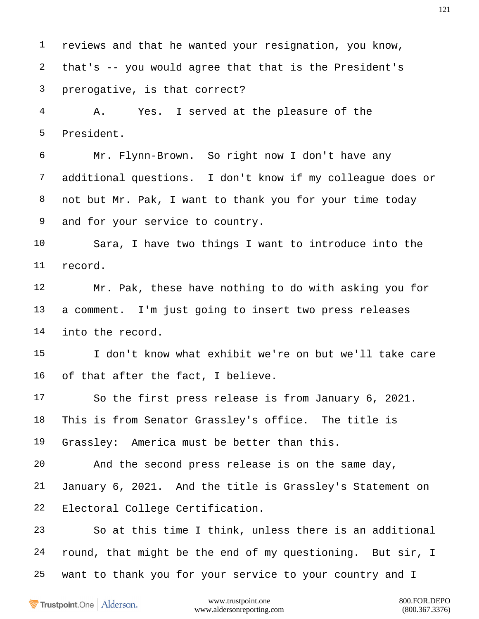that's -- you would agree that that is the President's prerogative, is that correct?

reviews and that he wanted your resignation, you know,

 A. Yes. I served at the pleasure of the President.

 Mr. Flynn-Brown. So right now I don't have any additional questions. I don't know if my colleague does or not but Mr. Pak, I want to thank you for your time today and for your service to country.

 Sara, I have two things I want to introduce into the record.

 Mr. Pak, these have nothing to do with asking you for a comment. I'm just going to insert two press releases into the record.

 I don't know what exhibit we're on but we'll take care of that after the fact, I believe.

 So the first press release is from January 6, 2021. This is from Senator Grassley's office. The title is Grassley: America must be better than this.

 And the second press release is on the same day, January 6, 2021. And the title is Grassley's Statement on Electoral College Certification.

 So at this time I think, unless there is an additional round, that might be the end of my questioning. But sir, I want to thank you for your service to your country and I

**Trustpoint**.One Alderson.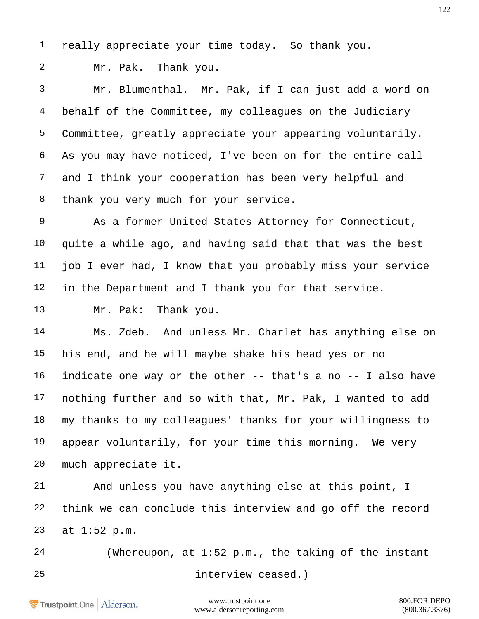really appreciate your time today. So thank you.

Mr. Pak. Thank you.

 Mr. Blumenthal. Mr. Pak, if I can just add a word on behalf of the Committee, my colleagues on the Judiciary Committee, greatly appreciate your appearing voluntarily. As you may have noticed, I've been on for the entire call and I think your cooperation has been very helpful and thank you very much for your service.

 As a former United States Attorney for Connecticut, quite a while ago, and having said that that was the best job I ever had, I know that you probably miss your service 12 in the Department and I thank you for that service.

Mr. Pak: Thank you.

 Ms. Zdeb. And unless Mr. Charlet has anything else on his end, and he will maybe shake his head yes or no indicate one way or the other -- that's a no -- I also have nothing further and so with that, Mr. Pak, I wanted to add my thanks to my colleagues' thanks for your willingness to appear voluntarily, for your time this morning. We very much appreciate it.

 And unless you have anything else at this point, I think we can conclude this interview and go off the record at 1:52 p.m.

 (Whereupon, at 1:52 p.m., the taking of the instant interview ceased.)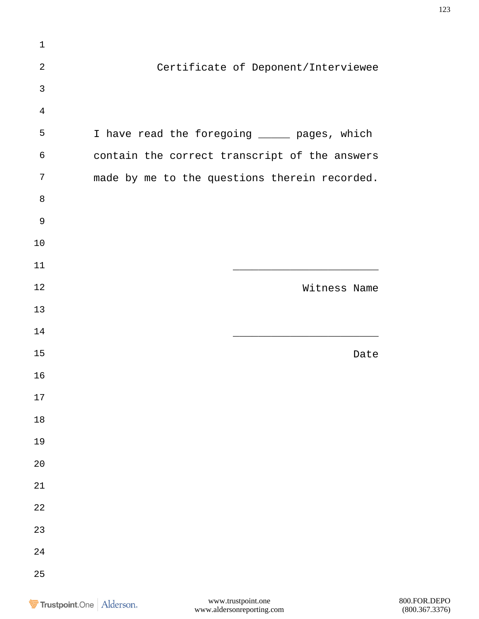| $1\,$          |                                               |
|----------------|-----------------------------------------------|
| $\sqrt{2}$     | Certificate of Deponent/Interviewee           |
| $\mathsf 3$    |                                               |
| $\overline{4}$ |                                               |
| 5              | I have read the foregoing ______ pages, which |
| 6              | contain the correct transcript of the answers |
| 7              | made by me to the questions therein recorded. |
| $\,8\,$        |                                               |
| $\mathsf 9$    |                                               |
| 10             |                                               |
| 11             |                                               |
| $12$           | Witness Name                                  |
| 13             |                                               |
| 14             |                                               |
| 15             | Date                                          |
| 16             |                                               |
| $17\,$         |                                               |
| $18\,$         |                                               |
| 19             |                                               |
| $2\,0$         |                                               |
| $2\sqrt{1}$    |                                               |
| 22             |                                               |
| 23             |                                               |
| $2\sqrt{4}$    |                                               |
| 25             |                                               |
|                |                                               |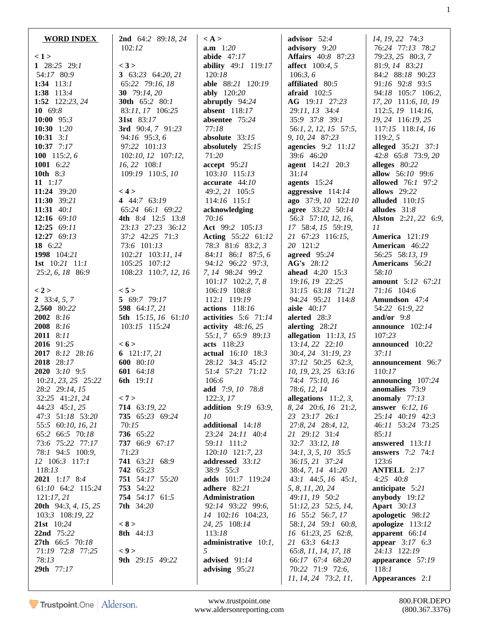| <b>WORD INDEX</b>              | <b>2nd</b> $64:2$ 89:18, 24          | $\langle A \rangle$                          | advisor $52:4$                           | 14, 19, 22 74:3                          |
|--------------------------------|--------------------------------------|----------------------------------------------|------------------------------------------|------------------------------------------|
|                                | 102:12                               | <b>a.m</b> $1:20$                            | advisory 9:20                            | 76:24 77:13 78:2                         |
| 1>                             |                                      | abide $47:17$                                | <b>Affairs</b> 40:8 87:23                | 79:23, 25 80:3, 7                        |
| 1 28:25 29:1                   | < 3 >                                | ability 49:1 119:17                          | <b>affect</b> 100:4, 5                   | 81:9, 14 83:21                           |
| 54:17 80:9                     | 3 63:23 64:20, 21                    | 120:18                                       | 106:3, 6                                 | 84:2 88:18 90:23                         |
| 1:34 $113:1$                   | 65:22 79:16, 18                      | able 88:21 120:19                            | affiliated 80:5                          | 91:16 92:8 93:5                          |
| 1:38 113:4                     | 30 $79:14,20$                        | <b>ably</b> 120:20                           | afraid $102:5$                           | 94:18 105:7 106:2,                       |
| 1:52 122:23, 24                | <b>30th</b> 65:2 80:1                | abruptly $94:24$                             | AG 19:11 27:23                           | 17, 20 111:6, 10, 19                     |
| $10 \quad 69:8$                | 83:11, 17 106:25                     | <b>absent</b> 118:17                         | 29:11, 13 34:4                           | 112:5, 19 114:16,                        |
| 10:00 $95:3$                   | 31st 83:17                           | absentee $75:24$                             | 35:9 37:8 39:1                           | 19, 24 116:19, 25                        |
| 10:30 $1:20$                   | 3rd 90:4, 7 91:23                    | 77:18                                        | 56:1, 2, 12, 15 57:5,                    | 117:15 118:14, 16                        |
| 10:31 $3:1$                    | 94:16 95:3,6                         | absolute $33:15$                             | 9, 10, 24 87:23                          | 119:2, 5                                 |
| 10:37 $7:17$                   | 97:22 101:13                         | absolutely $25:15$<br>71:20                  | <b>agencies</b> 9:2 11:12<br>39:6 46:20  | alleged 35:21 37:1<br>42:8 65:8 73:9, 20 |
| 100 115:2, $6$<br>1001 6:22    | 102:10, 12 107:12,<br>$16, 22$ 108:1 | accept 95:21                                 | <b>agent</b> 14:21 20:3                  | alleges 80:22                            |
| 10th $8:3$                     | 109:19 110:5, 10                     | 103:10 115:13                                | 31:14                                    | allow 56:10 99:6                         |
| 11 $1:17$                      |                                      | $accurate$ 44:10                             | agents 15:24                             | allowed 76:1 97:2                        |
| 11:24 39:20                    | < 4>                                 | 49:2, 21 105:5                               | aggressive 114:14                        | allows 29:22                             |
| 11:30 $39:21$                  | 4 44:7 63:19                         | 114:16 115:1                                 | ago 37:9, 10 122:10                      | alluded $110:15$                         |
| 11:31 $40:1$                   | 65:24 66:1 69:22                     | acknowledging                                | agree 33:22 50:14                        | alludes $31:8$                           |
| 12:16 69:10                    | 4th 8:4 12:5 13:8                    | 70:16                                        | 56:3 57:10, 12, 16,                      | <b>Alston</b> 2:21, 22 6:9,              |
| $12:25$ 69:11                  | 23:13 27:23 36:12                    | Act 99:2 105:13                              | 17 58:4, 15 59:19,                       | 11                                       |
| 12:27 69:13                    | 37:2 42:25 71:3                      | <b>Acting 55:22 61:12</b>                    | 21 67:23 116:15,                         | <b>America</b> 121:19                    |
| 18 6:22                        | 73:6 101:13                          | 78:3 81:6 83:2, 3                            | 20 121:2                                 | American 46:22                           |
| 1998 104:21                    | 102:21 103:11, 14                    | 84:11 86:1 87:5,6                            | agreed $95:24$                           | 56:25 58:13, 19                          |
| 1st $10:21$ 11:1               | 105:25 107:12                        | 94:12 96:22 97:3,                            | AG's 28:12                               | Americans 56:21                          |
| 25:2, 6, 18 86:9               | 108:23 110:7, 12, 16                 | 7, 14 98:24 99:2                             | <b>ahead</b> $4:20$ 15:3                 | 58:10                                    |
|                                |                                      | $101:17$ 102:2, 7, 8                         | 19:16, 19 22:25                          | <b>amount</b> 5:12 67:21                 |
| < 2 >                          | < 5 >                                | 106:19 108:8                                 | 31:15 63:18 71:21                        | 71:16 104:6                              |
| 2 $33:4, 5, 7$                 | 5 69:7 79:17                         | 112:1 119:19                                 | 94:24 95:21 114:8                        | <b>Amundson</b> 47:4                     |
| 2,560 80:22                    | 598 64:17, 21                        | <b>actions</b> 118:16                        | <b>aisle</b> 40:17                       | 54:22 61:9, 22                           |
| $2002$ 8:16                    | <b>5th</b> 15:15, 16 61:10           | activities $5:6$ 71:14                       | alerted $28:3$                           | and/or $9:8$                             |
| 2008 8:16                      | 103:15 115:24                        | activity $48:16, 25$                         | alerting $28:21$                         | announce $102:14$                        |
| 2011 8:11                      |                                      | 55:1, 7 65:9 89:13                           | allegation $11:13$ , 15                  | 107:23                                   |
| 2016 91:25                     | < 6>                                 | acts 118:23                                  | 13:14, 22 22:10                          | announced 10:22                          |
| 2017 8:12 28:16                | 6 $121:17,21$                        | actual 16:10 18:3                            | 30:4, 24 31:19, 23                       | 37:11                                    |
| 2018 28:17                     | 600 80:10                            | 28:12 34:3 45:12                             | $37:12$ $50:25$ $62:3$ ,                 | announcement 96:7                        |
| 2020 3:10 9:5                  | 601 64:18                            | 51:4 57:21 71:12                             | 10, 19, 23, 25 63:16                     | 110:17                                   |
| 10:21, 23, 25 25:22            | 6th 19:11                            | 106:6                                        | 74:4 75:10, 16                           | announcing 107:24                        |
| 28:2 29:14, 15                 |                                      | add 7:9, 10 78:8                             | 78:6, 12, 14                             | anomalies 73:9                           |
| 32:25 41:21, 24                | $\langle 7 \rangle$                  | 122:3, 17                                    | allegations $11:2, 3$ ,                  | anomaly $77:13$                          |
| 44:23 45:1, 25                 | 714 63:19, 22                        | addition 9:19 63:9,                          | 8, 24 20:6, 16 21:2,                     | <b>answer</b> 6:12, 16                   |
| 47:3 51:18 53:20               | 735 65:23 69:24                      | 10                                           | 23 23:17 26:1                            | 25:14 40:19 42:3                         |
| 55:5 60:10, 16, 21             | 70:15                                | additional 14:18                             | 27:8, 24 28:4, 12,                       | 46:11 53:24 73:25                        |
| 65:2 66:5 70:18                | 736 65:22                            | 23:24 24:11 40:4                             | 21 29:12 31:4                            | 85:11                                    |
| 73:6 75:22 77:17               | 737 66:9 67:17                       | 59:11 111:2                                  | 32:7 33:12, 18                           | answered 113:11                          |
| 78:1 94:5 100:9,               | 71:23                                | 120:10 121:7, 23                             | $34:1, 3, 5, 10$ 35:5                    | answers $7:2$ $74:1$                     |
| 12 106:3 117:1                 | 741 63:21 68:9                       | addressed 33:12                              | 36:15, 21 37:24                          | 123:6                                    |
| 118:13                         | 742 65:23<br>751 54:17 55:20         | 38:9 55:3                                    | 38:4, 7, 14 41:20                        | ANTELL 2:17                              |
| 2021 1:17 8:4                  | 753 54:22                            | adds 101:7 119:24                            | 43:1 44:5, 16 45:1,                      | $4:25$ $40:8$                            |
| 61:10 64:2 115:24<br>121:17,21 | 754 54:17 61:5                       | <b>adhere</b> 82:21<br><b>Administration</b> | 5, 8, 11, 20, 24<br>49:11, 19 50:2       | anticipate 5:21<br>anybody $19:12$       |
| <b>20th</b> 94:3, 4, 15, 25    | <b>7th</b> 34:20                     | 92:14 93:22 99:6,                            | 51:12, 23 52:5, 14,                      | <b>Apart</b> 30:13                       |
| 103:3 108:19, 22               |                                      | 14 102:16 104:23,                            | 16 55:2 56:7, 17                         | apologetic 98:12                         |
| <b>21st</b> $10:24$            | < 8 >                                | 24, 25 108:14                                | 58:1, 24 59:1 60:8,                      | apologize $113:12$                       |
| 22nd 75:22                     |                                      |                                              |                                          |                                          |
|                                |                                      |                                              |                                          |                                          |
|                                | <b>8th</b> 44:13                     | 113:18                                       | 16 61:23, 25 62:8,                       | apparent $66:14$                         |
| 27th 66:5 70:18                |                                      | administrative $10:1$ ,<br>5                 | 21 63:3 64:13                            | <b>appear</b> $3:17 \, 6:3$              |
| 71:19 72:8 77:25               | $\langle 9 \rangle$                  |                                              | 65:8, 11, 14, 17, 18                     | 24:13 122:19                             |
| 78:13                          | 9th $29:15$ 49:22                    | advised 91:14                                | 66:17 67:4 68:20                         | appearance 57:19<br>118:1                |
| 29th 77:17                     |                                      | advising $95:21$                             | 70:22 71:9 72:6,<br>11, 14, 24 73:2, 11, | Appearances 2:1                          |

1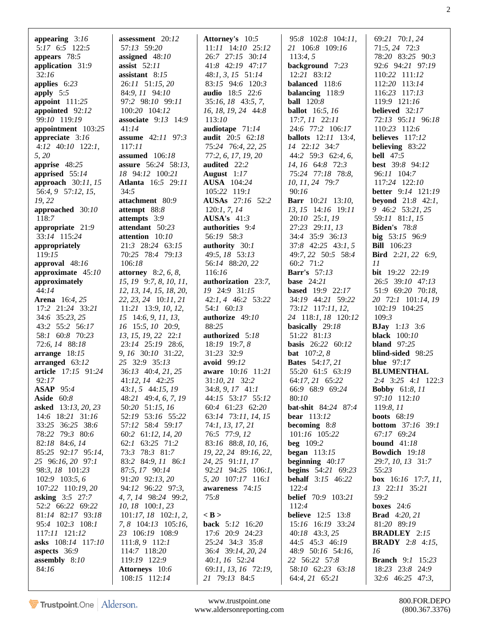| appearing $3:16$<br>5:17 6:5 122:5             | assessment 20:12<br>57:13 59:20          | Attorney's 10:5<br>11:11 14:10 25:12      | 95:8 102:8 104:11,<br>21 106:8 109:16              | 69:21 70:1, 24<br>71:5, 24 72:3        |
|------------------------------------------------|------------------------------------------|-------------------------------------------|----------------------------------------------------|----------------------------------------|
| appears 78:5                                   | assigned $48:10$                         | 26:7 27:15 30:14                          | 113:4,5                                            | 78:20 83:25 90:3                       |
| application 31:9                               | assist $52:11$                           | 41:8 42:19 47:17                          | background 7:23                                    | 92:6 94:21 97:19                       |
| 32:16<br>applies $6:23$                        | assistant $8:15$<br>26:11 51:15, 20      | $48:1, 3, 15$ 51:14<br>83:15 94:6 120:3   | 12:21 83:12<br>balanced 118:6                      | 110:22 111:12<br>112:20 113:14         |
| apply $5:5$                                    | 84:9, 11 94:10                           | <b>audio</b> 18:5 22:6                    | balancing 118:9                                    | 116:23 117:13                          |
| appoint $111:25$                               | 97:2 98:10 99:11                         | 35:16, 18 43:5, 7,                        | <b>ball</b> 120:8                                  | 119:9 121:16                           |
| appointed 92:12                                | 100:20 104:12                            | 16, 18, 19, 24 44:8                       | <b>ballot</b> 16:5, 16                             | believed 32:17                         |
| 99:10 119:19<br>appointment 103:25             | associate $9:13$ 14:9<br>41:14           | 113:10<br>audiotape $71:14$               | $17:7, 11$ $22:11$<br>24:6 77:2 106:17             | 72:13 95:11 96:18<br>110:23 112:6      |
| appreciate $3:16$                              | <b>assume</b> 42:11 97:3                 | <b>audit</b> 20:5 62:18                   | <b>ballots</b> $12:11$ $13:4$ ,                    | believes $117:12$                      |
| $4:12$ $40:10$ $122:1$ ,                       | 117:11                                   | 75:24 76:4, 22, 25                        | 14 22:12 34:7                                      | believing 83:22                        |
| 5,20                                           | assumed $106:18$                         | 77:2, 6, 17, 19, 20                       | 44:2 59:3 62:4, 6,                                 | <b>bell</b> 47:5                       |
| apprise 48:25                                  | assure 56:24 58:13,<br>18 94:12 100:21   | audited 22:2                              | 14, 16 64:8 72:3<br>75:24 77:18 78:8,              | best 39:8 94:12<br>96:11 104:7         |
| apprised 55:14<br>approach $30:11, 15$         | <b>Atlanta</b> 16:5 29:11                | August $1:17$<br><b>AUSA</b> 104:24       | 10, 11, 24 79:7                                    | 117:24 122:10                          |
| 56:4, 9 57:12, 15,                             | 34:5                                     | 105:22 119:1                              | 90:16                                              | better 9:14 121:19                     |
| 19,22                                          | attachment 80:9                          | AUSAs 27:16 52:2                          | <b>Barr</b> 10:21 13:10,                           | <b>beyond</b> $21:8$ 42:1,             |
| approached 30:10                               | attempt 88:8                             | 120:1, 7, 14                              | 13, 15 14:16 19:11                                 | 9 46:2 53:21, 25                       |
| 118:7<br>appropriate 21:9                      | attempts 3:9<br>attendant 50:23          | AUSA's 41:3<br><b>authorities</b> 9:4     | 20:10 25:1, 19<br>27:23 29:11, 13                  | 59:11 81:1, 15<br><b>Biden's</b> 78:8  |
| 33:14 115:24                                   | $attention$ 10:10                        | 56:19 58:3                                | 34:4 35:9 36:13                                    | big $53:15$ 96:9                       |
| appropriately                                  | 21:3 28:24 63:15                         | authority 30:1                            | $37:8$ 42:25 43:1, 5                               | <b>Bill</b> 106:23                     |
| 119:15                                         | 70:25 78:4 79:13                         | 49:5, 18 53:13                            | 49:7, 22 50:5 58:4                                 | <b>Bird</b> 2:21, 22 6:9,              |
| approval 48:16<br>approximate 45:10            | 106:18<br><b>attorney</b> 8:2, 6, 8,     | 56:14 88:20, 22<br>116:16                 | 60:2 71:2<br><b>Barr's</b> 57:13                   | 11<br>bit 19:22 22:19                  |
| approximately                                  | 15, 19 9:7, 8, 10, 11,                   | authorization 23:7,                       | <b>base</b> $24:21$                                | 26:5 39:10 47:13                       |
| 44:14                                          | 12, 13, 14, 15, 18, 20,                  | 19 24:9 31:15                             | <b>based</b> 19:9 22:17                            | 51:9 69:20 70:18,                      |
| <b>Arena</b> 16:4, 25                          | 22, 23, 24 10:11, 21                     | $42:1, 4$ $46:2$ $53:22$                  | 34:19 44:21 59:22                                  | 20 72:1 101:14, 19                     |
| 17:2 21:24 33:21<br>34:6 35:23, 25             | $11:21$ 13:9, 10, 12,                    | 54:1 60:13<br>authorize 49:10             | 73:12 117:11, 12,<br>24 118:1, 18 120:12           | 102:19 104:25<br>109:3                 |
| 43:2 55:2 56:17                                | 15 14:6, 9, 11, 13,<br>16 15:5, 10 20:9, | 88:25                                     | basically 29:18                                    | <b>BJay</b> $1:13$ 3:6                 |
| 58:1 60:8 70:23                                | 13, 15, 19, 22 22:1                      | authorized 5:18                           | 51:22 81:13                                        | black $100:10$                         |
| 72:6, 14 88:18                                 | 23:14 25:19 28:6,                        | 18:19 19:7, 8                             | <b>basis</b> 26:22 60:12                           | bland $97:25$                          |
| arrange $18:15$                                | 9, 16 30:10 31:22,<br>25 32:9 35:13      | 31:23 32:9<br>avoid 99:12                 | <b>bat</b> $107:2, 8$                              | blind-sided 98:25                      |
| arranged $63:12$<br>article 17:15 91:24        | 36:13 40:4, 21, 25                       | aware 10:16 11:21                         | <b>Bates</b> 54:17, 21<br>55:20 61:5 63:19         | <b>blue</b> 97:17<br><b>BLUMENTHAL</b> |
| 92:17                                          | 41:12, 14 42:25                          | 31:10, 21 32:2                            | 64:17, 21 65:22                                    | $2:4$ 3:25 4:1 122:3                   |
| $ASAP$ 95:4                                    | 43:1, 5 44:15, 19                        | $34:8, 9, 17$ $41:1$                      | 66:9 68:9 69:24                                    | <b>Bobby</b> 61:8, 11                  |
| Aside $60:8$                                   | 48:21 49:4, 6, 7, 19                     | 44:15 53:17 55:12                         | 80:10                                              | 97:10 112:10                           |
| <b>asked</b> 13:13, 20, 23<br>14:6 18:21 31:16 | 50:20 51:15, 16<br>52:19 53:16 55:22     | 60:4 61:23 62:20<br>63:14 73:11, 14, 15   | <b>bat-shit</b> 84:24 87:4<br><b>bear</b> $113:12$ | 119:8, 11<br><b>boots</b> 68:19        |
| 33:25 36:25 38:6                               | 57:12 58:4 59:17                         | 74:1, 13, 17, 21                          | becoming $8:8$                                     | <b>bottom</b> 37:16 39:1               |
| 78:22 79:3 80:6                                | 60:2 61:12, 14, 20                       | 76:5 77:9, 12                             | 101:16 105:22                                      | 67:17 69:24                            |
| 82:18 84:6, 14                                 | 62:1 63:25 71:2                          | 83:16 88:8, 10, 16,                       | $\text{beg } 109:2$                                | <b>bound</b> $41:18$                   |
| 85:25 92:17 95:14,<br>25 96:16, 20 97:1        | 73:3 78:3 81:7<br>83:2 84:9, 11 86:1     | 19, 22, 24 89:16, 22,<br>24, 25 91:11, 17 | began $113:15$<br>beginning $40:17$                | Bowdich 19:18<br>29:7, 10, 13 31:7     |
| 98:3, 18 101:23                                | 87:5, 17 90:14                           | 92:21 94:25 106:1,                        | <b>begins</b> 54:21 69:23                          | 55:23                                  |
| 102:9 103:5, 6                                 | 91:20 92:13, 20                          | 5, 20 107:17 116:1                        | <b>behalf</b> 3:15 46:22                           | <b>box</b> $16:16$ 17:7, 11,           |
| 107:22 110:19, 20                              | 94:12 96:22 97:3,                        | awareness $74:15$                         | 122:4                                              | 13 22:11 35:21                         |
| <b>asking</b> 3:5 27:7<br>52:2 66:22 69:22     | 4, 7, 14 98:24 99:2,<br>10, 18 100:1, 23 | 75:8                                      | <b>belief</b> $70:9$ $103:21$<br>112:4             | 59:2<br>boxes $24:6$                   |
| 81:14 82:17 93:18                              | $101:17$ , $18$ $102:1$ , 2,             | $<$ B $>$                                 | <b>believe</b> 12:5 13:8                           | <b>Brad</b> 4:20, 21                   |
| 95:4 102:3 108:1                               | 7, 8 104:13 105:16,                      | back 5:12 16:20                           | 15:16 16:19 33:24                                  | 81:20 89:19                            |
| 117:11 121:12                                  | 23 106:19 108:9                          | 17:6 20:9 24:23                           | 40:18 43:3, 25                                     | <b>BRADLEY</b> 2:15                    |
| asks 108:14 117:10<br>aspects 36:9             | $111:8,9$ 112:1<br>114:7 118:20          | 25:24 34:3 35:8<br>36:4 39:14, 20, 24     | 44:5 45:3 46:19<br>48:9 50:16 54:16,               | <b>BRADY</b> 2:8 4:15,<br>16           |
| assembly 8:10                                  | 119:19 122:9                             | 40:1, 16 52:24                            | 22 56:22 57:8                                      | <b>Branch</b> $9:1$ 15:23              |
| 84:16                                          | Attorneys 10:6                           | 69:11, 13, 16 72:19,                      | 58:10 62:23 63:18                                  | 18:23 23:8 24:9                        |
|                                                | 108:15 112:14                            | 21 79:13 84:5                             | 64:4, 21 65:21                                     | 32:6 46:25 47:3,                       |

www.trustpoint.one 800.FOR.DEPO<br>w.aldersonreporting.com (800.367.3376) www.aldersonreporting.com (800.367.3376)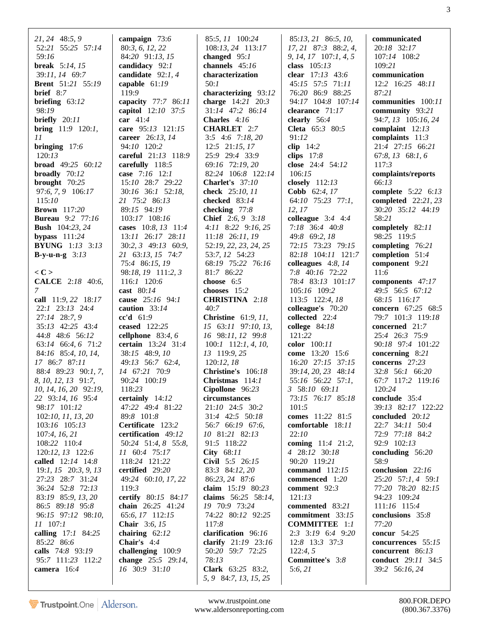| 21, 24 48:5, 9                | campaign 73:6         | 85:5, 11 100:24               | 85:13, 21 86:5, 10,     | communicated              |
|-------------------------------|-----------------------|-------------------------------|-------------------------|---------------------------|
| 52:21 55:25 57:14             | 80:3, 6, 12, 22       | 108:13, 24 113:17             | $17, 21$ 87:3 88:2, 4,  | 20:18 32:17               |
| 59:16                         | 84:20 91:13, 15       | changed $95:1$                | $9, 14, 17$ 107:1, 4, 5 | 107:14 108:2              |
| <b>break</b> $5:14, 15$       | candidacy 92:1        | channels 45:16                | class $105:13$          | 109:21                    |
| 39:11, 14 69:7                | candidate $92:1, 4$   | characterization              | clear 17:13 43:6        | communication             |
| <b>Brent</b> 51:21 55:19      | capable $61:19$       | 50:1                          | 45:15 57:5 71:11        | 12:2 16:25 48:11          |
| <b>brief</b> $8:7$            | 119:9                 | characterizing 93:12          | 76:20 86:9 88:25        | 87:21                     |
| briefing $63:12$              | capacity 77:7 86:11   | charge 14:21 20:3             | 94:17 104:8 107:14      | communities 100:11        |
| 98:19                         | capitol 12:10 37:5    | 31:14 47:2 86:14              | clearance 71:17         | community 93:21           |
| briefly $20:11$               | car $41:4$            | <b>Charles</b> $4:16$         | clearly $56:4$          | 94:7, 13 105:16, 24       |
| <b>bring</b> $11:9$ $120:1$ , | care 95:13 121:15     | <b>CHARLET</b> 2:7            | Cleta 65:3 80:5         | complaint 12:13           |
| 11                            | career 26:13, 14      | $3:5$ 4:6 7:18, 20            | 91:12                   | complaints $11:3$         |
| bringing $17:6$               | 94:10 120:2           | $12:5$ $21:15$ , $17$         | clip $14:2$             | 21:4 27:15 66:21          |
| 120:13                        | careful 21:13 118:9   | 25:9 29:4 33:9                | clips $17:8$            | $67:8, 13$ $68:1, 6$      |
| broad 49:25 60:12             | carefully 118:5       | 69:16 72:19, 20               | close 24:4 54:12        | 117:3                     |
| broadly $70:12$               | case $7:16$ 12:1      | 82:24 106:8 122:14            | 106:15                  | complaints/reports        |
| brought $70:25$               | 15:10 28:7 29:22      | <b>Charlet's</b> 37:10        | closely 112:13          | 66:13                     |
| 97:6, 7, 9 106:17             | 30:16 36:1 52:18,     | check 25:10, 11               | Cobb 62:4, 17           | <b>complete</b> 5:22 6:13 |
| 115:10                        | 21 75:2 86:13         | checked 83:14                 | 64:10 75:23 77:1,       | completed $22:21,23$      |
| <b>Brown</b> 117:20           | 89:15 94:19           | checking $77:8$               | 12, 17                  | 30:20 35:12 44:19         |
| <b>Bureau</b> 9:2 77:16       | 103:17 108:16         | Chief 2:6, 9 3:18             | colleague $3:4$ 4:4     | 58:21                     |
| <b>Bush</b> 104:23, 24        | cases 10:8, 13 11:4   | $4:11$ $8:22$ $9:16,25$       | 7:18 36:4 40:8          | completely 82:11          |
| bypass $111:24$               | 13:11 26:17 28:11     | 11:18 26:11, 19               | 49:8 69:2, 18           | 98:25 119:5               |
| <b>BYUNG</b> 1:13 3:13        | $30:2, 3$ 49:13 60:9, | 52:19, 22, 23, 24, 25         | 72:15 73:23 79:15       | completing 76:21          |
| <b>B-y-u-n-g</b> $3:13$       | 21 63:13, 15 74:7     | 53:7, 12 54:23                | 82:18 104:11 121:7      | completion $51:4$         |
|                               | 75:4 86:15, 19        | 68:19 75:22 76:16             | colleagues $4:8,14$     | component 9:21            |
| $<$ C $>$                     | 98:18, 19 111:2, 3    | 81:7 86:22                    | 7:8 40:16 72:22         | 11:6                      |
| <b>CALCE</b> 2:18 40:6,       | 116:1 120:6           | choose 6:5                    | 78:4 83:13 101:17       | components 47:17          |
| $\mathcal{I}$                 | cast $80:14$          | chooses 15:2                  | 105:16 109:2            | 49:5 56:5 67:12           |
| call $11:9, 22$ $18:17$       | cause 25:16 94:1      | <b>CHRISTINA</b> 2:18         | 113:5 122:4, 18         | 68:15 116:17              |
| 22:1 23:13 24:4               | caution $33:14$       | 40:7                          | colleague's 70:20       | concern 67:25 68:5        |
| 27:14 28:7, 9                 | $cc'd$ 61:9           | <b>Christine</b> 61:9, 11,    | collected $22:4$        | 79:7 101:3 119:18         |
| 35:13 42:25 43:4              | <b>ceased</b> 122:25  | 15 63:11 97:10, 13,           | college $84:18$         | concerned 21:7            |
| 44:8 48:6 56:12               | cellphone $83:4,6$    | 16 98:11, 12 99:8             | 121:22                  | 25:4 26:3 75:9            |
| 63:14 66:4, 6 71:2            | certain 13:24 31:4    | $100:1$ 112:1, 4, 10,         | color 100:11            | 90:18 97:4 101:22         |
| 84:16 85:4, 10, 14,           | 38:15 48:9, 10        | 13 119:9, 25                  | come 13:20 15:6         | concerning $8:21$         |
| 17 86:7 87:11                 | 49:13 56:7 62:4,      | 120:12, 18                    | 16:20 27:15 37:15       | concerns $27:23$          |
| 88:4 89:23 90:1, 7,           | 14 67:21 70:9         | Christine's 106:18            | 39:14, 20, 23 48:14     | 32:8 56:1 66:20           |
| 8, 10, 12, 13 91:7,           | 90:24 100:19          | Christmas 114:1               | 55:16 56:22 57:1,       | 67:7 117:2 119:16         |
| 10, 14, 16, 20 92:19,         | 118:23                | Cipollone 96:23               | 3 58:10 69:11           | 120:24                    |
| 22 93:14, 16 95:4             | certainly 14:12       | circumstances                 | 73:15 76:17 85:18       | conclude 35:4             |
| 98:17 101:12                  | 47:22 49:4 81:22      | 21:10 24:5 30:2               | 101:5                   | 39:13 82:17 122:22        |
| 102:10, 11, 13, 20            | 89:8 101:8            | 31:4 42:5 50:18               | comes 11:22 81:5        | concluded 20:12           |
| 103:16 105:13                 | Certificate 123:2     | 56:7 66:19 67:6,              | comfortable 18:11       | 22:7 34:11 50:4           |
| 107:4, 16, 21                 | certification 49:12   | 10 81:21 82:13                | 22:10                   | 72:9 77:18 84:2           |
| 108:22 110:4                  | 50:24 51:4, 8 55:8,   | 91:5 118:22                   | coming 11:4 21:2,       | 92:9 102:13               |
| 120:12, 13 122:6              | 11 60:4 75:17         | City 68:11                    | 4 28:12 30:18           | concluding $56:20$        |
| called $12:14$ $14:8$         | 118:24 121:22         | Civil 5:5 26:15               | 90:20 119:21            | 58:9                      |
| 19:1, 15 20:3, 9, 13          | certified 29:20       | 83:3 84:12, 20                | command $112:15$        | conclusion $22:16$        |
| 27:23 28:7 31:24              | 49:24 60:10, 17, 22   | 86:23, 24 87:6                | commenced 1:20          | $25:20$ 57:1, 4 59:1      |
| 36:24 52:8 72:13              | 119:3                 | claim 15:19 80:23             | comment 92:3            | 77:20 78:20 82:15         |
| 83:19 85:9, 13, 20            | certify 80:15 84:17   | claims 56:25 58:14,           | 121:13                  | 94:23 109:24              |
| 86:5 89:18 95:8               | chain 26:25 41:24     | 19 70:9 73:24                 | commented 83:21         | 111:16 115:4              |
| 96:15 97:12 98:10,            | 65:6, 17 112:15       | 74:22 80:12 92:25             | commitment 33:15        | conclusions 35:8          |
| 11 107:1                      | <b>Chair</b> 3:6, 15  | 117:8                         | <b>COMMITTEE</b> 1:1    | 77:20                     |
| calling 17:1 84:25            | chairing $62:12$      | clarification 96:16           | 2:3 3:19 6:4 9:20       | concur 54:25              |
| 85:22 86:6                    | <b>Chair's</b> $4:4$  | clarify 21:19 23:16           | 12:8 13:3 37:3          | concurrences $55:15$      |
| calls 74:8 93:19              | challenging 100:9     | 50:20 59:7 72:25              | 122:4,5                 | concurrent 86:13          |
| 95:7 111:23 112:2             | change 25:5 29:14,    | 78:13                         | Committee's 3:8         | conduct 29:11 34:5        |
| camera 16:4                   | 16 30:9 31:10         | <b>Clark</b> $63:25$ $83:2$ , | 5:6, 21                 | 39:2 56:16, 24            |
|                               |                       | 5, 9 84:7, 13, 15, 25         |                         |                           |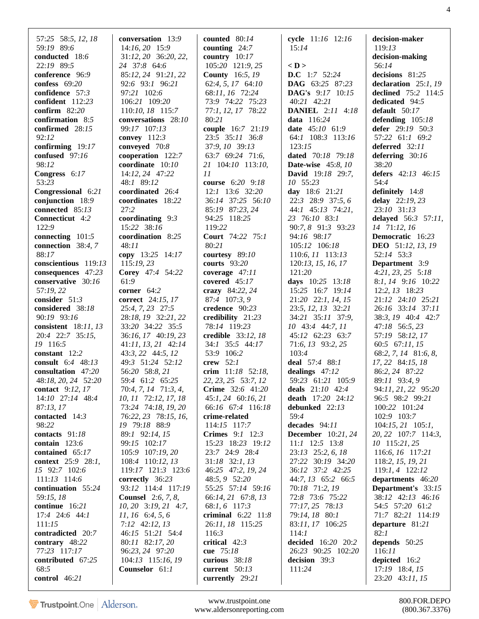| 57:25 58:5, 12, 18                   | conversation 13:9                                 | counted $80:14$                         | cycle 11:16 12:16                    | decision-maker                       |
|--------------------------------------|---------------------------------------------------|-----------------------------------------|--------------------------------------|--------------------------------------|
| 59:19 89:6                           | 14:16, 20 15:9                                    | counting $24:7$                         | 15:14                                | 119:13                               |
| conducted 18:6                       | 31:12, 20 36:20, 22,                              | country $10:17$                         |                                      | decision-making                      |
| 22:19 89:5                           | 24 37:8 64:6                                      | 105:20 121:9, 25                        | $<$ D $>$                            | 56:14                                |
| conference 96:9                      | 85:12, 24 91:21, 22                               | <b>County</b> 16:5, 19                  | D.C $1:7$ 52:24                      | decisions 81:25                      |
| confess 69:20                        | 92:6 93:1 96:21                                   | 62:4, 5, 17 64:10                       | DAG 63:25 87:23                      | declaration $25:1, 19$               |
| confidence 57:3                      | 97:21 102:6                                       | 68:11, 16 72:24                         | <b>DAG's</b> 9:17 10:15              | declined $75:2$ 114:5                |
| confident 112:23                     | 106:21 109:20                                     | 73:9 74:22 75:23                        | 40:21 42:21                          | dedicated 94:5                       |
| confirm $82:20$                      | 110:10, 18 115:7                                  | 77:1, 12, 17 78:22                      | <b>DANIEL</b> 2:11 4:18              | default $50:17$                      |
| confirmation 8:5                     | conversations 28:10                               | 80:21                                   | data 116:24                          | defending $105:18$                   |
| confirmed 28:15                      | 99:17 107:13                                      | couple 16:7 21:19                       | date 45:10 61:9                      | defer 29:19 50:3                     |
| 92:12                                | convey $112:3$                                    | 23:5 35:11 36:8                         | 64:1 108:3 113:16                    | 57:22 61:1 69:2<br>deferred $32:11$  |
| confirming $19:17$<br>confused 97:16 | conveyed 70:8<br>cooperation 122:7                | 37:9, 10 39:13<br>63:7 69:24 71:6,      | 123:15<br>dated 70:18 79:18          | deferring $30:16$                    |
| 98:12                                | coordinate 10:10                                  | 21 104:10 113:10,                       | <b>Date-wise</b> 45:8, 10            | 38:20                                |
| Congress 6:17                        | 14:12, 24 47:22                                   | 11                                      | <b>David</b> 19:18 29:7,             | defers 42:13 46:15                   |
| 53:23                                | 48:1 89:12                                        | <b>course</b> $6:20$ $9:18$             | 10 55:23                             | 54:4                                 |
| Congressional 6:21                   | coordinated 26:4                                  | 12:1 13:6 32:20                         | day 18:6 21:21                       | definitely 14:8                      |
| conjunction 18:9                     | coordinates 18:22                                 | 36:14 37:25 56:10                       | 22:3 28:9 37:5, 6                    | delay $22:19, 23$                    |
| connected 85:13                      | 27:2                                              | 85:19 87:23, 24                         | 44:1 45:13 74:21,                    | 23:10 31:13                          |
| Connecticut 4:2                      | coordinating $9:3$                                | 94:25 118:25                            | 23 76:10 83:1                        | delayed $56:3$ $57:11$ ,             |
| 122:9                                | 15:22 38:16                                       | 119:22                                  | 90:7, 8 91:3 93:23                   | 14 71:12, 16                         |
| connecting $101:5$                   | coordination 8:25                                 | Court 74:22 75:1                        | 94:16 98:17                          | Democratic 16:23                     |
| connection 38:4, 7                   | 48:11                                             | 80:21                                   | 105:12 106:18                        | <b>DEO</b> 51:12, 13, 19             |
| 88:17                                | copy 13:25 14:17                                  | courtesy 89:10                          | $110:6$ , $11$ $113:13$              | 52:14 53:3                           |
| conscientious 119:13                 | 115:19,23                                         | courts $93:20$                          | 120:13, 15, 16, 17                   | <b>Department</b> 3:9                |
| consequences 47:23                   | Corey 47:4 54:22                                  | coverage 47:11                          | 121:20                               | $4:21, 23, 25$ 5:18                  |
| conservative 30:16                   | 61:9                                              | covered $45:17$                         | days 10:25 13:18                     | 8:1, 14 9:16 10:22                   |
| 57:19, 22                            | corner $64:2$                                     | crazy 84:22, 24                         | 15:25 16:7 19:14                     | 12:2, 13 18:23                       |
| consider $51:3$                      | correct 24:15, 17                                 | 87:4 107:3, 9                           | $21:20$ $22:1$ , $14$ , $15$         | 21:12 24:10 25:21                    |
| considered 38:18                     | 25:4, 7, 23 27:5                                  | credence 90:23                          | 23:5, 12, 13 32:21                   | 26:16 33:14 37:11                    |
| 90:19 93:16                          | 28:18, 19 32:21, 22                               | credibility 21:23                       | 34:21 35:11 37:9,                    | 38:3, 19 40:4 42:7                   |
| consistent $18:11, 13$               | 33:20 34:22 35:5<br>36:16, 17 40:19, 23           | 78:14 119:23                            | 10 43:4 44:7, 11<br>45:12 62:23 63:7 | 47:18 56:5, 23<br>57:19 58:12, 17    |
| 20:4 22:7 35:15,<br>19 116:5         | 41:11, 13, 21 42:14                               | credible 33:12, 18<br>34:1 35:5 44:17   | 71:6, 13 93:2, 25                    | 60:5 67:11, 15                       |
| constant 12:2                        | 43:3, 22 44:5, 12                                 | 53:9 106:2                              | 103:4                                | 68:2, 7, 14 81:6, 8,                 |
| consult 6:4 48:13                    | 49:3 51:24 52:12                                  | crew $52:1$                             | deal 57:4 88:1                       | 17, 22 84:15, 18                     |
| consultation 47:20                   | 56:20 58:8, 21                                    | crim 11:18 52:18,                       | dealings $47:12$                     | 86:2, 24 87:22                       |
| 48:18, 20, 24 52:20                  | 59:4 61:2 65:25                                   | 22, 23, 25 53:7, 12                     | 59:23 61:21 105:9                    | 89:11 93:4, 9                        |
| <b>contact</b> 9:12, 17              | 70:4, 7, 14 71:3, 4,                              | Crime 32:6 41:20                        | deals 21:10 42:4                     | 94:11, 21, 22 95:20                  |
| 14:10 27:14 48:4                     | 10, 11 72:12, 17, 18                              | $45:1, 24$ 60:16, 21                    | death 17:20 24:12                    | 96:5 98:2 99:21                      |
| 87:13, 17                            | 73:24 74:18, 19, 20                               | 66:16 67:4 116:18                       | debunked 22:13                       | 100:22 101:24                        |
| contacted $14:3$                     | 76:22, 23 78:15, 16,                              | crime-related                           | 59:4                                 | 102:9 103:7                          |
| 98:22                                | 19 79:18 88:9                                     | 114:15 117:7                            | decades 94:11                        | $104:15, 21$ $105:1,$                |
| contacts $91:18$                     | 89:1 92:14, 15                                    | <b>Crimes</b> 9:1 12:3                  | <b>December</b> 10:21, 24            | 20, 22 107:7 114:3,                  |
| contain $123:6$                      | 99:15 102:17                                      | 15:23 18:23 19:12                       | $11:1$ $12:5$ $13:8$                 | 10 115:21, 25                        |
| contained 65:17                      | 105:9 107:19, 20                                  | 23:7 24:9 28:4                          | 23:13 25:2, 6, 18                    | 116:6, 16 117:21                     |
| context 25:9 28:1,                   | 108:4 110:12, 13                                  | $31:18$ $32:1$ , $13$                   | 27:22 30:19 34:20                    | 118:2, 15, 19, 21                    |
| 15 92:7 102:6                        | 119:17 121:3 123:6                                | 46:25 47:2, 19, 24                      | 36:12 37:2 42:25                     | 119:1, 4 122:12                      |
| 111:13 114:6                         | correctly 36:23                                   | 48:5, 9 52:20                           | 44:7, 13 65:2 66:5                   | departments 46:20                    |
| continuation 55:24                   | 93:12 114:4 117:19                                | 55:25 57:14 59:16                       | 70:18 71:2, 19                       | Department's 33:15                   |
| 59:15, 18<br>continue 16:21          | <b>Counsel</b> 2:6, 7, 8,<br>10, 20 3:19, 21 4:7, | 66:14, 21 67:8, 13                      | 72:8 73:6 75:22<br>77:17, 25 78:13   | 38:12 42:13 46:16<br>54:5 57:20 61:2 |
| $17:4$ 24:6 44:1                     | $11, 16$ 6:4, 5, 6                                | $68:1, 6$ 117:3<br>criminal $6:22$ 11:8 | 79:14, 18 80:1                       | 71:7 82:21 114:19                    |
| 111:15                               | $7:12$ 42:12, 13                                  | 26:11, 18 115:25                        | 83:11, 17 106:25                     | departure $81:21$                    |
| contradicted 20:7                    | 46:15 51:21 54:4                                  | 116:3                                   | 114:1                                | 82:1                                 |
| contrary 48:22                       | 80:11 82:17, 20                                   | critical $42:3$                         | decided 16:20 20:2                   | depends $50:25$                      |
| 77:23 117:17                         | 96:23, 24 97:20                                   | cue 75:18                               | 26:23 90:25 102:20                   | 116:11                               |
| contributed 67:25                    | 104:13 115:16, 19                                 | curious 38:18                           | decision 39:3                        | depicted 16:2                        |
| 68:5                                 | Counselor 61:1                                    | current $50:13$                         | 111:24                               | 17:19 18:4, 15                       |
| control 46:21                        |                                                   | currently 29:21                         |                                      | 23:20 43:11, 15                      |
|                                      |                                                   |                                         |                                      |                                      |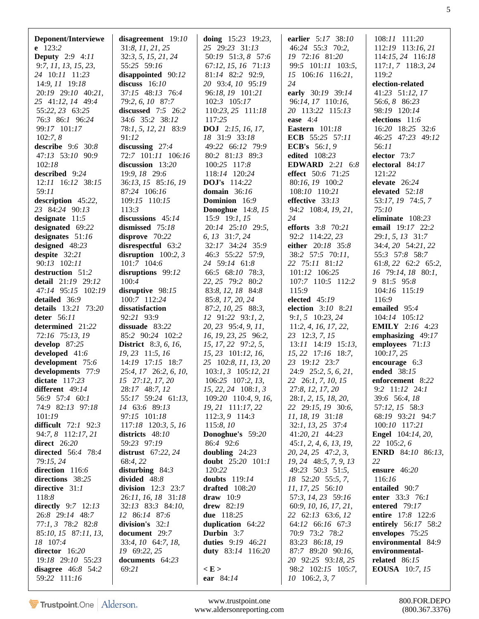| <b>Deponent/Interviewe</b> | disagreement 19:10          | doing $15:23$ 19:23,     | earlier 5:17 38:10        | 108:11 111:20              |
|----------------------------|-----------------------------|--------------------------|---------------------------|----------------------------|
| $e$ 123:2                  | 31:8, 11, 21, 25            | 25 29:23 31:13           | 46:24 55:3 70:2,          | 112:19 113:16, 21          |
| <b>Deputy</b> 2:9 4:11     | 32:3, 5, 15, 21, 24         | 50:19 51:3, 8 57:6       | 19 72:16 81:20            | 114:15, 24 116:18          |
| 9:7, 11, 13, 15, 23,       | 55:25 59:16                 | 67:12, 15, 16 71:13      | 99:5 101:11 103:5,        | $117:1, 7$ 118:3, 24       |
| 24 10:11 11:23             | disappointed 90:12          | $81:14$ $82:2$ $92:9$ ,  | 15 106:16 116:21,         | 119:2                      |
| $14:9$ , $11$ $19:18$      | discuss $16:10$             | 20 93:4, 10 95:19        | 24                        | election-related           |
| 20:19 29:10 40:21,         | 37:15 48:13 76:4            | 96:18, 19 101:21         | early 30:19 39:14         | 41:23 51:12, 17            |
| 25 41:12, 14 49:4          | 79:2, 6, 10 87:7            | 102:3 105:17             | 96:14, 17 110:16,         | 56:6, 8 86:23              |
| 55:22, 23 63:25            | discussed $7:5$ 26:2        | 110:23, 25 111:18        | 20 113:22 115:13          | 98:19 120:14               |
| 76:3 86:1 96:24            | 34:6 35:2 38:12             | 117:25                   | ease $4:4$                | elections 11:6             |
| 99:17 101:17               | 78:1, 5, 12, 21 83:9        | <b>DOJ</b> 2:15, 16, 17, | <b>Eastern</b> 101:18     | 16:20 18:25 32:6           |
| 102:7, 8                   | 91:12                       | 18 31:9 33:18            | <b>ECB</b> 55:25 57:11    | 46:25 47:23 49:12          |
| describe $9:6$ 30:8        | discussing $27:4$           | 49:22 66:12 79:9         | <b>ECB's</b> 56:1, 9      | 56:11                      |
| 47:13 53:10 90:9           | 72:7 101:11 106:16          | 80:2 81:13 89:3          | <b>edited</b> 108:23      | elector 73:7               |
| 102:18                     | discussion $13:20$          | 100:25 117:8             | <b>EDWARD</b> 2:21 6:8    | electoral 84:17            |
| described 9:24             | 19:9, 18 29:6               | 118:14 120:24            | effect 50:6 71:25         | 121:22                     |
| 12:11 16:12 38:15          | 36:13, 15 85:16, 19         | <b>DOJ's</b> 114:22      | 80:16, 19 100:2           | elevate $26:24$            |
| 59:11                      | 87:24 106:16                | domain $36:16$           | 108:10 110:21             | elevated 52:18             |
| description 45:22,         | 109:15 110:15               | Dominion 16:9            | effective 33:13           | 53:17, 19 74:5, 7          |
| 23 84:24 90:13             | 113:3                       | Donoghue $14:8, 15$      | 94:2 108:4, 19, 21,       | 75:10                      |
| designate $11:5$           | discussions 45:14           | 15:9 19:1, 15            | 24                        | eliminate 108:23           |
| designated 69:22           | dismissed 75:18             | 20:14 25:10 29:5,        | efforts 3:8 70:21         | email 19:17 22:2           |
| designates $51:16$         | disprove 70:22              | 6, 13 31:7, 24           | 92:2 114:22, 23           | $29:1, 5, 13$ 31:7         |
| designed $48:23$           | disrespectful 63:2          | 32:17 34:24 35:9         | either 20:18 35:8         | 34:4, 20 54:21, 22         |
| despite $32:21$            | disruption $100:2, 3$       | 46:3 55:22 57:9,         | 38:2 57:5 70:11,          | 55:3 57:8 58:7             |
| 90:13 102:11               | 101:7 104:6                 | 24 59:14 61:8            | 22 75:11 81:12            | 61:8, 22 62:2 65:2,        |
| destruction 51:2           | disruptions 99:12           | 66:5 68:10 78:3,         | 101:12 106:25             | 16 79:14, 18 80:1,         |
| detail 21:19 29:12         | 100:4                       | 22, 25 79:2 80:2         | 107:7 110:5 112:2         | 9 81:5 95:8                |
| 47:14 95:15 102:19         | disruptive $98:15$          | 83:8, 12, 18 84:8        | 115:9                     | 104:16 115:19              |
| detailed 36:9              | 100:7 112:24                | 85:8, 17, 20, 24         | elected $45:19$           | 116:9                      |
| <b>details</b> 13:21 73:20 | dissatisfaction             | 87:2, 10, 25 88:3,       | election 3:10 8:21        | emailed 95:4               |
| deter 56:11                | 92:21 93:9                  | $12$ 91:22 93:1, 2,      | $9:1, 5$ 10:23, 24        | 104:14 105:12              |
| determined 21:22           | dissuade 83:22              | 20, 23 95:4, 9, 11,      | 11:2, 4, 16, 17, 22,      | <b>EMILY</b> 2:16 4:23     |
| 72:16 75:13, 19            | 85:2 90:24 102:2            | 16, 19, 23, 25 96:2,     | 23 12:3, 7, 15            | emphasizing 49:17          |
| develop 87:25              | <b>District</b> 8:3, 6, 16, | 15, 17, 22 97:2, 5,      | $13:11$ $14:19$ $15:13$ , | employees $71:13$          |
| developed 41:6             | 19, 23 11:5, 16             | 15, 23 101:12, 16,       | 15, 22 17:16 18:7,        | 100:17,25                  |
| development 75:6           | 14:19 17:15 18:7            | 25 102:8, 11, 13, 20     | 23 19:12 23:7             | encourage $6:3$            |
| developments 77:9          | 25:4, 17 26:2, 6, 10,       | $103:1, 3$ $105:12, 21$  | 24:9 25:2, 5, 6, 21,      | ended 38:15                |
| dictate $117:23$           | 15 27:12, 17, 20            | 106:25 107:2, 13,        | 22 26:1, 7, 10, 15        | enforcement 8:22           |
| different $49:14$          | 28:17 48:7, 12              | $15, 22, 24$ 108:1, 3    | 27:8, 12, 17, 20          | $9:2$ 11:12 24:1           |
| 56:9 57:4 60:1             | 55:17 59:24 61:13,          | 109:20 110:4, 9, 16,     | 28:1, 2, 15, 18, 20,      | 39:6 56:4, 18              |
| 74:9 82:13 97:18           | 14 63:6 89:13               | 19, 21 11:17, 22         | 22 29:15, 19 30:6,        | 57:12, 15 58:3             |
| 101:19                     | 97:15 101:18                | $112:3, 9$ 114:3         | 11, 18, 19 31:18          | 68:19 93:21 94:7           |
| difficult 72:1 92:3        | 117:18 120:3, 5, 16         | 115:8, 10                | 32:1, 13, 25 37:4         | 100:10 117:21              |
| 94:7, 8 112:17, 21         | districts 48:10             | Donoghue's 59:20         | 41:20, 21 44:23           | <b>Engel</b> 104:14, 20,   |
| direct $26:20$             | 59:23 97:19                 | 86:4 92:6                | 45:1, 2, 4, 6, 13, 19,    | 22 105:2, 6                |
| directed 56:4 78:4         | distrust $67:22, 24$        | doubling $24:23$         | 20, 24, 25 47:2, 3,       | <b>ENRD</b> 84:10 86:13,   |
| 79:15, 24                  | 68:4, 22                    | doubt 25:20 101:1        | 19, 24 48:5, 7, 9, 13     | 22                         |
| direction 116:6            | disturbing $84:3$           | 120:22                   | 49:23 50:3 51:5,          | ensure $46:20$             |
| directions 38:25           | divided 48:8                | doubts 119:14            | 18 52:20 55:5, 7,         | 116:16                     |
| directive $31:1$           | division $12:3$ $23:7$      | drafted $108:20$         | $11, 17, 25$ 56:10        | entailed 90:7              |
| 118:8                      | 26:11, 16, 18 31:18         | draw $10:9$              | 57:3, 14, 23 59:16        | <b>enter</b> $33:3$ $76:1$ |
| directly $9:7$ 12:13       | 32:13 83:3 84:10,           | drew 82:19               | 60:9, 10, 16, 17, 21,     | entered 79:17              |
| 26:8 29:14 48:7            | 12 86:14 87:6               | due 118:25               | 22 62:13 63:6, 12         | entire 17:8 122:6          |
| $77:1, 3$ $78:2$ $82:8$    | division's $32:1$           | duplication 64:22        | $64:12$ $66:16$ $67:3$    | entirely 56:17 58:2        |
| 85:10, 15 87:11, 13,       | document 29:7               | Durbin 3:7               | 70:9 73:2 78:2            | envelopes 75:25            |
| 18 107:4                   | 33:4, 10 64:7, 18,          | duties 9:19 46:21        | 83:23 86:18, 19           | environmental 84:9         |
| director $16:20$           | 19 69:22, 25                | duty 83:14 116:20        | 87:7 89:20 90:16,         | environmental-             |
| 19:18 29:10 55:23          | documents 64:23             |                          | 20 92:25 93:18, 25        | related $86:15$            |
| disagree $46:8$ 54:2       | 69:21                       | E >                      | 98:2 102:15 105:7,        | <b>EOUSA</b> 10:7, 15      |
| 59:22 111:16               |                             | ear 84:14                | $10$ 106:2, 3, 7          |                            |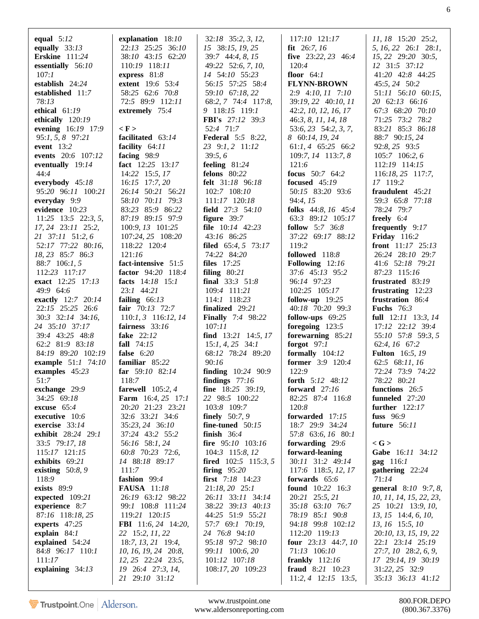|                                 |                                            |                                        | 117:10 121:17                                |                                            |
|---------------------------------|--------------------------------------------|----------------------------------------|----------------------------------------------|--------------------------------------------|
| equal $5:12$<br>equally $33:13$ | explanation 18:10<br>22:13 25:25 36:10     | 32:18 35:2, 3, 12,<br>15 38:15, 19, 25 | fit $26:7, 16$                               | 11, 18 15:20 25:2,<br>5, 16, 22 26:1 28:1, |
| <b>Erskine</b> 111:24           | 38:10 43:15 62:20                          | 39:7 44:4, 8, 15                       | five 23:22, 23 46:4                          | 15, 22 29:20 30:5,                         |
|                                 | 110:19 118:11                              |                                        | 120:4                                        | 12 31:5 37:12                              |
| essentially 56:10               |                                            | 49:22 52:6, 7, 10,<br>14 54:10 55:23   | floor $64:1$                                 |                                            |
| 107:1                           | express 81:8                               |                                        |                                              | 41:20 42:8 44:25                           |
| establish $24:24$               | extent 19:6 53:4<br>58:25 62:6 70:8        | 56:15 57:25 58:4<br>59:10 67:18, 22    | <b>FLYNN-BROWN</b>                           | 45:5, 24 50:2<br>51:11 56:10 60:15,        |
| established 11:7<br>78:13       | 72:5 89:9 112:11                           | 68:2, 7 74:4 117:8,                    | $2:9$ 4:10, 11 7:10<br>39:19, 22 40:10, 11   | 20 62:13 66:16                             |
| ethical $61:19$                 | extremely 75:4                             | 9 118:15 119:1                         | 42:2, 10, 12, 16, 17                         | 67:3 68:20 70:10                           |
| ethically 120:19                |                                            | <b>FBI's</b> 27:12 39:3                | 46:3, 8, 11, 14, 18                          | 71:25 73:2 78:2                            |
| evening 16:19 17:9              | $\langle F \rangle$                        | 52:4 71:7                              | 53:6, 23 54:2, 3, 7,                         | 83:21 85:3 86:18                           |
| 95:1, 5, 8 97:21                | facilitated 63:14                          | <b>Federal</b> 5:5 8:22,               | 8 60:14, 19, 24                              | 88:7 90:15, 24                             |
| event $13:2$                    | facility 64:11                             | 23 9:1, 2 11:12                        | $61:1, 4$ $65:25$ $66:2$                     | 92:8, 25 93:5                              |
| events 20:6 107:12              | facing 98:9                                | 39:5,6                                 | 109:7, 14 113:7, 8                           | $105:7$ 106:2, 6                           |
| eventually 19:14                | fact 12:25 13:17                           | feeling $81:24$                        | 121:6                                        | 112:19 114:15                              |
| 44:4                            | 14:22 15:5, 17                             | felons $80:22$                         | focus 50:7 64:2                              | 116:18, 25 117:7,                          |
| everybody $45:18$               | 16:15 17:7, 20                             | felt 31:18 96:18                       | focused $45:19$                              | 17 119:2                                   |
| 95:20 96:11 100:21              | 26:14 50:21 56:21                          | 102:7 108:10                           | 50:15 83:20 93:6                             | fraudulent 45:21                           |
| everyday 9:9                    | 58:10 70:11 79:3                           | 111:17 120:18                          | 94:4, 15                                     | 59:3 65:8 77:18                            |
| evidence 10:23                  | 83:23 85:9 86:22                           | field 27:3 54:10                       | <b>folks</b> $44:8, 16$ $45:4$               | 78:24 79:7                                 |
| $11:25$ 13:5 22:3, 5,           | 87:19 89:15 97:9                           | figure $39:7$                          | 63:3 89:12 105:17                            | freely $6:4$                               |
| 17, 24 23:11 25:2,              | 100:9, 13 101:25                           | file 10:14 42:23                       | <b>follow</b> 5:7 36:8                       | frequently 9:17                            |
| 21 37:11 51:2,6                 | 107:24, 25 108:20                          | 43:16 86:25                            | 37:22 69:17 88:12                            | <b>Friday</b> 116:2                        |
| 52:17 77:22 80:16,              | 118:22 120:4                               | <b>filed</b> $65:4, 5$ $73:17$         | 119:2                                        | front $11:17$ $25:13$                      |
| 18, 23 85:7 86:3                | 121:16                                     | 74:22 84:20                            | followed 118:8                               | 26:24 28:10 29:7                           |
| 88:7 106:1, 5                   | fact-intensive 51:5                        | files $17:25$                          | Following $12:16$                            | 41:6 52:18 79:21                           |
| 112:23 117:17                   | factor 94:20 118:4                         | filing $80:21$                         | 37:6 45:13 95:2                              | 87:23 115:16                               |
| exact 12:25 17:13               | facts $14:18$ 15:1                         | final $33:3$ $51:8$                    | 96:14 97:23                                  | frustrated 83:19                           |
| 49:9 64:6                       | 23:1 44:21                                 | 109:4 111:21                           | 102:25 105:17                                | frustrating $12:23$                        |
| exactly 12:7 20:14              | failing $66:13$                            | 114:1 118:23                           | follow-up $19:25$                            | <b>frustration</b> 86:4                    |
| 22:15 25:25 26:6                | fair $70:13$ 72:7                          | <b>finalized</b> 29:21                 | 40:18 70:20 99:3                             | <b>Fuchs</b> $76:3$                        |
| 30:3 32:14 34:16,               | $110:1, 3$ 116:12, 14                      | <b>Finally</b> 7:4 98:22               | follow-ups $69:25$                           | full $12:11$ $13:3$ , $14$                 |
| 24 35:10 37:17                  | fairness $33:16$                           | 107:11                                 | foregoing $123:5$                            | 17:12 22:12 39:4                           |
| 39:4 43:25 48:8                 | fake 22:12                                 | <b>find</b> $13:21$ 14:5, 17           | forewarning 85:21                            | 55:10 57:8 59:3, 5                         |
| 62:2 81:9 83:18                 | fall $74:15$                               | $15:1, 4, 25$ 34:1                     | forgot $97:1$                                | 62:4, 16 67:2                              |
| 84:19 89:20 102:19              | false $6:20$                               | 68:12 78:24 89:20                      | formally $104:12$                            | <b>Fulton</b> 16:5, 19                     |
| example 51:1 74:10              | familiar 85:22                             | 90:16                                  | former 3:9 120:4                             | 62:5 68:11, 16                             |
| examples $45:23$                | far 59:10 82:14                            | finding 10:24 90:9                     | 122:9                                        | 72:24 73:9 74:22                           |
| 51:7                            | 118:7                                      | findings $77:16$                       | forth 5:12 48:12                             | 78:22 80:21                                |
| exchange 29:9                   | farewell $105:2, 4$                        | fine 18:25 39:19,                      | forward $27:16$                              | functions 26:5                             |
| 34:25 69:18                     | Farm 16:4, 25 17:1                         | 22 98:5 100:22                         | 82:25 87:4 116:8                             | funneled 27:20                             |
| excuse $65:4$                   | 20:20 21:23 23:21                          | 103:8 109:7                            | 120:8                                        | further $122:17$                           |
| executive 10:6                  | 32:6 33:21 34:6                            | <b>finely</b> $50:7, 9$                | forwarded 17:15                              | fuss 96:9                                  |
| exercise 33:14                  | 35:23, 24 36:10                            | fine-tuned $50:15$                     | 18:7 29:9 34:24                              | future 56:11                               |
| exhibit 28:24 29:1              | 37:24 43:2 55:2                            | finish $36:4$                          | 57:8 63:6, 16 80:1                           |                                            |
| 33:5 79:17, 18                  | 56:16 58:1, 24                             | fire 95:10 103:16                      | forwarding 29:6                              | $\langle G \rangle$                        |
| 115:17 121:15                   | 60:8 70:23 72:6,                           | 104:3 115:8, 12                        | forward-leaning                              | Gabe 16:11 34:12                           |
| exhibits 69:21                  | 14 88:18 89:17                             | <b>fired</b> $102:5$ $115:3, 5$        | 30:11 31:2 49:14                             | $\mathbf{gag}$ 116:1                       |
| existing $50:8,9$               | 111:7                                      | firing $95:20$                         | 117:6 118:5, 12, 17                          | gathering 22:24                            |
| 118:9                           | fashion 99:4                               | <b>first</b> $7:18$ 14:23              | forwards 65:6                                | 71:14                                      |
| exists 89:9                     | <b>FAUSA</b> 11:18                         | 21:18, 20 25:1                         | found 10:22 16:3                             | <b>general</b> 8:10 9:7, 8,                |
| expected 109:21                 | 26:19 63:12 98:22                          | 26:11 33:11 34:14                      | 20:21 25:5, 21                               | 10, 11, 14, 15, 22, 23,                    |
| experience 8:7                  | 99:1 108:8 111:24                          | 38:22 39:13 40:13                      | 35:18 63:10 76:7                             | 25 10:21 13:9, 10,                         |
| 87:16 118:18, 25                | 119:21 120:15                              | 44:25 51:9 55:21                       | 78:19 85:1 90:8                              | 13, 15 14:4, 6, 10,                        |
| experts 47:25                   | <b>FBI</b> 11:6, 24 14:20,                 | 57:7 69:1 70:19,                       | 94:18 99:8 102:12                            | 13, 16 15:5, 10                            |
| explain $84:1$                  | 22 15:2, 11, 22                            | 24 76:8 94:10                          | 112:20 119:13                                | 20:10, 13, 15, 19, 22                      |
| explained 54:24                 | 18:7, 13, 21 19:4,                         | 95:18 97:2 98:10                       | <b>four</b> $23:13$ 44:7, 10<br>71:13 106:10 | 22:1 23:14 25:19                           |
| 84:8 96:17 110:1<br>111:17      | 10, 16, 19, 24 20:8,<br>12, 25 22:24 23:5, | 99:11 100:6, 20<br>101:12 107:18       | frankly 112:16                               | 27:7, 10 28:2, 6, 9,                       |
| explaining $34:13$              | 19 26:4 27:3, 14,                          | 108:17, 20 109:23                      | <b>fraud</b> 8:21 10:23                      | 17 29:14, 19 30:19<br>31:22, 25 32:9       |
|                                 | 21 29:10 31:12                             |                                        | $11:2, 4$ 12:15 13:5,                        | 35:13 36:13 41:12                          |
|                                 |                                            |                                        |                                              |                                            |

www.trustpoint.one www.aldersonreporting.com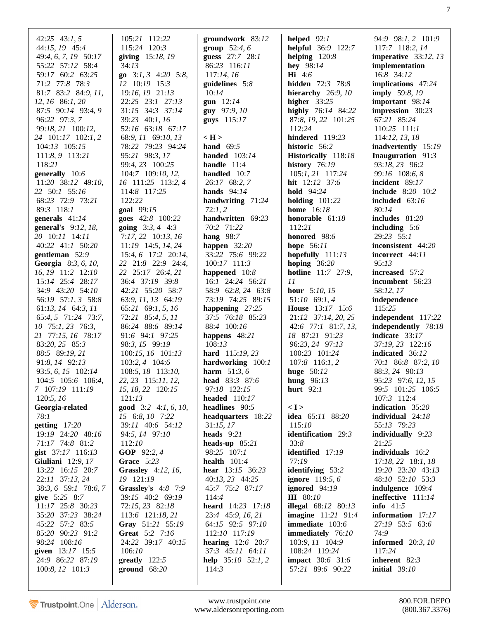| $42:25$ $43:1, 5$<br>44:15, 19 45:4<br>49:4, 6, 7, 19 50:17<br>55:22 57:12 58:4<br>59:17 60:2 63:25<br>71:2 77:8 78:3<br>81:7 83:2 84:9, 11,<br>12, 16 86:1, 20<br>87:5 90:14 93:4, 9<br>96:22 97:3, 7<br>99:18, 21 100:12,<br>24 101:17 102:1, 2<br>104:13 105:15<br>111:8, 9 113:21<br>118:21<br>generally 10:6<br>11:20 38:12 49:10,<br>22 50:1 55:16<br>68:23 72:9 73:21<br>89:3 118:1<br>generals 41:14<br><b>general's</b> 9:12, 18,<br>20 10:11 14:11<br>40:22 41:1 50:20<br>gentleman 52:9<br>Georgia 8:3, 6, 10,<br>16, 19 11:2 12:10<br>15:14 25:4 28:17<br>34:9 43:20 54:10<br>56:19 57:1, 3 58:8<br>61:13, 14 64:3, 11<br>65:4, 5 71:24 73:7,<br>10 75:1, 23 76:3,<br>21 77:15, 16 78:17<br>83:20, 25 85:3<br>88:5 89:19, 21<br>91:8, 14 92:13<br>93:5, 6, 15 102:14<br>104:5 105:6 106:4,<br>7 107:19 111:19<br>120:5, 16<br>Georgia-related<br>78:1<br>getting $17:20$<br>19:19 24:20 48:16<br>71:17 74:8 81:2 | 105:21 112:22<br>115:24 120:3<br>giving 15:18, 19<br>34:13<br>go $3:1, 3$ 4:20 5:8,<br>12 10:19 15:3<br>19:16, 19 21:13<br>22:25 23:1 27:13<br>31:15 34:3 37:14<br>39:23 40:1, 16<br>52:16 63:18 67:17<br>68:9, 11 69:10, 13<br>78:22 79:23 94:24<br>95:21 98:3, 17<br>99:4, 23 100:25<br>104:7 109:10, 12,<br>16 111:25 113:2, 4<br>114:8 117:25<br>122:22<br><b>goal</b> 99:15<br>goes 42:8 100:22<br><b>going</b> $3:3, 4$ 4:3<br>$7:17, 22$ 10:13, 16<br>11:19 14:5, 14, 24<br>15:4, 6 17:2 20:14,<br>22 21:8 22:9 24:4,<br>22 25:17 26:4, 21<br>36:4 37:19 39:8<br>42:21 55:20 58:7<br>63:9, 11, 13 64:19<br>65:21 69:1, 5, 16<br>72:21 85:4, 5, 11<br>86:24 88:6 89:14<br>91:6 94:1 97:25<br>98:3, 15 99:19<br>100:15, 16 101:13<br>103:2, 4 104:6<br>108:5, 18 113:10,<br>22, 23 115:11, 12,<br>15, 18, 22 120:15<br>121:13<br>good 3:2 4:1, 6, 10,<br>15 6:8, 10 7:22<br>39:11 40:6 54:12<br>94:5, 14 97:10<br>112:10 | groundwork $83:12$<br><b>group</b> 52:4, 6<br>guess 27:7 28:1<br>86:23 116:11<br>117:14, 16<br>guidelines 5:8<br>10:14<br>gun $12:14$<br>guy 97:9, 10<br>guys 115:17<br>$\langle H \rangle$<br>hand $69:5$<br>handed $103:14$<br>handle $11:4$<br>handled $10:7$<br>26:17 68:2, 7<br>hands $94:14$<br>handwriting 71:24<br>72:1,2<br>handwritten 69:23<br>70:2 71:22<br>hang $98:7$<br>happen $32:20$<br>33:22 75:6 99:22<br>100:17 111:3<br>happened 10:8<br>16:1 24:24 56:21<br>58:9 62:8, 24 63:8<br>73:19 74:25 89:15<br>happening $27:25$<br>37:5 76:18 85:23<br>88:4 100:16<br>happens $48:21$<br>108:13<br>hard 115:19, 23<br>hardworking 100:1<br><b>harm</b> $51:3,6$<br><b>head</b> 83:3 87:6<br>97:18 122:15<br>headed $110:17$<br>headlines 90:5<br>headquarters 18:22<br>31:15,17<br>heads $9:21$<br>heads-up $85:21$ | helped $92:1$<br>helpful 36:9 122:7<br>helping $120:8$<br>hey 98:14<br>$\mathbf{Hi}$ 4:6<br><b>hidden</b> 72:3 78:8<br>hierarchy $26:9, 10$<br>higher $33:25$<br>highly 76:14 84:22<br>87:8, 19, 22 101:25<br>112:24<br>hindered $119:23$<br>historic 56:2<br>Historically 118:18<br>history 76:19<br>105:1, 21 117:24<br>hit 12:12 37:6<br><b>hold</b> 94:24<br>holding $101:22$<br><b>home</b> 16:18<br>honorable 61:18<br>112:21<br>honored 98:6<br>hope 56:11<br>hopefully $111:13$<br>hoping $36:20$<br><b>hotline</b> 11:7 27:9,<br>11<br><b>hour</b> $5:10, 15$<br>51:10 69:1, 4<br><b>House</b> 13:17 15:6<br>21:12 37:14, 20, 25<br>42:6 77:1 81:7, 13,<br>18 87:21 91:23<br>96:23, 24 97:13<br>100:23 101:24<br>107:8 116:1, 2<br>huge 50:12<br>hung $96:13$<br>hurt $92:1$<br>< I ><br>idea 65:11 88:20<br>115:10<br><b>identification</b> 29:3<br>33:8 | 94:9 98:1, 2 101:9<br>117:7 118:2, 14<br><b>imperative</b> $33:12, 13$<br>implementation<br>16:8 34:12<br>implications 47:24<br><b>imply</b> 59:8, 19<br>important 98:14<br>impression 30:23<br>67:21 85:24<br>$110:25$ $111:1$<br>114:12, 13, 18<br>inadvertently 15:19<br>Inauguration 91:3<br>93:18, 23 96:2<br>99:16 108:6, 8<br>incident 89:17<br><b>include</b> 8:20 10:2<br>included $63:16$<br>80:14<br>includes $81:20$<br>including $5:6$<br>29:23 55:1<br>inconsistent 44:20<br>incorrect 44:11<br>95:13<br>increased 57:2<br>incumbent $56:23$<br>58:12, 17<br>independence<br>115:25<br>independent 117:22<br>independently 78:18<br>indicate 33:17<br>37:19, 23 122:16<br>indicated 36:12<br>70:1 86:8 87:2, 10<br>88:3, 24 90:13<br>95:23 97:6, 12, 15<br>99:5 101:25 106:5<br>107:3 112:4<br>indication 35:20<br>individual $24:18$<br>55:13 79:23<br><b>individually</b> 9:23<br>21:25 |
|------------------------------------------------------------------------------------------------------------------------------------------------------------------------------------------------------------------------------------------------------------------------------------------------------------------------------------------------------------------------------------------------------------------------------------------------------------------------------------------------------------------------------------------------------------------------------------------------------------------------------------------------------------------------------------------------------------------------------------------------------------------------------------------------------------------------------------------------------------------------------------------------------------------------------|-------------------------------------------------------------------------------------------------------------------------------------------------------------------------------------------------------------------------------------------------------------------------------------------------------------------------------------------------------------------------------------------------------------------------------------------------------------------------------------------------------------------------------------------------------------------------------------------------------------------------------------------------------------------------------------------------------------------------------------------------------------------------------------------------------------------------------------------------------------------------------------------------------------------------------|------------------------------------------------------------------------------------------------------------------------------------------------------------------------------------------------------------------------------------------------------------------------------------------------------------------------------------------------------------------------------------------------------------------------------------------------------------------------------------------------------------------------------------------------------------------------------------------------------------------------------------------------------------------------------------------------------------------------------------------------------------------------------------------------------------------------------------|--------------------------------------------------------------------------------------------------------------------------------------------------------------------------------------------------------------------------------------------------------------------------------------------------------------------------------------------------------------------------------------------------------------------------------------------------------------------------------------------------------------------------------------------------------------------------------------------------------------------------------------------------------------------------------------------------------------------------------------------------------------------------------------------------------------------------------------------------------------------|---------------------------------------------------------------------------------------------------------------------------------------------------------------------------------------------------------------------------------------------------------------------------------------------------------------------------------------------------------------------------------------------------------------------------------------------------------------------------------------------------------------------------------------------------------------------------------------------------------------------------------------------------------------------------------------------------------------------------------------------------------------------------------------------------------------------------------------------------------------------------------------------------------|
|                                                                                                                                                                                                                                                                                                                                                                                                                                                                                                                                                                                                                                                                                                                                                                                                                                                                                                                              |                                                                                                                                                                                                                                                                                                                                                                                                                                                                                                                                                                                                                                                                                                                                                                                                                                                                                                                               |                                                                                                                                                                                                                                                                                                                                                                                                                                                                                                                                                                                                                                                                                                                                                                                                                                    |                                                                                                                                                                                                                                                                                                                                                                                                                                                                                                                                                                                                                                                                                                                                                                                                                                                                    |                                                                                                                                                                                                                                                                                                                                                                                                                                                                                                                                                                                                                                                                                                                                                                                                                                                                                                         |
|                                                                                                                                                                                                                                                                                                                                                                                                                                                                                                                                                                                                                                                                                                                                                                                                                                                                                                                              |                                                                                                                                                                                                                                                                                                                                                                                                                                                                                                                                                                                                                                                                                                                                                                                                                                                                                                                               |                                                                                                                                                                                                                                                                                                                                                                                                                                                                                                                                                                                                                                                                                                                                                                                                                                    |                                                                                                                                                                                                                                                                                                                                                                                                                                                                                                                                                                                                                                                                                                                                                                                                                                                                    |                                                                                                                                                                                                                                                                                                                                                                                                                                                                                                                                                                                                                                                                                                                                                                                                                                                                                                         |
|                                                                                                                                                                                                                                                                                                                                                                                                                                                                                                                                                                                                                                                                                                                                                                                                                                                                                                                              |                                                                                                                                                                                                                                                                                                                                                                                                                                                                                                                                                                                                                                                                                                                                                                                                                                                                                                                               |                                                                                                                                                                                                                                                                                                                                                                                                                                                                                                                                                                                                                                                                                                                                                                                                                                    |                                                                                                                                                                                                                                                                                                                                                                                                                                                                                                                                                                                                                                                                                                                                                                                                                                                                    |                                                                                                                                                                                                                                                                                                                                                                                                                                                                                                                                                                                                                                                                                                                                                                                                                                                                                                         |
| gist 37:17 116:13                                                                                                                                                                                                                                                                                                                                                                                                                                                                                                                                                                                                                                                                                                                                                                                                                                                                                                            | GOP 92:2, 4                                                                                                                                                                                                                                                                                                                                                                                                                                                                                                                                                                                                                                                                                                                                                                                                                                                                                                                   | 98:25 107:1                                                                                                                                                                                                                                                                                                                                                                                                                                                                                                                                                                                                                                                                                                                                                                                                                        | identified 17:19                                                                                                                                                                                                                                                                                                                                                                                                                                                                                                                                                                                                                                                                                                                                                                                                                                                   | individuals 16:2                                                                                                                                                                                                                                                                                                                                                                                                                                                                                                                                                                                                                                                                                                                                                                                                                                                                                        |
| <b>Giuliani</b> 12:9, 17                                                                                                                                                                                                                                                                                                                                                                                                                                                                                                                                                                                                                                                                                                                                                                                                                                                                                                     | Grace 5:23                                                                                                                                                                                                                                                                                                                                                                                                                                                                                                                                                                                                                                                                                                                                                                                                                                                                                                                    | health $101:4$                                                                                                                                                                                                                                                                                                                                                                                                                                                                                                                                                                                                                                                                                                                                                                                                                     | 77:19                                                                                                                                                                                                                                                                                                                                                                                                                                                                                                                                                                                                                                                                                                                                                                                                                                                              | 17:18, 22 18:1, 18                                                                                                                                                                                                                                                                                                                                                                                                                                                                                                                                                                                                                                                                                                                                                                                                                                                                                      |
| 13:22 16:15 20:7                                                                                                                                                                                                                                                                                                                                                                                                                                                                                                                                                                                                                                                                                                                                                                                                                                                                                                             | Grassley 4:12, 16,                                                                                                                                                                                                                                                                                                                                                                                                                                                                                                                                                                                                                                                                                                                                                                                                                                                                                                            | <b>hear</b> $13:15$ $36:23$                                                                                                                                                                                                                                                                                                                                                                                                                                                                                                                                                                                                                                                                                                                                                                                                        | identifying 53:2                                                                                                                                                                                                                                                                                                                                                                                                                                                                                                                                                                                                                                                                                                                                                                                                                                                   | 19:20 23:20 43:13                                                                                                                                                                                                                                                                                                                                                                                                                                                                                                                                                                                                                                                                                                                                                                                                                                                                                       |
| 22:11 37:13, 24                                                                                                                                                                                                                                                                                                                                                                                                                                                                                                                                                                                                                                                                                                                                                                                                                                                                                                              | 19 121:19                                                                                                                                                                                                                                                                                                                                                                                                                                                                                                                                                                                                                                                                                                                                                                                                                                                                                                                     | 40:13, 23 44:25                                                                                                                                                                                                                                                                                                                                                                                                                                                                                                                                                                                                                                                                                                                                                                                                                    | <b>ignore</b> 119:5, 6                                                                                                                                                                                                                                                                                                                                                                                                                                                                                                                                                                                                                                                                                                                                                                                                                                             | 48:10 52:10 53:3                                                                                                                                                                                                                                                                                                                                                                                                                                                                                                                                                                                                                                                                                                                                                                                                                                                                                        |
| 38:3, 6 59:1 78:6, 7                                                                                                                                                                                                                                                                                                                                                                                                                                                                                                                                                                                                                                                                                                                                                                                                                                                                                                         | <b>Grassley's</b> 4:8 7:9                                                                                                                                                                                                                                                                                                                                                                                                                                                                                                                                                                                                                                                                                                                                                                                                                                                                                                     | 45:7 75:2 87:17                                                                                                                                                                                                                                                                                                                                                                                                                                                                                                                                                                                                                                                                                                                                                                                                                    | ignored 94:19                                                                                                                                                                                                                                                                                                                                                                                                                                                                                                                                                                                                                                                                                                                                                                                                                                                      | indulgence 109:4                                                                                                                                                                                                                                                                                                                                                                                                                                                                                                                                                                                                                                                                                                                                                                                                                                                                                        |
| give 5:25 8:7                                                                                                                                                                                                                                                                                                                                                                                                                                                                                                                                                                                                                                                                                                                                                                                                                                                                                                                | 39:15 40:2 69:19                                                                                                                                                                                                                                                                                                                                                                                                                                                                                                                                                                                                                                                                                                                                                                                                                                                                                                              | 114:4                                                                                                                                                                                                                                                                                                                                                                                                                                                                                                                                                                                                                                                                                                                                                                                                                              | <b>III</b> 80:10                                                                                                                                                                                                                                                                                                                                                                                                                                                                                                                                                                                                                                                                                                                                                                                                                                                   | ineffective 111:14                                                                                                                                                                                                                                                                                                                                                                                                                                                                                                                                                                                                                                                                                                                                                                                                                                                                                      |
| 11:17 25:8 30:23                                                                                                                                                                                                                                                                                                                                                                                                                                                                                                                                                                                                                                                                                                                                                                                                                                                                                                             | 72:15, 23 82:18                                                                                                                                                                                                                                                                                                                                                                                                                                                                                                                                                                                                                                                                                                                                                                                                                                                                                                               | <b>heard</b> $14:23$ $17:18$                                                                                                                                                                                                                                                                                                                                                                                                                                                                                                                                                                                                                                                                                                                                                                                                       | <b>illegal</b> $68:12$ $80:13$                                                                                                                                                                                                                                                                                                                                                                                                                                                                                                                                                                                                                                                                                                                                                                                                                                     | info $41:5$                                                                                                                                                                                                                                                                                                                                                                                                                                                                                                                                                                                                                                                                                                                                                                                                                                                                                             |
| 35:20 37:23 38:24                                                                                                                                                                                                                                                                                                                                                                                                                                                                                                                                                                                                                                                                                                                                                                                                                                                                                                            | 113:6 121:18, 21                                                                                                                                                                                                                                                                                                                                                                                                                                                                                                                                                                                                                                                                                                                                                                                                                                                                                                              | 23:4 45:9, 16, 21                                                                                                                                                                                                                                                                                                                                                                                                                                                                                                                                                                                                                                                                                                                                                                                                                  | <b>imagine</b> $11:21$ 91:4                                                                                                                                                                                                                                                                                                                                                                                                                                                                                                                                                                                                                                                                                                                                                                                                                                        | information $17:17$                                                                                                                                                                                                                                                                                                                                                                                                                                                                                                                                                                                                                                                                                                                                                                                                                                                                                     |
| 45:22 57:2 83:5                                                                                                                                                                                                                                                                                                                                                                                                                                                                                                                                                                                                                                                                                                                                                                                                                                                                                                              | Gray 51:21 55:19                                                                                                                                                                                                                                                                                                                                                                                                                                                                                                                                                                                                                                                                                                                                                                                                                                                                                                              | 64:15 92:5 97:10                                                                                                                                                                                                                                                                                                                                                                                                                                                                                                                                                                                                                                                                                                                                                                                                                   | <b>immediate</b> $103:6$                                                                                                                                                                                                                                                                                                                                                                                                                                                                                                                                                                                                                                                                                                                                                                                                                                           | 27:19 53:5 63:6                                                                                                                                                                                                                                                                                                                                                                                                                                                                                                                                                                                                                                                                                                                                                                                                                                                                                         |
| 85:20 90:23 91:2                                                                                                                                                                                                                                                                                                                                                                                                                                                                                                                                                                                                                                                                                                                                                                                                                                                                                                             | <b>Great</b> 5:2 7:16                                                                                                                                                                                                                                                                                                                                                                                                                                                                                                                                                                                                                                                                                                                                                                                                                                                                                                         | 112:10 117:19                                                                                                                                                                                                                                                                                                                                                                                                                                                                                                                                                                                                                                                                                                                                                                                                                      | immediately 76:10                                                                                                                                                                                                                                                                                                                                                                                                                                                                                                                                                                                                                                                                                                                                                                                                                                                  | 74:9                                                                                                                                                                                                                                                                                                                                                                                                                                                                                                                                                                                                                                                                                                                                                                                                                                                                                                    |
| 98:24 108:16                                                                                                                                                                                                                                                                                                                                                                                                                                                                                                                                                                                                                                                                                                                                                                                                                                                                                                                 | 24:22 39:17 40:15                                                                                                                                                                                                                                                                                                                                                                                                                                                                                                                                                                                                                                                                                                                                                                                                                                                                                                             | <b>hearing</b> $12:6$ 20:7                                                                                                                                                                                                                                                                                                                                                                                                                                                                                                                                                                                                                                                                                                                                                                                                         | 103:9, 11 104:9                                                                                                                                                                                                                                                                                                                                                                                                                                                                                                                                                                                                                                                                                                                                                                                                                                                    | informed $20:3, 10$                                                                                                                                                                                                                                                                                                                                                                                                                                                                                                                                                                                                                                                                                                                                                                                                                                                                                     |
| given 13:17 15:5                                                                                                                                                                                                                                                                                                                                                                                                                                                                                                                                                                                                                                                                                                                                                                                                                                                                                                             | 106:10                                                                                                                                                                                                                                                                                                                                                                                                                                                                                                                                                                                                                                                                                                                                                                                                                                                                                                                        | 37:3 45:11 64:11                                                                                                                                                                                                                                                                                                                                                                                                                                                                                                                                                                                                                                                                                                                                                                                                                   | 108:24 119:24                                                                                                                                                                                                                                                                                                                                                                                                                                                                                                                                                                                                                                                                                                                                                                                                                                                      | 117:24                                                                                                                                                                                                                                                                                                                                                                                                                                                                                                                                                                                                                                                                                                                                                                                                                                                                                                  |
| 24:9 86:22 87:19                                                                                                                                                                                                                                                                                                                                                                                                                                                                                                                                                                                                                                                                                                                                                                                                                                                                                                             | $g realty 122:5$                                                                                                                                                                                                                                                                                                                                                                                                                                                                                                                                                                                                                                                                                                                                                                                                                                                                                                              | help $35:10$ $52:1, 2$                                                                                                                                                                                                                                                                                                                                                                                                                                                                                                                                                                                                                                                                                                                                                                                                             | <b>impact</b> 30:6 31:6                                                                                                                                                                                                                                                                                                                                                                                                                                                                                                                                                                                                                                                                                                                                                                                                                                            | inherent $82:3$                                                                                                                                                                                                                                                                                                                                                                                                                                                                                                                                                                                                                                                                                                                                                                                                                                                                                         |
| 100:8, 12 101:3                                                                                                                                                                                                                                                                                                                                                                                                                                                                                                                                                                                                                                                                                                                                                                                                                                                                                                              | ground $68:20$                                                                                                                                                                                                                                                                                                                                                                                                                                                                                                                                                                                                                                                                                                                                                                                                                                                                                                                | 114:3                                                                                                                                                                                                                                                                                                                                                                                                                                                                                                                                                                                                                                                                                                                                                                                                                              | 57:21 89:6 90:22                                                                                                                                                                                                                                                                                                                                                                                                                                                                                                                                                                                                                                                                                                                                                                                                                                                   | initial $39:10$                                                                                                                                                                                                                                                                                                                                                                                                                                                                                                                                                                                                                                                                                                                                                                                                                                                                                         |

www.trustpoint.one www.aldersonreporting.com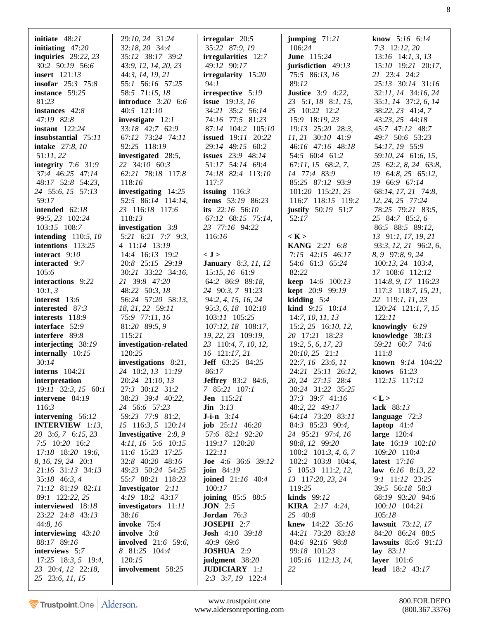| initiate $48:21$                                                             | 29:10, 24 31:24                                                                    | irregular $20:5$                                                               | jumping $71:21$                                                                   | <b>know</b> $5:16$ 6:14                                                             |
|------------------------------------------------------------------------------|------------------------------------------------------------------------------------|--------------------------------------------------------------------------------|-----------------------------------------------------------------------------------|-------------------------------------------------------------------------------------|
| initiating $47:20$                                                           | 32:18, 20 34:4                                                                     | 35:22 87:9, 19                                                                 | 106:24                                                                            | $7:3$ 12:12, 20                                                                     |
| inquiries $29:22,23$                                                         | 35:12 38:17 39:2                                                                   | irregularities 12:7                                                            | <b>June</b> 115:24                                                                | $13:16$ 14:1, 3, 13                                                                 |
| 30:2 50:19 56:6                                                              | 43:9, 12, 14, 20, 23                                                               | 49:12 90:17                                                                    | jurisdiction $49:13$                                                              | 15:10 19:21 20:17,                                                                  |
| insert $121:13$                                                              | 44:3, 14, 19, 21                                                                   | irregularity 15:20                                                             | 75:5 86:13, 16                                                                    | 21 23:4 24:2                                                                        |
| <b>insofar</b> 25:3 75:8                                                     | 55:1 56:16 57:25                                                                   | 94:1                                                                           | 89:12                                                                             | 25:13 30:14 31:16                                                                   |
| instance 59:25                                                               | 58:5 71:15, 18                                                                     | irrespective 5:19                                                              | <b>Justice</b> 3:9 4:22,                                                          | 32:11, 14 34:16, 24                                                                 |
| 81:23                                                                        | <b>introduce</b> $3:20$ 6:6                                                        | <b>issue</b> 19:13, 16                                                         | 23 5:1, 18 8:1, 15,                                                               | 35:1, 14 37:2, 6, 14                                                                |
| instances 42:8                                                               | 40:5 121:10                                                                        | 34:21 35:2 56:14                                                               | 25 10:22 12:2                                                                     | 38:22, 23 41:4, 7                                                                   |
| 47:19 82:8                                                                   | investigate $12:1$                                                                 | 74:16 77:5 81:23                                                               | 15:9 18:19, 23                                                                    | $43:23, 25$ $44:18$                                                                 |
| instant $122:24$                                                             | 33:18 42:7 62:9                                                                    | 87:14 104:2 105:10                                                             | 19:13 25:20 28:3,                                                                 | 45:7 47:12 48:7                                                                     |
| insubstantial 75:11                                                          | 67:12 73:24 74:11                                                                  | <b>issued</b> 19:11 20:22                                                      | 11, 21 30:10 41:9                                                                 | 49:7 50:6 53:23                                                                     |
| <b>intake</b> 27:8, 10                                                       | 92:25 118:19                                                                       | 29:14 49:15 60:2                                                               | 46:16 47:16 48:18                                                                 | 54:17, 19 55:9                                                                      |
| 51:11,22                                                                     | investigated 28:5,                                                                 | <b>issues</b> 23:9 48:14                                                       | 54:5 60:4 61:2                                                                    | 59:10, 24 61:6, 15,                                                                 |
| <b>integrity</b> 7:6 31:9                                                    | 22 34:10 60:3                                                                      | 51:17 54:14 69:4                                                               | $67:11, 15$ $68:2, 7$ ,                                                           | 25 62:2, 8, 24 63:8,                                                                |
| 37:4 46:25 47:14                                                             | 62:21 78:18 117:8                                                                  | 74:18 82:4 113:10                                                              | 14 77:4 83:9                                                                      | 19 64:8, 25 65:12,                                                                  |
| 48:17 52:8 54:23,                                                            | 118:16                                                                             | 117:7                                                                          | 85:25 87:12 93:9                                                                  | 19 66:9 67:14                                                                       |
| 24 55:6, 15 57:13                                                            | investigating $14:25$                                                              | issuing $116:3$                                                                | 101:20 115:21, 25                                                                 | 68:14, 17, 21 74:8,                                                                 |
| 59:17                                                                        | 52:5 86:14 114:14,                                                                 | <b>items</b> 53:19 86:23                                                       | 116:7 118:15 119:2                                                                | 12, 24, 25 77:24                                                                    |
| intended $62:18$<br>99:5, 23 102:24<br>103:15 108:7<br>intending $110:5, 10$ | 23 116:18 117:6<br>118:13<br>investigation 3:8<br>5:21 6:21 7:7 9:3,               | its $22:16$ 56:10<br>67:12 68:15 75:14,<br>23 77:16 94:22<br>116:16            | justify $50:19$ $51:7$<br>52:17<br>$\langle K \rangle$                            | 78:25 79:21 83:5,<br>25 84:7 85:2, 6<br>86:5 88:5 89:12,<br>13 91:1, 17, 19, 21     |
| intentions $113:25$<br>interact 9:10<br><b>interacted</b> 9:7<br>105:6       | 4 11:14 13:19<br>14:4 16:13 19:2<br>20:8 25:15 29:19<br>30:21 33:22 34:16,         | < J ><br><b>January</b> 8:3, 11, 12<br>$15:15, 16$ 61:9                        | <b>KANG</b> 2:21 6:8<br>7:15 42:15 46:17<br>54:6 61:3 65:24<br>82:22              | 93:3, 12, 21 96:2, 6,<br>8, 9 97:8, 9, 24<br>$100:13, 24$ 103:4,<br>17 108:6 112:12 |
| interactions 9:22                                                            | 21 39:8 47:20                                                                      | 64:2 86:9 89:18,                                                               | <b>keep</b> 14:6 100:13                                                           | $114:8, 9, 17$ 116:23                                                               |
| 10:1, 3                                                                      | 48:22 50:3, 18                                                                     | 24 90:3, 7 91:23                                                               | <b>kept</b> 20:9 99:19                                                            | $117:3$ 118:7, 15, 21,                                                              |
| <b>interest</b> 13:6                                                         | 56:24 57:20 58:13,                                                                 | 94:2, 4, 15, 16, 24                                                            | kidding $5:4$                                                                     | 22 119:1, 11, 23                                                                    |
| interested 87:3                                                              | 18, 21, 22 59:11                                                                   | 95:3, 6, 18 102:10                                                             | <b>kind</b> $9:15$ $10:14$                                                        | 120:24 121:1, 7, 15                                                                 |
| interests 118:9                                                              | 75:9 77:11, 16                                                                     | 103:11 105:25                                                                  | 14:7, 10, 11, 13                                                                  | 122:11                                                                              |
| <b>interface</b> 52:9                                                        | 81:20 89:5, 9                                                                      | 107:12, 18 108:17,                                                             | 15:2, 25 16:10, 12,                                                               | knowingly $6:19$                                                                    |
| interfere 89:8                                                               | 115:21                                                                             | 19, 22, 23 109:19,                                                             | 20 17:21 18:23                                                                    | knowledge 38:13                                                                     |
| interjecting 38:19                                                           | investigation-related                                                              | 23 110:4, 7, 10, 12,                                                           | 19:2, 5, 6, 17, 23                                                                | 59:21 60:7 74:6                                                                     |
| internally 10:15                                                             | 120:25                                                                             | 16 121:17, 21                                                                  | $20:10, 25$ 21:1                                                                  | 111:8                                                                               |
| 30:14<br>interns $104:21$<br>interpretation<br>$19:11$ 32:3, 15 60:1         | investigations $8:21$ ,<br>24 10:2, 13 11:19<br>20:24 21:10, 13<br>27:3 30:12 31:2 | <b>Jeff</b> 63:25 84:25<br>86:17<br><b>Jeffrey</b> 83:2 84:6,<br>7 85:21 107:1 | 22:7, 16 23:6, 11<br>24:21 25:11 26:12,<br>20, 24 27:15 28:4<br>30:24 31:22 35:25 | known 9:14 104:22<br>knows $61:23$<br>112:15 117:12                                 |
| intervene 84:19                                                              | 38:23 39:4 40:22,                                                                  | <b>Jen</b> $115:21$                                                            | 37:3 39:7 41:16                                                                   | < L >                                                                               |
| 116:3                                                                        | 24 56:6 57:23                                                                      | <b>Jin</b> $3:13$                                                              | 48:2, 22 49:17                                                                    | lack 88:13                                                                          |
| intervening 56:12                                                            | 59:23 77:9 81:2,                                                                   | <b>J-i-n</b> $3:14$                                                            | 64:14 73:20 83:11                                                                 | language $72:3$                                                                     |
| <b>INTERVIEW</b> 1:13,                                                       | 15 116:3, 5 120:14                                                                 | <b>job</b> $25:11 \, 46:20$                                                    | 84:3 85:23 90:4,                                                                  | laptop $41:4$                                                                       |
| 20 3:6, 7 6:15, 23                                                           | <b>Investigative</b> 2:8, 9                                                        | 57:6 82:1 92:20                                                                | 24 95:21 97:4, 16                                                                 | large $120:4$                                                                       |
| 7:5 10:20 16:2                                                               | 4:11, 16 5:6 10:15                                                                 | 119:17 120:20                                                                  | 98:8, 12 99:20                                                                    | late 16:19 102:10                                                                   |
| 17:18 18:20 19:6,                                                            | 11:6 15:23 17:25                                                                   | 122:11                                                                         | 100:2 101:3, 4, 6, 7                                                              | 109:20 110:4                                                                        |
| 8, 16, 19, 24 20:1                                                           | 32:8 40:20 48:16                                                                   | <b>Joe</b> 4:6 36:6 39:12                                                      | 102:2 103:8 104:4,                                                                | <b>latest</b> 17:16                                                                 |
| 21:16 31:13 34:13                                                            | 49:23 50:24 54:25                                                                  | join $84:19$                                                                   | 5 105:3 111:2, 12,                                                                | law $6:16$ $8:13,22$                                                                |
| 35:18 46:3, 4                                                                | 55:7 88:21 118:23                                                                  | <b>joined</b> $21:16$ 40:4                                                     | 13 117:20, 23, 24                                                                 | 9:1 11:12 23:25                                                                     |
| 71:12 81:19 82:11                                                            | Investigator 2:11                                                                  | 100:17                                                                         | 119:25                                                                            | 39:5 56:18 58:3                                                                     |
| 89:1 122:22, 25                                                              | 4:19 18:2 43:17                                                                    | <b>joining</b> 85:5 88:5                                                       | <b>kinds</b> 99:12                                                                | 68:19 93:20 94:6                                                                    |
| interviewed 18:18                                                            | investigators 11:11                                                                | <b>JON</b> $2:5$                                                               | <b>KIRA</b> 2:17 4:24,                                                            | 100:10 104:21                                                                       |
| 23:22 24:8 43:13                                                             | 38:16                                                                              | <b>Jordan</b> $76:3$                                                           | 25 40:8                                                                           | 105:18                                                                              |
| 44:8,16                                                                      | invoke 75:4                                                                        | JOSEPH 2:7                                                                     | knew 14:22 35:16                                                                  | lawsuit $73:12, 17$                                                                 |
| interviewing 43:10                                                           | involve 3:8                                                                        | Josh 4:10 39:18                                                                | 44:21 73:20 83:18                                                                 | 84:20 86:24 88:5                                                                    |
| 88:17 89:16                                                                  | <b>involved</b> 21:6 59:6,                                                         | 40:9 69:6                                                                      | 84:6 92:16 98:8                                                                   | lawsuits $85:6$ 91:13                                                               |
| interviews 5:7                                                               | 8 81:25 104:4                                                                      | JOSHUA 2:9                                                                     | 99:18 101:23                                                                      | lay $83:11$                                                                         |
| $17:25$ $18:3, 5$ $19:4$ ,                                                   | 120:15                                                                             | judgment 38:20                                                                 | 105:16 112:13, 14,                                                                | layer $101:6$                                                                       |
| 23 20:4, 12 22:18,<br>25 23:6, 11, 15                                        | involvement 58:25                                                                  | <b>JUDICIARY</b> 1:1<br>$2:3$ 3:7, 19 122:4                                    | 22                                                                                | <b>lead</b> 18:2 43:17                                                              |

www.trustpoint.one 800.FOR.DEPO<br>w.aldersonreporting.com (800.367.3376) www.aldersonreporting.com (800.367.3376)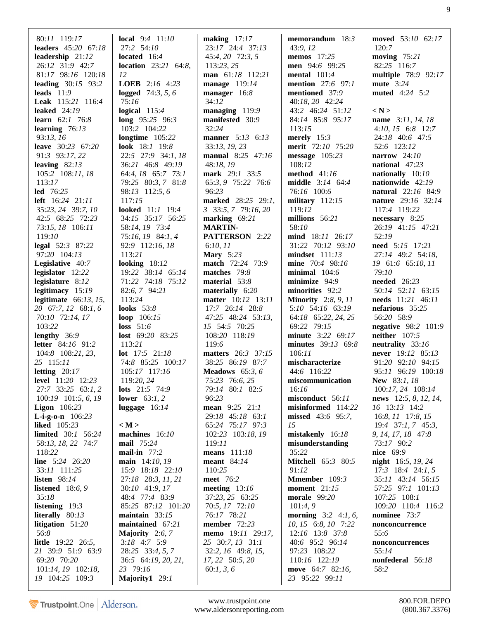| 80:11 119:17                | <b>local</b> $9:4$ $11:10$    | making $17:17$            | memorandum $18:3$               | moved 53:10 62:17          |
|-----------------------------|-------------------------------|---------------------------|---------------------------------|----------------------------|
| leaders 45:20 67:18         | 27:2 54:10                    | 23:17 24:4 37:13          | 43:9,12                         | 120:7                      |
| leadership $21:12$          | located $16:4$                | 45:4, 20 72:3, 5          | <b>memos</b> 17:25              | moving $75:21$             |
| 26:12 31:9 42:7             | <b>location</b> $23:21$ 64:8, | 113:23, 25                | <b>men</b> 94:6 99:25           | 82:25 116:7                |
| 81:17 98:16 120:18          | 12                            | man $61:18$ 112:21        | mental $101:4$                  | <b>multiple</b> 78:9 92:17 |
| leading $30:15$ 93:2        | <b>LOEB</b> 2:16 4:23         | manage 119:14             | <b>mention</b> 27:6 97:1        | mute $3:24$                |
|                             |                               |                           |                                 |                            |
| leads $11:9$                | logged $74:3, 5, 6$           | manager $16:8$            | mentioned 37:9                  | muted 4:24 5:2             |
| Leak 115:21 116:4           | 75:16                         | 34:12                     | 40:18, 20 42:24                 |                            |
| leaked $24:19$              | logical $115:4$               | managing 119:9            | 43:2 46:24 51:12                | $\langle N \rangle$        |
| <b>learn</b> 62:1 76:8      | long $95:25$ $96:3$           | manifested 30:9           | 84:14 85:8 95:17                | name 3:11, 14, 18          |
| learning $76:13$            | 103:2 104:22                  | 32:24                     | 113:15                          | $4:10, 15$ 6:8 12:7        |
| 93:13, 16                   | longtime $105:22$             | manner 5:13 6:13          | merely $15:3$                   | 24:18 40:6 47:5            |
| <b>leave</b> 30:23 67:20    | look 18:1 19:8                | 33:13, 19, 23             | merit 72:10 75:20               | 52:6 123:12                |
|                             |                               |                           |                                 |                            |
| 91:3 93:17, 22              | 22:5 27:9 34:1, 18            | manual 8:25 47:16         | message $105:23$                | narrow $24:10$             |
| leaving $82:13$             | 36:21 46:8 49:19              | 48:18, 19                 | 108:12                          | national $47:23$           |
| 105:2 108:11, 18            | 64:4, 18 65:7 73:1            | mark 29:1 33:5            | method $41:16$                  | nationally 10:10           |
| 113:17                      | 79:25 80:3, 7 81:8            | 65:3, 9 75:22 76:6        | <b>middle</b> $3:14 \quad 64:4$ | nationwide 42:19           |
| <b>led</b> $76:25$          | 98:13 112:5, 6                | 96:23                     | 76:16 100:6                     | <b>natural</b> 22:16 84:9  |
| <b>left</b> 16:24 21:11     | 117:15                        | marked 28:25 29:1,        | military $112:15$               | <b>nature</b> 29:16 32:14  |
| 35:23, 24 39:7, 10          | looked 11:1 19:4              | 3 33:5, 7 79:16, 20       | 119:12                          | 117:4 119:22               |
|                             |                               |                           |                                 |                            |
| 42:5 68:25 72:23            | 34:15 35:17 56:25             | marking $69:21$           | millions $56:21$                | $necessary$ 8:25           |
| 73:15, 18 106:11            | 58:14, 19 73:4                | <b>MARTIN-</b>            | 58:10                           | 26:19 41:15 47:21          |
| 119:10                      | 75:16, 19 84:1, 4             | PATTERSON 2:22            | mind 18:11 26:17                | 52:19                      |
| legal 52:3 87:22            | 92:9 112:16, 18               | 6:10,11                   | 31:22 70:12 93:10               | need 5:15 17:21            |
| 97:20 104:13                | 113:21                        | Mary $5:23$               | $mindset$ 111:13                | 27:14 49:2 54:18,          |
| Legislative 40:7            | looking $18:12$               | <b>match</b> 72:24 73:9   | mine 70:4 98:16                 | 19 61:6 65:10, 11          |
|                             |                               |                           |                                 | 79:10                      |
| legislator 12:22            | 19:22 38:14 65:14             | matches 79:8              | minimal $104:6$                 |                            |
| legislature $8:12$          | 71:22 74:18 75:12             | material $53:8$           | minimize $94:9$                 | needed $26:23$             |
| legitimacy 15:19            | 82:6, 7 94:21                 | materially $6:20$         | minorities 92:2                 | 50:14 52:11 63:15          |
| legitimate $66:13$ , $15$ , | 113:24                        | <b>matter</b> 10:12 13:11 | <b>Minority</b> 2:8, 9, 11      | <b>needs</b> 11:21 46:11   |
| 20 67:7, 12 68:1, 6         | looks $53:8$                  | 17:7 26:14 28:8           | 5:10 54:16 63:19                | nefarious 35:25            |
| 70:10 72:14, 17             | loop 106:15                   | 47:25 48:24 53:13,        | 64:18 65:22, 24, 25             | 56:20 58:9                 |
| 103:22                      | loss $51:6$                   | 15 54:5 70:25             | 69:22 79:15                     | <b>negative</b> 98:2 101:9 |
| lengthy 36:9                | <b>lost</b> 69:20 83:25       | 108:20 118:19             | minute 3:22 69:17               | neither $107:5$            |
|                             |                               |                           |                                 |                            |
| <b>letter</b> $84:16$ 91:2  | 113:21                        | 119:6                     | minutes 39:13 69:8              | neutrality 33:16           |
| 104:8 108:21, 23,           | lot 17:5 21:18                | matters 26:3 37:15        | 106:11                          | never 19:12 85:13          |
| 25 115:11                   | 74:8 85:25 100:17             | 38:25 86:19 87:7          | mischaracterize                 | 91:20 92:10 94:15          |
| letting $20:17$             | 105:17 117:16                 | Meadows $65:3, 6$         | 44:6 116:22                     | 95:11 96:19 100:18         |
| level 11:20 12:23           | 119:20, 24                    | 75:23 76:6, 25            | miscommunication                | New 83:1, 18               |
| 27:7 33:25 63:1, 2          | lots 21:5 74:9                | 79:14 80:1 82:5           | 16:16                           | 100:17, 24 108:14          |
| 100:19 101:5, 6, 19         | lower $63:1, 2$               | 96:23                     | misconduct 56:11                | news $12:5, 8, 12, 14,$    |
|                             |                               | mean 9:25 21:1            |                                 |                            |
| <b>Ligon</b> $106:23$       | luggage $16:14$               |                           | misinformed 114:22              | 16 13:13 14:2              |
| <b>L</b> -i-g-o-n $106:23$  |                               | 29:18 45:18 63:1          | missed $43:6$ 95:7,             | 16:8, 11 17:8, 15          |
| <b>liked</b> 105:23         | $\langle M \rangle$           | 65:24 75:17 97:3          | 15                              | $19:4$ 37:1, 7 45:3,       |
| <b>limited</b> 30:1 56:24   | machines 16:10                | 102:23 103:18, 19         | mistakenly 16:18                | 9, 14, 17, 18 47:8         |
| 58:13, 18, 22 74:7          | mail 75:24                    | 119:11                    | misunderstanding                | 73:17 90:2                 |
| 118:22                      | mail-in $77:2$                | means 111:18              | 35:22                           | nice 69:9                  |
| line 5:24 26:20             | main 14:10, 19                | meant 84:14               | <b>Mitchell</b> 65:3 80:5       | <b>night</b> 16:5, 19, 24  |
| 33:11 111:25                | 15:9 18:18 22:10              | 110:25                    | 91:12                           | $17:3$ $18:4$ $24:1, 5$    |
|                             |                               |                           |                                 |                            |
| <b>listen</b> 98:14         | 27:18 28:3, 11, 21            | meet 76:2                 | Mmember 109:3                   | 35:11 43:14 56:15          |
| listened $18:6,9$           | 30:10 41:9, 17                | meeting $13:16$           | moment $21:15$                  | 57:25 97:1 101:13          |
| 35:18                       | 48:4 77:4 83:9                | 37:23, 25 63:25           | morale 99:20                    | $107:25$ $108:1$           |
| listening $19:3$            | 85:25 87:12 101:20            | 70:5, 17 72:10            | 101:4,9                         | 109:20 110:4 116:2         |
| literally $80:13$           | maintain $33:15$              | 76:17 78:21               | <b>morning</b> $3:2$ 4:1, 6,    | nominee 73:7               |
| litigation $51:20$          | maintained 67:21              | <b>member</b> 72:23       | 10, 15 6:8, 10 7:22             | nonconcurrence             |
| 56:8                        | Majority $2:6, 7$             | memo 19:11 29:17,         | 12:16 13:8 37:8                 | 55:6                       |
| <b>little</b> 19:22 26:5,   | $3:18$ 4:7 5:9                | 25 30:7, 13 31:1          | 40:6 95:2 96:14                 |                            |
|                             |                               |                           |                                 | nonconcurrences            |
| 21 39:9 51:9 63:9           | 28:25 33:4, 5, 7              | 32:2, 16 49:8, 15,        | 97:23 108:22                    | 55:14                      |
| 69:20 70:20                 | 36:5 64:19, 20, 21,           | 17, 22 50:5, 20           | 110:16 122:19                   | nonfederal 56:18           |
| 101:14, 19 102:18,          | 23 79:16                      | 60:1, 3, 6                | move 64:7 82:16,                | 58:2                       |
| 19 104:25 109:3             | Majority1 29:1                |                           | 23 95:22 99:11                  |                            |
|                             |                               |                           |                                 |                            |

www.trustpoint.one 800.FOR.DEPO<br>w.aldersonreporting.com (800.367.3376) www.aldersonreporting.com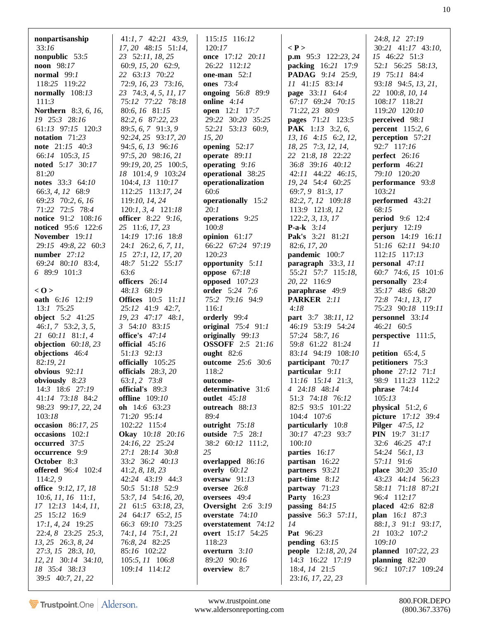| nonpartisanship<br>33:16<br>nonpublic $53:5$<br>noon 98:17<br>normal $99:1$<br>118:25 119:22<br>normally 108:13<br>111:3<br><b>Northern</b> 8:3, 6, 16,<br>19 25:3 28:16<br>61:13 97:15 120:3<br>notation $71:23$<br>note 21:15 40:3<br>66:14 105:3, 15<br>noted 5:17 30:17<br>81:20<br>notes 33:3 64:10<br>66:3, 4, 12 68:9<br>69:23 70:2, 6, 16<br>71:22 72:5 78:4<br>notice 91:2 108:16<br>noticed 95:6 122:6<br>November 19:11<br>29:15 49:8, 22 60:3<br>number 27:12<br>69:24 80:10 83:4,<br>6 89:9 101:3 | 41:1, 7 42:21 43:9,<br>$17, 20$ 48:15 51:14,<br>23 52:11, 18, 25<br>60:9, 15, 20 62:9,<br>22 63:13 70:22<br>72:9, 16, 23 73:16,<br>23 74:3, 4, 5, 11, 17<br>75:12 77:22 78:18<br>80:6, 16 81:15<br>82:2, 6 87:22, 23<br>89:5, 6, 7 91:3, 9<br>92:24, 25 93:17, 20<br>94:5, 6, 13 96:16<br>97:5, 20 98:16, 21<br>99:19, 20, 25 100:5,<br>18 101:4, 9 103:24<br>104:4, 13 110:17<br>112:25 113:17, 24<br>119:10, 14, 24<br>$120:1, 3, 4$ $121:18$<br><b>officer</b> 8:22 9:16,<br>25 11:6, 17, 23<br>14:19 17:16 18:8<br>$24:1$ $26:2, 6, 7, 11,$<br>15 27:1, 12, 17, 20<br>48:7 51:22 55:17<br>63:6 | 115:15 116:12<br>120:17<br>once 17:12 20:11<br>26:22 112:12<br>one-man $52:1$<br><b>ones</b> 73:4<br>ongoing 56:8 89:9<br>online 4:14<br>open 12:1 17:7<br>29:22 30:20 35:25<br>52:21 53:13 60:9,<br>15,20<br>opening $52:17$<br>operate 89:11<br>operating $9:16$<br>operational 38:25<br>operationalization<br>60:6<br>operationally 15:2<br>20:1<br>operations 9:25<br>100:8<br>opinion $61:17$<br>66:22 67:24 97:19<br>120:23<br>opportunity 5:11<br>oppose $67:18$ | $\langle P \rangle$<br>$p.m$ 95:3 122:23, 24<br>packing 16:21 17:9<br>PADAG 9:14 25:9,<br>11 41:15 83:14<br>page 33:11 64:4<br>67:17 69:24 70:15<br>71:22, 23 80:9<br>pages 71:21 123:5<br><b>PAK</b> 1:13 3:2, 6,<br>13, 16 4:15 6:2, 12,<br>18, 25 7:3, 12, 14,<br>22 21:8, 18 22:22<br>36:8 39:16 40:12<br>42:11 44:22 46:15,<br>19, 24 54:4 60:25<br>69:7, 9 81:3, 17<br>82:2, 7, 12 109:18<br>113:9 121:8, 12<br>122:2, 3, 13, 17<br><b>P-a-k</b> $3:14$<br>Pak's 3:21 81:21<br>82:6, 17, 20<br>pandemic 100:7<br>paragraph $33:3,11$<br>55:21 57:7 115:18, | 24:8, 12 27:19<br>30:21 41:17 43:10,<br>15 46:22 51:3<br>52:1 56:25 58:13,<br>19 75:11 84:4<br>93:18 94:5, 13, 21,<br>22 100:8, 10, 14<br>108:17 118:21<br>119:20 120:10<br>perceived 98:1<br><b>percent</b> 115:2, 6<br>perception 57:21<br>92:7 117:16<br>perfect $26:16$<br>perform $46:21$<br>79:10 120:20<br>performance 93:8<br>103:21<br>performed 43:21<br>68:15<br><b>period</b> 9:6 12:4<br>perjury $12:19$<br><b>person</b> 14:19 16:11<br>51:16 62:11 94:10<br>112:15 117:13<br>personal 47:11<br>60:7 74:6, 15 101:6 |
|----------------------------------------------------------------------------------------------------------------------------------------------------------------------------------------------------------------------------------------------------------------------------------------------------------------------------------------------------------------------------------------------------------------------------------------------------------------------------------------------------------------|----------------------------------------------------------------------------------------------------------------------------------------------------------------------------------------------------------------------------------------------------------------------------------------------------------------------------------------------------------------------------------------------------------------------------------------------------------------------------------------------------------------------------------------------------------------------------------------------------|-------------------------------------------------------------------------------------------------------------------------------------------------------------------------------------------------------------------------------------------------------------------------------------------------------------------------------------------------------------------------------------------------------------------------------------------------------------------------|------------------------------------------------------------------------------------------------------------------------------------------------------------------------------------------------------------------------------------------------------------------------------------------------------------------------------------------------------------------------------------------------------------------------------------------------------------------------------------------------------------------------------------------------------------------|-----------------------------------------------------------------------------------------------------------------------------------------------------------------------------------------------------------------------------------------------------------------------------------------------------------------------------------------------------------------------------------------------------------------------------------------------------------------------------------------------------------------------------------|
| 0><br>oath 6:16 12:19<br>13:1 75:25<br>object 5:2 41:25                                                                                                                                                                                                                                                                                                                                                                                                                                                        | officers $26:14$<br>48:13 68:19<br><b>Offices</b> 10:5 11:11<br>25:12 41:9 42:7,<br>19, 23 47:17 48:1,                                                                                                                                                                                                                                                                                                                                                                                                                                                                                             | opposed $107:23$<br><b>order</b> 5:24 7:6<br>75:2 79:16 94:9<br>116:1<br>orderly 99:4                                                                                                                                                                                                                                                                                                                                                                                   | 20, 22 116:9<br>paraphrase 49:9<br>PARKER 2:11<br>4:18<br><b>part</b> 3:7 38:11, 12                                                                                                                                                                                                                                                                                                                                                                                                                                                                              | <b>personally</b> 23:4<br>35:17 48:6 68:20<br>72:8 74:1, 13, 17<br>75:23 90:18 119:11<br>personnel 33:14                                                                                                                                                                                                                                                                                                                                                                                                                          |
| $46:1, 7$ 53:2, 3, 5,                                                                                                                                                                                                                                                                                                                                                                                                                                                                                          | $3\quad 54:10\quad 83:15$                                                                                                                                                                                                                                                                                                                                                                                                                                                                                                                                                                          | original $75:4$ 91:1                                                                                                                                                                                                                                                                                                                                                                                                                                                    | 46:19 53:19 54:24                                                                                                                                                                                                                                                                                                                                                                                                                                                                                                                                                | 46:21 60:5                                                                                                                                                                                                                                                                                                                                                                                                                                                                                                                        |
| 21 60:11 81:1, 4                                                                                                                                                                                                                                                                                                                                                                                                                                                                                               | office's 47:14                                                                                                                                                                                                                                                                                                                                                                                                                                                                                                                                                                                     | originally 99:13                                                                                                                                                                                                                                                                                                                                                                                                                                                        | 57:24 58:7, 16                                                                                                                                                                                                                                                                                                                                                                                                                                                                                                                                                   | perspective 111:5,                                                                                                                                                                                                                                                                                                                                                                                                                                                                                                                |
| objection $60:18,23$                                                                                                                                                                                                                                                                                                                                                                                                                                                                                           | official $45:16$                                                                                                                                                                                                                                                                                                                                                                                                                                                                                                                                                                                   | <b>OSSOFF</b> 2:5 21:16                                                                                                                                                                                                                                                                                                                                                                                                                                                 | 59:8 61:22 81:24                                                                                                                                                                                                                                                                                                                                                                                                                                                                                                                                                 | 11                                                                                                                                                                                                                                                                                                                                                                                                                                                                                                                                |
| objections 46:4                                                                                                                                                                                                                                                                                                                                                                                                                                                                                                | 51:13 92:13                                                                                                                                                                                                                                                                                                                                                                                                                                                                                                                                                                                        | ought 82:6                                                                                                                                                                                                                                                                                                                                                                                                                                                              | 83:14 94:19 108:10                                                                                                                                                                                                                                                                                                                                                                                                                                                                                                                                               | <b>petition</b> 65:4, 5                                                                                                                                                                                                                                                                                                                                                                                                                                                                                                           |
| 82:19, 21                                                                                                                                                                                                                                                                                                                                                                                                                                                                                                      | officially 105:25                                                                                                                                                                                                                                                                                                                                                                                                                                                                                                                                                                                  | outcome 25:6 30:6                                                                                                                                                                                                                                                                                                                                                                                                                                                       | participant 70:17                                                                                                                                                                                                                                                                                                                                                                                                                                                                                                                                                | petitioners 75:3                                                                                                                                                                                                                                                                                                                                                                                                                                                                                                                  |
| obvious $92:11$                                                                                                                                                                                                                                                                                                                                                                                                                                                                                                | officials $28:3, 20$                                                                                                                                                                                                                                                                                                                                                                                                                                                                                                                                                                               | 118:2                                                                                                                                                                                                                                                                                                                                                                                                                                                                   | particular 9:11                                                                                                                                                                                                                                                                                                                                                                                                                                                                                                                                                  | <b>phone</b> 27:12 71:1                                                                                                                                                                                                                                                                                                                                                                                                                                                                                                           |
| obviously 8:23                                                                                                                                                                                                                                                                                                                                                                                                                                                                                                 | 63:1, 2 73:8                                                                                                                                                                                                                                                                                                                                                                                                                                                                                                                                                                                       | outcome-                                                                                                                                                                                                                                                                                                                                                                                                                                                                | 11:16 15:14 21:3,                                                                                                                                                                                                                                                                                                                                                                                                                                                                                                                                                | 98:9 111:23 112:2                                                                                                                                                                                                                                                                                                                                                                                                                                                                                                                 |
| 14:3 18:6 27:19                                                                                                                                                                                                                                                                                                                                                                                                                                                                                                | official's 89:3                                                                                                                                                                                                                                                                                                                                                                                                                                                                                                                                                                                    | determinative 31:6                                                                                                                                                                                                                                                                                                                                                                                                                                                      | 4 24:18 48:14                                                                                                                                                                                                                                                                                                                                                                                                                                                                                                                                                    | phrase $74:14$                                                                                                                                                                                                                                                                                                                                                                                                                                                                                                                    |
| 41:14 73:18 84:2                                                                                                                                                                                                                                                                                                                                                                                                                                                                                               | <b>offline</b> 109:10                                                                                                                                                                                                                                                                                                                                                                                                                                                                                                                                                                              | outlet 45:18                                                                                                                                                                                                                                                                                                                                                                                                                                                            | 51:3 74:18 76:12                                                                                                                                                                                                                                                                                                                                                                                                                                                                                                                                                 | 105:13                                                                                                                                                                                                                                                                                                                                                                                                                                                                                                                            |
| 98:23 99:17, 22, 24                                                                                                                                                                                                                                                                                                                                                                                                                                                                                            | oh 14:6 63:23                                                                                                                                                                                                                                                                                                                                                                                                                                                                                                                                                                                      | outreach 88:13                                                                                                                                                                                                                                                                                                                                                                                                                                                          | 82:5 93:5 101:22                                                                                                                                                                                                                                                                                                                                                                                                                                                                                                                                                 | physical $51:2, 6$                                                                                                                                                                                                                                                                                                                                                                                                                                                                                                                |
| 103:18                                                                                                                                                                                                                                                                                                                                                                                                                                                                                                         | 71:20 95:14                                                                                                                                                                                                                                                                                                                                                                                                                                                                                                                                                                                        | 89:4                                                                                                                                                                                                                                                                                                                                                                                                                                                                    | 104:4 107:6                                                                                                                                                                                                                                                                                                                                                                                                                                                                                                                                                      | picture 17:12 39:4                                                                                                                                                                                                                                                                                                                                                                                                                                                                                                                |
| occasion $86:17,25$                                                                                                                                                                                                                                                                                                                                                                                                                                                                                            | 102:22 115:4                                                                                                                                                                                                                                                                                                                                                                                                                                                                                                                                                                                       | outright 75:18                                                                                                                                                                                                                                                                                                                                                                                                                                                          | particularly $10:8$                                                                                                                                                                                                                                                                                                                                                                                                                                                                                                                                              | <b>Pilger</b> 47:5, 12                                                                                                                                                                                                                                                                                                                                                                                                                                                                                                            |
| occasions 102:1                                                                                                                                                                                                                                                                                                                                                                                                                                                                                                | <b>Okay</b> 10:18 20:16                                                                                                                                                                                                                                                                                                                                                                                                                                                                                                                                                                            | outside 7:5 28:1                                                                                                                                                                                                                                                                                                                                                                                                                                                        | 30:17 47:23 93:7                                                                                                                                                                                                                                                                                                                                                                                                                                                                                                                                                 | <b>PIN</b> 19:7 31:17                                                                                                                                                                                                                                                                                                                                                                                                                                                                                                             |
| occurred 37:5                                                                                                                                                                                                                                                                                                                                                                                                                                                                                                  | 24:16, 22 25:24                                                                                                                                                                                                                                                                                                                                                                                                                                                                                                                                                                                    | 38:2 60:12 111:2,                                                                                                                                                                                                                                                                                                                                                                                                                                                       | 100:10                                                                                                                                                                                                                                                                                                                                                                                                                                                                                                                                                           | 32:6 46:25 47:1                                                                                                                                                                                                                                                                                                                                                                                                                                                                                                                   |
| occurrence 9:9                                                                                                                                                                                                                                                                                                                                                                                                                                                                                                 | 27:1 28:14 30:8                                                                                                                                                                                                                                                                                                                                                                                                                                                                                                                                                                                    | 25                                                                                                                                                                                                                                                                                                                                                                                                                                                                      | parties 16:17                                                                                                                                                                                                                                                                                                                                                                                                                                                                                                                                                    | 54:24 56:1, 13                                                                                                                                                                                                                                                                                                                                                                                                                                                                                                                    |
| October 8:3                                                                                                                                                                                                                                                                                                                                                                                                                                                                                                    | 33:2 36:2 40:13                                                                                                                                                                                                                                                                                                                                                                                                                                                                                                                                                                                    | overlapped 86:16                                                                                                                                                                                                                                                                                                                                                                                                                                                        | partisan 16:22                                                                                                                                                                                                                                                                                                                                                                                                                                                                                                                                                   | 57:11 91:6                                                                                                                                                                                                                                                                                                                                                                                                                                                                                                                        |
| <b>offered</b> 96:4 102:4                                                                                                                                                                                                                                                                                                                                                                                                                                                                                      | 41:2, 8, 18, 23                                                                                                                                                                                                                                                                                                                                                                                                                                                                                                                                                                                    | overly 60:12                                                                                                                                                                                                                                                                                                                                                                                                                                                            | partners 93:21                                                                                                                                                                                                                                                                                                                                                                                                                                                                                                                                                   | place 30:20 35:10                                                                                                                                                                                                                                                                                                                                                                                                                                                                                                                 |
| 114:2,9                                                                                                                                                                                                                                                                                                                                                                                                                                                                                                        | 42:24 43:19 44:3                                                                                                                                                                                                                                                                                                                                                                                                                                                                                                                                                                                   | oversaw $91:13$                                                                                                                                                                                                                                                                                                                                                                                                                                                         | part-time 8:12                                                                                                                                                                                                                                                                                                                                                                                                                                                                                                                                                   | 43:23 44:14 56:23                                                                                                                                                                                                                                                                                                                                                                                                                                                                                                                 |
| office 9:12, 17, 18<br>$10:6$ , $11$ , $16$ $11:1$ ,<br>$17$ 12:13 14:4, 11,<br>25 15:12 16:9<br>$17:1, 4, 24$ 19:25<br>22:4, 8 23:25 25:3,<br>13, 25 26:3, 8, 24<br>27:3, 15 28:3, 10,<br>12, 21 30:14 34:10,<br>18 35:4 38:13<br>39:5 40:7, 21, 22                                                                                                                                                                                                                                                           | 50:5 51:18 52:9<br>53:7, 14 54:16, 20,<br>21 61:5 63:18, 23,<br>24 64:17 65:2, 15<br>66:3 69:10 73:25<br>74:1, 14 75:1, 21<br>76:8, 24 82:25<br>85:16 102:22<br>105:5, 11 106:8<br>109:14 114:12                                                                                                                                                                                                                                                                                                                                                                                                   | oversee 26:8<br>oversees $49:4$<br><b>Oversight</b> 2:6 3:19<br>overstate 74:10<br>overstatement 74:12<br><b>overt</b> 15:17 54:25<br>118:23<br>overturn $3:10$<br>89:20 90:16<br>overview 8:7                                                                                                                                                                                                                                                                          | partway $71:23$<br><b>Party</b> 16:23<br>passing $84:15$<br>passive 56:3 57:11,<br>14<br>Pat 96:23<br>pending $63:15$<br><b>people</b> 12:18, 20, 24<br>14:3 16:22 17:19<br>18:4, 14 21:5<br>23:16, 17, 22, 23                                                                                                                                                                                                                                                                                                                                                   | 58:11 71:18 87:21<br>96:4 112:17<br>placed 42:6 82:8<br>plan $16:1$ 87:3<br>88:1, 3 91:1 93:17,<br>21 103:2 107:2<br>109:10<br><b>planned</b> 107:22, 23<br>planning $82:20$<br>96:1 107:17 109:24                                                                                                                                                                                                                                                                                                                                |

www.trustpoint.one 800.FOR.DEPO<br>w.aldersonreporting.com (800.367.3376) www.aldersonreporting.com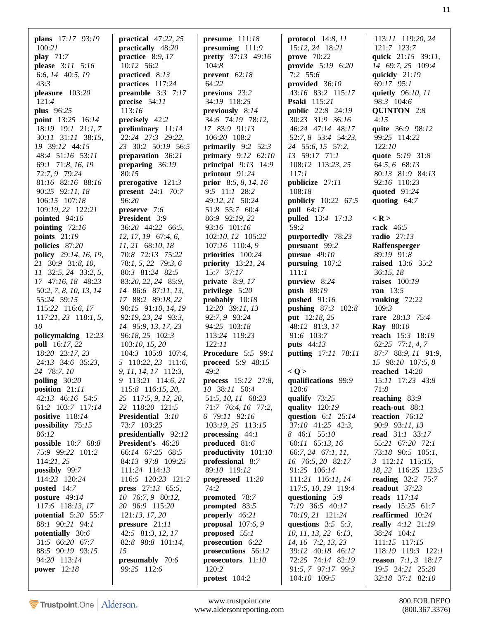| plans 17:17 93:19                                                                                                                                                                                               | practical $47:22, 25$                                                                                                                                                                                                                        | presume $111:18$                                                                                                                                                                                                                 | protocol 14:8, 11                                                                                                                                                                           | 113:11 119:20, 24                                                                                                                                                                                     |
|-----------------------------------------------------------------------------------------------------------------------------------------------------------------------------------------------------------------|----------------------------------------------------------------------------------------------------------------------------------------------------------------------------------------------------------------------------------------------|----------------------------------------------------------------------------------------------------------------------------------------------------------------------------------------------------------------------------------|---------------------------------------------------------------------------------------------------------------------------------------------------------------------------------------------|-------------------------------------------------------------------------------------------------------------------------------------------------------------------------------------------------------|
| 100:21                                                                                                                                                                                                          | practically 48:20                                                                                                                                                                                                                            | presuming 111:9                                                                                                                                                                                                                  | 15:12, 24 18:21                                                                                                                                                                             | 121:7 123:7                                                                                                                                                                                           |
| play 71:7                                                                                                                                                                                                       | practice $8:9,17$                                                                                                                                                                                                                            | pretty 37:13 49:16                                                                                                                                                                                                               | <b>prove</b> 70:22                                                                                                                                                                          | quick 21:15 39:11,                                                                                                                                                                                    |
| please 3:11 5:16                                                                                                                                                                                                | 10:12 56:2                                                                                                                                                                                                                                   | 104:8                                                                                                                                                                                                                            | provide 5:19 6:20                                                                                                                                                                           | 14 69:7, 25 109:4                                                                                                                                                                                     |
| 6:6, 14 40:5, 19                                                                                                                                                                                                | practiced 8:13                                                                                                                                                                                                                               | prevent $62:18$                                                                                                                                                                                                                  | $7:2$ 55:6                                                                                                                                                                                  | quickly 21:19                                                                                                                                                                                         |
| 43:3                                                                                                                                                                                                            | practices 117:24                                                                                                                                                                                                                             | 64:22                                                                                                                                                                                                                            | provided 36:10                                                                                                                                                                              | 69:17 95:1                                                                                                                                                                                            |
| pleasure 103:20                                                                                                                                                                                                 | preamble $3:3$ 7:17                                                                                                                                                                                                                          | previous 23:2                                                                                                                                                                                                                    | 43:16 83:2 115:17                                                                                                                                                                           | quietly 96:10, 11                                                                                                                                                                                     |
| 121:4                                                                                                                                                                                                           | precise $54:11$                                                                                                                                                                                                                              | 34:19 118:25                                                                                                                                                                                                                     | <b>Psaki</b> 115:21                                                                                                                                                                         | 98:3 104:6                                                                                                                                                                                            |
| <b>plus</b> 96:25                                                                                                                                                                                               | 113:16                                                                                                                                                                                                                                       | previously 8:14                                                                                                                                                                                                                  | <b>public</b> 22:8 24:19                                                                                                                                                                    | QUINTON 2:8                                                                                                                                                                                           |
| point 13:25 16:14                                                                                                                                                                                               | precisely 42:2                                                                                                                                                                                                                               | 34:6 74:19 78:12,                                                                                                                                                                                                                | 30:23 31:9 36:16                                                                                                                                                                            | 4:15                                                                                                                                                                                                  |
| $18:19$ $19:1$ $21:1,7$                                                                                                                                                                                         | preliminary 11:14                                                                                                                                                                                                                            | 17 83:9 91:13                                                                                                                                                                                                                    | 46:24 47:14 48:17                                                                                                                                                                           | quite 36:9 98:12                                                                                                                                                                                      |
| 30:11 31:11 38:15,                                                                                                                                                                                              | 22:24 27:3 29:22,                                                                                                                                                                                                                            | 106:20 108:2                                                                                                                                                                                                                     | 52:7, 8 53:4 54:23,                                                                                                                                                                         | 99:25 114:22                                                                                                                                                                                          |
| 19 39:12 44:15<br>48:4 51:16 53:11<br>69:1 71:8, 16, 19<br>72:7, 9 79:24<br>81:16 82:16 88:16<br>90:25 92:11, 18<br>106:15 107:18<br>109:19, 22 122:21<br>pointed $94:16$<br>pointing $72:16$<br>points $21:19$ | 23 30:2 50:19 56:5<br>preparation 36:21<br>preparing 36:19<br>80:15<br>prerogative $121:3$<br><b>present</b> $24:1$ 70:7<br>96:20<br>preserve 7:6<br>President 3:9<br>36:20 44:22 66:5,<br>$12, 17, 19$ 67:4, 6,                             | primarily $9:2$ 52:3<br>primary $9:12$ $62:10$<br>principal $9:13$ 14:9<br>printout 91:24<br>prior $8:5, 8, 14, 16$<br>9:5 11:1 28:2<br>49:12, 21 50:24<br>51:8 55:7 60:4<br>86:9 92:19, 22<br>93:16 101:16<br>102:10, 12 105:22 | 24 55:6, 15 57:2,<br>13 59:17 71:1<br>108:12 113:23, 25<br>117:1<br>publicize 27:11<br>108:18<br><b>publicly</b> 10:22 67:5<br>pull 64:17<br>pulled 13:4 17:13<br>59:2<br>purportedly 78:23 | 122:10<br>quote 5:19 31:8<br>64:5, 6 68:13<br>80:13 81:9 84:13<br>92:16 110:23<br>quoted 91:24<br>quoting $64:7$<br>$<$ R $>$<br>rack $46:5$<br><b>radio</b> 27:13                                    |
| policies 87:20                                                                                                                                                                                                  | 11, 21 68:10, 18                                                                                                                                                                                                                             | 107:16 110:4, 9                                                                                                                                                                                                                  | pursuant 99:2                                                                                                                                                                               | Raffensperger                                                                                                                                                                                         |
| <b>policy</b> 29:14, 16, 19,                                                                                                                                                                                    | 70:8 72:13 75:22                                                                                                                                                                                                                             | priorities 100:24                                                                                                                                                                                                                | pursue $49:10$                                                                                                                                                                              | 89:19 91:8                                                                                                                                                                                            |
| 21 30:9 31:8, 10,                                                                                                                                                                                               | 78:1, 5, 22 79:3, 6                                                                                                                                                                                                                          | priority $13:21, 24$                                                                                                                                                                                                             | pursuing $107:2$                                                                                                                                                                            | <b>raised</b> 13:6 35:2                                                                                                                                                                               |
| 11 32:5, 24 33:2, 5,                                                                                                                                                                                            | 80:3 81:24 82:5                                                                                                                                                                                                                              | 15:7 37:17                                                                                                                                                                                                                       | 111:1                                                                                                                                                                                       | 36:15,18                                                                                                                                                                                              |
| 17 47:16, 18 48:23                                                                                                                                                                                              | 83:20, 22, 24 85:9,                                                                                                                                                                                                                          | private $8:9,17$                                                                                                                                                                                                                 | purview 8:24                                                                                                                                                                                | raises $100:19$                                                                                                                                                                                       |
| 50:2, 7, 8, 10, 13, 14                                                                                                                                                                                          | 14 86:6 87:11, 13,                                                                                                                                                                                                                           | privilege $5:20$                                                                                                                                                                                                                 | push 89:19                                                                                                                                                                                  | ran 13:5                                                                                                                                                                                              |
| 55:24 59:15                                                                                                                                                                                                     | 17 88:2 89:18, 22                                                                                                                                                                                                                            | probably $10:18$                                                                                                                                                                                                                 | pushed $91:16$                                                                                                                                                                              | ranking $72:22$                                                                                                                                                                                       |
| 115:22 116:6, 17                                                                                                                                                                                                | 90:15 91:10, 14, 19                                                                                                                                                                                                                          | 12:20 39:11, 13                                                                                                                                                                                                                  | pushing 87:3 102:8                                                                                                                                                                          | 109:3                                                                                                                                                                                                 |
| $117:21, 23$ 118:1, 5,                                                                                                                                                                                          | 92:19, 23, 24 93:3,                                                                                                                                                                                                                          | 92:7, 9 93:24                                                                                                                                                                                                                    | <b>put</b> $12:18, 25$                                                                                                                                                                      | rare 28:13 75:4                                                                                                                                                                                       |
| 10                                                                                                                                                                                                              | 14 95:9, 13, 17, 23                                                                                                                                                                                                                          | 94:25 103:18                                                                                                                                                                                                                     | 48:12 81:3, 17                                                                                                                                                                              | <b>Ray</b> 80:10                                                                                                                                                                                      |
| policymaking $12:23$                                                                                                                                                                                            | 96:18, 25 102:3                                                                                                                                                                                                                              | 113:24 119:23                                                                                                                                                                                                                    | 91:6 103:7                                                                                                                                                                                  | reach 15:3 18:19                                                                                                                                                                                      |
| <b>poll</b> 16:17, 22<br>18:20 23:17, 23<br>24:13 34:6 35:23,<br>24 78:7, 10<br>polling $30:20$<br>position $21:11$<br>42:13 46:16 54:5<br>61:2 103:7 117:14<br>positive 118:14<br>possibility 75:15<br>86:12   | 103:10, 15, 20<br>104:3 105:8 107:4,<br>5 110:22, 23 111:6,<br>9, 11, 14, 17 112:3,<br>9 113:21 114:6, 21<br>115:8 116:15, 20,<br>25 117:5, 9, 12, 20,<br>22 118:20 121:5<br><b>Presidential</b> 3:10<br>73:7 103:25<br>presidentially 92:12 | 122:11<br><b>Procedure</b> 5:5 99:1<br>proceed 5:9 48:15<br>49:2<br>process 15:12 27:8,<br>10 38:11 50:4<br>51:5, 10, 11 68:23<br>71:7 76:4, 16 77:2,<br>6 79:11 92:16<br>103:19, 25 113:15<br>processing $44:1$                 | <b>puts</b> 44:13<br>putting 17:11 78:11<br>Q ><br>qualifications 99:9<br>120:6<br>qualify 73:25<br>quality $120:19$<br>question $6:1$ 25:14<br>37:10 41:25 42:3,<br>8 46:1 55:10           | 62:25 $77:1, 4, 7$<br>87:7 88:9, 11 91:9,<br>15 98:10 107:5, 8<br>reached 14:20<br>15:11 17:23 43:8<br>71:8<br>reaching 83:9<br>reach-out 88:1<br>reaction 76:12<br>90:9 93:11, 13<br>read 31:1 33:17 |
| possible 10:7 68:8                                                                                                                                                                                              | President's 46:20                                                                                                                                                                                                                            | produced 81:6                                                                                                                                                                                                                    | 60:11 65:13, 16                                                                                                                                                                             | 55:21 67:20 72:1                                                                                                                                                                                      |
| 75:9 99:22 101:2                                                                                                                                                                                                | 66:14 67:25 68:5                                                                                                                                                                                                                             | productivity 101:10                                                                                                                                                                                                              | 66:7, 24 67:1, 11,                                                                                                                                                                          | 73:18 90:5 105:1,                                                                                                                                                                                     |
| 114:21,25                                                                                                                                                                                                       | 84:13 97:8 109:25                                                                                                                                                                                                                            | professional 8:7                                                                                                                                                                                                                 | 16 76:5, 20 82:17                                                                                                                                                                           | 3 112:11 115:15,                                                                                                                                                                                      |
| possibly 99:7                                                                                                                                                                                                   | 111:24 114:13                                                                                                                                                                                                                                | 89:10 119:12                                                                                                                                                                                                                     | 91:25 106:14                                                                                                                                                                                | 18, 22 116:25 123:5                                                                                                                                                                                   |
| 114:23 120:24                                                                                                                                                                                                   | 116:5 120:23 121:2                                                                                                                                                                                                                           | progressed $11:20$                                                                                                                                                                                                               | 111:21 116:11, 14                                                                                                                                                                           | <b>reading</b> 32:2 75:7                                                                                                                                                                              |
| posted 14:7                                                                                                                                                                                                     | <b>press</b> $27:13$ 65:5,                                                                                                                                                                                                                   | 74:2                                                                                                                                                                                                                             | 117:5, 10, 19 119:4                                                                                                                                                                         | readout 37:23                                                                                                                                                                                         |
| posture $49:14$                                                                                                                                                                                                 | 10 76:7, 9 80:12,                                                                                                                                                                                                                            | promoted 78:7                                                                                                                                                                                                                    | questioning $5:9$                                                                                                                                                                           | reads $117:14$                                                                                                                                                                                        |
| 117:6 118:13, 17                                                                                                                                                                                                | 20 96:9 115:20                                                                                                                                                                                                                               | prompted 83:5                                                                                                                                                                                                                    | 7:19 36:5 40:17                                                                                                                                                                             | ready 15:25 61:7                                                                                                                                                                                      |
| <b>potential</b> 5:20 55:7                                                                                                                                                                                      | 121:13, 17, 20                                                                                                                                                                                                                               | properly 46:21                                                                                                                                                                                                                   | 70:19, 21 121:24                                                                                                                                                                            | reaffirmed 10:24                                                                                                                                                                                      |
| 88:1 90:21 94:1                                                                                                                                                                                                 | pressure $21:11$                                                                                                                                                                                                                             | proposal $107:6, 9$                                                                                                                                                                                                              | questions $3:5$ 5:3,                                                                                                                                                                        | really 4:12 21:19                                                                                                                                                                                     |
| potentially 30:6                                                                                                                                                                                                | $42:5$ 81:3, 12, 17                                                                                                                                                                                                                          | proposed 55:1                                                                                                                                                                                                                    | $10, 11, 13, 22$ 6:13,                                                                                                                                                                      | 38:24 104:1                                                                                                                                                                                           |
| 31:5 66:20 67:7                                                                                                                                                                                                 | 82:8 98:8 101:14,                                                                                                                                                                                                                            | prosecution 6:22                                                                                                                                                                                                                 | 14, 16 7:2, 13, 23                                                                                                                                                                          | 111:15 117:15                                                                                                                                                                                         |
| 88:5 90:19 93:15                                                                                                                                                                                                | 15                                                                                                                                                                                                                                           | prosecutions 56:12                                                                                                                                                                                                               | 39:12 40:18 46:12                                                                                                                                                                           | 118:19 119:3 122:1                                                                                                                                                                                    |
| 94:20 113:14<br>power 12:18                                                                                                                                                                                     | presumably 70:6<br>99:25 112:6                                                                                                                                                                                                               | prosecutors $11:10$<br>120:2<br>protest 104:2                                                                                                                                                                                    | 72:25 74:14 82:19<br>91:5, 7 97:17 99:3<br>104:10 109:5                                                                                                                                     | <b>reason</b> $7:1, 3$ 18:17<br>19:5 24:21 25:20<br>32:18 37:1 82:10                                                                                                                                  |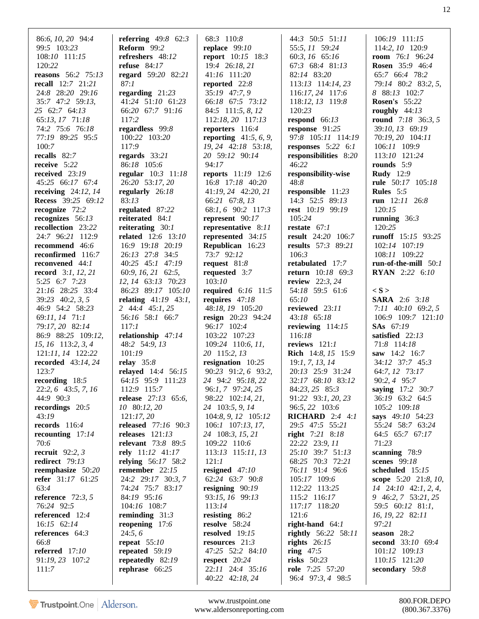| 86:6, 10, 20 94:4                     | referring $49:8$ 62:3                 | 68:3 110:8                             | 44:3 50:5 51:11               | 106:19 111:15                           |
|---------------------------------------|---------------------------------------|----------------------------------------|-------------------------------|-----------------------------------------|
| 99:5 103:23                           | Reform 99:2                           | replace $99:10$                        | 55:5, 11 59:24                | 114:2, 10 120:9                         |
| 108:10 111:15                         | refreshers 48:12                      | <b>report</b> $10:15$ 18:3             | 60:3, 16 65:16                | <b>room</b> 76:1 96:24                  |
| 120:22                                | refuse $84:17$                        | 19:4 26:18, 21                         | 67:3 68:4 81:13               | <b>Rosen</b> 35:9 46:4                  |
| <b>reasons</b> 56:2 75:13             | regard 59:20 82:21                    | 41:16 111:20                           | 82:14 83:20                   | 65:7 66:4 78:2                          |
| <b>recall</b> 12:7 21:21              | 87:1                                  | reported 22:8                          | 113:13 114:14, 23             | 79:14 80:2 83:2, 5,                     |
| 24:8 28:20 29:16                      | regarding $21:23$                     | 35:19 47:7, 9                          | 116:17, 24 117:6              | 8 88:13 102:7                           |
| 35:7 47:2 59:13,                      | 41:24 51:10 61:23<br>66:20 67:7 91:16 | 66:18 67:5 73:12                       | $118:12, 13$ 119:8            | <b>Rosen's</b> 55:22                    |
| 25 62:7 64:13<br>65:13, 17 71:18      | 117:2                                 | 84:5 111:5, 8, 12<br>112:18, 20 117:13 | 120:23<br>respond $66:13$     | roughly $44:13$<br>round $7:18$ 36:3, 5 |
| 74:2 75:6 76:18                       | regardless 99:8                       | reporters 116:4                        | response $91:25$              | 39:10, 13 69:19                         |
| 77:19 89:25 95:5                      | 100:22 103:20                         | <b>reporting</b> $41:5, 6, 9$ ,        | 97:8 105:11 114:19            | 70:19, 20 104:11                        |
| 100:7                                 | 117:9                                 | 19, 24 42:18 53:18,                    | responses $5:22 \quad 6:1$    | 106:11 109:9                            |
| recalls 82:7                          | regards $33:21$                       | 20 59:12 90:14                         | responsibilities 8:20         | 113:10 121:24                           |
| receive $5:22$                        | 86:18 105:6                           | 94:17                                  | 46:22                         | rounds $5:9$                            |
| received $23:19$                      | regular $10:3$ 11:18                  | <b>reports</b> 11:19 12:6              | responsibility-wise           | <b>Rudy</b> 12:9                        |
| 45:25 66:17 67:4                      | 26:20 53:17, 20                       | 16:8 17:18 40:20                       | 48:8                          | rule 50:17 105:18                       |
| receiving $24:12, 14$                 | regularly $26:18$                     | 41:19, 24 42:20, 21                    | responsible 11:23             | <b>Rules</b> $5:5$                      |
| Recess 39:25 69:12                    | 83:13                                 | 66:21 67:8, 13                         | 14:3 52:5 89:13               | run $12:11$ 26:8                        |
| recognize 72:2                        | regulated 87:22                       | 68:1, 6 90:2 117:3                     | rest 10:19 99:19              | 120:15                                  |
| recognizes 56:13                      | reiterated 84:1                       | represent 90:17                        | 105:24                        | running $36:3$                          |
| recollection 23:22                    | reiterating $30:1$                    | representative 8:11                    | restate $67:1$                | 120:25                                  |
| 24:7 96:21 112:9                      | <b>related</b> 12:6 13:10             | represented 34:15                      | <b>result</b> 24:20 106:7     | runoff 15:15 93:25                      |
| recommend 46:6                        | 16:9 19:18 20:19                      | Republican 16:23                       | <b>results</b> 57:3 89:21     | 102:14 107:19                           |
| reconfirmed 116:7                     | 26:13 27:8 34:5                       | 73:7 92:12                             | 106:3                         | 108:11 109:22                           |
| reconvened 44:1                       | 40:25 45:1 47:19                      | request $81:8$                         | retabulated 17:7              | run-of-the-mill $50:1$                  |
| <b>record</b> $3:1, 12, 21$           | 60:9, 16, 21 62:5,                    | requested $3:7$                        | <b>return</b> 10:18 69:3      | <b>RYAN</b> 2:22 6:10                   |
| 5:25 6:7 7:23                         | 12, 14 63:13 70:23                    | 103:10                                 | <b>review</b> 22:3, 24        |                                         |
| 21:16 28:25 33:4                      | 86:23 89:17 105:10                    | required $6:16$ 11:5                   | 54:18 59:5 61:6               | $\langle S \rangle$                     |
| 39:23 40:2, 3, 5                      | <b>relating</b> $41:19$ $43:1$ ,      | requires $47:18$                       | 65:10                         | <b>SARA</b> 2:6 3:18                    |
| 46:9 54:2 58:23                       | 2 44:4 45:1, 25                       | 48:18, 19 105:20                       | reviewed $23:11$              | $7:11$ 40:10 69:2, 5                    |
| 69:11, 14 71:1                        | 56:16 58:1 66:7<br>117:1              | resign $20:23$ 94:24                   | 43:18 65:18                   | 106:9 109:7 121:10<br>SAs 67:19         |
| 79:17, 20 82:14<br>86:9 88:25 109:12, | relationship 47:14                    | 96:17 102:4<br>103:22 107:23           | reviewing 114:15<br>116:18    | satisfied 22:13                         |
| 15, 16 113:2, 3, 4                    | 48:2 54:9, 13                         | 109:24 110:6, 11,                      | reviews $121:1$               | 71:8 114:18                             |
| 121:11, 14 122:22                     | 101:19                                | 20 115:2, 13                           | <b>Rich</b> 14:8, 15 15:9     | saw $14:2$ 16:7                         |
| recorded $43:14,24$                   | relay $35:8$                          | resignation 10:25                      | 19:1, 7, 13, 14               | 34:12 37:7 45:3                         |
| 123:7                                 | <b>relayed</b> 14:4 56:15             | 90:23 91:2, 6 93:2,                    | 20:13 25:9 31:24              | 64:7, 12 73:17                          |
| recording 18:5                        | 64:15 95:9 111:23                     | 24 94:2 95:18, 22                      | 32:17 68:10 83:12             | 90:2, 4 95:7                            |
| 22:2, 6 43:5, 7, 16                   | 112:9 115:7                           | 96:1, 7 97:24, 25                      | 84:23, 25 85:3                | saying 17:2 30:7                        |
| 44:9 90:3                             | release 27:13 65:6,                   | 98:22 102:14, 21,                      | 91:22 93:1, 20, 23            | 36:19 63:2 64:5                         |
| recordings 20:5                       | 10 80:12, 20                          | 24 103:5, 9, 14                        | 96:5, 22 103:6                | 105:2 109:18                            |
| 43:19                                 | 121:17,20                             | $104:8, 9, 12$ $105:12$                | <b>RICHARD</b> $2:4$ 4:1      | says 49:10 54:23                        |
| records $116:4$                       | <b>released</b> $77:16$ 90:3          | 106:1 107:13, 17,                      | 29:5 47:5 55:21               | 55:24 58:7 63:24                        |
| recounting $17:14$                    | releases $121:13$                     | 24 108:3, 15, 21                       | right $7:21$ 8:18             | 64:5 65:7 67:17                         |
| 70:6                                  | relevant 73:8 89:5                    | 109:22 110:6                           | 22:22 23:9, 11                | 71:23                                   |
| recruit $92:2, 3$                     | rely 11:12 41:17                      | 113:13 115:11, 13                      | 25:10 39:7 51:13              | scanning 78:9                           |
| redirect 79:13                        | relying 56:17 58:2                    | 121:1                                  | 68:25 70:3 72:21              | scenes $99:18$                          |
| reemphasize 50:20                     | remember $22:15$                      | resigned $47:10$                       | 76:11 91:4 96:6               | scheduled 15:15                         |
| <b>refer</b> 31:17 61:25              | 24:2 29:17 30:3, 7                    | 62:24 63:7 90:8                        | 105:17 109:6                  | scope $5:20$ $21:8, 10,$                |
| 63:4                                  | 74:24 75:7 83:17                      | resigning $90:19$                      | 112:22 113:25                 | $14$ 24:10 42:1, 2, 4,                  |
| reference $72:3, 5$<br>76:24 92:5     | 84:19 95:16<br>104:16 108:7           | 93:15, 16 99:13<br>113:14              | 115:2 116:17<br>117:17 118:20 | 9 46:2, 7 53:21, 25<br>59:5 60:12 81:1, |
| referenced $12:4$                     | reminding $31:3$                      | resisting 86:2                         | 121:6                         | 16, 19, 22 82:11                        |
| 16:15 62:14                           | reopening 17:6                        | resolve $58:24$                        | right-hand $64:1$             | 97:21                                   |
| references 64:3                       | 24:5,6                                | resolved $19:15$                       | <b>rightly</b> 56:22 58:11    | season $28:2$                           |
| 66:8                                  | repeat $55:10$                        | resources $21:3$                       | rights $26:15$                | <b>second</b> 33:10 69:4                |
| referred $17:10$                      | repeated 59:19                        | 47:25 52:2 84:10                       | ring $47:5$                   | 101:12 109:13                           |
| 91:19, 23 107:2                       | repeatedly $82:19$                    | respect $20:24$                        | risks 50:23                   | 110:15 121:20                           |
| 111:7                                 | rephrase 66:25                        | 22:11 24:4 35:16                       | <b>role</b> 7:25 57:20        | secondary $59:8$                        |
|                                       |                                       | 40:22 42:18, 24                        | 96:4 97:3, 4 98:5             |                                         |
|                                       |                                       |                                        |                               |                                         |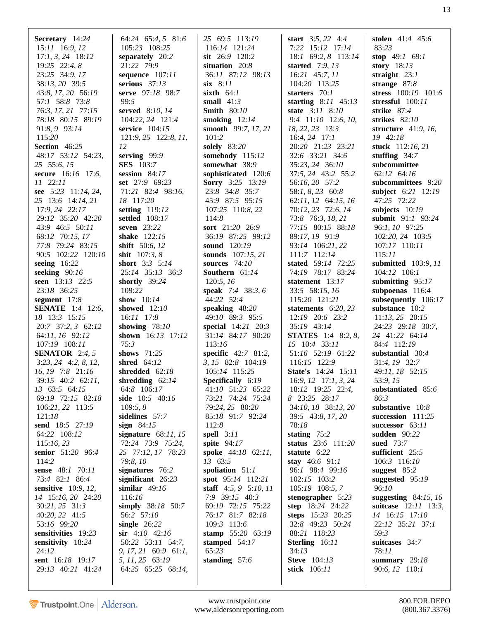| Secretary 14:24         | 64:24 65:4, 5 81:6        | 25 69:5 113:19               | start $3:5, 22$ 4:4        | stolen $41:4$ $45:6$    |
|-------------------------|---------------------------|------------------------------|----------------------------|-------------------------|
| 15:11 16:9, 12          | 105:23 108:25             | 116:14 121:24                | 7:22 15:12 17:14           | 83:23                   |
| $17:1, 3, 24$ 18:12     | separately 20:2           | sit 26:9 120:2               | 18:1 69:2, 8 113:14        | stop $49:1$ 69:1        |
| 19:25 22:4, 8           | 21:22 79:9                | situation 20:8               | started $7:9, 13$          | story $18:13$           |
| 23:25 34:9, 17          | sequence $107:11$         | 36:11 87:12 98:13            | $16:21$ 45:7, 11           | straight $23:1$         |
| 38:13, 20 39:5          | serious $37:13$           | $\textbf{six}$ 8:11          | 104:20 113:25              | strange $87:8$          |
| 43:8, 17, 20 56:19      | serve 97:18 98:7          | sixth $64:1$                 | starters $70:1$            | stress $100:19$ $101:6$ |
| 57:1 58:8 73:8          | 99:5                      | small $41:3$                 | starting $8:11$ 45:13      | stressful 100:11        |
| 76:3, 17, 21 77:15      | served 8:10, 14           | <b>Smith</b> 80:10           | state 3:11 8:10            | strike 87:4             |
| 78:18 80:15 89:19       | 104:22, 24 121:4          | smoking $12:14$              | 9:4 11:10 12:6, 10,        | strikes $82:10$         |
| 91:8, 9 93:14           | service $104:15$          | smooth 99:7, 17, 21          | 18, 22, 23 13:3            | structure $41:9, 16$ ,  |
| 115:20                  | $121:9, 25$ $122:8, 11,$  | 101:2                        | $16:4, 24$ 17:1            | 19 42:18                |
| Section 46:25           | 12                        | solely 83:20                 | 20:20 21:23 23:21          | stuck 112:16, 21        |
| 48:17 53:12 54:23,      | serving $99:9$            | somebody $115:12$            | 32:6 33:21 34:6            | stuffing $34:7$         |
| 25 55:6, 15             | <b>SES</b> 103:7          | somewhat 38:9                | 35:23, 24 36:10            | subcommittee            |
| secure 16:16 17:6,      | session $84:17$           | sophisticated 120:6          | 37:5, 24 43:2 55:2         | 62:12 64:16             |
| $11 \t22:11$            | set 27:9 69:23            | <b>Sorry</b> 3:25 13:19      | 56:16, 20 57:2             | subcommittees 9:20      |
| see 5:23 11:14, 24,     | 71:21 82:4 98:16,         | 23:8 34:8 35:7               | 58:1, 8, 23 60:8           | subject 6:21 12:19      |
| 25 13:6 14:14, 21       | 18 117:20                 | 45:9 87:5 95:15              | 62:11, 12 64:15, 16        | 47:25 72:22             |
| $17:9, 24$ $22:17$      | setting $119:12$          | 107:25 110:8, 22             | 70:12, 23 72:6, 14         | subjects $10:19$        |
| 29:12 35:20 42:20       | <b>settled</b> 108:17     | 114:8                        | 73:8 76:3, 18, 21          | submit 91:1 93:24       |
| 43:9 46:5 50:11         | seven $23:22$             | sort $21:20$ 26:9            | 77:15 80:15 88:18          | 96:1, 10 97:25          |
| 68:12 70:15, 17         | shake 122:15              | 36:19 87:25 99:12            | 89:17, 19 91:9             | 102:20, 24 103:5        |
| 77:8 79:24 83:15        | shift 50:6, 12            | <b>sound</b> 120:19          | 93:14 106:21, 22           | 107:17 110:11           |
| 90:5 102:22 120:10      | shit $107:3, 8$           | sounds $107:15, 21$          | 111:7 112:14               | 115:11                  |
| seeing $16:22$          | <b>short</b> $3:3$ $5:14$ | sources $74:10$              | stated 59:14 72:25         | submitted 103:9, 11     |
| seeking 90:16           | 25:14 35:13 36:3          | <b>Southern</b> 61:14        | 74:19 78:17 83:24          | $104:12 \quad 106:1$    |
| seen 13:13 22:5         | shortly 39:24             | 120:5, 16                    | statement 13:17            | submitting $95:17$      |
| 23:18 36:25             | 109:22                    | speak 7:4 38:3, 6            | 33:5 58:15, 16             | subpoenas 116:4         |
| segment $17:8$          | show $10:14$              | 44:22 52:4                   | 115:20 121:21              | subsequently 106:17     |
| <b>SENATE</b> 1:4 12:6, | showed $12:10$            | speaking $48:20$             | statements $6:20,23$       | substance 10:2          |
| 18 13:3 15:15           | 16:11 17:8                | 49:10 89:3 95:5              | 12:19 20:6 23:2            | $11:13, 25$ 20:15       |
| 20:7 37:2, 3 62:12      | showing $78:10$           | special $14:21$ 20:3         | 35:19 43:14                | 24:23 29:18 30:7,       |
| 64:11, 16 92:12         | shown 16:13 17:12         | 31:14 84:17 90:20            | <b>STATES</b> 1:4 8:2, 8,  | 24 41:22 64:14          |
| 107:19 108:11           | 75:3                      | 113:16                       | 15 10:4 33:11              | 84:4 112:19             |
| <b>SENATOR</b> 2:4, 5   | shows $71:25$             | <b>specific</b> $42:781:2$ , | 51:16 52:19 61:22          | substantial 30:4        |
| $3:23, 24$ 4:2, 8, 12,  | shred $64:12$             | 3, 15 82:8 104:19            | 116:15 122:9               | 31:4, 19 32:7           |
| 16, 19 7:8 21:16        | shredded 62:18            | 105:14 115:25                | <b>State's</b> 14:24 15:11 | 49:11, 18 52:15         |
| 39:15 40:2 62:11,       | shredding $62:14$         | Specifically 6:19            | 16:9, 12 17:1, 3, 24       | 53:9, 15                |
| 13 63:5 64:15           | 64:8 106:17               | 41:10 51:23 65:22            | 18:12 19:25 22:4,          | substantiated 85:6      |
| 69:19 72:15 82:18       | side 10:5 40:16           | 73:21 74:24 75:24            | 8 23:25 28:17              | 86:3                    |
| 106:21, 22 113:5        | 109:5, 8                  | 79:24, 25 80:20              | 34:10, 18 38:13, 20        | substantive 10:8        |
| 121:18                  | sidelines 57:7            | 85:18 91:7 92:24             | 39:5 43:8, 17, 20          | succession 111:25       |
| send 18:5 27:19         | sign $84:15$              | 112:8                        | 78:18                      | successor $63:11$       |
| 64:22 108:12            | signature $68:11, 15$     | spell $3:11$                 | stating $75:2$             | sudden 90:22            |
| 115:16,23               | 72:24 73:9 75:24,         | spite 94:17                  | status 23:6 111:20         | sued 73:7               |
| senior 51:20 96:4       | 25 77:12, 17 78:23        | spoke 44:18 62:11,           | statute 6:22               | sufficient 25:5         |
| 114:2                   | 79:8, 10                  | 13 63:5                      | stay $46:6$ 91:1           | 106:3 116:10            |
| sense 48:1 70:11        | signatures 76:2           | spoliation $51:1$            | 96:1 98:4 99:16            | suggest $85:2$          |
| 73:4 82:1 86:4          | significant $26:23$       | spot 95:14 112:21            | 102:15 103:2               | suggested 95:19         |
| sensitive $10:9, 12$ ,  | similar $49:16$           | staff $4:5, 9$ $5:10, 11$    | 105:19 108:5, 7            | 96:10                   |
| 14 15:16, 20 24:20      | 116:16                    | 7:9 39:15 40:3               | stenographer $5:23$        | suggesting $84:15, 16$  |
| $30:21, 25$ $31:3$      | simply 38:18 50:7         | 69:19 72:15 75:22            | step 18:24 24:22           | suitcase 12:11 13:3,    |
| 40:20, 22 41:5          | 56:2 57:10                | 76:17 81:7 82:18             | steps 15:23 20:25          | 14 16:15 17:10          |
| 53:16 99:20             | single $26:22$            | 109:3 113:6                  | 32:8 49:23 50:24           | 22:12 35:21 37:1        |
| sensitivities 19:23     | sir 4:10 42:16            | stamp 55:20 63:19            | 88:21 118:23               | 59:3                    |
|                         |                           |                              |                            |                         |
| sensitivity 18:24       | 50:22 53:11 54:7,         | stamped $54:17$              | Sterling 16:11             | suitcases 34:7          |
| 24:12                   | $9, 17, 21$ 60:9 61:1,    | 65:23                        | 34:13                      | 78:11                   |
| <b>sent</b> 16:18 19:17 | 5, 11, 25 63:19           | standing $57:6$              | <b>Steve</b> 104:13        | summary $29:18$         |
| 29:13 40:21 41:24       | 64:25 65:25 68:14,        |                              | stick 106:11               | 90:6, 12 110:1          |

13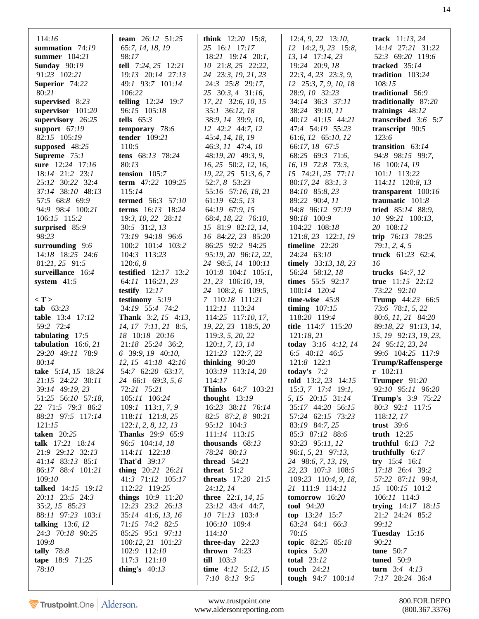| 114:16                                   | team $26:12$ 51:25                    | <b>think</b> $12:20$ 15:8,                             | $12:4, 9, 22$ $13:10,$                | track $11:13, 24$                          |
|------------------------------------------|---------------------------------------|--------------------------------------------------------|---------------------------------------|--------------------------------------------|
| summation $74:19$                        | 65:7, 14, 18, 19                      | 25 16:1 17:17                                          | 12 14:2, 9, 23 15:8,                  | 14:14 27:21 31:22                          |
| summer 104:21                            |                                       |                                                        | 13, 14 17:14, 23                      |                                            |
|                                          | 98:17                                 | 18:21 19:14 20:1,                                      |                                       | 52:3 69:20 119:6                           |
| <b>Sunday</b> 90:19                      | tell 7:24, 25 12:21                   | 10 21:8, 25 22:22,                                     | 19:24 20:9, 18                        | tracked 35:14                              |
| 91:23 102:21                             | 19:13 20:14 27:13                     | 24 23:3, 19, 21, 23                                    | 22:3, 4, 23 23:3, 9,                  | tradition 103:24                           |
| <b>Superior</b> 74:22                    | 49:1 93:7 101:14                      | 24:3 25:8 29:17,                                       | 12 25:3, 7, 9, 10, 18                 | 108:15                                     |
| 80:21                                    | 106:22                                | 25 30:3, 4 31:16,                                      | 28:9, 10 32:23                        | traditional 56:9                           |
| supervised 8:23                          | telling 12:24 19:7                    | 17, 21 32:6, 10, 15                                    | 34:14 36:3 37:11                      | traditionally 87:20                        |
| supervisor $101:20$<br>supervisory 26:25 | 96:15 105:18<br>tells $65:3$          | 35:1 36:12, 18                                         | 38:24 39:10, 11<br>40:12 41:15 44:21  | trainings $48:12$<br>transcribed $3:6$ 5:7 |
|                                          | temporary 78:6                        | 38:9, 14 39:9, 10,                                     | 47:4 54:19 55:23                      | transcript 90:5                            |
| support $67:19$<br>82:15 105:19          | tender 109:21                         | $12 \quad 42:2 \quad 44:7,12$<br>45:4, 14, 18, 19      | 61:6, 12 65:10, 12                    | 123:6                                      |
| supposed 48:25                           | 110:5                                 | 46:3, 11 47:4, 10                                      | 66:17, 18 67:5                        | transition $63:14$                         |
| Supreme 75:1                             | tens 68:13 78:24                      | $48:19, 20$ $49:3, 9,$                                 | 68:25 69:3 71:6,                      | 94:8 98:15 99:7,                           |
| sure 12:24 17:16                         | 80:13                                 |                                                        | 16, 19 72:8 73:3,                     | 16 100:14, 19                              |
| 18:14 21:2 23:1                          | tension $105:7$                       | $16, 25$ 50:2, $12, 16$ ,<br>$19, 22, 25$ $51:3, 6, 7$ | 15 74:21, 25 77:11                    | $101:1$ 113:22                             |
| 25:12 30:22 32:4                         | term 47:22 109:25                     | 52:7, 8 53:23                                          | 80:17, 24 83:1, 3                     | 114:11 120:8, 13                           |
|                                          | 115:14                                |                                                        |                                       |                                            |
| 37:14 38:10 48:13<br>57:5 68:8 69:9      | <b>termed</b> 56:3 57:10              | 55:16 57:16, 18, 21<br>61:19 62:5, 13                  | 84:10 85:8, 23<br>89:22 90:4, 11      | transparent $100:16$<br>traumatic $101:8$  |
| 94:9 98:4 100:21                         | terms 16:13 18:24                     | 64:19 67:9, 15                                         |                                       |                                            |
| 106:15 115:2                             |                                       |                                                        | 94:8 96:12 97:19<br>98:18 100:9       | tried $85:14$ $88:9$ ,                     |
| surprised 85:9                           | 19:3, 10, 22 28:11<br>30:5 31:2, 13   | 68:4, 18, 22 76:10,<br>15 81:9 82:12, 14,              | 104:22 108:18                         | 10 99:21 100:13,<br>20 108:12              |
|                                          |                                       |                                                        |                                       |                                            |
| 98:23<br>surrounding 9:6                 | 73:19 94:18 96:6<br>100:2 101:4 103:2 | 16 84:22, 23 85:20<br>86:25 92:2 94:25                 | 121:8, 23 122:1, 19<br>timeline 22:20 | trip 76:13 78:25                           |
| 14:18 18:25 24:6                         | 104:3 113:23                          |                                                        | 24:24 63:10                           | 79:1, 2, 4, 5                              |
|                                          |                                       | 95:19, 20 96:12, 22,                                   |                                       | truck $61:23$ $62:4$ ,<br>16               |
| 81:21, 25 91:5                           | 120:6, 8                              | 24 98:5, 14 100:11                                     | timely $33:13, 18, 23$                |                                            |
| surveillance 16:4                        | <b>testified</b> 12:17 13:2           | $101:8$ 104: <i>1</i> 105: <i>1</i> ,                  | 56:24 58:12, 18                       | <b>trucks</b> 64:7, 12                     |
| system $41:5$                            | 64:11 116:21, 23                      | 21, 23 106:10, 19,                                     | times 55:5 92:17                      | true 11:15 22:12                           |
|                                          | testify $12:17$                       | 24 108:2, 6 109:5,                                     | 100:14 120:4                          | 73:22 92:10                                |
| $\langle T \rangle$                      | testimony $5:19$                      | 7 110:18 111:21                                        | time-wise $45:8$                      | Trump 44:23 66:5                           |
| $tab$ 63:23                              | 34:19 55:4 74:2                       | 112:11 113:24                                          | timing $107:15$                       | 73:6 78:1, 5, 22                           |
| table 13:4 17:12                         | <b>Thank</b> $3:2, 15, 4:13,$         | 114:25 117:10, 17,                                     | 118:20 119:4                          | 80:6, 11, 21 84:20                         |
| 59:2 72:4                                | $14, 17$ 7:11, 21 8:5,                | 19, 22, 23 118:5, 20                                   | <b>title</b> 114:7 115:20             | 89:18, 22 91:13, 14,                       |
| tabulating $17:5$                        | 18 10:18 20:16                        | 119:3, 5, 20, 22                                       | 121:18,21                             | 15, 19 92:13, 19, 23,                      |
| tabulation $16:6, 21$                    | 21:18 25:24 36:2,                     | 120:1, 7, 13, 14                                       | today $3:16$ 4:12, 14                 | 24 95:12, 23, 24                           |
| 29:20 49:11 78:9                         | 6 39:9, 19 40:10,                     | 121:23 122:7, 22                                       | 6:5 40:12 46:5                        | 99:6 104:25 117:9                          |
| 80:14                                    | $12, 15$ 41:18 42:16                  | thinking $90:20$                                       | $121:8$ $122:1$                       | <b>Trump/Raffensperge</b>                  |
| take 5:14, 15 18:24                      | 54:7 62:20 63:17,                     | 103:19 113:14, 20                                      | today's $7:2$                         | $r \quad 102:11$                           |
| 21:15 24:22 30:11                        | 24 66:1 69:3, 5, 6                    | 114:17                                                 | <b>told</b> $13:2, 23$ $14:15$        | <b>Trumper</b> $91:20$                     |
| 39:14 49:19, 23                          | 72:21 75:21                           | Thinks 64:7 103:21                                     | $15:3, 7$ 17:4 19:1,                  | 92:10 95:11 96:20                          |
| 51:25 56:10 57:18,                       | 105:11 106:24                         | thought $13:19$                                        | 5, 15 20:15 31:14                     | <b>Trump's</b> 3:9 75:22                   |
| 22 71:5 79:3 86:2                        | $109:1$ 113:1, 7, 9                   | 16:23 38:11 76:14                                      | 35:17 44:20 56:15                     | 80:3 92:1 117:5                            |
| 88:21 97:5 117:14                        | 118:11 121:8, 25                      | 82:5 87:2, 8 90:21                                     | 57:24 62:15 73:23                     | 118:12, 17                                 |
| 121:15                                   | 122:1, 2, 8, 12, 13                   | 95:12 104:3                                            | 83:19 84:7, 25                        | trust $39:6$                               |
| taken 20:25                              | <b>Thanks</b> 29:9 65:9               | 111:14 113:15                                          | 85:3 87:12 88:6                       | truth $12:25$                              |
| talk 17:21 18:14                         | 96:5 104:14, 18                       | thousands $68:13$                                      | 93:23 95:11, 12                       | truthful $6:13$ $7:2$                      |
| 21:9 29:12 32:13                         | 114:11 122:18                         | 78:24 80:13                                            | 96:1, 5, 21 97:13,                    | truthfully 6:17<br>try $15:4$ 16:1         |
| 41:14 83:13 85:1                         | <b>That'd</b> 39:17                   | thread $54:21$                                         | 24 98:6, 7, 13, 19,                   |                                            |
| 86:17 88:4 101:21<br>109:10              | thing $20:21$ $26:21$                 | threat 51:2                                            | 22, 23 107:3 108:5                    | 17:18 26:4 39:2                            |
|                                          | 41:3 71:12 105:17                     | <b>threats</b> 17:20 21:5                              | 109:23 110:4, 9, 18,                  | 57:22 87:11 99:4,                          |
| talked 14:15 19:12                       | 112:22 119:25                         | 24:12, 14                                              | 21 111:9 114:11                       | 15 100:15 101:2                            |
| 20:11 23:5 24:3                          | things $10:9$ 11:20                   | three $22:1, 14, 15$                                   | tomorrow 16:20                        | 106:11 114:3                               |
| 35:2, 15 85:23                           | 12:23 23:2 26:13                      | 23:12 43:4 44:7,                                       | tool 94:20                            | trying $14:17$ 18:15                       |
| 88:11 97:23 103:1                        | 35:14 41:6, 13, 16                    | 10 71:13 103:4                                         | top $13:24$ 15:7                      | 21:2 24:24 85:2                            |
| talking $13:6, 12$                       | 71:15 74:2 82:5                       | 106:10 109:4                                           | $63:24$ $64:1$ $66:3$                 | 99:12                                      |
| 24:3 70:18 90:25                         | 85:25 95:1 97:11                      | 114:10                                                 | 70:15                                 | Tuesday 15:16                              |
| 109:8                                    | 100:12, 21 101:23                     | three-day $22:23$                                      | topic 82:25 85:18                     | 90:21                                      |
| tally $78:8$                             | 102:9 112:10                          | thrown $74:23$                                         | topics $5:20$                         | tune $50:7$                                |
| tape 18:9 71:25                          | 117:3 121:10                          | till $103:3$                                           | total $23:12$                         | <b>tuned</b> 50:9                          |
| 78:10                                    | thing's $40:13$                       | time $4:12$ 5:12, 15                                   | touch $24:21$                         | turn $3:4$ 4:13<br>7:17 28:24 36:4         |
|                                          |                                       | $7:10$ 8:13 9:5                                        | tough 94:7 100:14                     |                                            |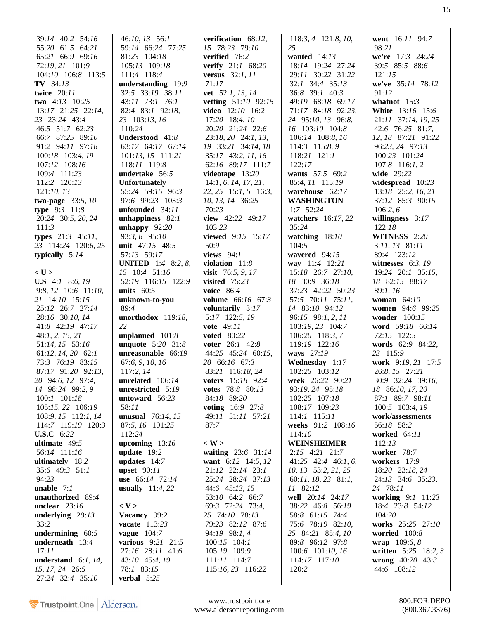| 39:14 40:2 54:16          | $46:10, 13$ 56:1           | verification 68:12,        | $118:3, 4$ 121:8, 10, | went 16:11 94:7          |
|---------------------------|----------------------------|----------------------------|-----------------------|--------------------------|
|                           |                            | 15 78:23 79:10             | 25                    |                          |
| 55:20 61:5 64:21          | 59:14 66:24 77:25          |                            |                       | 98:21                    |
| 65:21 66:9 69:16          | 81:23 104:18               | verified 76:2              | wanted $14:13$        | we're 17:3 24:24         |
| 72:19, 21 101:9           | 105:13 109:18              | verify 21:1 68:20          | 18:14 19:24 27:24     | 39:5 85:5 88:6           |
|                           |                            |                            |                       |                          |
| 104:10 106:8 113:5        | 111:4 118:4                | versus 32:1, 11            | 29:11 30:22 31:22     | 121:15                   |
| <b>TV</b> $34:13$         | understanding 19:9         | 71:17                      | 32:1 34:4 35:13       | we've 35:14 78:12        |
|                           |                            |                            |                       |                          |
| twice 20:11               | 32:5 33:19 38:11           | vet 52:1, 13, 14           | $36:8$ 39:1 40:3      | 91:12                    |
| <b>two</b> $4:13$ $10:25$ | 43:11 73:1 76:1            | vetting 51:10 92:15        | 49:19 68:18 69:17     | whatnot $15:3$           |
|                           |                            |                            |                       |                          |
| 13:17 21:25 22:14,        | 82:4 83:1 92:18,           | video 12:10 16:2           | 71:17 84:18 92:23,    | White 13:16 15:6         |
| 23 23:24 43:4             | 23 103:13, 16              | 17:20 18:4, 10             | 24 95:10, 13 96:8,    | 21:11 37:14, 19, 25      |
|                           |                            |                            |                       |                          |
| 46:5 51:7 62:23           | 110:24                     | 20:20 21:24 22:6           | 16 103:10 104:8       | 42:6 76:25 81:7,         |
| 66:7 87:25 89:10          | Understood 41:8            | 23:18, 20 24:1, 13,        | 106:14 108:8, 16      | 12, 18 87:21 91:22       |
|                           |                            |                            |                       |                          |
| 91:2 94:11 97:18          | 63:17 64:17 67:14          | 19 33:21 34:14, 18         | 114:3 115:8, 9        | 96:23, 24 97:13          |
| 100:18 103:4, 19          | 101:13, 15 111:21          | 35:17 43:2, 11, 16         | 118:21 121:1          | 100:23 101:24            |
|                           |                            |                            |                       |                          |
| 107:12 108:16             | 118:11 119:8               | 62:16 89:17 111:7          | 122:17                | $107:8$ 116:1, 2         |
| 109:4 111:23              | <b>undertake</b> $56:5$    | videotape $13:20$          | wants 57:5 69:2       | wide 29:22               |
|                           |                            |                            |                       |                          |
| 112:2 120:13              | Unfortunately              | 14:1, 6, 14, 17, 21,       | 85:4, 11 115:19       | widespread $10:23$       |
| 121:10, 13                | 55:24 59:15 96:3           |                            |                       |                          |
|                           |                            | 22, 25 15:1, 5 16:3,       | warehouse $62:17$     | $13:18$ $25:2, 16, 21$   |
| two-page 33:5, 10         | 97:6 99:23 103:3           | 10, 13, 14 36:25           | <b>WASHINGTON</b>     | 37:12 85:3 90:15         |
| type 9:3 11:8             | unfounded 34:11            | 70:23                      | $1:7$ 52:24           | 106:2, 6                 |
|                           |                            |                            |                       |                          |
| 20:24 30:5, 20, 24        | unhappiness $82:1$         | view 42:22 49:17           | watchers 16:17, 22    | willingness $3:17$       |
| 111:3                     | unhappy $92:20$            | 103:23                     | 35:24                 | 122:18                   |
|                           |                            |                            |                       |                          |
| types $21:3$ 45:11,       | 93:3, 8 95:10              | viewed 9:15 15:17          | watching $18:10$      | WITNESS 2:20             |
| 23 114:24 120:6, 25       | unit 47:15 48:5            | 50:9                       | 104:5                 | $3:11, 13$ $81:11$       |
|                           |                            |                            |                       |                          |
| typically $5:14$          | 57:13 59:17                | views $94:1$               | wavered $94:15$       | 89:4 123:12              |
|                           | <b>UNITED</b> 1:4 8:2, 8,  | violation $11:8$           | way 11:4 12:21        | witnesses $6:3, 19$      |
|                           |                            |                            |                       |                          |
| $<$ U $>$                 | 15 10:4 51:16              | <b>visit</b> $76:5, 9, 17$ | 15:18 26:7 27:10,     | $19:24$ $20:1$ $35:15$ , |
| <b>U.S</b> 4:1 8:6, 19    | 52:19 116:15 122:9         | visited $75:23$            | 18 30:9 36:18         | 18 82:15 88:17           |
|                           |                            |                            |                       |                          |
| 9:8, $12$ 10:6 11:10,     | units $60:5$               | voice $86:4$               | 37:23 42:22 50:23     | 89:1, 16                 |
| 21 14:10 15:15            | unknown-to-you             | volume 66:16 67:3          | 57:5 70:11 75:11,     | woman $64:10$            |
|                           |                            |                            |                       |                          |
| 25:12 26:7 27:14          | 89:4                       | voluntarily 3:17           | 14 83:10 94:12        | women 94:6 99:25         |
| 28:16 30:10, 14           | unorthodox $119:18$ ,      | 5:17 122:5, 19             | 96:15 98:1, 2, 11     | wonder 100:15            |
|                           |                            |                            |                       |                          |
| 41:8 42:19 47:17          | 22                         | <b>vote</b> 49:11          | 103:19, 23 104:7      | word 59:18 66:14         |
| 48:1, 2, 15, 21           | unplanned $101:8$          | voted 80:22                | $106:20$ 118:3, 7     | 72:15 122:3              |
|                           |                            |                            |                       |                          |
| 51:14, 15 53:16           | <b>unquote</b> $5:20$ 31:8 | voter 26:1 42:8            | 119:19 122:16         | words 62:9 84:22,        |
| 61:12, 14, 20 62:1        | unreasonable 66:19         | 44:25 45:24 60:15,         | ways 27:19            | 23 115:9                 |
|                           |                            |                            |                       |                          |
| 73:3 76:19 83:15          | 67:6, 9, 10, 16            | 20 66:16 67:3              | Wednesday 1:17        | work 9:19, 21 17:5       |
| 87:17 91:20 92:13,        | 117:2, 14                  | 83:21 116:18, 24           | 102:25 103:12         | 26:8, 15 27:21           |
| 20 94:6, 12 97:4,         |                            |                            |                       |                          |
|                           | unrelated $106:14$         | <b>voters</b> 15:18 92:4   | week 26:22 90:21      | 30:9 32:24 39:16,        |
| 14 98:24 99:2, 9          | unrestricted $5:19$        | votes 78:8 80:13           | 93:19, 24 95:18       | 18 86:10, 17, 20         |
| 100:1 101:18              | untoward $56:23$           | 84:18 89:20                | 102:25 107:18         | 87:1 89:7 98:11          |
|                           |                            |                            |                       |                          |
| 105:15, 22 106:19         | 58:11                      | <b>voting</b> 16:9 27:8    | 108:17 109:23         | 100:5 103:4, 19          |
| 108:9, 15 112:1, 14       | unusual 76:14, 15          | 49:11 51:11 57:21          | 114:1 115:11          | work/assessments         |
|                           |                            |                            |                       |                          |
| 114:7 119:19 120:3        | 87:5, 16 101:25            | 87:7                       | weeks 91:2 108:16     | 56:18 58:2               |
| <b>U.S.C</b> 6:22         | 112:24                     |                            | 114:10                | worked 64:11             |
|                           |                            |                            |                       |                          |
| ultimate $49:5$           | upcoming $13:16$           | $\langle W \rangle$        | WEINSHEIMER           | 112:13                   |
| 56:14 111:16              | update $19:2$              | waiting 23:6 31:14         | $2:15$ 4:21 21:7      | worker 78:7              |
|                           |                            |                            |                       |                          |
| ultimately 18:2           |                            |                            |                       |                          |
|                           | updates $14:7$             | want 6:12 14:5, 12         | 41:25 42:4 46:1, 6,   | workers 17:9             |
|                           |                            |                            |                       |                          |
| 35:6 49:3 51:1            | upset $90:11$              | 21:12 22:14 23:1           | 10, 13 53:2, 21, 25   | 18:20 23:18, 24          |
| 94:23                     | use 66:14 72:14            | 25:24 28:24 37:13          | 60:11, 18, 23 81:1,   | 24:13 34:6 35:23,        |
|                           |                            |                            |                       |                          |
| unable $7:1$              | usually $11:4,22$          | 44:6 45:13, 15             | 11 82:12              | 24 78:11                 |
| unauthorized 89:4         |                            | 53:10 64:2 66:7            | well 20:14 24:17      | working 9:1 11:23        |
|                           |                            |                            |                       |                          |
| unclear $23:16$           | $<$ V $>$                  | 69:3 72:24 73:4,           | 38:22 46:8 56:19      | 18:4 23:8 54:12          |
| underlying $29:13$        | Vacancy 99:2               | 25 74:10 78:13             | 58:8 61:15 74:4       | 104:20                   |
|                           |                            |                            |                       |                          |
| 33:2                      | vacate 113:23              | 79:23 82:12 87:6           | 75:6 78:19 82:10,     | works 25:25 27:10        |
| undermining $60:5$        | vague $104:7$              | 94:19 98:1, 4              | 25 84:21 85:4, 10     | worried $100:8$          |
|                           |                            |                            |                       |                          |
| underneath $13:4$         | various 9:21 21:5          | 100:15 104:1               | 89:8 96:12 97:8       | <b>wrap</b> $109:6, 8$   |
| 17:11                     | 27:16 28:11 41:6           | 105:19 109:9               | 100:6 101:10, 16      | written $5:25$ 18:2, 3   |
|                           |                            |                            |                       |                          |
| understand $6:1, 14$ ,    | 43:10 45:4, 19             | 111:11 114:7               | 114:17 117:10         | wrong $40:20$ 43:3       |
| 15, 17, 24 26:5           | 78:1 83:15                 | 115:16, 23 116:22          | 120:2                 | 44:6 108:12              |
| 27:24 32:4 35:10          | verbal 5:25                |                            |                       |                          |

www.trustpoint.one www.aldersonreporting.com